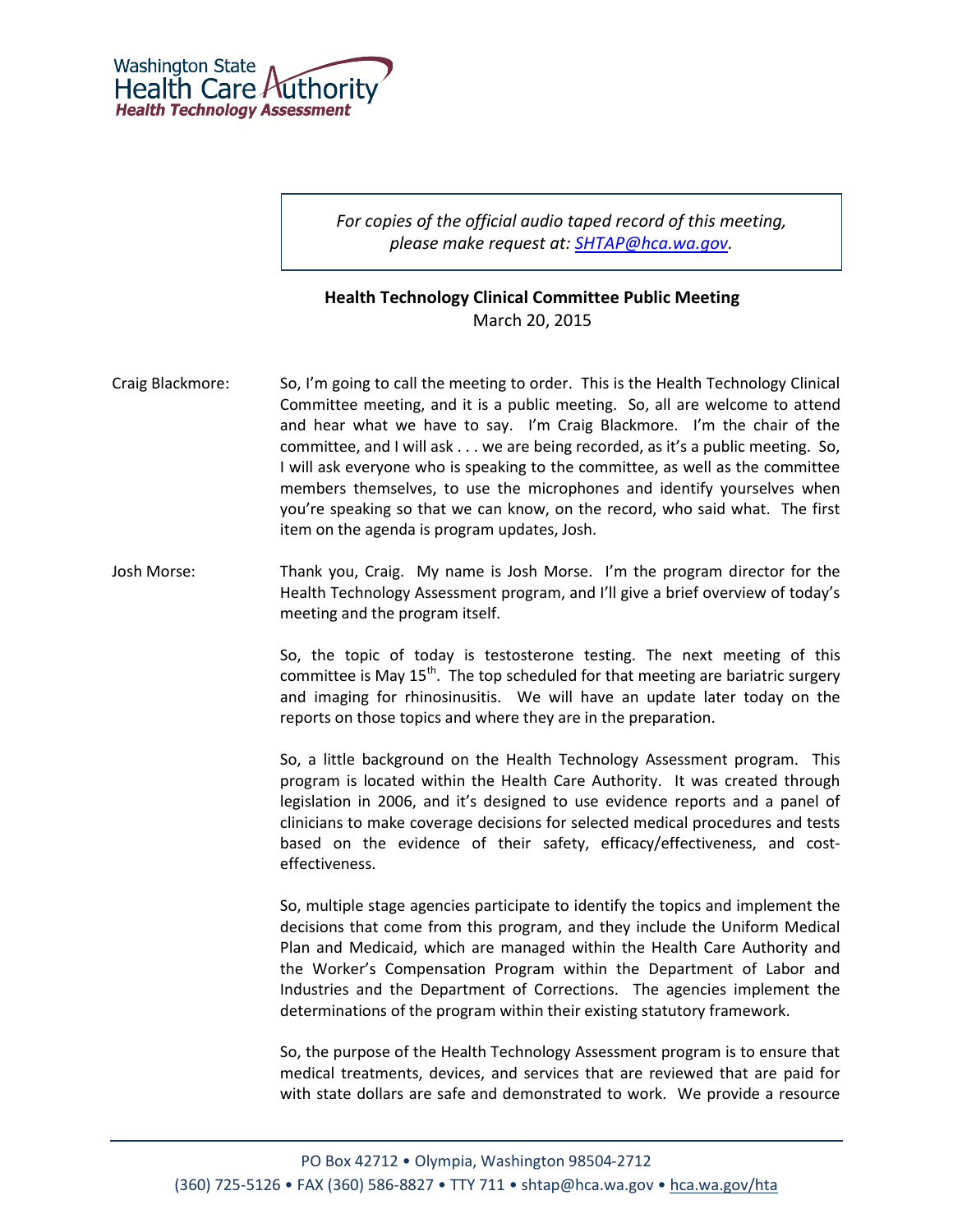

*For copies of the official audio taped record of this meeting, please make request at: [SHTAP@hca.wa.gov.](mailto:SHTAP@hca.wa.gov)*

## **Health Technology Clinical Committee Public Meeting** March 20, 2015

- Craig Blackmore: So, I'm going to call the meeting to order. This is the Health Technology Clinical Committee meeting, and it is a public meeting. So, all are welcome to attend and hear what we have to say. I'm Craig Blackmore. I'm the chair of the committee, and I will ask . . . we are being recorded, as it's a public meeting. So, I will ask everyone who is speaking to the committee, as well as the committee members themselves, to use the microphones and identify yourselves when you're speaking so that we can know, on the record, who said what. The first item on the agenda is program updates, Josh.
- Josh Morse: Thank you, Craig. My name is Josh Morse. I'm the program director for the Health Technology Assessment program, and I'll give a brief overview of today's meeting and the program itself.

So, the topic of today is testosterone testing. The next meeting of this committee is May  $15<sup>th</sup>$ . The top scheduled for that meeting are bariatric surgery and imaging for rhinosinusitis. We will have an update later today on the reports on those topics and where they are in the preparation.

So, a little background on the Health Technology Assessment program. This program is located within the Health Care Authority. It was created through legislation in 2006, and it's designed to use evidence reports and a panel of clinicians to make coverage decisions for selected medical procedures and tests based on the evidence of their safety, efficacy/effectiveness, and costeffectiveness.

So, multiple stage agencies participate to identify the topics and implement the decisions that come from this program, and they include the Uniform Medical Plan and Medicaid, which are managed within the Health Care Authority and the Worker's Compensation Program within the Department of Labor and Industries and the Department of Corrections. The agencies implement the determinations of the program within their existing statutory framework.

So, the purpose of the Health Technology Assessment program is to ensure that medical treatments, devices, and services that are reviewed that are paid for with state dollars are safe and demonstrated to work. We provide a resource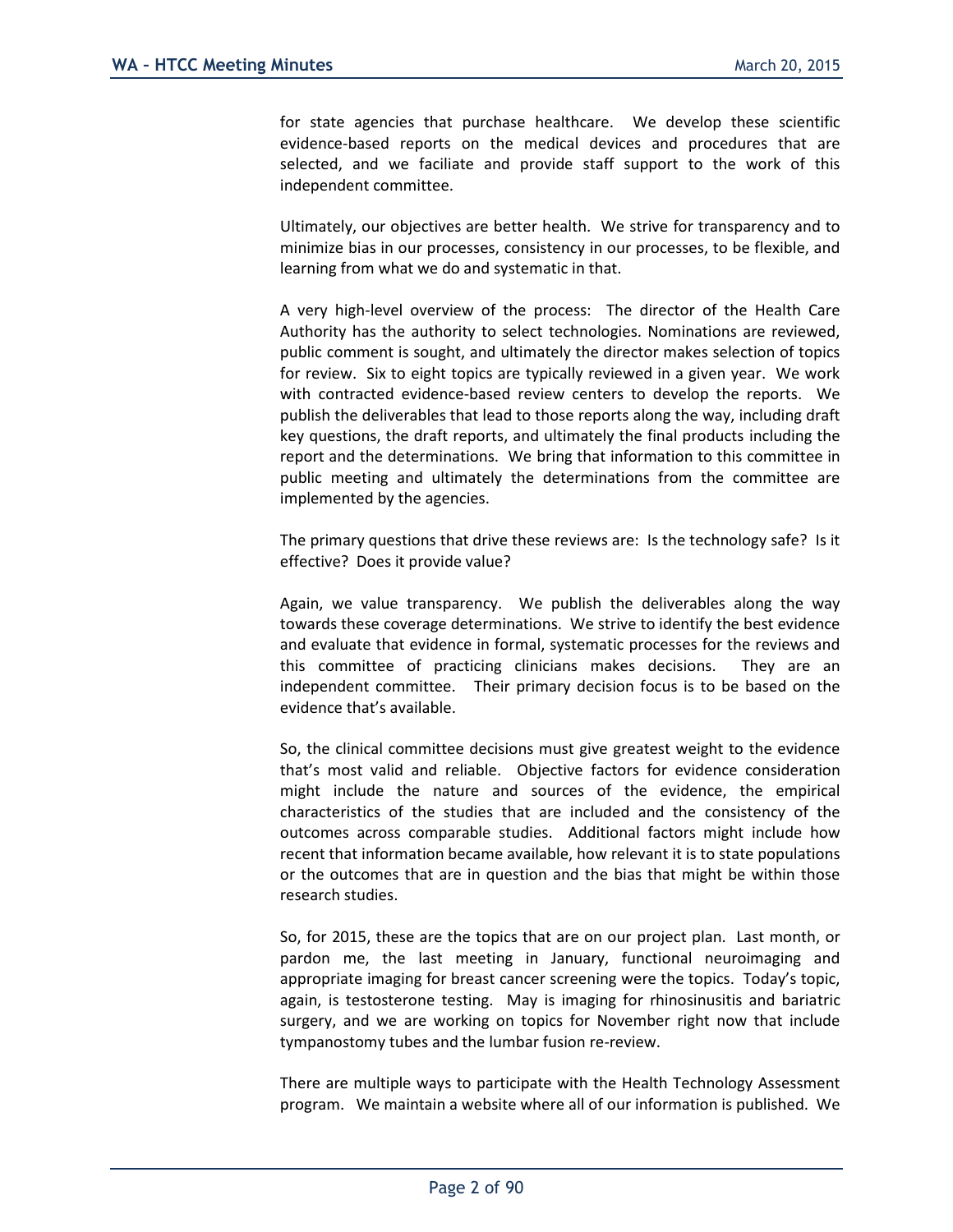for state agencies that purchase healthcare. We develop these scientific evidence-based reports on the medical devices and procedures that are selected, and we faciliate and provide staff support to the work of this independent committee.

Ultimately, our objectives are better health. We strive for transparency and to minimize bias in our processes, consistency in our processes, to be flexible, and learning from what we do and systematic in that.

A very high-level overview of the process: The director of the Health Care Authority has the authority to select technologies. Nominations are reviewed, public comment is sought, and ultimately the director makes selection of topics for review. Six to eight topics are typically reviewed in a given year. We work with contracted evidence-based review centers to develop the reports. We publish the deliverables that lead to those reports along the way, including draft key questions, the draft reports, and ultimately the final products including the report and the determinations. We bring that information to this committee in public meeting and ultimately the determinations from the committee are implemented by the agencies.

The primary questions that drive these reviews are: Is the technology safe? Is it effective? Does it provide value?

Again, we value transparency. We publish the deliverables along the way towards these coverage determinations. We strive to identify the best evidence and evaluate that evidence in formal, systematic processes for the reviews and this committee of practicing clinicians makes decisions. They are an independent committee. Their primary decision focus is to be based on the evidence that's available.

So, the clinical committee decisions must give greatest weight to the evidence that's most valid and reliable. Objective factors for evidence consideration might include the nature and sources of the evidence, the empirical characteristics of the studies that are included and the consistency of the outcomes across comparable studies. Additional factors might include how recent that information became available, how relevant it is to state populations or the outcomes that are in question and the bias that might be within those research studies.

So, for 2015, these are the topics that are on our project plan. Last month, or pardon me, the last meeting in January, functional neuroimaging and appropriate imaging for breast cancer screening were the topics. Today's topic, again, is testosterone testing. May is imaging for rhinosinusitis and bariatric surgery, and we are working on topics for November right now that include tympanostomy tubes and the lumbar fusion re-review.

There are multiple ways to participate with the Health Technology Assessment program. We maintain a website where all of our information is published. We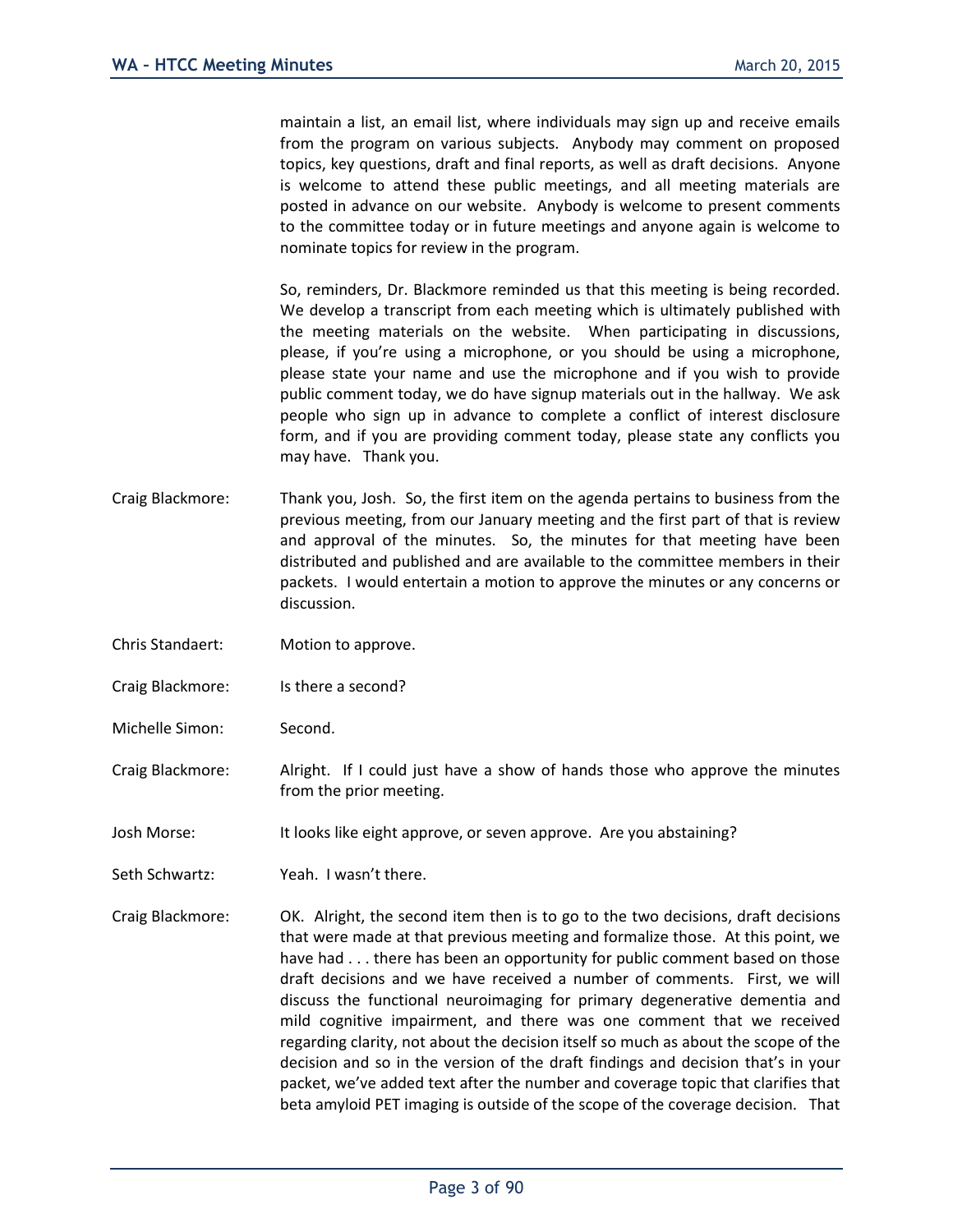maintain a list, an email list, where individuals may sign up and receive emails from the program on various subjects. Anybody may comment on proposed topics, key questions, draft and final reports, as well as draft decisions. Anyone is welcome to attend these public meetings, and all meeting materials are posted in advance on our website. Anybody is welcome to present comments to the committee today or in future meetings and anyone again is welcome to nominate topics for review in the program.

So, reminders, Dr. Blackmore reminded us that this meeting is being recorded. We develop a transcript from each meeting which is ultimately published with the meeting materials on the website. When participating in discussions, please, if you're using a microphone, or you should be using a microphone, please state your name and use the microphone and if you wish to provide public comment today, we do have signup materials out in the hallway. We ask people who sign up in advance to complete a conflict of interest disclosure form, and if you are providing comment today, please state any conflicts you may have. Thank you.

- Craig Blackmore: Thank you, Josh. So, the first item on the agenda pertains to business from the previous meeting, from our January meeting and the first part of that is review and approval of the minutes. So, the minutes for that meeting have been distributed and published and are available to the committee members in their packets. I would entertain a motion to approve the minutes or any concerns or discussion.
- Chris Standaert: Motion to approve.
- Craig Blackmore: Is there a second?
- Michelle Simon: Second.

Craig Blackmore: Alright. If I could just have a show of hands those who approve the minutes from the prior meeting.

- Josh Morse: It looks like eight approve, or seven approve. Are you abstaining?
- Seth Schwartz: Yeah. I wasn't there.
- Craig Blackmore: OK. Alright, the second item then is to go to the two decisions, draft decisions that were made at that previous meeting and formalize those. At this point, we have had . . . there has been an opportunity for public comment based on those draft decisions and we have received a number of comments. First, we will discuss the functional neuroimaging for primary degenerative dementia and mild cognitive impairment, and there was one comment that we received regarding clarity, not about the decision itself so much as about the scope of the decision and so in the version of the draft findings and decision that's in your packet, we've added text after the number and coverage topic that clarifies that beta amyloid PET imaging is outside of the scope of the coverage decision. That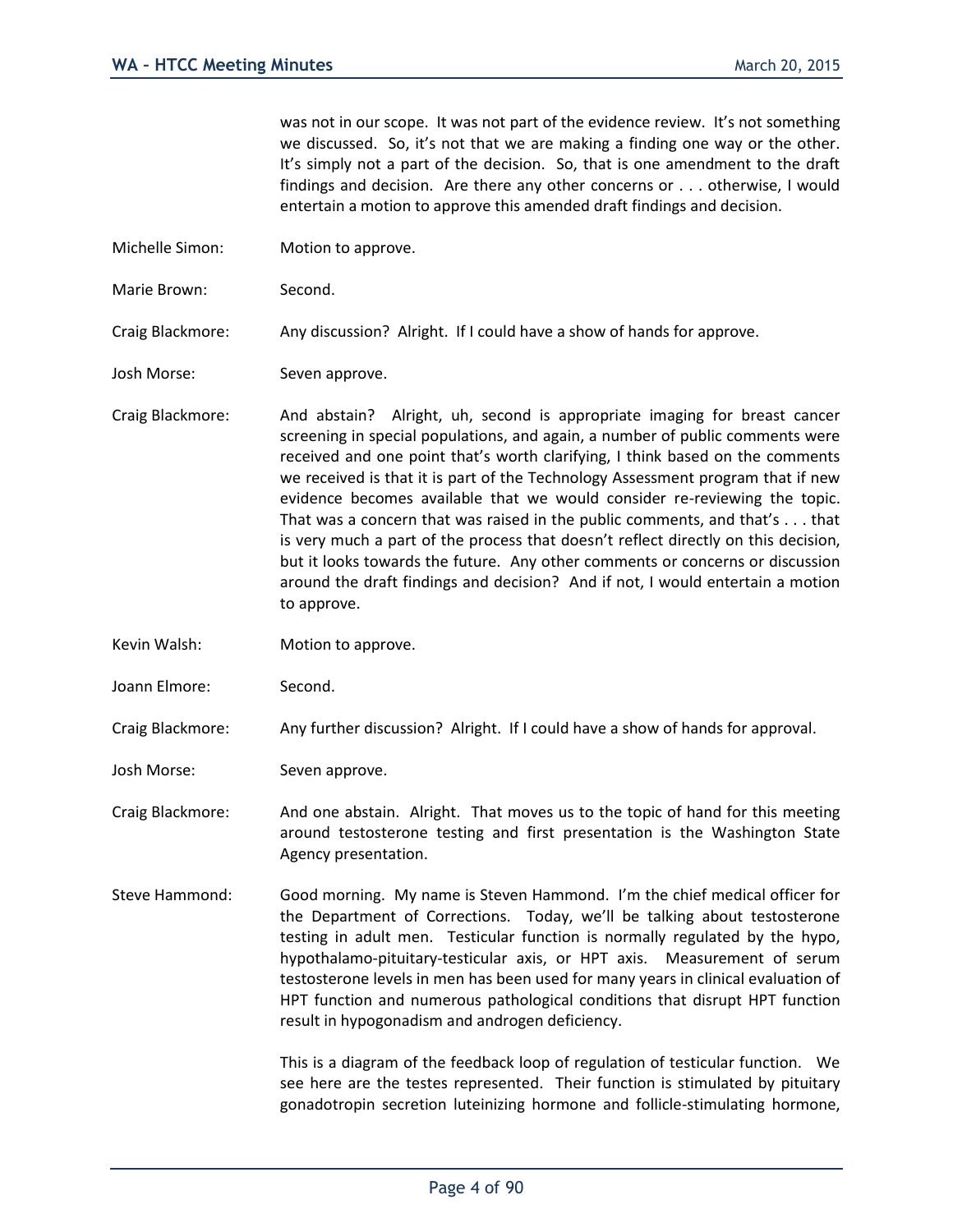was not in our scope. It was not part of the evidence review. It's not something we discussed. So, it's not that we are making a finding one way or the other. It's simply not a part of the decision. So, that is one amendment to the draft findings and decision. Are there any other concerns or . . . otherwise, I would entertain a motion to approve this amended draft findings and decision.

- Michelle Simon: Motion to approve.
- Marie Brown: Second.

Craig Blackmore: Any discussion? Alright. If I could have a show of hands for approve.

Josh Morse: Seven approve.

- Craig Blackmore: And abstain? Alright, uh, second is appropriate imaging for breast cancer screening in special populations, and again, a number of public comments were received and one point that's worth clarifying, I think based on the comments we received is that it is part of the Technology Assessment program that if new evidence becomes available that we would consider re-reviewing the topic. That was a concern that was raised in the public comments, and that's . . . that is very much a part of the process that doesn't reflect directly on this decision, but it looks towards the future. Any other comments or concerns or discussion around the draft findings and decision? And if not, I would entertain a motion to approve.
- Kevin Walsh: Motion to approve.
- Joann Elmore: Second.

Craig Blackmore: Any further discussion? Alright. If I could have a show of hands for approval.

Josh Morse: Seven approve.

- Craig Blackmore: And one abstain. Alright. That moves us to the topic of hand for this meeting around testosterone testing and first presentation is the Washington State Agency presentation.
- Steve Hammond: Good morning. My name is Steven Hammond. I'm the chief medical officer for the Department of Corrections. Today, we'll be talking about testosterone testing in adult men. Testicular function is normally regulated by the hypo, hypothalamo-pituitary-testicular axis, or HPT axis. Measurement of serum testosterone levels in men has been used for many years in clinical evaluation of HPT function and numerous pathological conditions that disrupt HPT function result in hypogonadism and androgen deficiency.

This is a diagram of the feedback loop of regulation of testicular function. We see here are the testes represented. Their function is stimulated by pituitary gonadotropin secretion luteinizing hormone and follicle-stimulating hormone,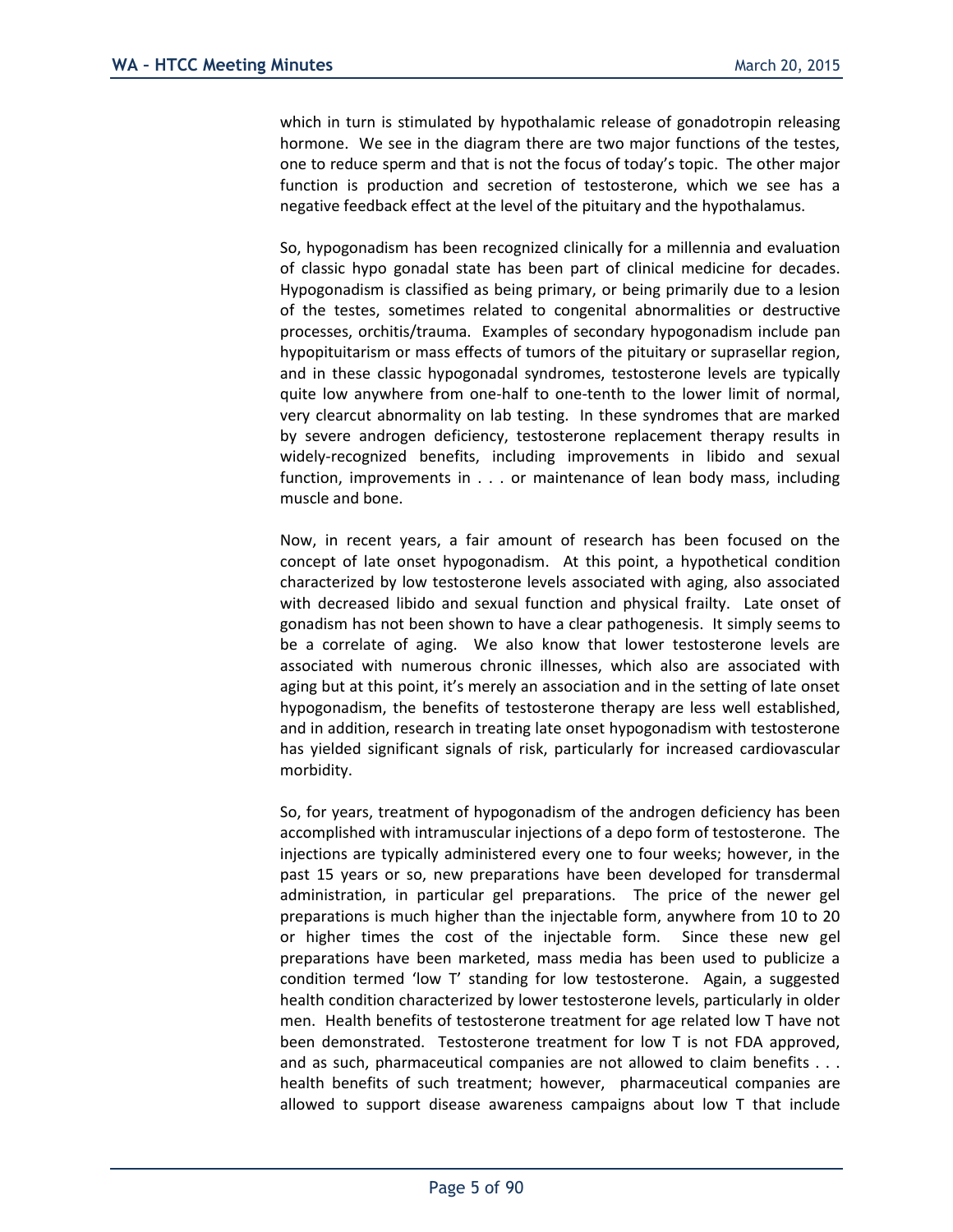which in turn is stimulated by hypothalamic release of gonadotropin releasing hormone. We see in the diagram there are two major functions of the testes, one to reduce sperm and that is not the focus of today's topic. The other major function is production and secretion of testosterone, which we see has a negative feedback effect at the level of the pituitary and the hypothalamus.

So, hypogonadism has been recognized clinically for a millennia and evaluation of classic hypo gonadal state has been part of clinical medicine for decades. Hypogonadism is classified as being primary, or being primarily due to a lesion of the testes, sometimes related to congenital abnormalities or destructive processes, orchitis/trauma. Examples of secondary hypogonadism include pan hypopituitarism or mass effects of tumors of the pituitary or suprasellar region, and in these classic hypogonadal syndromes, testosterone levels are typically quite low anywhere from one-half to one-tenth to the lower limit of normal, very clearcut abnormality on lab testing. In these syndromes that are marked by severe androgen deficiency, testosterone replacement therapy results in widely-recognized benefits, including improvements in libido and sexual function, improvements in . . . or maintenance of lean body mass, including muscle and bone.

Now, in recent years, a fair amount of research has been focused on the concept of late onset hypogonadism. At this point, a hypothetical condition characterized by low testosterone levels associated with aging, also associated with decreased libido and sexual function and physical frailty. Late onset of gonadism has not been shown to have a clear pathogenesis. It simply seems to be a correlate of aging. We also know that lower testosterone levels are associated with numerous chronic illnesses, which also are associated with aging but at this point, it's merely an association and in the setting of late onset hypogonadism, the benefits of testosterone therapy are less well established, and in addition, research in treating late onset hypogonadism with testosterone has yielded significant signals of risk, particularly for increased cardiovascular morbidity.

So, for years, treatment of hypogonadism of the androgen deficiency has been accomplished with intramuscular injections of a depo form of testosterone. The injections are typically administered every one to four weeks; however, in the past 15 years or so, new preparations have been developed for transdermal administration, in particular gel preparations. The price of the newer gel preparations is much higher than the injectable form, anywhere from 10 to 20 or higher times the cost of the injectable form. Since these new gel preparations have been marketed, mass media has been used to publicize a condition termed 'low T' standing for low testosterone. Again, a suggested health condition characterized by lower testosterone levels, particularly in older men. Health benefits of testosterone treatment for age related low T have not been demonstrated. Testosterone treatment for low T is not FDA approved, and as such, pharmaceutical companies are not allowed to claim benefits . . . health benefits of such treatment; however, pharmaceutical companies are allowed to support disease awareness campaigns about low T that include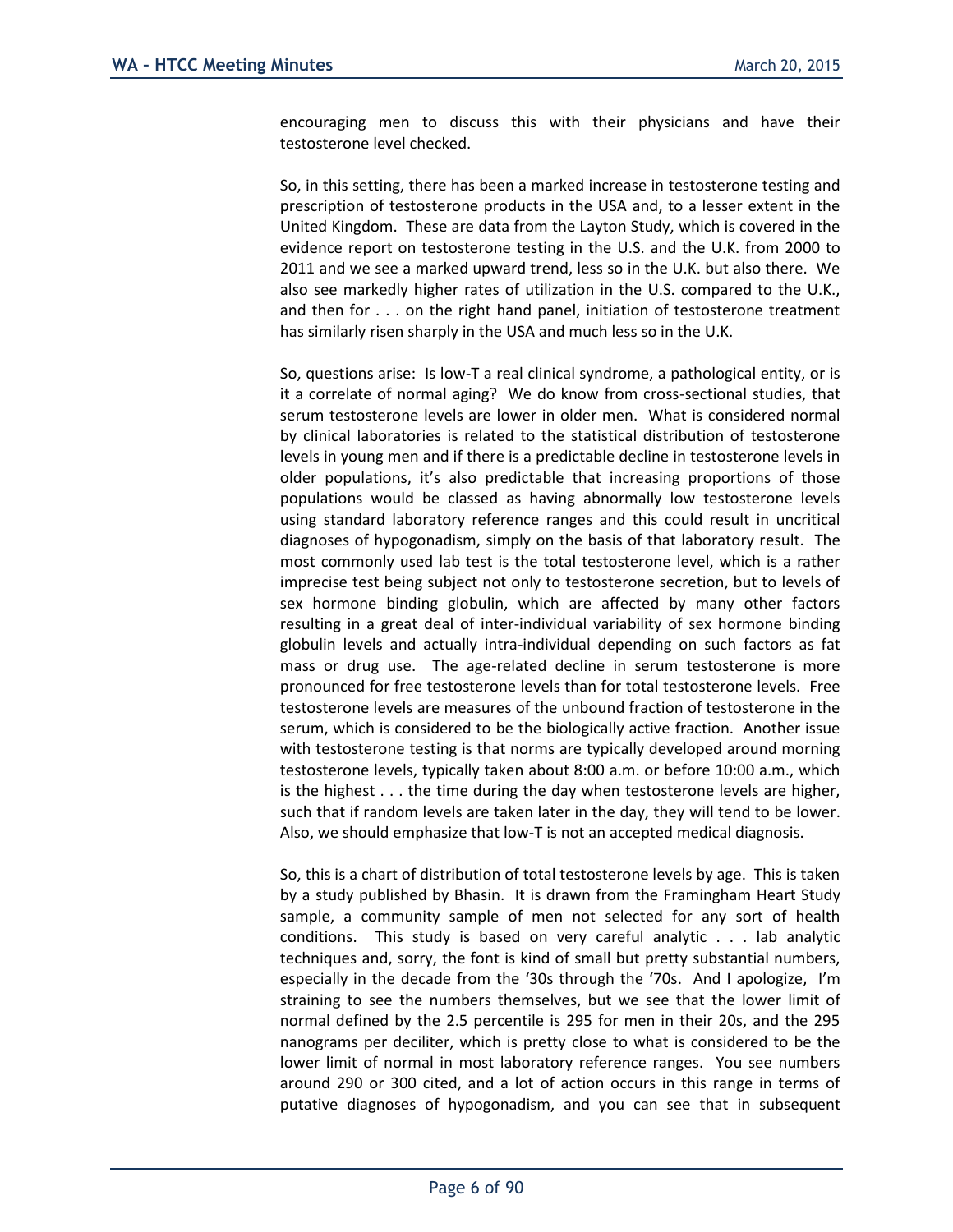encouraging men to discuss this with their physicians and have their testosterone level checked.

So, in this setting, there has been a marked increase in testosterone testing and prescription of testosterone products in the USA and, to a lesser extent in the United Kingdom. These are data from the Layton Study, which is covered in the evidence report on testosterone testing in the U.S. and the U.K. from 2000 to 2011 and we see a marked upward trend, less so in the U.K. but also there. We also see markedly higher rates of utilization in the U.S. compared to the U.K., and then for . . . on the right hand panel, initiation of testosterone treatment has similarly risen sharply in the USA and much less so in the U.K.

So, questions arise: Is low-T a real clinical syndrome, a pathological entity, or is it a correlate of normal aging? We do know from cross-sectional studies, that serum testosterone levels are lower in older men. What is considered normal by clinical laboratories is related to the statistical distribution of testosterone levels in young men and if there is a predictable decline in testosterone levels in older populations, it's also predictable that increasing proportions of those populations would be classed as having abnormally low testosterone levels using standard laboratory reference ranges and this could result in uncritical diagnoses of hypogonadism, simply on the basis of that laboratory result. The most commonly used lab test is the total testosterone level, which is a rather imprecise test being subject not only to testosterone secretion, but to levels of sex hormone binding globulin, which are affected by many other factors resulting in a great deal of inter-individual variability of sex hormone binding globulin levels and actually intra-individual depending on such factors as fat mass or drug use. The age-related decline in serum testosterone is more pronounced for free testosterone levels than for total testosterone levels. Free testosterone levels are measures of the unbound fraction of testosterone in the serum, which is considered to be the biologically active fraction. Another issue with testosterone testing is that norms are typically developed around morning testosterone levels, typically taken about 8:00 a.m. or before 10:00 a.m., which is the highest . . . the time during the day when testosterone levels are higher, such that if random levels are taken later in the day, they will tend to be lower. Also, we should emphasize that low-T is not an accepted medical diagnosis.

So, this is a chart of distribution of total testosterone levels by age. This is taken by a study published by Bhasin. It is drawn from the Framingham Heart Study sample, a community sample of men not selected for any sort of health conditions. This study is based on very careful analytic . . . lab analytic techniques and, sorry, the font is kind of small but pretty substantial numbers, especially in the decade from the '30s through the '70s. And I apologize, I'm straining to see the numbers themselves, but we see that the lower limit of normal defined by the 2.5 percentile is 295 for men in their 20s, and the 295 nanograms per deciliter, which is pretty close to what is considered to be the lower limit of normal in most laboratory reference ranges. You see numbers around 290 or 300 cited, and a lot of action occurs in this range in terms of putative diagnoses of hypogonadism, and you can see that in subsequent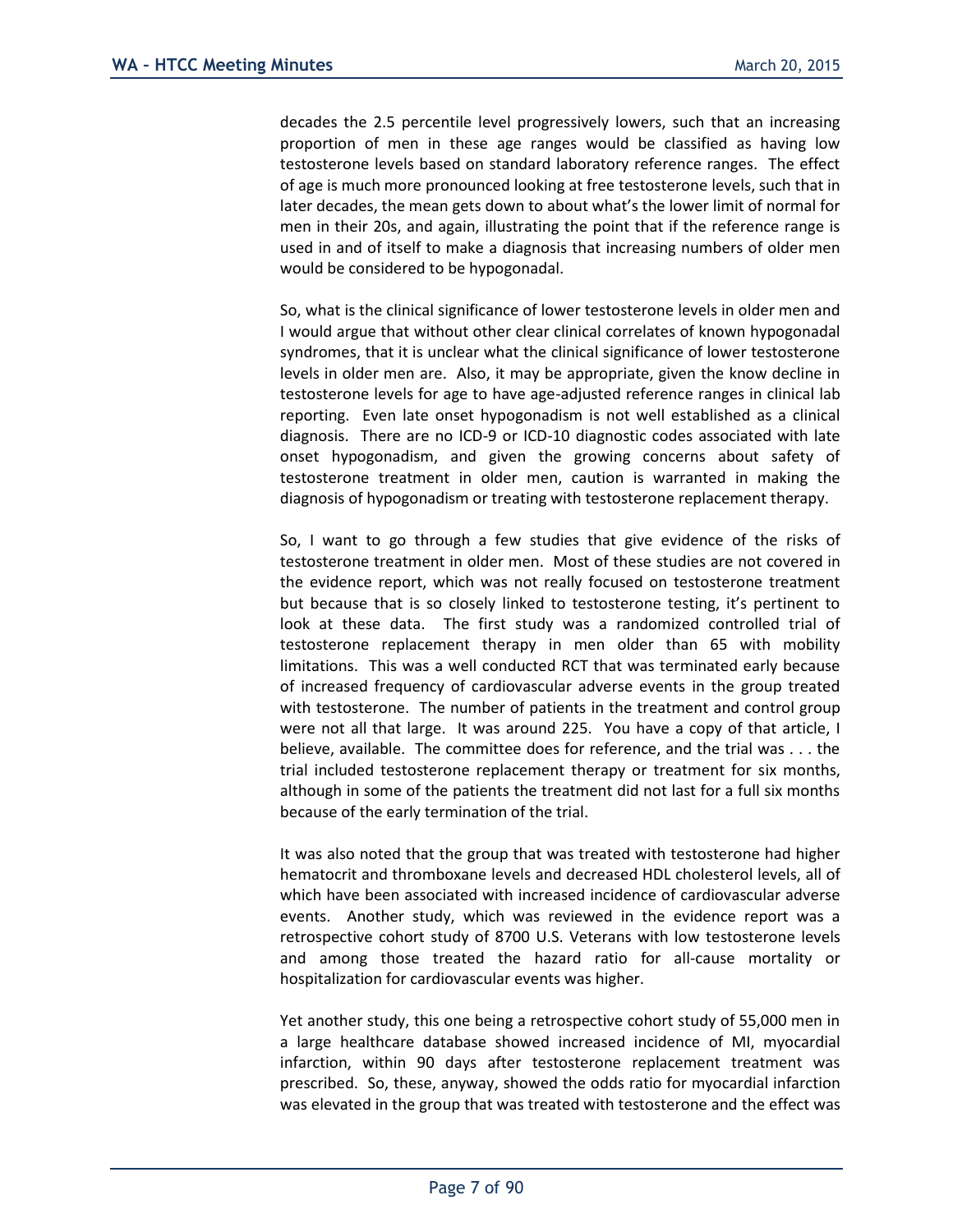decades the 2.5 percentile level progressively lowers, such that an increasing proportion of men in these age ranges would be classified as having low testosterone levels based on standard laboratory reference ranges. The effect of age is much more pronounced looking at free testosterone levels, such that in later decades, the mean gets down to about what's the lower limit of normal for men in their 20s, and again, illustrating the point that if the reference range is used in and of itself to make a diagnosis that increasing numbers of older men would be considered to be hypogonadal.

So, what is the clinical significance of lower testosterone levels in older men and I would argue that without other clear clinical correlates of known hypogonadal syndromes, that it is unclear what the clinical significance of lower testosterone levels in older men are. Also, it may be appropriate, given the know decline in testosterone levels for age to have age-adjusted reference ranges in clinical lab reporting. Even late onset hypogonadism is not well established as a clinical diagnosis. There are no ICD-9 or ICD-10 diagnostic codes associated with late onset hypogonadism, and given the growing concerns about safety of testosterone treatment in older men, caution is warranted in making the diagnosis of hypogonadism or treating with testosterone replacement therapy.

So, I want to go through a few studies that give evidence of the risks of testosterone treatment in older men. Most of these studies are not covered in the evidence report, which was not really focused on testosterone treatment but because that is so closely linked to testosterone testing, it's pertinent to look at these data. The first study was a randomized controlled trial of testosterone replacement therapy in men older than 65 with mobility limitations. This was a well conducted RCT that was terminated early because of increased frequency of cardiovascular adverse events in the group treated with testosterone. The number of patients in the treatment and control group were not all that large. It was around 225. You have a copy of that article, I believe, available. The committee does for reference, and the trial was . . . the trial included testosterone replacement therapy or treatment for six months, although in some of the patients the treatment did not last for a full six months because of the early termination of the trial.

It was also noted that the group that was treated with testosterone had higher hematocrit and thromboxane levels and decreased HDL cholesterol levels, all of which have been associated with increased incidence of cardiovascular adverse events. Another study, which was reviewed in the evidence report was a retrospective cohort study of 8700 U.S. Veterans with low testosterone levels and among those treated the hazard ratio for all-cause mortality or hospitalization for cardiovascular events was higher.

Yet another study, this one being a retrospective cohort study of 55,000 men in a large healthcare database showed increased incidence of MI, myocardial infarction, within 90 days after testosterone replacement treatment was prescribed. So, these, anyway, showed the odds ratio for myocardial infarction was elevated in the group that was treated with testosterone and the effect was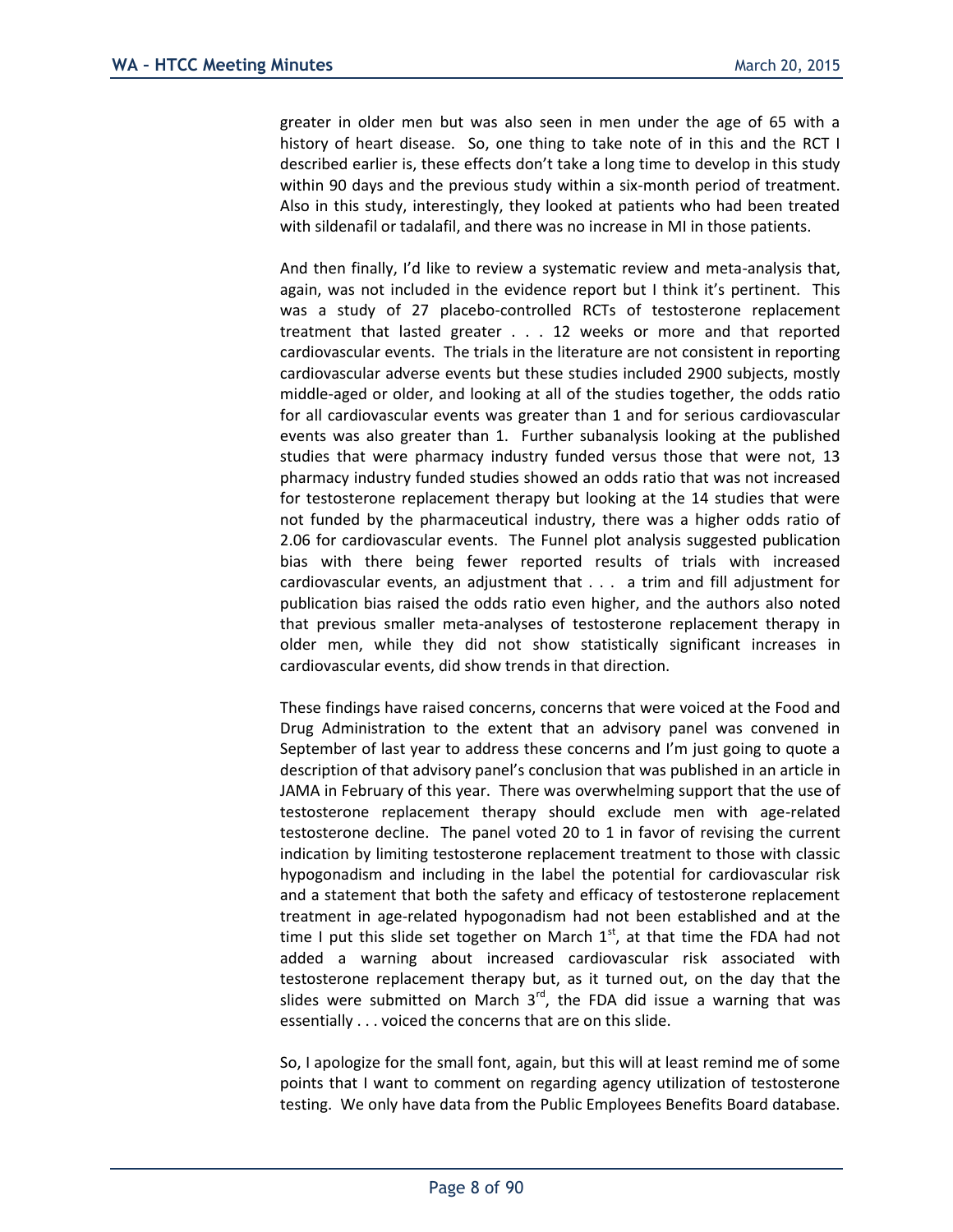greater in older men but was also seen in men under the age of 65 with a history of heart disease. So, one thing to take note of in this and the RCT I described earlier is, these effects don't take a long time to develop in this study within 90 days and the previous study within a six-month period of treatment. Also in this study, interestingly, they looked at patients who had been treated with sildenafil or tadalafil, and there was no increase in MI in those patients.

And then finally, I'd like to review a systematic review and meta-analysis that, again, was not included in the evidence report but I think it's pertinent. This was a study of 27 placebo-controlled RCTs of testosterone replacement treatment that lasted greater . . . 12 weeks or more and that reported cardiovascular events. The trials in the literature are not consistent in reporting cardiovascular adverse events but these studies included 2900 subjects, mostly middle-aged or older, and looking at all of the studies together, the odds ratio for all cardiovascular events was greater than 1 and for serious cardiovascular events was also greater than 1. Further subanalysis looking at the published studies that were pharmacy industry funded versus those that were not, 13 pharmacy industry funded studies showed an odds ratio that was not increased for testosterone replacement therapy but looking at the 14 studies that were not funded by the pharmaceutical industry, there was a higher odds ratio of 2.06 for cardiovascular events. The Funnel plot analysis suggested publication bias with there being fewer reported results of trials with increased cardiovascular events, an adjustment that . . . a trim and fill adjustment for publication bias raised the odds ratio even higher, and the authors also noted that previous smaller meta-analyses of testosterone replacement therapy in older men, while they did not show statistically significant increases in cardiovascular events, did show trends in that direction.

These findings have raised concerns, concerns that were voiced at the Food and Drug Administration to the extent that an advisory panel was convened in September of last year to address these concerns and I'm just going to quote a description of that advisory panel's conclusion that was published in an article in JAMA in February of this year. There was overwhelming support that the use of testosterone replacement therapy should exclude men with age-related testosterone decline. The panel voted 20 to 1 in favor of revising the current indication by limiting testosterone replacement treatment to those with classic hypogonadism and including in the label the potential for cardiovascular risk and a statement that both the safety and efficacy of testosterone replacement treatment in age-related hypogonadism had not been established and at the time I put this slide set together on March  $1<sup>st</sup>$ , at that time the FDA had not added a warning about increased cardiovascular risk associated with testosterone replacement therapy but, as it turned out, on the day that the slides were submitted on March  $3<sup>rd</sup>$ , the FDA did issue a warning that was essentially . . . voiced the concerns that are on this slide.

So, I apologize for the small font, again, but this will at least remind me of some points that I want to comment on regarding agency utilization of testosterone testing. We only have data from the Public Employees Benefits Board database.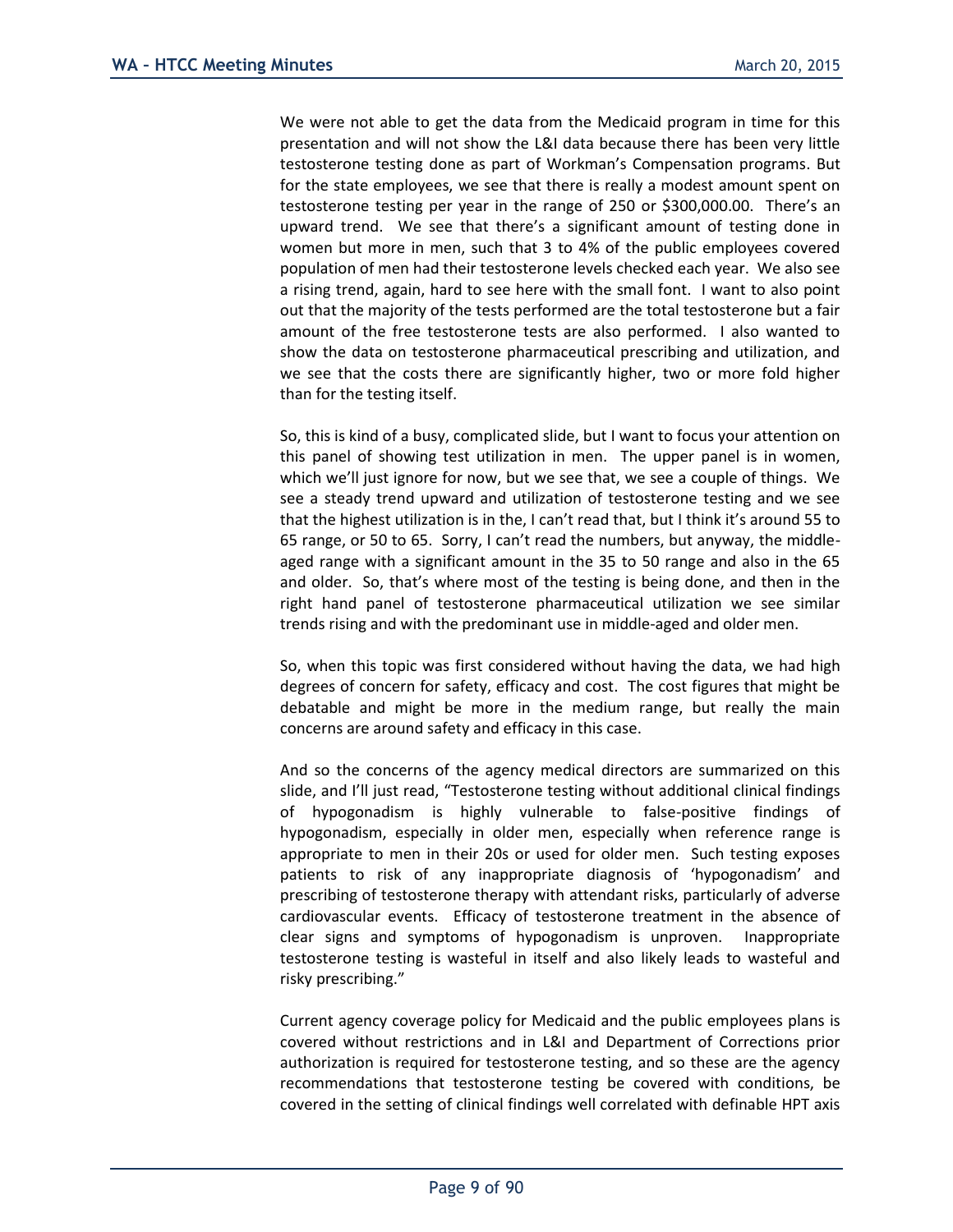We were not able to get the data from the Medicaid program in time for this presentation and will not show the L&I data because there has been very little testosterone testing done as part of Workman's Compensation programs. But for the state employees, we see that there is really a modest amount spent on testosterone testing per year in the range of 250 or \$300,000.00. There's an upward trend. We see that there's a significant amount of testing done in women but more in men, such that 3 to 4% of the public employees covered population of men had their testosterone levels checked each year. We also see a rising trend, again, hard to see here with the small font. I want to also point out that the majority of the tests performed are the total testosterone but a fair amount of the free testosterone tests are also performed. I also wanted to show the data on testosterone pharmaceutical prescribing and utilization, and we see that the costs there are significantly higher, two or more fold higher than for the testing itself.

So, this is kind of a busy, complicated slide, but I want to focus your attention on this panel of showing test utilization in men. The upper panel is in women, which we'll just ignore for now, but we see that, we see a couple of things. We see a steady trend upward and utilization of testosterone testing and we see that the highest utilization is in the, I can't read that, but I think it's around 55 to 65 range, or 50 to 65. Sorry, I can't read the numbers, but anyway, the middleaged range with a significant amount in the 35 to 50 range and also in the 65 and older. So, that's where most of the testing is being done, and then in the right hand panel of testosterone pharmaceutical utilization we see similar trends rising and with the predominant use in middle-aged and older men.

So, when this topic was first considered without having the data, we had high degrees of concern for safety, efficacy and cost. The cost figures that might be debatable and might be more in the medium range, but really the main concerns are around safety and efficacy in this case.

And so the concerns of the agency medical directors are summarized on this slide, and I'll just read, "Testosterone testing without additional clinical findings of hypogonadism is highly vulnerable to false-positive findings of hypogonadism, especially in older men, especially when reference range is appropriate to men in their 20s or used for older men. Such testing exposes patients to risk of any inappropriate diagnosis of 'hypogonadism' and prescribing of testosterone therapy with attendant risks, particularly of adverse cardiovascular events. Efficacy of testosterone treatment in the absence of clear signs and symptoms of hypogonadism is unproven. Inappropriate testosterone testing is wasteful in itself and also likely leads to wasteful and risky prescribing."

Current agency coverage policy for Medicaid and the public employees plans is covered without restrictions and in L&I and Department of Corrections prior authorization is required for testosterone testing, and so these are the agency recommendations that testosterone testing be covered with conditions, be covered in the setting of clinical findings well correlated with definable HPT axis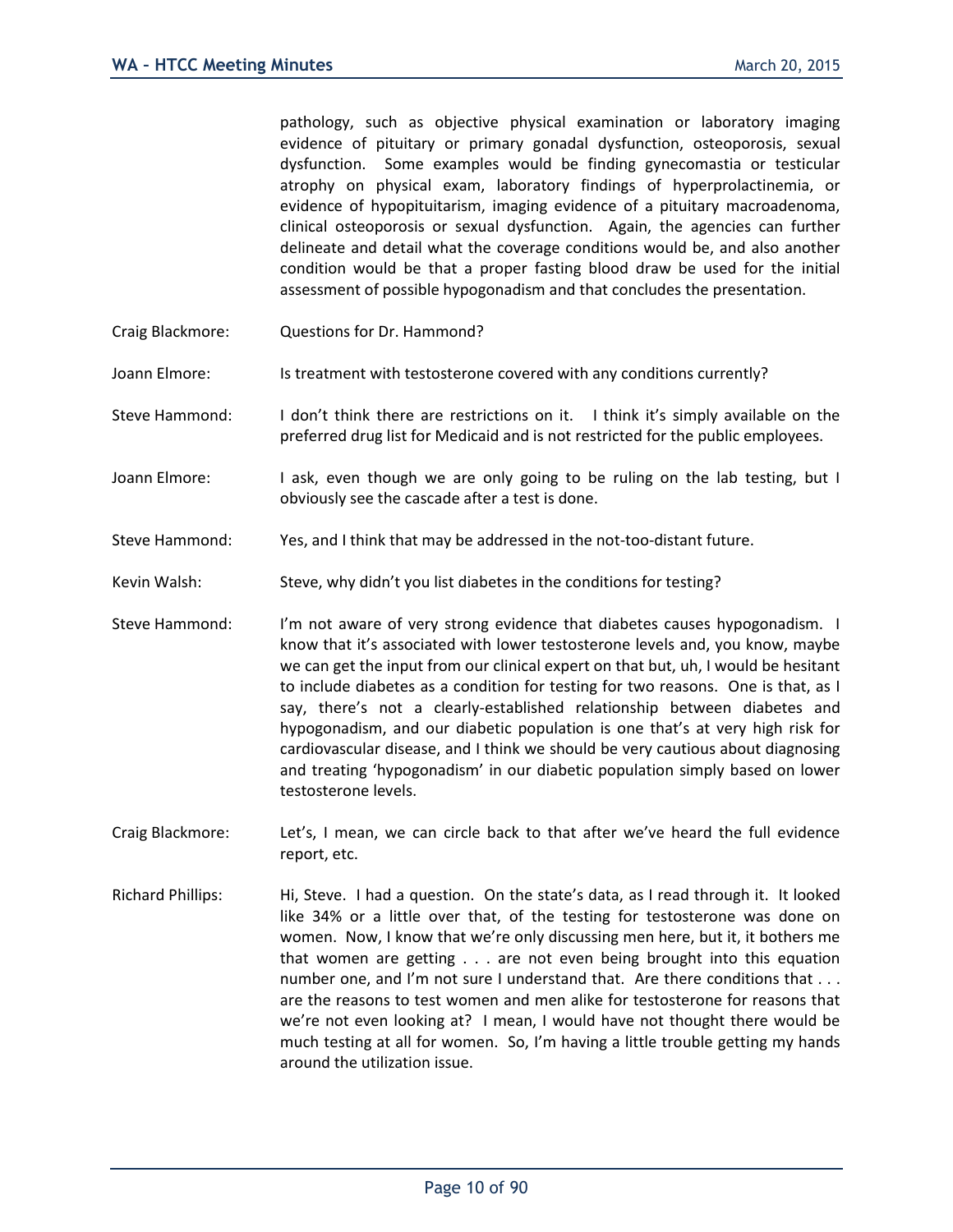pathology, such as objective physical examination or laboratory imaging evidence of pituitary or primary gonadal dysfunction, osteoporosis, sexual dysfunction. Some examples would be finding gynecomastia or testicular atrophy on physical exam, laboratory findings of hyperprolactinemia, or evidence of hypopituitarism, imaging evidence of a pituitary macroadenoma, clinical osteoporosis or sexual dysfunction. Again, the agencies can further delineate and detail what the coverage conditions would be, and also another condition would be that a proper fasting blood draw be used for the initial assessment of possible hypogonadism and that concludes the presentation.

- Craig Blackmore: Questions for Dr. Hammond?
- Joann Elmore: Is treatment with testosterone covered with any conditions currently?
- Steve Hammond: I don't think there are restrictions on it. I think it's simply available on the preferred drug list for Medicaid and is not restricted for the public employees.
- Joann Elmore: I ask, even though we are only going to be ruling on the lab testing, but I obviously see the cascade after a test is done.
- Steve Hammond: Yes, and I think that may be addressed in the not-too-distant future.
- Kevin Walsh: Steve, why didn't you list diabetes in the conditions for testing?
- Steve Hammond: I'm not aware of very strong evidence that diabetes causes hypogonadism. I know that it's associated with lower testosterone levels and, you know, maybe we can get the input from our clinical expert on that but, uh, I would be hesitant to include diabetes as a condition for testing for two reasons. One is that, as I say, there's not a clearly-established relationship between diabetes and hypogonadism, and our diabetic population is one that's at very high risk for cardiovascular disease, and I think we should be very cautious about diagnosing and treating 'hypogonadism' in our diabetic population simply based on lower testosterone levels.
- Craig Blackmore: Let's, I mean, we can circle back to that after we've heard the full evidence report, etc.
- Richard Phillips: Hi, Steve. I had a question. On the state's data, as I read through it. It looked like 34% or a little over that, of the testing for testosterone was done on women. Now, I know that we're only discussing men here, but it, it bothers me that women are getting . . . are not even being brought into this equation number one, and I'm not sure I understand that. Are there conditions that . . . are the reasons to test women and men alike for testosterone for reasons that we're not even looking at? I mean, I would have not thought there would be much testing at all for women. So, I'm having a little trouble getting my hands around the utilization issue.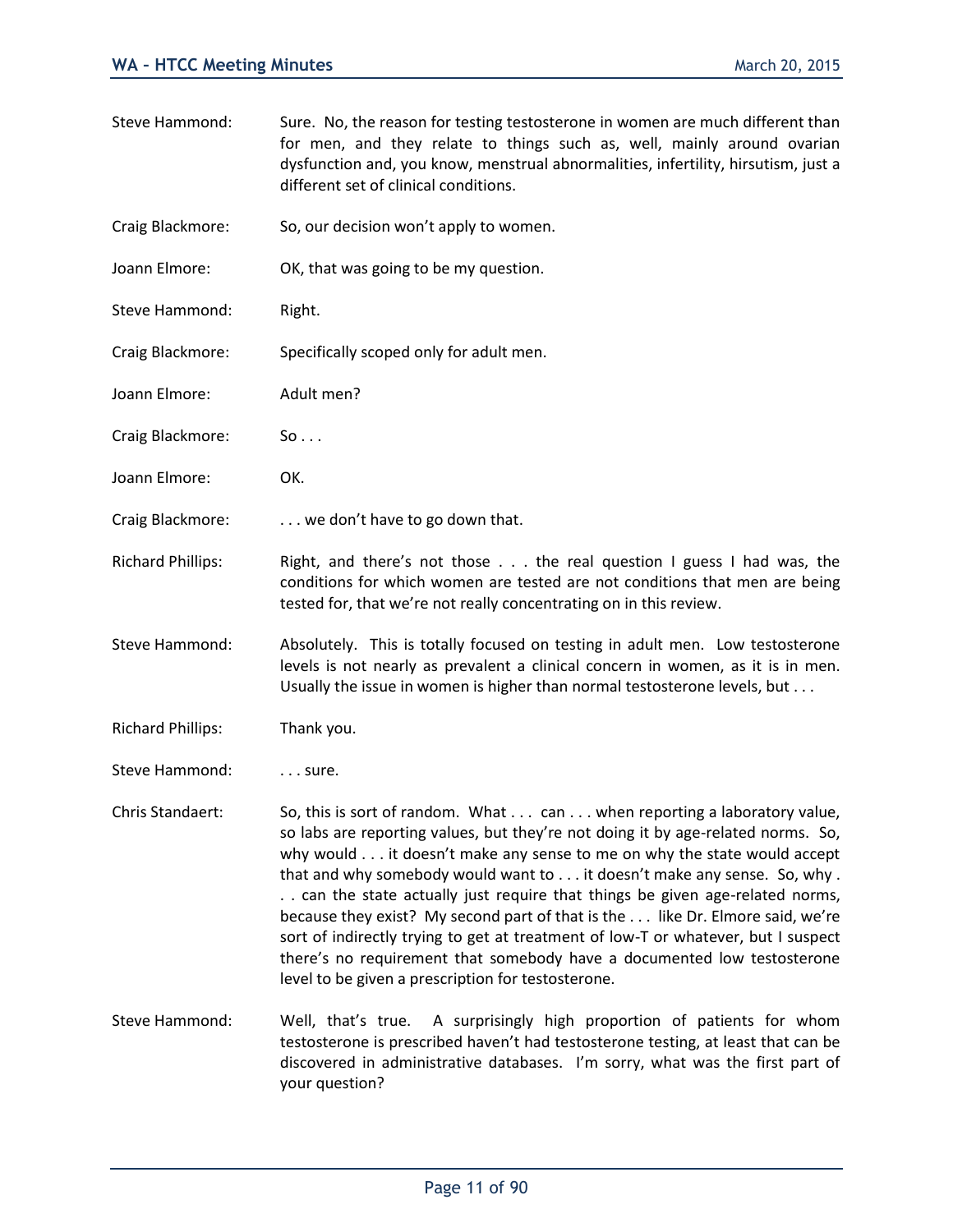- Steve Hammond: Sure. No, the reason for testing testosterone in women are much different than for men, and they relate to things such as, well, mainly around ovarian dysfunction and, you know, menstrual abnormalities, infertility, hirsutism, just a different set of clinical conditions.
- Craig Blackmore: So, our decision won't apply to women.
- Joann Elmore: OK, that was going to be my question.
- Steve Hammond: Right.
- Craig Blackmore: Specifically scoped only for adult men.
- Joann Elmore: Adult men?
- Craig Blackmore: So...
- Joann Elmore: OK.
- Craig Blackmore: . . . . . we don't have to go down that.
- Richard Phillips: Right, and there's not those  $\ldots$  the real question I guess I had was, the conditions for which women are tested are not conditions that men are being tested for, that we're not really concentrating on in this review.
- Steve Hammond: Absolutely. This is totally focused on testing in adult men. Low testosterone levels is not nearly as prevalent a clinical concern in women, as it is in men. Usually the issue in women is higher than normal testosterone levels, but . . .
- Richard Phillips: Thank you.
- Steve Hammond: . . . . sure.

Chris Standaert: So, this is sort of random. What . . . can . . . when reporting a laboratory value, so labs are reporting values, but they're not doing it by age-related norms. So, why would . . . it doesn't make any sense to me on why the state would accept that and why somebody would want to . . . it doesn't make any sense. So, why . . . can the state actually just require that things be given age-related norms, because they exist? My second part of that is the . . . like Dr. Elmore said, we're sort of indirectly trying to get at treatment of low-T or whatever, but I suspect there's no requirement that somebody have a documented low testosterone level to be given a prescription for testosterone.

Steve Hammond: Well, that's true. A surprisingly high proportion of patients for whom testosterone is prescribed haven't had testosterone testing, at least that can be discovered in administrative databases. I'm sorry, what was the first part of your question?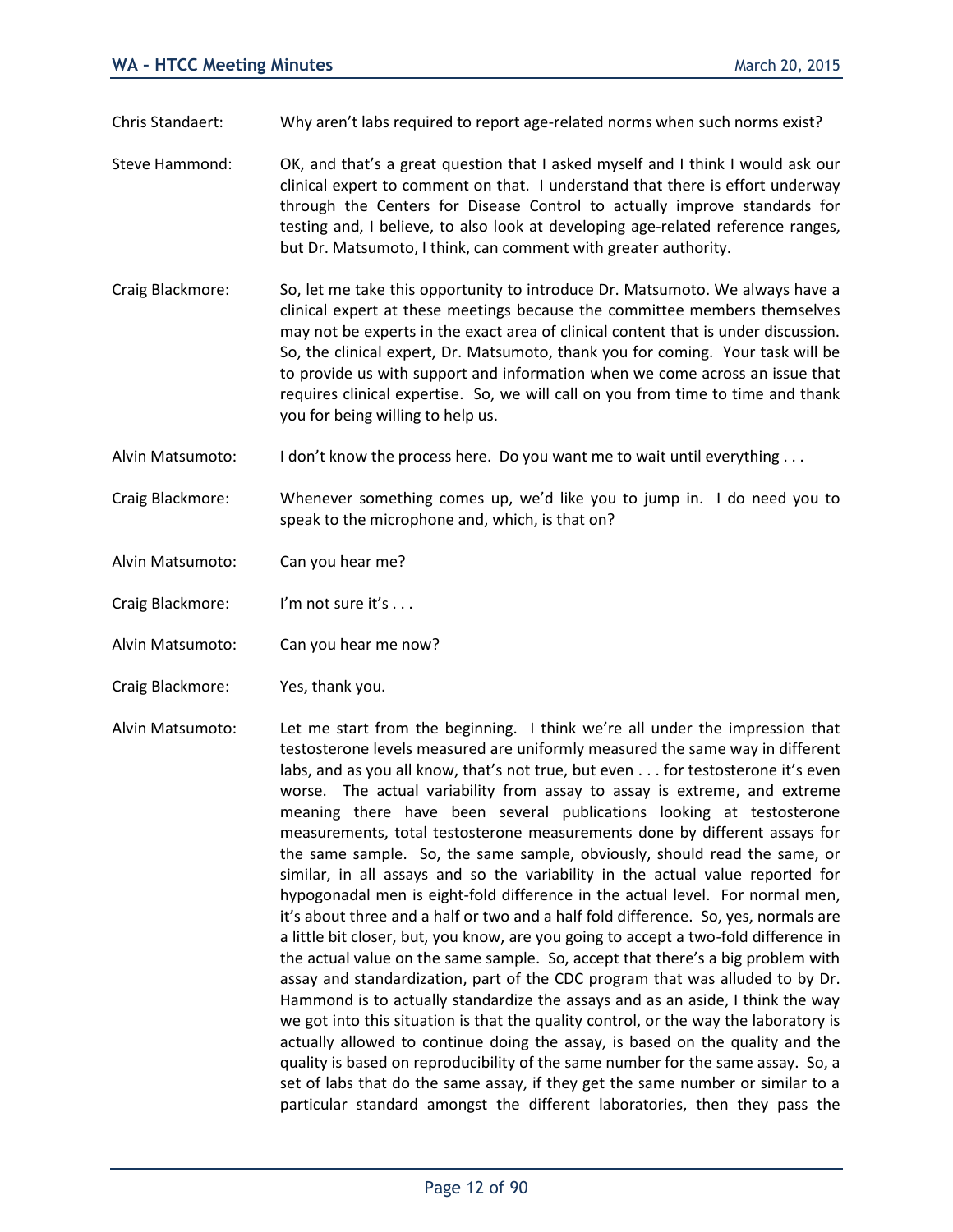Chris Standaert: Why aren't labs required to report age-related norms when such norms exist?

- Steve Hammond: OK, and that's a great question that I asked myself and I think I would ask our clinical expert to comment on that. I understand that there is effort underway through the Centers for Disease Control to actually improve standards for testing and, I believe, to also look at developing age-related reference ranges, but Dr. Matsumoto, I think, can comment with greater authority.
- Craig Blackmore: So, let me take this opportunity to introduce Dr. Matsumoto. We always have a clinical expert at these meetings because the committee members themselves may not be experts in the exact area of clinical content that is under discussion. So, the clinical expert, Dr. Matsumoto, thank you for coming. Your task will be to provide us with support and information when we come across an issue that requires clinical expertise. So, we will call on you from time to time and thank you for being willing to help us.

Alvin Matsumoto: I don't know the process here. Do you want me to wait until everything ...

Craig Blackmore: Whenever something comes up, we'd like you to jump in. I do need you to speak to the microphone and, which, is that on?

Alvin Matsumoto: Can you hear me?

Craig Blackmore: I'm not sure it's ...

Alvin Matsumoto: Can you hear me now?

- Craig Blackmore: Yes, thank you.
- Alvin Matsumoto: Let me start from the beginning. I think we're all under the impression that testosterone levels measured are uniformly measured the same way in different labs, and as you all know, that's not true, but even . . . for testosterone it's even worse. The actual variability from assay to assay is extreme, and extreme meaning there have been several publications looking at testosterone measurements, total testosterone measurements done by different assays for the same sample. So, the same sample, obviously, should read the same, or similar, in all assays and so the variability in the actual value reported for hypogonadal men is eight-fold difference in the actual level. For normal men, it's about three and a half or two and a half fold difference. So, yes, normals are a little bit closer, but, you know, are you going to accept a two-fold difference in the actual value on the same sample. So, accept that there's a big problem with assay and standardization, part of the CDC program that was alluded to by Dr. Hammond is to actually standardize the assays and as an aside, I think the way we got into this situation is that the quality control, or the way the laboratory is actually allowed to continue doing the assay, is based on the quality and the quality is based on reproducibility of the same number for the same assay. So, a set of labs that do the same assay, if they get the same number or similar to a particular standard amongst the different laboratories, then they pass the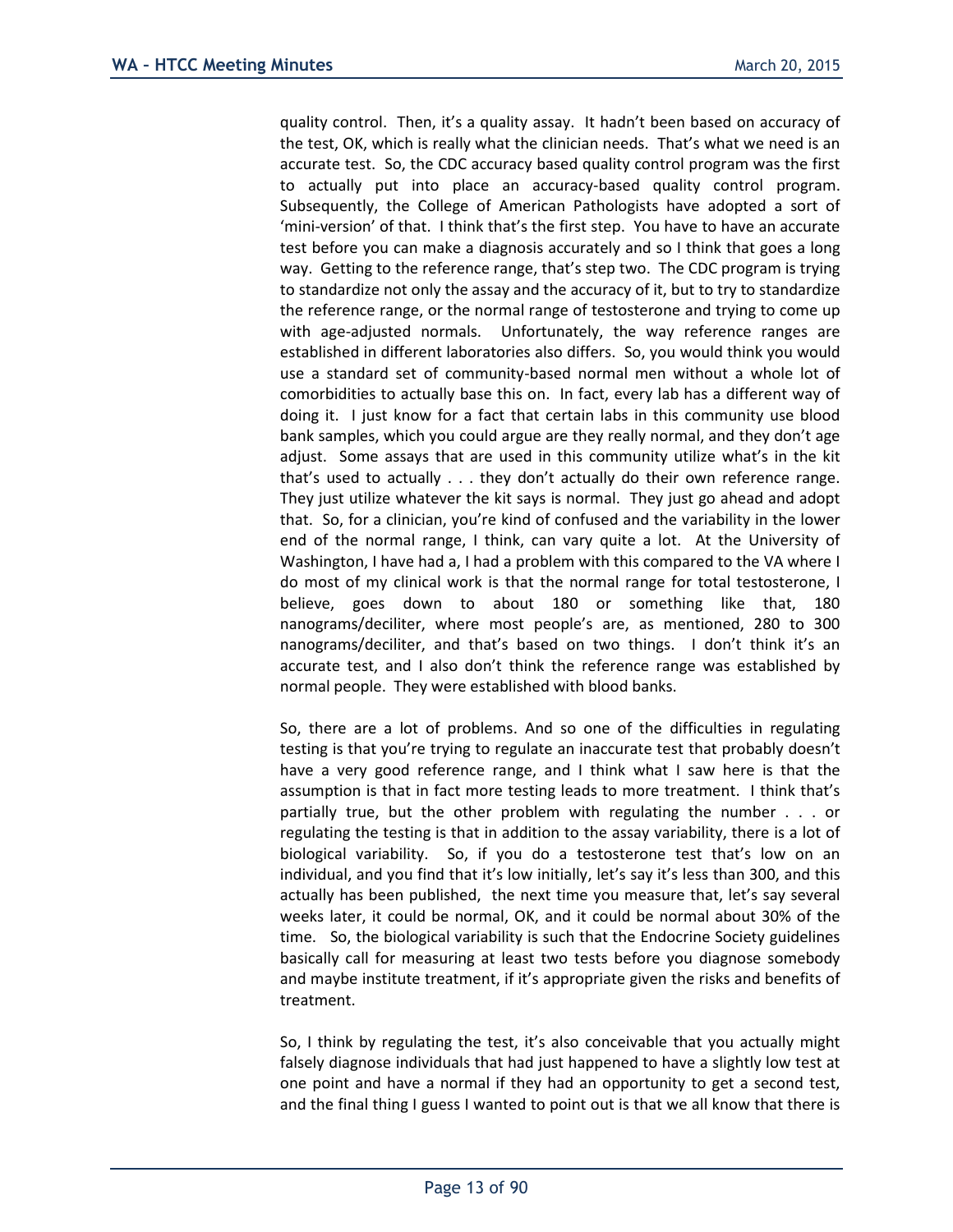quality control. Then, it's a quality assay. It hadn't been based on accuracy of the test, OK, which is really what the clinician needs. That's what we need is an accurate test. So, the CDC accuracy based quality control program was the first to actually put into place an accuracy-based quality control program. Subsequently, the College of American Pathologists have adopted a sort of 'mini-version' of that. I think that's the first step. You have to have an accurate test before you can make a diagnosis accurately and so I think that goes a long way. Getting to the reference range, that's step two. The CDC program is trying to standardize not only the assay and the accuracy of it, but to try to standardize the reference range, or the normal range of testosterone and trying to come up with age-adjusted normals. Unfortunately, the way reference ranges are established in different laboratories also differs. So, you would think you would use a standard set of community-based normal men without a whole lot of comorbidities to actually base this on. In fact, every lab has a different way of doing it. I just know for a fact that certain labs in this community use blood bank samples, which you could argue are they really normal, and they don't age adjust. Some assays that are used in this community utilize what's in the kit that's used to actually . . . they don't actually do their own reference range. They just utilize whatever the kit says is normal. They just go ahead and adopt that. So, for a clinician, you're kind of confused and the variability in the lower end of the normal range, I think, can vary quite a lot. At the University of Washington, I have had a, I had a problem with this compared to the VA where I do most of my clinical work is that the normal range for total testosterone, I believe, goes down to about 180 or something like that, 180 nanograms/deciliter, where most people's are, as mentioned, 280 to 300 nanograms/deciliter, and that's based on two things. I don't think it's an accurate test, and I also don't think the reference range was established by normal people. They were established with blood banks.

So, there are a lot of problems. And so one of the difficulties in regulating testing is that you're trying to regulate an inaccurate test that probably doesn't have a very good reference range, and I think what I saw here is that the assumption is that in fact more testing leads to more treatment. I think that's partially true, but the other problem with regulating the number . . . or regulating the testing is that in addition to the assay variability, there is a lot of biological variability. So, if you do a testosterone test that's low on an individual, and you find that it's low initially, let's say it's less than 300, and this actually has been published, the next time you measure that, let's say several weeks later, it could be normal, OK, and it could be normal about 30% of the time. So, the biological variability is such that the Endocrine Society guidelines basically call for measuring at least two tests before you diagnose somebody and maybe institute treatment, if it's appropriate given the risks and benefits of treatment.

So, I think by regulating the test, it's also conceivable that you actually might falsely diagnose individuals that had just happened to have a slightly low test at one point and have a normal if they had an opportunity to get a second test, and the final thing I guess I wanted to point out is that we all know that there is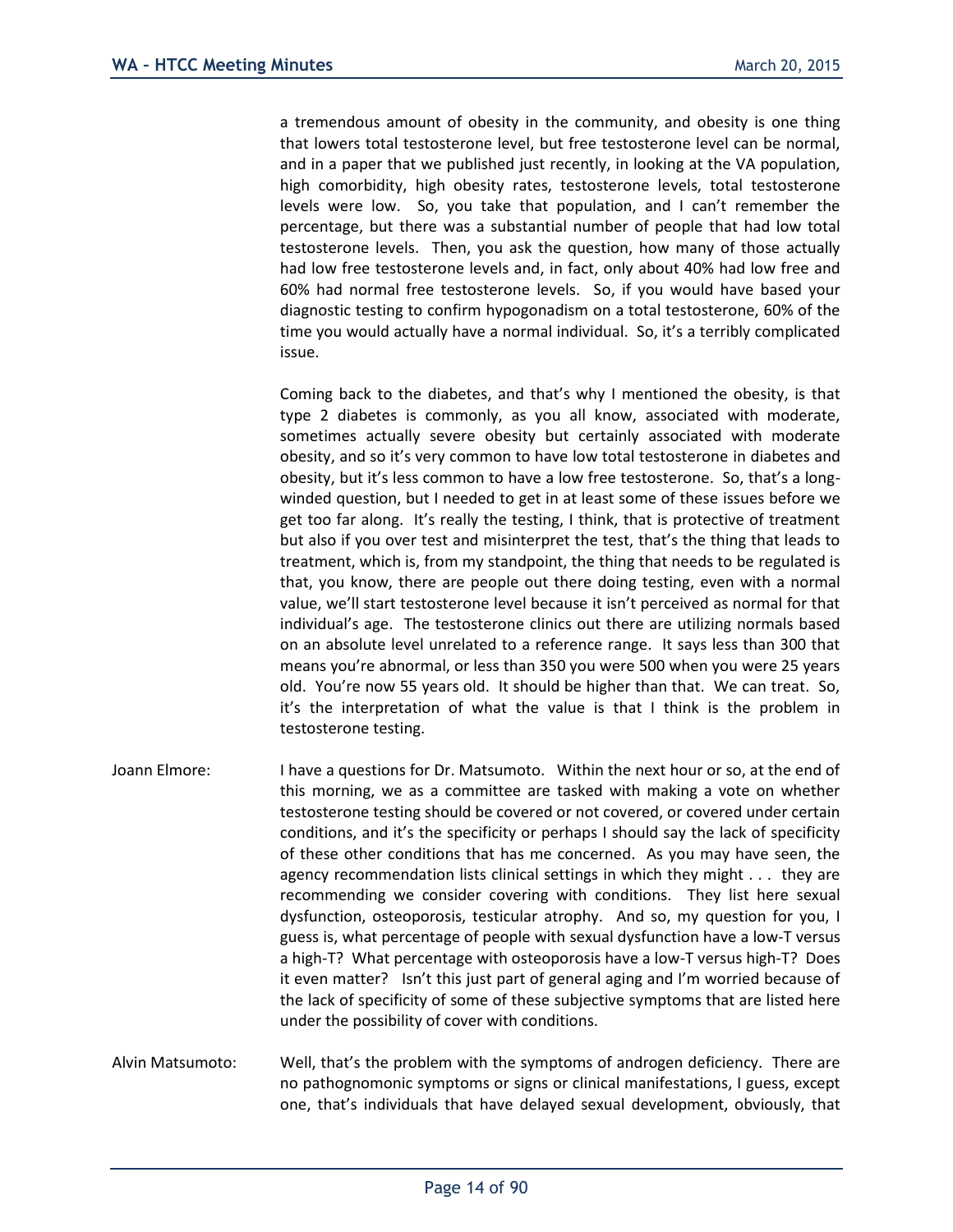a tremendous amount of obesity in the community, and obesity is one thing that lowers total testosterone level, but free testosterone level can be normal, and in a paper that we published just recently, in looking at the VA population, high comorbidity, high obesity rates, testosterone levels, total testosterone levels were low. So, you take that population, and I can't remember the percentage, but there was a substantial number of people that had low total testosterone levels. Then, you ask the question, how many of those actually had low free testosterone levels and, in fact, only about 40% had low free and 60% had normal free testosterone levels. So, if you would have based your diagnostic testing to confirm hypogonadism on a total testosterone, 60% of the time you would actually have a normal individual. So, it's a terribly complicated issue.

Coming back to the diabetes, and that's why I mentioned the obesity, is that type 2 diabetes is commonly, as you all know, associated with moderate, sometimes actually severe obesity but certainly associated with moderate obesity, and so it's very common to have low total testosterone in diabetes and obesity, but it's less common to have a low free testosterone. So, that's a longwinded question, but I needed to get in at least some of these issues before we get too far along. It's really the testing, I think, that is protective of treatment but also if you over test and misinterpret the test, that's the thing that leads to treatment, which is, from my standpoint, the thing that needs to be regulated is that, you know, there are people out there doing testing, even with a normal value, we'll start testosterone level because it isn't perceived as normal for that individual's age. The testosterone clinics out there are utilizing normals based on an absolute level unrelated to a reference range. It says less than 300 that means you're abnormal, or less than 350 you were 500 when you were 25 years old. You're now 55 years old. It should be higher than that. We can treat. So, it's the interpretation of what the value is that I think is the problem in testosterone testing.

- Joann Elmore: I have a questions for Dr. Matsumoto. Within the next hour or so, at the end of this morning, we as a committee are tasked with making a vote on whether testosterone testing should be covered or not covered, or covered under certain conditions, and it's the specificity or perhaps I should say the lack of specificity of these other conditions that has me concerned. As you may have seen, the agency recommendation lists clinical settings in which they might . . . they are recommending we consider covering with conditions. They list here sexual dysfunction, osteoporosis, testicular atrophy. And so, my question for you, I guess is, what percentage of people with sexual dysfunction have a low-T versus a high-T? What percentage with osteoporosis have a low-T versus high-T? Does it even matter? Isn't this just part of general aging and I'm worried because of the lack of specificity of some of these subjective symptoms that are listed here under the possibility of cover with conditions.
- Alvin Matsumoto: Well, that's the problem with the symptoms of androgen deficiency. There are no pathognomonic symptoms or signs or clinical manifestations, I guess, except one, that's individuals that have delayed sexual development, obviously, that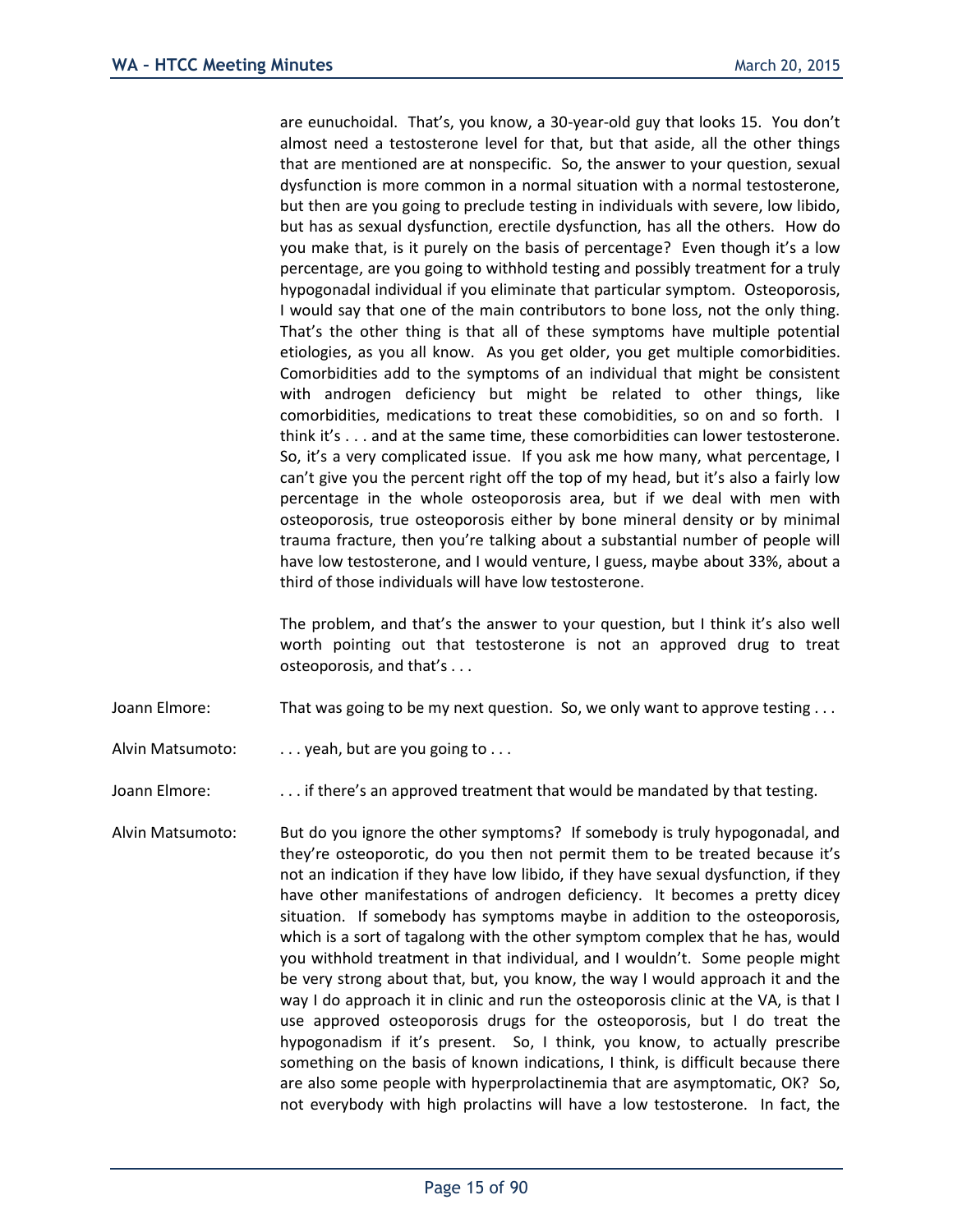are eunuchoidal. That's, you know, a 30-year-old guy that looks 15. You don't almost need a testosterone level for that, but that aside, all the other things that are mentioned are at nonspecific. So, the answer to your question, sexual dysfunction is more common in a normal situation with a normal testosterone, but then are you going to preclude testing in individuals with severe, low libido, but has as sexual dysfunction, erectile dysfunction, has all the others. How do you make that, is it purely on the basis of percentage? Even though it's a low percentage, are you going to withhold testing and possibly treatment for a truly hypogonadal individual if you eliminate that particular symptom. Osteoporosis, I would say that one of the main contributors to bone loss, not the only thing. That's the other thing is that all of these symptoms have multiple potential etiologies, as you all know. As you get older, you get multiple comorbidities. Comorbidities add to the symptoms of an individual that might be consistent with androgen deficiency but might be related to other things, like comorbidities, medications to treat these comobidities, so on and so forth. I think it's . . . and at the same time, these comorbidities can lower testosterone. So, it's a very complicated issue. If you ask me how many, what percentage, I can't give you the percent right off the top of my head, but it's also a fairly low percentage in the whole osteoporosis area, but if we deal with men with osteoporosis, true osteoporosis either by bone mineral density or by minimal trauma fracture, then you're talking about a substantial number of people will have low testosterone, and I would venture, I guess, maybe about 33%, about a third of those individuals will have low testosterone.

The problem, and that's the answer to your question, but I think it's also well worth pointing out that testosterone is not an approved drug to treat osteoporosis, and that's . . .

Joann Elmore: That was going to be my next question. So, we only want to approve testing ...

Alvin Matsumoto: . . . . . yeah, but are you going to . . .

Joann Elmore: . . . . if there's an approved treatment that would be mandated by that testing.

Alvin Matsumoto: But do you ignore the other symptoms? If somebody is truly hypogonadal, and they're osteoporotic, do you then not permit them to be treated because it's not an indication if they have low libido, if they have sexual dysfunction, if they have other manifestations of androgen deficiency. It becomes a pretty dicey situation. If somebody has symptoms maybe in addition to the osteoporosis, which is a sort of tagalong with the other symptom complex that he has, would you withhold treatment in that individual, and I wouldn't. Some people might be very strong about that, but, you know, the way I would approach it and the way I do approach it in clinic and run the osteoporosis clinic at the VA, is that I use approved osteoporosis drugs for the osteoporosis, but I do treat the hypogonadism if it's present. So, I think, you know, to actually prescribe something on the basis of known indications, I think, is difficult because there are also some people with hyperprolactinemia that are asymptomatic, OK? So, not everybody with high prolactins will have a low testosterone. In fact, the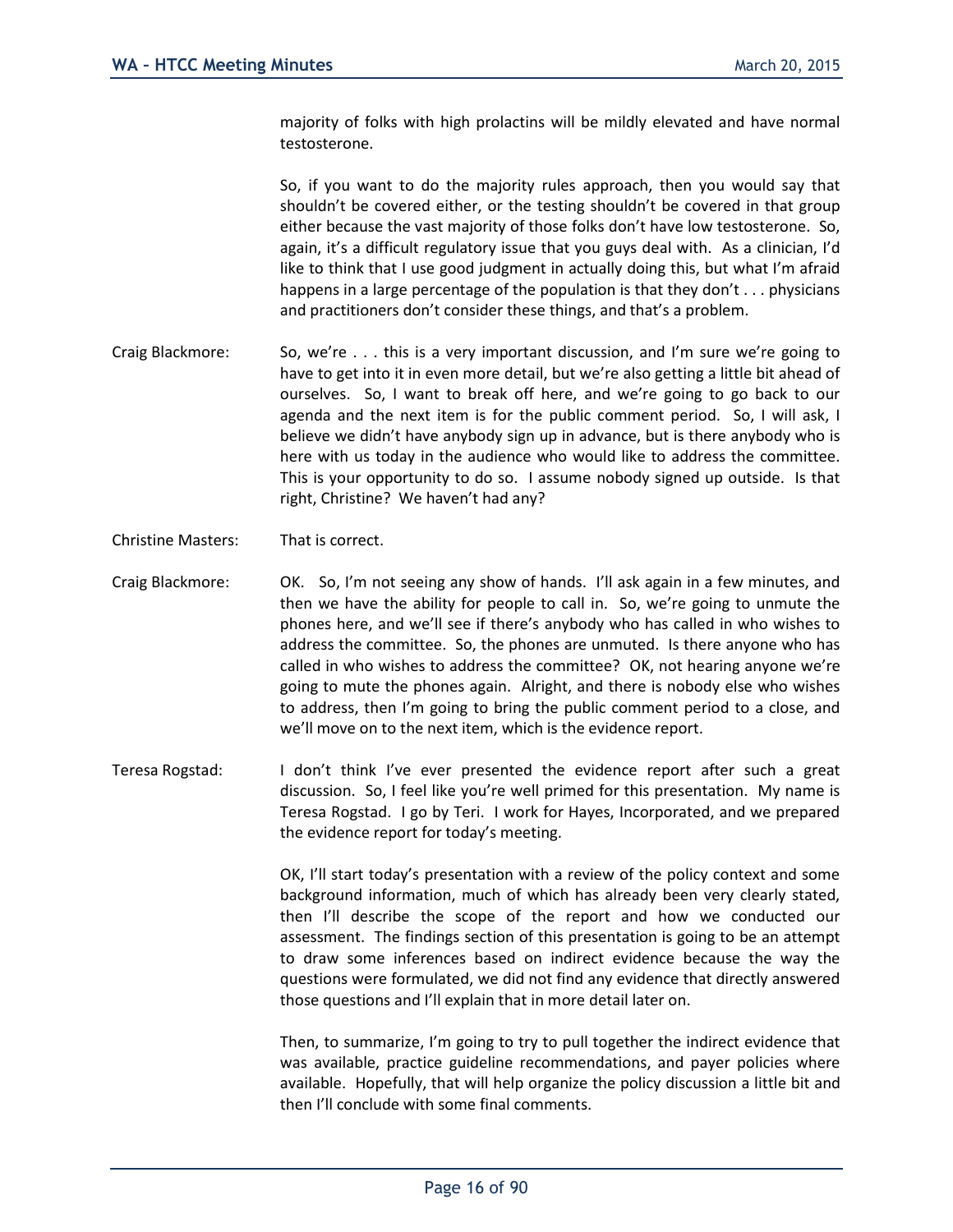majority of folks with high prolactins will be mildly elevated and have normal testosterone.

So, if you want to do the majority rules approach, then you would say that shouldn't be covered either, or the testing shouldn't be covered in that group either because the vast majority of those folks don't have low testosterone. So, again, it's a difficult regulatory issue that you guys deal with. As a clinician, I'd like to think that I use good judgment in actually doing this, but what I'm afraid happens in a large percentage of the population is that they don't . . . physicians and practitioners don't consider these things, and that's a problem.

- Craig Blackmore: So, we're . . . this is a very important discussion, and I'm sure we're going to have to get into it in even more detail, but we're also getting a little bit ahead of ourselves. So, I want to break off here, and we're going to go back to our agenda and the next item is for the public comment period. So, I will ask, I believe we didn't have anybody sign up in advance, but is there anybody who is here with us today in the audience who would like to address the committee. This is your opportunity to do so. I assume nobody signed up outside. Is that right, Christine? We haven't had any?
- Christine Masters: That is correct.
- Craig Blackmore: OK. So, I'm not seeing any show of hands. I'll ask again in a few minutes, and then we have the ability for people to call in. So, we're going to unmute the phones here, and we'll see if there's anybody who has called in who wishes to address the committee. So, the phones are unmuted. Is there anyone who has called in who wishes to address the committee? OK, not hearing anyone we're going to mute the phones again. Alright, and there is nobody else who wishes to address, then I'm going to bring the public comment period to a close, and we'll move on to the next item, which is the evidence report.
- Teresa Rogstad: I don't think I've ever presented the evidence report after such a great discussion. So, I feel like you're well primed for this presentation. My name is Teresa Rogstad. I go by Teri. I work for Hayes, Incorporated, and we prepared the evidence report for today's meeting.

OK, I'll start today's presentation with a review of the policy context and some background information, much of which has already been very clearly stated, then I'll describe the scope of the report and how we conducted our assessment. The findings section of this presentation is going to be an attempt to draw some inferences based on indirect evidence because the way the questions were formulated, we did not find any evidence that directly answered those questions and I'll explain that in more detail later on.

Then, to summarize, I'm going to try to pull together the indirect evidence that was available, practice guideline recommendations, and payer policies where available. Hopefully, that will help organize the policy discussion a little bit and then I'll conclude with some final comments.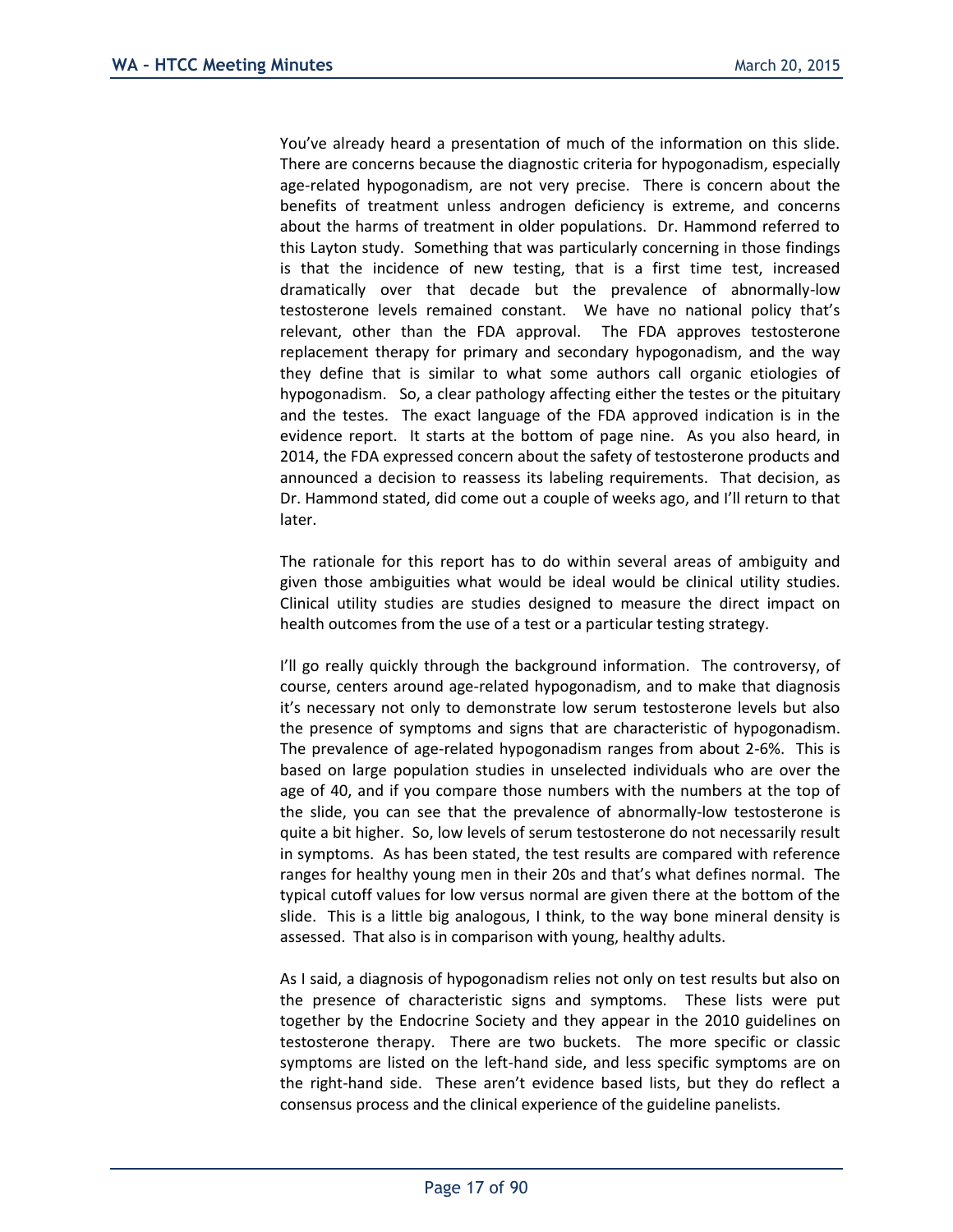You've already heard a presentation of much of the information on this slide. There are concerns because the diagnostic criteria for hypogonadism, especially age-related hypogonadism, are not very precise. There is concern about the benefits of treatment unless androgen deficiency is extreme, and concerns about the harms of treatment in older populations. Dr. Hammond referred to this Layton study. Something that was particularly concerning in those findings is that the incidence of new testing, that is a first time test, increased dramatically over that decade but the prevalence of abnormally-low testosterone levels remained constant. We have no national policy that's relevant, other than the FDA approval. The FDA approves testosterone replacement therapy for primary and secondary hypogonadism, and the way they define that is similar to what some authors call organic etiologies of hypogonadism. So, a clear pathology affecting either the testes or the pituitary and the testes. The exact language of the FDA approved indication is in the evidence report. It starts at the bottom of page nine. As you also heard, in 2014, the FDA expressed concern about the safety of testosterone products and announced a decision to reassess its labeling requirements. That decision, as Dr. Hammond stated, did come out a couple of weeks ago, and I'll return to that later.

The rationale for this report has to do within several areas of ambiguity and given those ambiguities what would be ideal would be clinical utility studies. Clinical utility studies are studies designed to measure the direct impact on health outcomes from the use of a test or a particular testing strategy.

I'll go really quickly through the background information. The controversy, of course, centers around age-related hypogonadism, and to make that diagnosis it's necessary not only to demonstrate low serum testosterone levels but also the presence of symptoms and signs that are characteristic of hypogonadism. The prevalence of age-related hypogonadism ranges from about 2-6%. This is based on large population studies in unselected individuals who are over the age of 40, and if you compare those numbers with the numbers at the top of the slide, you can see that the prevalence of abnormally-low testosterone is quite a bit higher. So, low levels of serum testosterone do not necessarily result in symptoms. As has been stated, the test results are compared with reference ranges for healthy young men in their 20s and that's what defines normal. The typical cutoff values for low versus normal are given there at the bottom of the slide. This is a little big analogous, I think, to the way bone mineral density is assessed. That also is in comparison with young, healthy adults.

As I said, a diagnosis of hypogonadism relies not only on test results but also on the presence of characteristic signs and symptoms. These lists were put together by the Endocrine Society and they appear in the 2010 guidelines on testosterone therapy. There are two buckets. The more specific or classic symptoms are listed on the left-hand side, and less specific symptoms are on the right-hand side. These aren't evidence based lists, but they do reflect a consensus process and the clinical experience of the guideline panelists.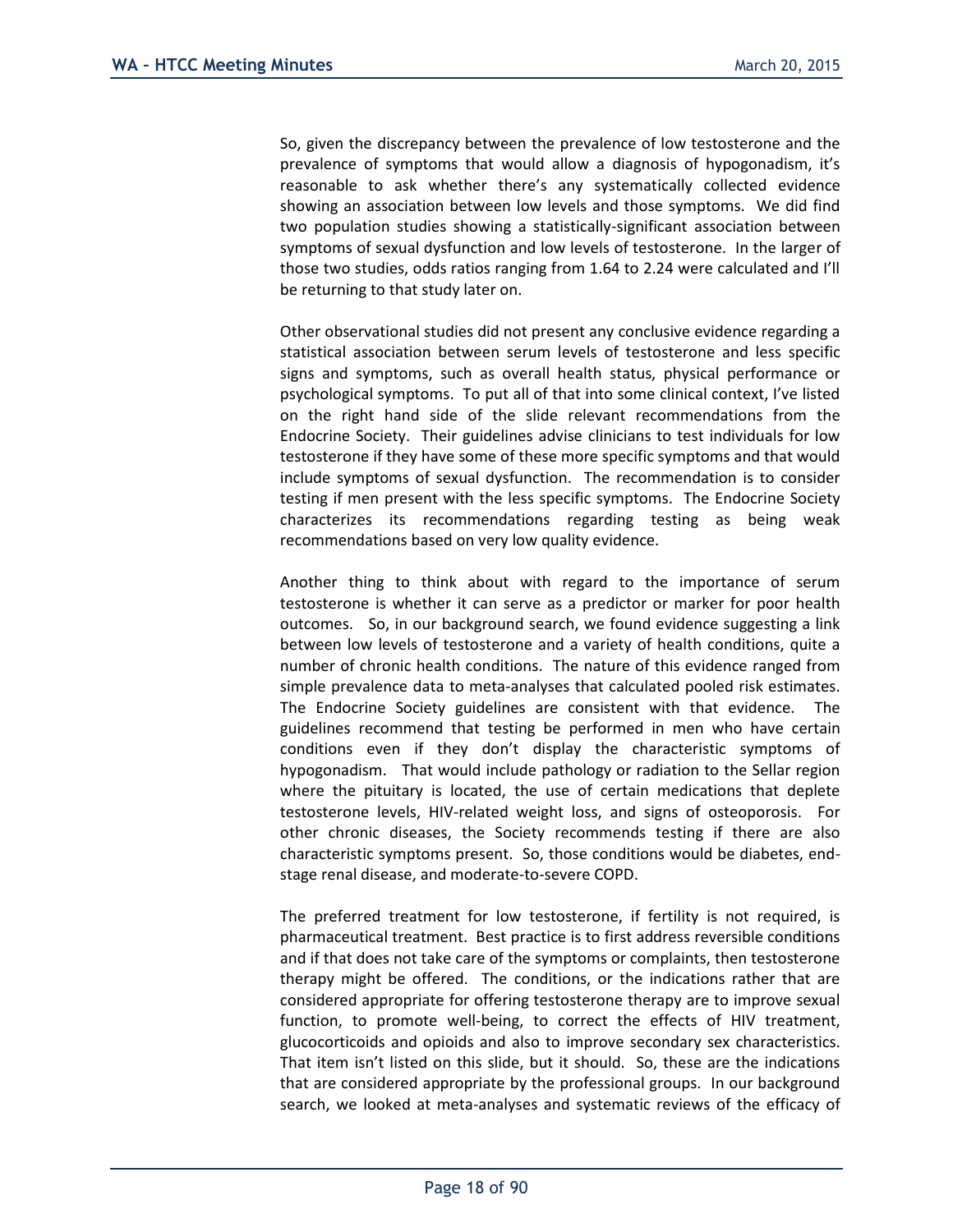So, given the discrepancy between the prevalence of low testosterone and the prevalence of symptoms that would allow a diagnosis of hypogonadism, it's reasonable to ask whether there's any systematically collected evidence showing an association between low levels and those symptoms. We did find two population studies showing a statistically-significant association between symptoms of sexual dysfunction and low levels of testosterone. In the larger of those two studies, odds ratios ranging from 1.64 to 2.24 were calculated and I'll be returning to that study later on.

Other observational studies did not present any conclusive evidence regarding a statistical association between serum levels of testosterone and less specific signs and symptoms, such as overall health status, physical performance or psychological symptoms. To put all of that into some clinical context, I've listed on the right hand side of the slide relevant recommendations from the Endocrine Society. Their guidelines advise clinicians to test individuals for low testosterone if they have some of these more specific symptoms and that would include symptoms of sexual dysfunction. The recommendation is to consider testing if men present with the less specific symptoms. The Endocrine Society characterizes its recommendations regarding testing as being weak recommendations based on very low quality evidence.

Another thing to think about with regard to the importance of serum testosterone is whether it can serve as a predictor or marker for poor health outcomes. So, in our background search, we found evidence suggesting a link between low levels of testosterone and a variety of health conditions, quite a number of chronic health conditions. The nature of this evidence ranged from simple prevalence data to meta-analyses that calculated pooled risk estimates. The Endocrine Society guidelines are consistent with that evidence. The guidelines recommend that testing be performed in men who have certain conditions even if they don't display the characteristic symptoms of hypogonadism. That would include pathology or radiation to the Sellar region where the pituitary is located, the use of certain medications that deplete testosterone levels, HIV-related weight loss, and signs of osteoporosis. For other chronic diseases, the Society recommends testing if there are also characteristic symptoms present. So, those conditions would be diabetes, endstage renal disease, and moderate-to-severe COPD.

The preferred treatment for low testosterone, if fertility is not required, is pharmaceutical treatment. Best practice is to first address reversible conditions and if that does not take care of the symptoms or complaints, then testosterone therapy might be offered. The conditions, or the indications rather that are considered appropriate for offering testosterone therapy are to improve sexual function, to promote well-being, to correct the effects of HIV treatment, glucocorticoids and opioids and also to improve secondary sex characteristics. That item isn't listed on this slide, but it should. So, these are the indications that are considered appropriate by the professional groups. In our background search, we looked at meta-analyses and systematic reviews of the efficacy of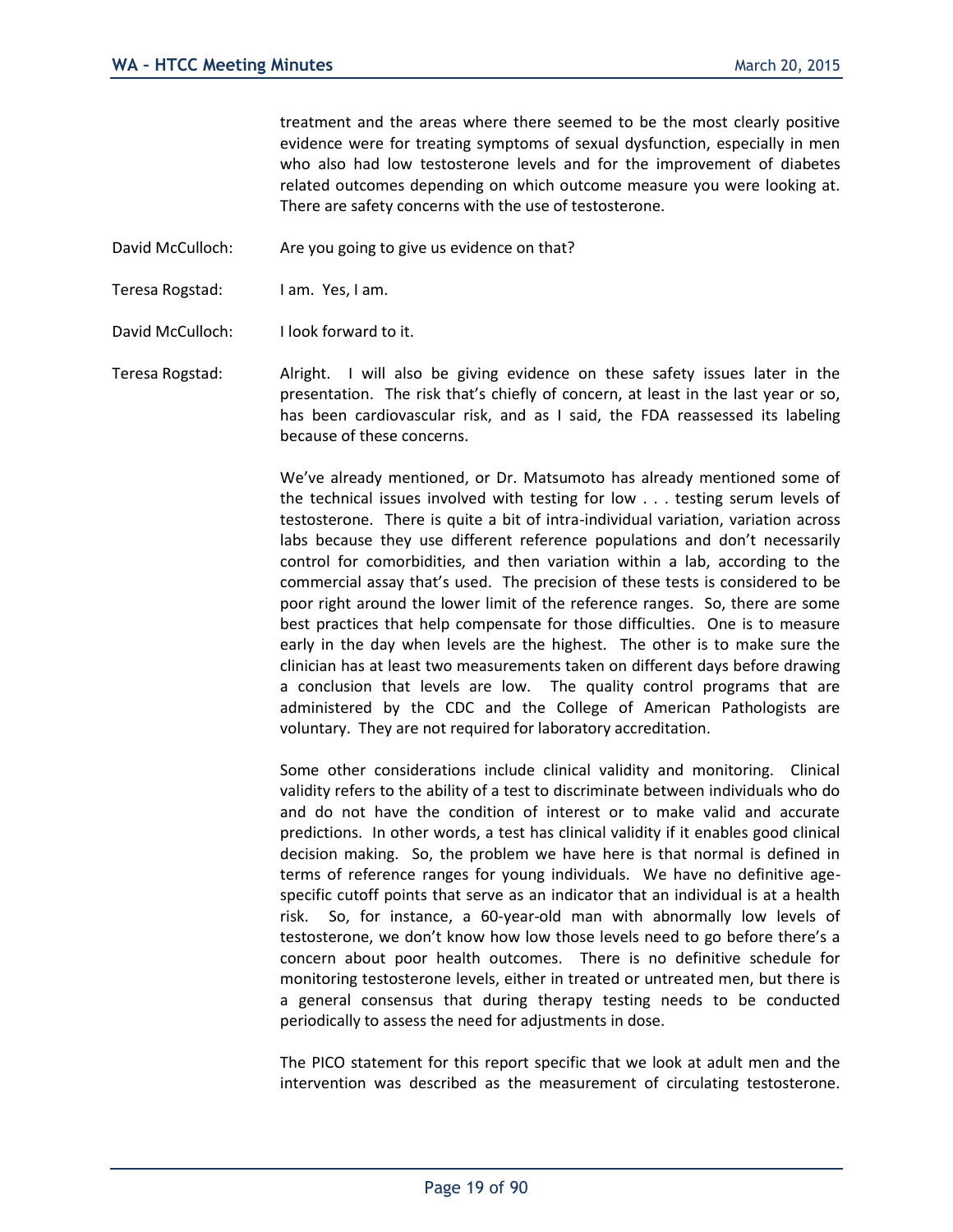treatment and the areas where there seemed to be the most clearly positive evidence were for treating symptoms of sexual dysfunction, especially in men who also had low testosterone levels and for the improvement of diabetes related outcomes depending on which outcome measure you were looking at. There are safety concerns with the use of testosterone.

- David McCulloch: Are you going to give us evidence on that?
- Teresa Rogstad: I am. Yes, I am.
- David McCulloch: I look forward to it.

Teresa Rogstad: Alright. I will also be giving evidence on these safety issues later in the presentation. The risk that's chiefly of concern, at least in the last year or so, has been cardiovascular risk, and as I said, the FDA reassessed its labeling because of these concerns.

> We've already mentioned, or Dr. Matsumoto has already mentioned some of the technical issues involved with testing for low . . . testing serum levels of testosterone. There is quite a bit of intra-individual variation, variation across labs because they use different reference populations and don't necessarily control for comorbidities, and then variation within a lab, according to the commercial assay that's used. The precision of these tests is considered to be poor right around the lower limit of the reference ranges. So, there are some best practices that help compensate for those difficulties. One is to measure early in the day when levels are the highest. The other is to make sure the clinician has at least two measurements taken on different days before drawing a conclusion that levels are low. The quality control programs that are administered by the CDC and the College of American Pathologists are voluntary. They are not required for laboratory accreditation.

> Some other considerations include clinical validity and monitoring. Clinical validity refers to the ability of a test to discriminate between individuals who do and do not have the condition of interest or to make valid and accurate predictions. In other words, a test has clinical validity if it enables good clinical decision making. So, the problem we have here is that normal is defined in terms of reference ranges for young individuals. We have no definitive agespecific cutoff points that serve as an indicator that an individual is at a health risk. So, for instance, a 60-year-old man with abnormally low levels of testosterone, we don't know how low those levels need to go before there's a concern about poor health outcomes. There is no definitive schedule for monitoring testosterone levels, either in treated or untreated men, but there is a general consensus that during therapy testing needs to be conducted periodically to assess the need for adjustments in dose.

> The PICO statement for this report specific that we look at adult men and the intervention was described as the measurement of circulating testosterone.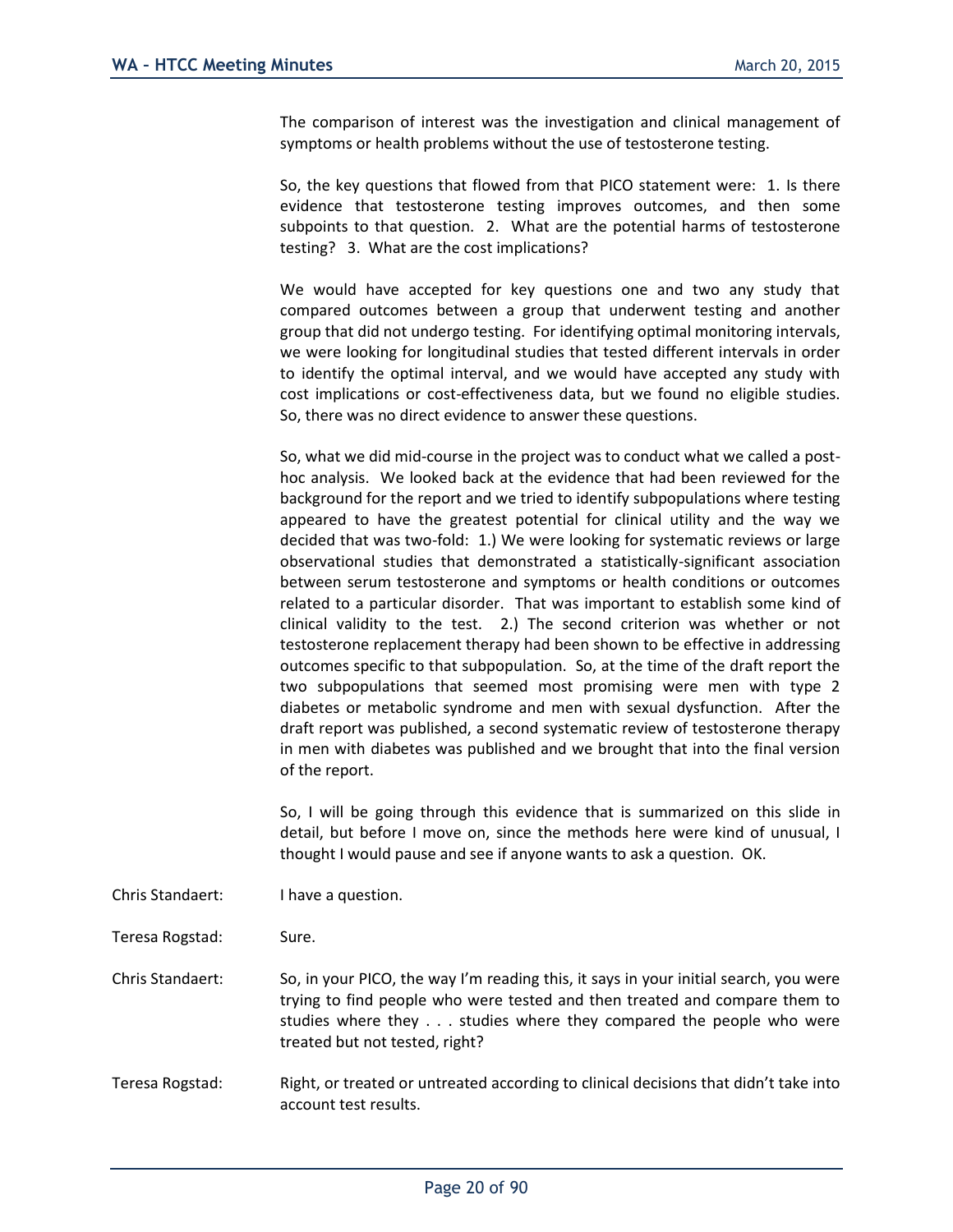The comparison of interest was the investigation and clinical management of symptoms or health problems without the use of testosterone testing.

So, the key questions that flowed from that PICO statement were: 1. Is there evidence that testosterone testing improves outcomes, and then some subpoints to that question. 2. What are the potential harms of testosterone testing? 3. What are the cost implications?

We would have accepted for key questions one and two any study that compared outcomes between a group that underwent testing and another group that did not undergo testing. For identifying optimal monitoring intervals, we were looking for longitudinal studies that tested different intervals in order to identify the optimal interval, and we would have accepted any study with cost implications or cost-effectiveness data, but we found no eligible studies. So, there was no direct evidence to answer these questions.

So, what we did mid-course in the project was to conduct what we called a posthoc analysis. We looked back at the evidence that had been reviewed for the background for the report and we tried to identify subpopulations where testing appeared to have the greatest potential for clinical utility and the way we decided that was two-fold: 1.) We were looking for systematic reviews or large observational studies that demonstrated a statistically-significant association between serum testosterone and symptoms or health conditions or outcomes related to a particular disorder. That was important to establish some kind of clinical validity to the test. 2.) The second criterion was whether or not testosterone replacement therapy had been shown to be effective in addressing outcomes specific to that subpopulation. So, at the time of the draft report the two subpopulations that seemed most promising were men with type 2 diabetes or metabolic syndrome and men with sexual dysfunction. After the draft report was published, a second systematic review of testosterone therapy in men with diabetes was published and we brought that into the final version of the report.

So, I will be going through this evidence that is summarized on this slide in detail, but before I move on, since the methods here were kind of unusual, I thought I would pause and see if anyone wants to ask a question. OK.

Chris Standaert: I have a question.

Teresa Rogstad: Sure.

Chris Standaert: So, in your PICO, the way I'm reading this, it says in your initial search, you were trying to find people who were tested and then treated and compare them to studies where they . . . studies where they compared the people who were treated but not tested, right?

Teresa Rogstad: Right, or treated or untreated according to clinical decisions that didn't take into account test results.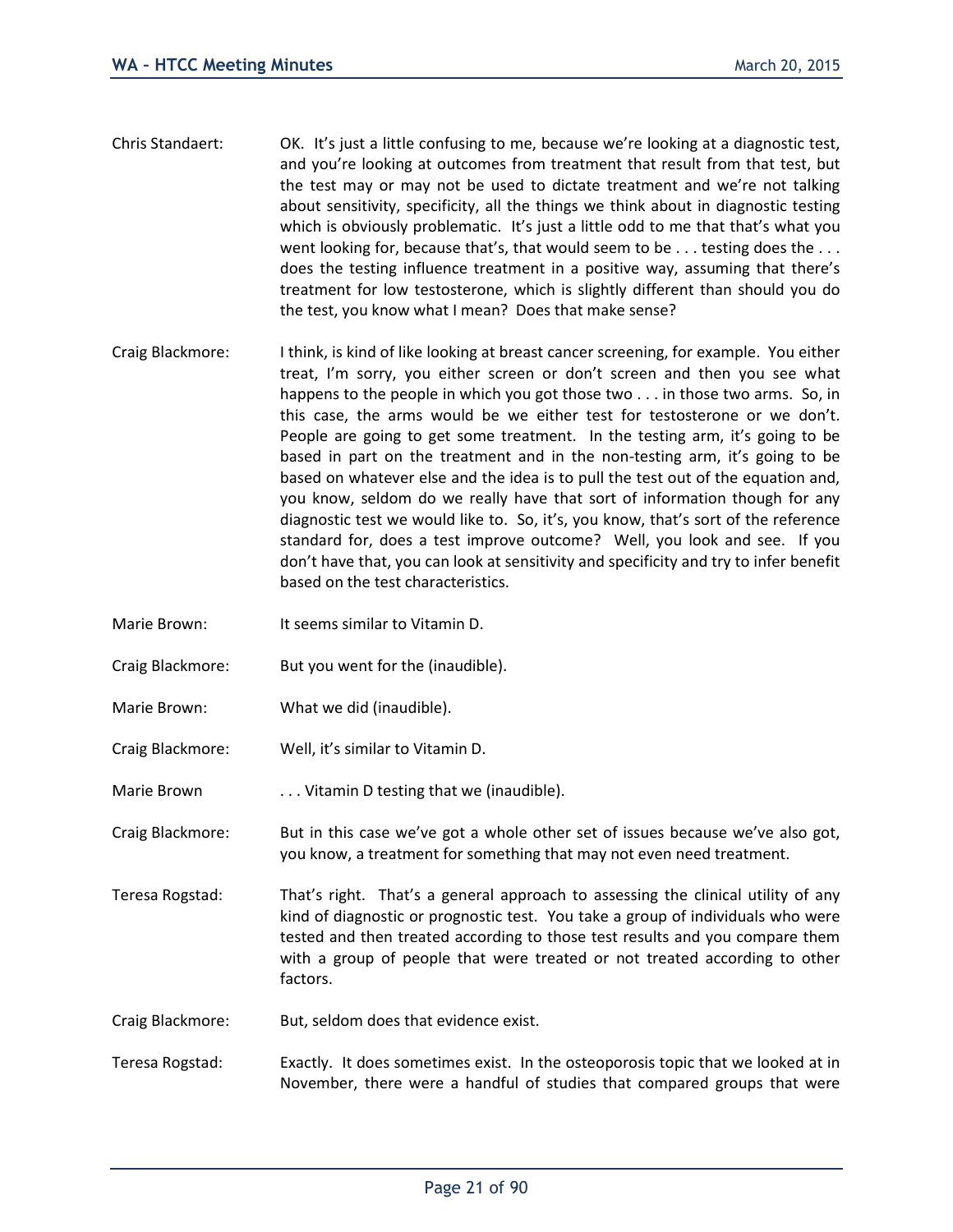- Chris Standaert: OK. It's just a little confusing to me, because we're looking at a diagnostic test, and you're looking at outcomes from treatment that result from that test, but the test may or may not be used to dictate treatment and we're not talking about sensitivity, specificity, all the things we think about in diagnostic testing which is obviously problematic. It's just a little odd to me that that's what you went looking for, because that's, that would seem to be . . . testing does the . . . does the testing influence treatment in a positive way, assuming that there's treatment for low testosterone, which is slightly different than should you do the test, you know what I mean? Does that make sense?
- Craig Blackmore: I think, is kind of like looking at breast cancer screening, for example. You either treat, I'm sorry, you either screen or don't screen and then you see what happens to the people in which you got those two . . . in those two arms. So, in this case, the arms would be we either test for testosterone or we don't. People are going to get some treatment. In the testing arm, it's going to be based in part on the treatment and in the non-testing arm, it's going to be based on whatever else and the idea is to pull the test out of the equation and, you know, seldom do we really have that sort of information though for any diagnostic test we would like to. So, it's, you know, that's sort of the reference standard for, does a test improve outcome? Well, you look and see. If you don't have that, you can look at sensitivity and specificity and try to infer benefit based on the test characteristics.
- Marie Brown: It seems similar to Vitamin D.
- Craig Blackmore: But you went for the (inaudible).
- Marie Brown: What we did (inaudible).
- Craig Blackmore: Well, it's similar to Vitamin D.
- Marie Brown . . . . . . . . . Vitamin D testing that we (inaudible).

Craig Blackmore: But in this case we've got a whole other set of issues because we've also got, you know, a treatment for something that may not even need treatment.

- Teresa Rogstad: That's right. That's a general approach to assessing the clinical utility of any kind of diagnostic or prognostic test. You take a group of individuals who were tested and then treated according to those test results and you compare them with a group of people that were treated or not treated according to other factors.
- Craig Blackmore: But, seldom does that evidence exist.
- Teresa Rogstad: Exactly. It does sometimes exist. In the osteoporosis topic that we looked at in November, there were a handful of studies that compared groups that were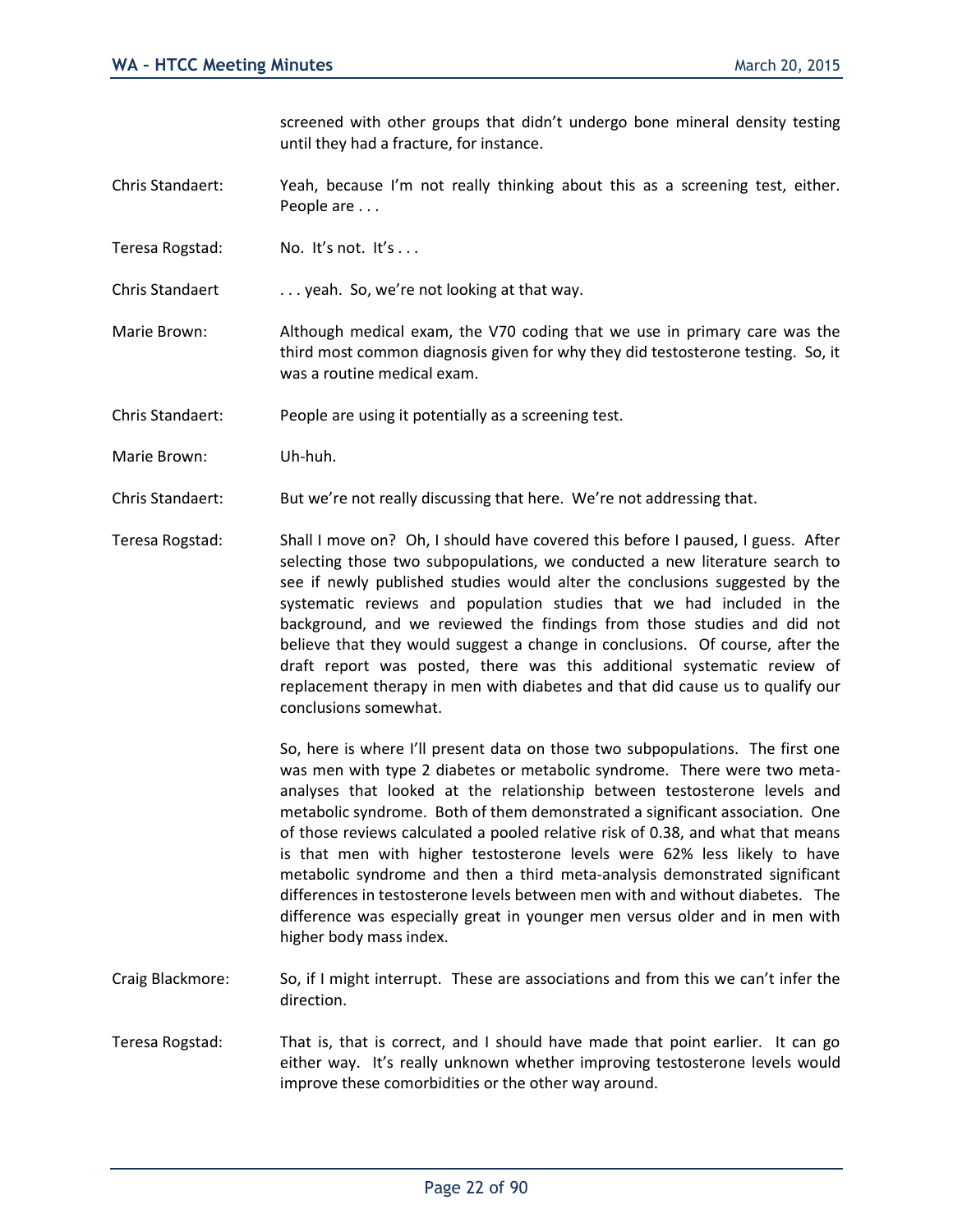screened with other groups that didn't undergo bone mineral density testing until they had a fracture, for instance.

- Chris Standaert: Yeah, because I'm not really thinking about this as a screening test, either. People are . . .
- Teresa Rogstad: No. It's not. It's . . .

Chris Standaert ... yeah. So, we're not looking at that way.

- Marie Brown: Although medical exam, the V70 coding that we use in primary care was the third most common diagnosis given for why they did testosterone testing. So, it was a routine medical exam.
- Chris Standaert: People are using it potentially as a screening test.

Marie Brown: Uh-huh.

- Chris Standaert: But we're not really discussing that here. We're not addressing that.
- Teresa Rogstad: Shall I move on? Oh, I should have covered this before I paused, I guess. After selecting those two subpopulations, we conducted a new literature search to see if newly published studies would alter the conclusions suggested by the systematic reviews and population studies that we had included in the background, and we reviewed the findings from those studies and did not believe that they would suggest a change in conclusions. Of course, after the draft report was posted, there was this additional systematic review of replacement therapy in men with diabetes and that did cause us to qualify our conclusions somewhat.

So, here is where I'll present data on those two subpopulations. The first one was men with type 2 diabetes or metabolic syndrome. There were two metaanalyses that looked at the relationship between testosterone levels and metabolic syndrome. Both of them demonstrated a significant association. One of those reviews calculated a pooled relative risk of 0.38, and what that means is that men with higher testosterone levels were 62% less likely to have metabolic syndrome and then a third meta-analysis demonstrated significant differences in testosterone levels between men with and without diabetes. The difference was especially great in younger men versus older and in men with higher body mass index.

- Craig Blackmore: So, if I might interrupt. These are associations and from this we can't infer the direction.
- Teresa Rogstad: That is, that is correct, and I should have made that point earlier. It can go either way. It's really unknown whether improving testosterone levels would improve these comorbidities or the other way around.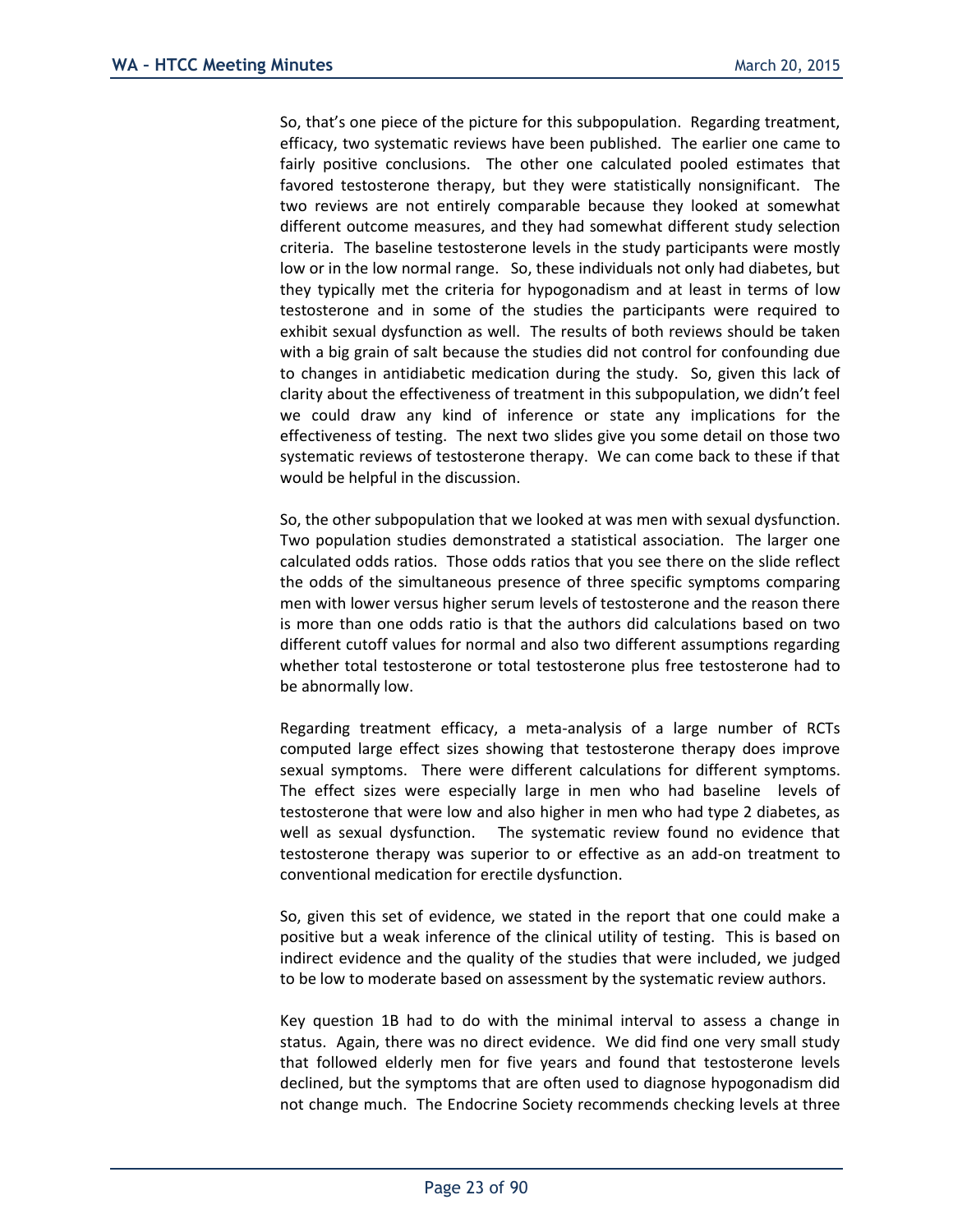So, that's one piece of the picture for this subpopulation. Regarding treatment, efficacy, two systematic reviews have been published. The earlier one came to fairly positive conclusions. The other one calculated pooled estimates that favored testosterone therapy, but they were statistically nonsignificant. The two reviews are not entirely comparable because they looked at somewhat different outcome measures, and they had somewhat different study selection criteria. The baseline testosterone levels in the study participants were mostly low or in the low normal range. So, these individuals not only had diabetes, but they typically met the criteria for hypogonadism and at least in terms of low testosterone and in some of the studies the participants were required to exhibit sexual dysfunction as well. The results of both reviews should be taken with a big grain of salt because the studies did not control for confounding due to changes in antidiabetic medication during the study. So, given this lack of clarity about the effectiveness of treatment in this subpopulation, we didn't feel we could draw any kind of inference or state any implications for the effectiveness of testing. The next two slides give you some detail on those two systematic reviews of testosterone therapy. We can come back to these if that would be helpful in the discussion.

So, the other subpopulation that we looked at was men with sexual dysfunction. Two population studies demonstrated a statistical association. The larger one calculated odds ratios. Those odds ratios that you see there on the slide reflect the odds of the simultaneous presence of three specific symptoms comparing men with lower versus higher serum levels of testosterone and the reason there is more than one odds ratio is that the authors did calculations based on two different cutoff values for normal and also two different assumptions regarding whether total testosterone or total testosterone plus free testosterone had to be abnormally low.

Regarding treatment efficacy, a meta-analysis of a large number of RCTs computed large effect sizes showing that testosterone therapy does improve sexual symptoms. There were different calculations for different symptoms. The effect sizes were especially large in men who had baseline levels of testosterone that were low and also higher in men who had type 2 diabetes, as well as sexual dysfunction. The systematic review found no evidence that testosterone therapy was superior to or effective as an add-on treatment to conventional medication for erectile dysfunction.

So, given this set of evidence, we stated in the report that one could make a positive but a weak inference of the clinical utility of testing. This is based on indirect evidence and the quality of the studies that were included, we judged to be low to moderate based on assessment by the systematic review authors.

Key question 1B had to do with the minimal interval to assess a change in status. Again, there was no direct evidence. We did find one very small study that followed elderly men for five years and found that testosterone levels declined, but the symptoms that are often used to diagnose hypogonadism did not change much. The Endocrine Society recommends checking levels at three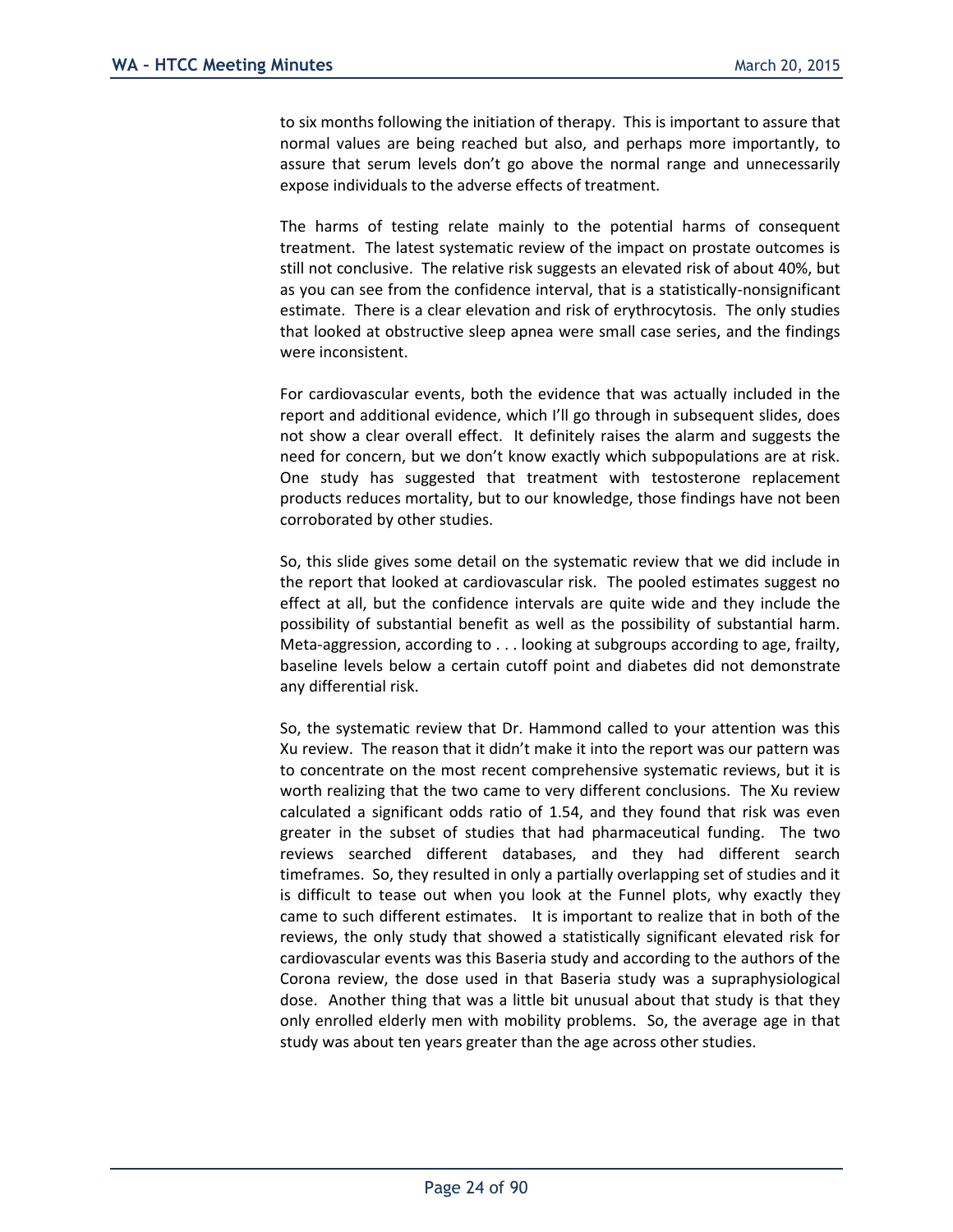to six months following the initiation of therapy. This is important to assure that normal values are being reached but also, and perhaps more importantly, to assure that serum levels don't go above the normal range and unnecessarily expose individuals to the adverse effects of treatment.

The harms of testing relate mainly to the potential harms of consequent treatment. The latest systematic review of the impact on prostate outcomes is still not conclusive. The relative risk suggests an elevated risk of about 40%, but as you can see from the confidence interval, that is a statistically-nonsignificant estimate. There is a clear elevation and risk of erythrocytosis. The only studies that looked at obstructive sleep apnea were small case series, and the findings were inconsistent.

For cardiovascular events, both the evidence that was actually included in the report and additional evidence, which I'll go through in subsequent slides, does not show a clear overall effect. It definitely raises the alarm and suggests the need for concern, but we don't know exactly which subpopulations are at risk. One study has suggested that treatment with testosterone replacement products reduces mortality, but to our knowledge, those findings have not been corroborated by other studies.

So, this slide gives some detail on the systematic review that we did include in the report that looked at cardiovascular risk. The pooled estimates suggest no effect at all, but the confidence intervals are quite wide and they include the possibility of substantial benefit as well as the possibility of substantial harm. Meta-aggression, according to . . . looking at subgroups according to age, frailty, baseline levels below a certain cutoff point and diabetes did not demonstrate any differential risk.

So, the systematic review that Dr. Hammond called to your attention was this Xu review. The reason that it didn't make it into the report was our pattern was to concentrate on the most recent comprehensive systematic reviews, but it is worth realizing that the two came to very different conclusions. The Xu review calculated a significant odds ratio of 1.54, and they found that risk was even greater in the subset of studies that had pharmaceutical funding. The two reviews searched different databases, and they had different search timeframes. So, they resulted in only a partially overlapping set of studies and it is difficult to tease out when you look at the Funnel plots, why exactly they came to such different estimates. It is important to realize that in both of the reviews, the only study that showed a statistically significant elevated risk for cardiovascular events was this Baseria study and according to the authors of the Corona review, the dose used in that Baseria study was a supraphysiological dose. Another thing that was a little bit unusual about that study is that they only enrolled elderly men with mobility problems. So, the average age in that study was about ten years greater than the age across other studies.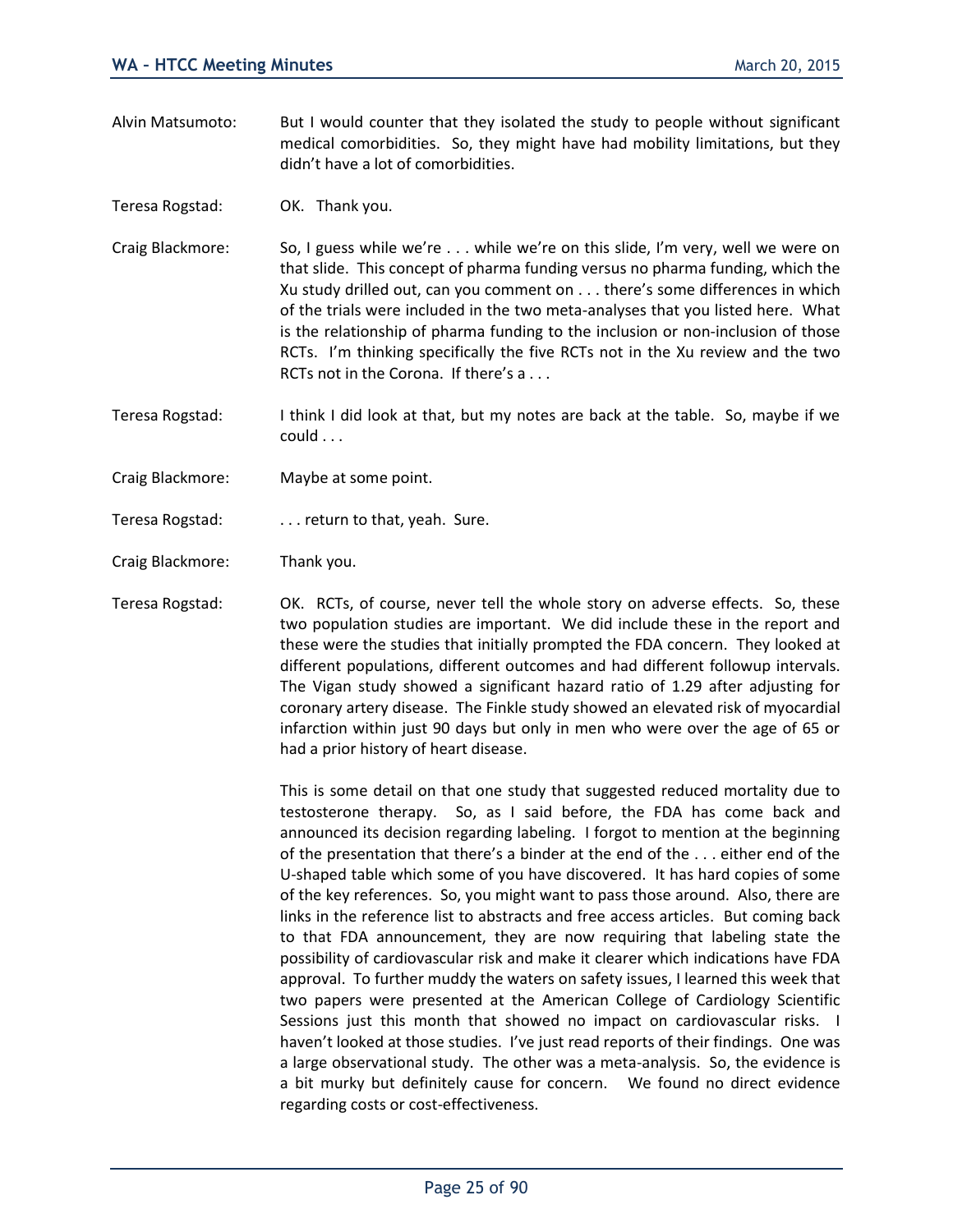- Alvin Matsumoto: But I would counter that they isolated the study to people without significant medical comorbidities. So, they might have had mobility limitations, but they didn't have a lot of comorbidities.
- Teresa Rogstad: OK. Thank you.
- Craig Blackmore: So, I guess while we're . . . while we're on this slide, I'm very, well we were on that slide. This concept of pharma funding versus no pharma funding, which the Xu study drilled out, can you comment on . . . there's some differences in which of the trials were included in the two meta-analyses that you listed here. What is the relationship of pharma funding to the inclusion or non-inclusion of those RCTs. I'm thinking specifically the five RCTs not in the Xu review and the two RCTs not in the Corona. If there's a . . .

Teresa Rogstad: I think I did look at that, but my notes are back at the table. So, maybe if we could . . .

- Craig Blackmore: Maybe at some point.
- Teresa Rogstad: . . . return to that, yeah. Sure.
- Craig Blackmore: Thank you.

Teresa Rogstad: OK. RCTs, of course, never tell the whole story on adverse effects. So, these two population studies are important. We did include these in the report and these were the studies that initially prompted the FDA concern. They looked at different populations, different outcomes and had different followup intervals. The Vigan study showed a significant hazard ratio of 1.29 after adjusting for coronary artery disease. The Finkle study showed an elevated risk of myocardial infarction within just 90 days but only in men who were over the age of 65 or had a prior history of heart disease.

> This is some detail on that one study that suggested reduced mortality due to testosterone therapy. So, as I said before, the FDA has come back and announced its decision regarding labeling. I forgot to mention at the beginning of the presentation that there's a binder at the end of the . . . either end of the U-shaped table which some of you have discovered. It has hard copies of some of the key references. So, you might want to pass those around. Also, there are links in the reference list to abstracts and free access articles. But coming back to that FDA announcement, they are now requiring that labeling state the possibility of cardiovascular risk and make it clearer which indications have FDA approval. To further muddy the waters on safety issues, I learned this week that two papers were presented at the American College of Cardiology Scientific Sessions just this month that showed no impact on cardiovascular risks. I haven't looked at those studies. I've just read reports of their findings. One was a large observational study. The other was a meta-analysis. So, the evidence is a bit murky but definitely cause for concern. We found no direct evidence regarding costs or cost-effectiveness.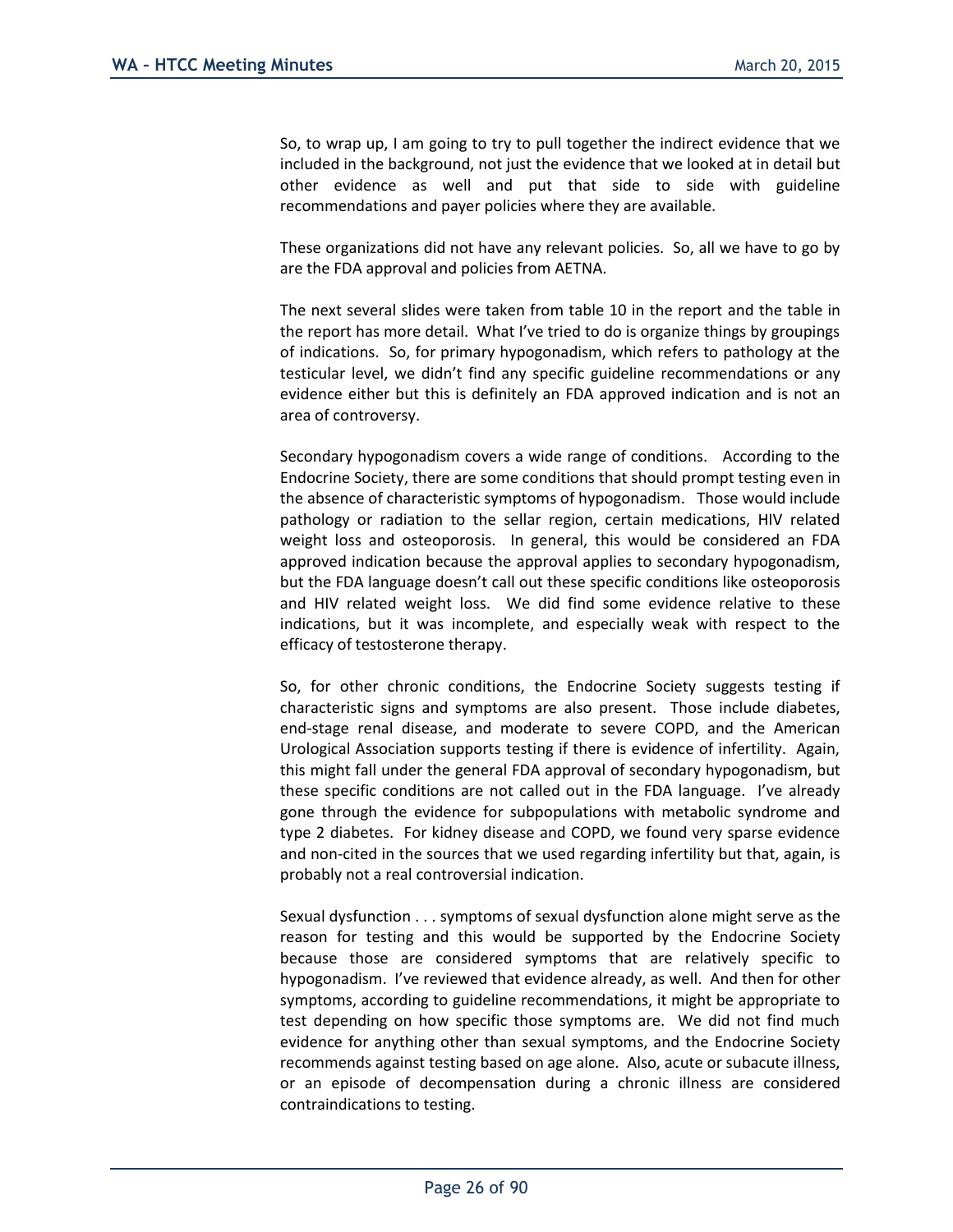So, to wrap up, I am going to try to pull together the indirect evidence that we included in the background, not just the evidence that we looked at in detail but other evidence as well and put that side to side with guideline recommendations and payer policies where they are available.

These organizations did not have any relevant policies. So, all we have to go by are the FDA approval and policies from AETNA.

The next several slides were taken from table 10 in the report and the table in the report has more detail. What I've tried to do is organize things by groupings of indications. So, for primary hypogonadism, which refers to pathology at the testicular level, we didn't find any specific guideline recommendations or any evidence either but this is definitely an FDA approved indication and is not an area of controversy.

Secondary hypogonadism covers a wide range of conditions. According to the Endocrine Society, there are some conditions that should prompt testing even in the absence of characteristic symptoms of hypogonadism. Those would include pathology or radiation to the sellar region, certain medications, HIV related weight loss and osteoporosis. In general, this would be considered an FDA approved indication because the approval applies to secondary hypogonadism, but the FDA language doesn't call out these specific conditions like osteoporosis and HIV related weight loss. We did find some evidence relative to these indications, but it was incomplete, and especially weak with respect to the efficacy of testosterone therapy.

So, for other chronic conditions, the Endocrine Society suggests testing if characteristic signs and symptoms are also present. Those include diabetes, end-stage renal disease, and moderate to severe COPD, and the American Urological Association supports testing if there is evidence of infertility. Again, this might fall under the general FDA approval of secondary hypogonadism, but these specific conditions are not called out in the FDA language. I've already gone through the evidence for subpopulations with metabolic syndrome and type 2 diabetes. For kidney disease and COPD, we found very sparse evidence and non-cited in the sources that we used regarding infertility but that, again, is probably not a real controversial indication.

Sexual dysfunction . . . symptoms of sexual dysfunction alone might serve as the reason for testing and this would be supported by the Endocrine Society because those are considered symptoms that are relatively specific to hypogonadism. I've reviewed that evidence already, as well. And then for other symptoms, according to guideline recommendations, it might be appropriate to test depending on how specific those symptoms are. We did not find much evidence for anything other than sexual symptoms, and the Endocrine Society recommends against testing based on age alone. Also, acute or subacute illness, or an episode of decompensation during a chronic illness are considered contraindications to testing.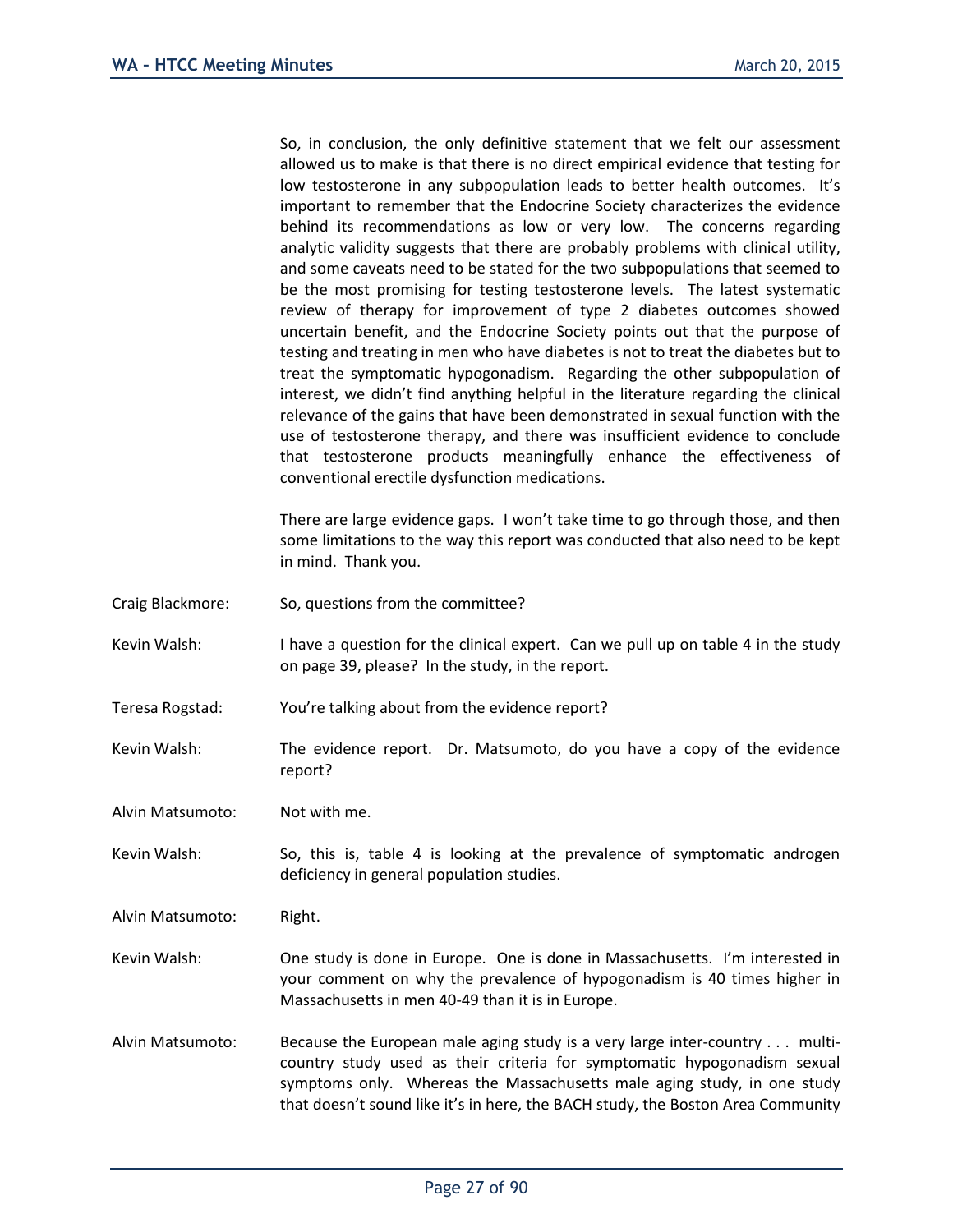So, in conclusion, the only definitive statement that we felt our assessment allowed us to make is that there is no direct empirical evidence that testing for low testosterone in any subpopulation leads to better health outcomes. It's important to remember that the Endocrine Society characterizes the evidence behind its recommendations as low or very low. The concerns regarding analytic validity suggests that there are probably problems with clinical utility, and some caveats need to be stated for the two subpopulations that seemed to be the most promising for testing testosterone levels. The latest systematic review of therapy for improvement of type 2 diabetes outcomes showed uncertain benefit, and the Endocrine Society points out that the purpose of testing and treating in men who have diabetes is not to treat the diabetes but to treat the symptomatic hypogonadism. Regarding the other subpopulation of interest, we didn't find anything helpful in the literature regarding the clinical relevance of the gains that have been demonstrated in sexual function with the use of testosterone therapy, and there was insufficient evidence to conclude that testosterone products meaningfully enhance the effectiveness of conventional erectile dysfunction medications.

There are large evidence gaps. I won't take time to go through those, and then some limitations to the way this report was conducted that also need to be kept in mind. Thank you.

- Craig Blackmore: So, questions from the committee?
- Kevin Walsh: I have a question for the clinical expert. Can we pull up on table 4 in the study on page 39, please? In the study, in the report.
- Teresa Rogstad: You're talking about from the evidence report?
- Kevin Walsh: The evidence report. Dr. Matsumoto, do you have a copy of the evidence report?

Alvin Matsumoto: Not with me.

Kevin Walsh: So, this is, table 4 is looking at the prevalence of symptomatic androgen deficiency in general population studies.

Alvin Matsumoto: Right.

- Kevin Walsh: One study is done in Europe. One is done in Massachusetts. I'm interested in your comment on why the prevalence of hypogonadism is 40 times higher in Massachusetts in men 40-49 than it is in Europe.
- Alvin Matsumoto: Because the European male aging study is a very large inter-country . . . multicountry study used as their criteria for symptomatic hypogonadism sexual symptoms only. Whereas the Massachusetts male aging study, in one study that doesn't sound like it's in here, the BACH study, the Boston Area Community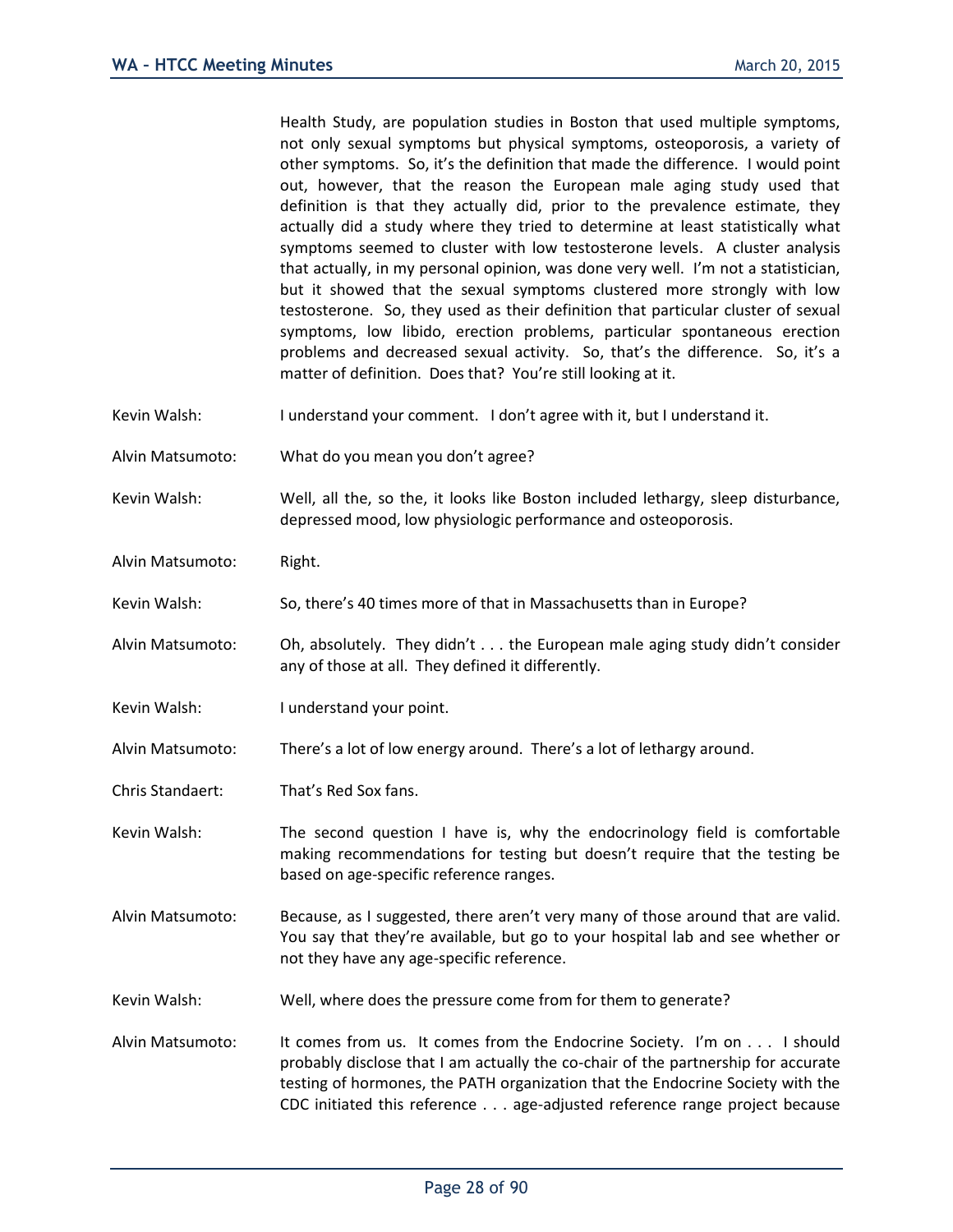Health Study, are population studies in Boston that used multiple symptoms, not only sexual symptoms but physical symptoms, osteoporosis, a variety of other symptoms. So, it's the definition that made the difference. I would point out, however, that the reason the European male aging study used that definition is that they actually did, prior to the prevalence estimate, they actually did a study where they tried to determine at least statistically what symptoms seemed to cluster with low testosterone levels. A cluster analysis that actually, in my personal opinion, was done very well. I'm not a statistician, but it showed that the sexual symptoms clustered more strongly with low testosterone. So, they used as their definition that particular cluster of sexual symptoms, low libido, erection problems, particular spontaneous erection problems and decreased sexual activity. So, that's the difference. So, it's a matter of definition. Does that? You're still looking at it.

- Kevin Walsh: I understand your comment. I don't agree with it, but I understand it.
- Alvin Matsumoto: What do you mean you don't agree?
- Kevin Walsh: Well, all the, so the, it looks like Boston included lethargy, sleep disturbance, depressed mood, low physiologic performance and osteoporosis.
- Alvin Matsumoto: Right.
- Kevin Walsh: So, there's 40 times more of that in Massachusetts than in Europe?
- Alvin Matsumoto: Oh, absolutely. They didn't . . . the European male aging study didn't consider any of those at all. They defined it differently.
- Kevin Walsh: I understand your point.
- Alvin Matsumoto: There's a lot of low energy around. There's a lot of lethargy around.
- Chris Standaert: That's Red Sox fans.
- Kevin Walsh: The second question I have is, why the endocrinology field is comfortable making recommendations for testing but doesn't require that the testing be based on age-specific reference ranges.
- Alvin Matsumoto: Because, as I suggested, there aren't very many of those around that are valid. You say that they're available, but go to your hospital lab and see whether or not they have any age-specific reference.
- Kevin Walsh: Well, where does the pressure come from for them to generate?
- Alvin Matsumoto: It comes from us. It comes from the Endocrine Society. I'm on . . . I should probably disclose that I am actually the co-chair of the partnership for accurate testing of hormones, the PATH organization that the Endocrine Society with the CDC initiated this reference . . . age-adjusted reference range project because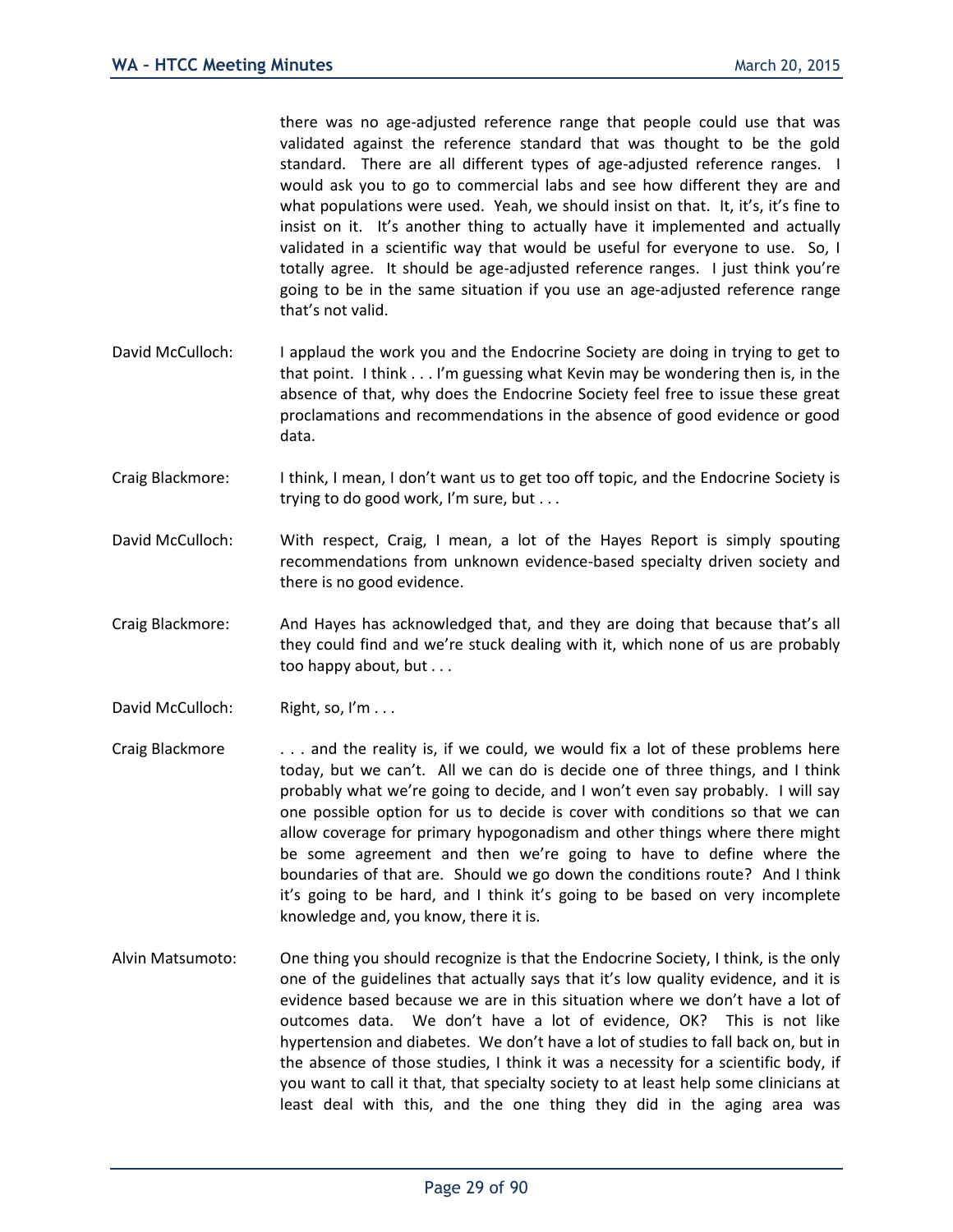there was no age-adjusted reference range that people could use that was validated against the reference standard that was thought to be the gold standard. There are all different types of age-adjusted reference ranges. I would ask you to go to commercial labs and see how different they are and what populations were used. Yeah, we should insist on that. It, it's, it's fine to insist on it. It's another thing to actually have it implemented and actually validated in a scientific way that would be useful for everyone to use. So, I totally agree. It should be age-adjusted reference ranges. I just think you're going to be in the same situation if you use an age-adjusted reference range that's not valid.

- David McCulloch: I applaud the work you and the Endocrine Society are doing in trying to get to that point. I think . . . I'm guessing what Kevin may be wondering then is, in the absence of that, why does the Endocrine Society feel free to issue these great proclamations and recommendations in the absence of good evidence or good data.
- Craig Blackmore: I think, I mean, I don't want us to get too off topic, and the Endocrine Society is trying to do good work, I'm sure, but . . .
- David McCulloch: With respect, Craig, I mean, a lot of the Hayes Report is simply spouting recommendations from unknown evidence-based specialty driven society and there is no good evidence.
- Craig Blackmore: And Hayes has acknowledged that, and they are doing that because that's all they could find and we're stuck dealing with it, which none of us are probably too happy about, but . . .
- David McCulloch: Right, so, I'm . . .
- Craig Blackmore . . . . and the reality is, if we could, we would fix a lot of these problems here today, but we can't. All we can do is decide one of three things, and I think probably what we're going to decide, and I won't even say probably. I will say one possible option for us to decide is cover with conditions so that we can allow coverage for primary hypogonadism and other things where there might be some agreement and then we're going to have to define where the boundaries of that are. Should we go down the conditions route? And I think it's going to be hard, and I think it's going to be based on very incomplete knowledge and, you know, there it is.
- Alvin Matsumoto: One thing you should recognize is that the Endocrine Society, I think, is the only one of the guidelines that actually says that it's low quality evidence, and it is evidence based because we are in this situation where we don't have a lot of outcomes data. We don't have a lot of evidence, OK? This is not like hypertension and diabetes. We don't have a lot of studies to fall back on, but in the absence of those studies, I think it was a necessity for a scientific body, if you want to call it that, that specialty society to at least help some clinicians at least deal with this, and the one thing they did in the aging area was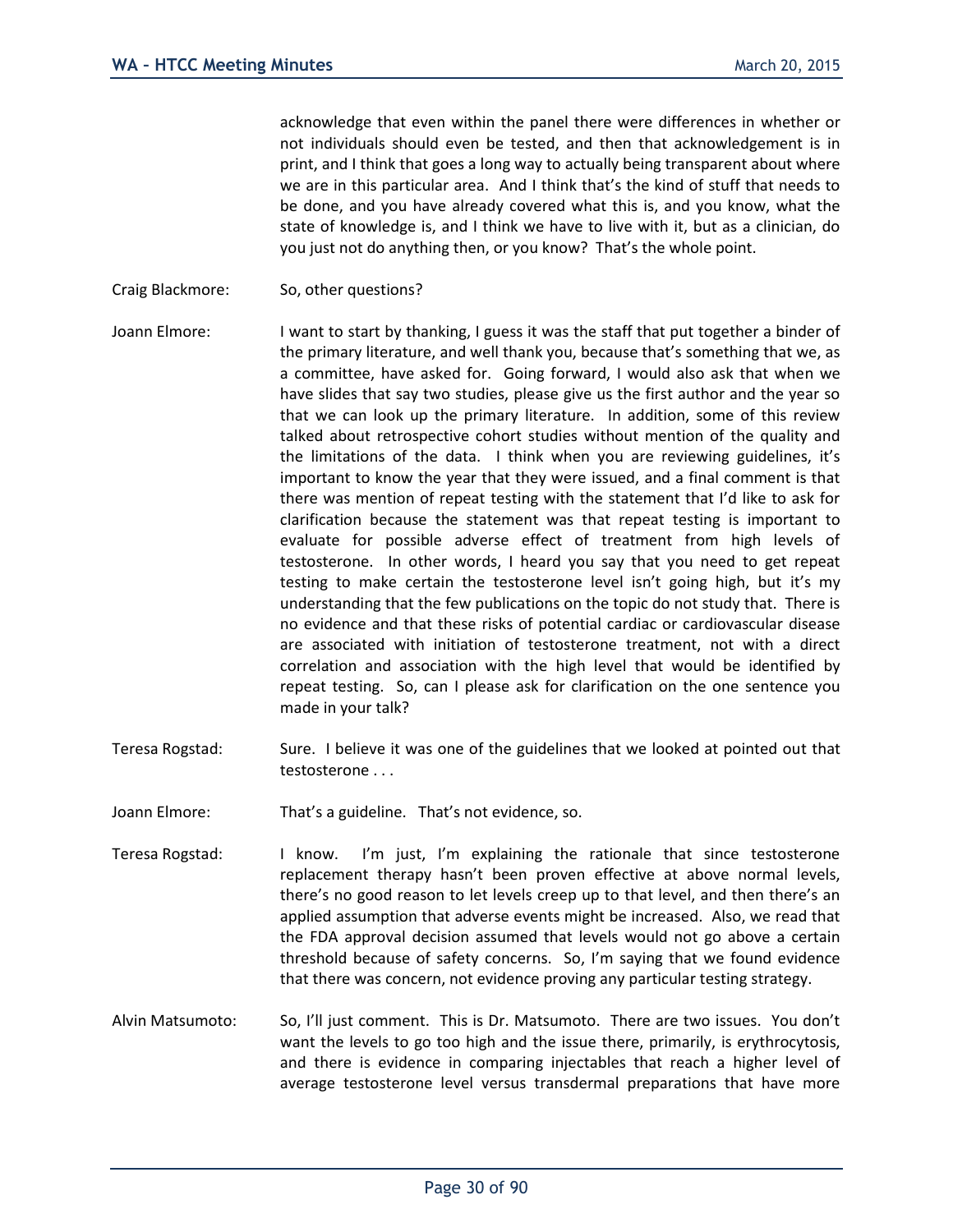acknowledge that even within the panel there were differences in whether or not individuals should even be tested, and then that acknowledgement is in print, and I think that goes a long way to actually being transparent about where we are in this particular area. And I think that's the kind of stuff that needs to be done, and you have already covered what this is, and you know, what the state of knowledge is, and I think we have to live with it, but as a clinician, do you just not do anything then, or you know? That's the whole point.

- Craig Blackmore: So, other questions?
- Joann Elmore: I want to start by thanking, I guess it was the staff that put together a binder of the primary literature, and well thank you, because that's something that we, as a committee, have asked for. Going forward, I would also ask that when we have slides that say two studies, please give us the first author and the year so that we can look up the primary literature. In addition, some of this review talked about retrospective cohort studies without mention of the quality and the limitations of the data. I think when you are reviewing guidelines, it's important to know the year that they were issued, and a final comment is that there was mention of repeat testing with the statement that I'd like to ask for clarification because the statement was that repeat testing is important to evaluate for possible adverse effect of treatment from high levels of testosterone. In other words, I heard you say that you need to get repeat testing to make certain the testosterone level isn't going high, but it's my understanding that the few publications on the topic do not study that. There is no evidence and that these risks of potential cardiac or cardiovascular disease are associated with initiation of testosterone treatment, not with a direct correlation and association with the high level that would be identified by repeat testing. So, can I please ask for clarification on the one sentence you made in your talk?
- Teresa Rogstad: Sure. I believe it was one of the guidelines that we looked at pointed out that testosterone . . .
- Joann Elmore: That's a guideline. That's not evidence, so.
- Teresa Rogstad: I know. I'm just, I'm explaining the rationale that since testosterone replacement therapy hasn't been proven effective at above normal levels, there's no good reason to let levels creep up to that level, and then there's an applied assumption that adverse events might be increased. Also, we read that the FDA approval decision assumed that levels would not go above a certain threshold because of safety concerns. So, I'm saying that we found evidence that there was concern, not evidence proving any particular testing strategy.
- Alvin Matsumoto: So, I'll just comment. This is Dr. Matsumoto. There are two issues. You don't want the levels to go too high and the issue there, primarily, is erythrocytosis, and there is evidence in comparing injectables that reach a higher level of average testosterone level versus transdermal preparations that have more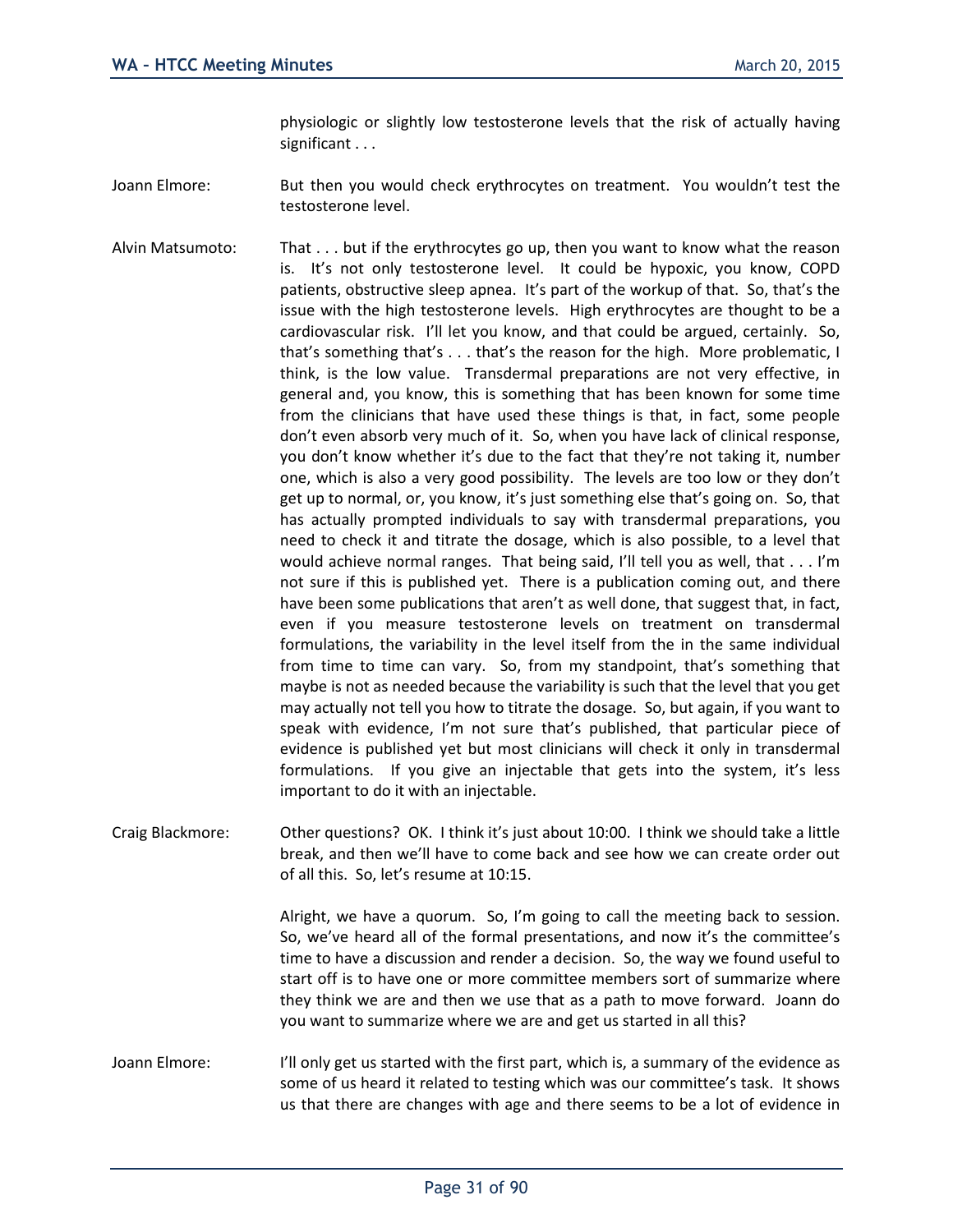physiologic or slightly low testosterone levels that the risk of actually having significant . . .

- Joann Elmore: But then you would check erythrocytes on treatment. You wouldn't test the testosterone level.
- Alvin Matsumoto: That . . . but if the erythrocytes go up, then you want to know what the reason is. It's not only testosterone level. It could be hypoxic, you know, COPD patients, obstructive sleep apnea. It's part of the workup of that. So, that's the issue with the high testosterone levels. High erythrocytes are thought to be a cardiovascular risk. I'll let you know, and that could be argued, certainly. So, that's something that's . . . that's the reason for the high. More problematic, I think, is the low value. Transdermal preparations are not very effective, in general and, you know, this is something that has been known for some time from the clinicians that have used these things is that, in fact, some people don't even absorb very much of it. So, when you have lack of clinical response, you don't know whether it's due to the fact that they're not taking it, number one, which is also a very good possibility. The levels are too low or they don't get up to normal, or, you know, it's just something else that's going on. So, that has actually prompted individuals to say with transdermal preparations, you need to check it and titrate the dosage, which is also possible, to a level that would achieve normal ranges. That being said, I'll tell you as well, that . . . I'm not sure if this is published yet. There is a publication coming out, and there have been some publications that aren't as well done, that suggest that, in fact, even if you measure testosterone levels on treatment on transdermal formulations, the variability in the level itself from the in the same individual from time to time can vary. So, from my standpoint, that's something that maybe is not as needed because the variability is such that the level that you get may actually not tell you how to titrate the dosage. So, but again, if you want to speak with evidence, I'm not sure that's published, that particular piece of evidence is published yet but most clinicians will check it only in transdermal formulations. If you give an injectable that gets into the system, it's less important to do it with an injectable.
- Craig Blackmore: Other questions? OK. I think it's just about 10:00. I think we should take a little break, and then we'll have to come back and see how we can create order out of all this. So, let's resume at 10:15.

Alright, we have a quorum. So, I'm going to call the meeting back to session. So, we've heard all of the formal presentations, and now it's the committee's time to have a discussion and render a decision. So, the way we found useful to start off is to have one or more committee members sort of summarize where they think we are and then we use that as a path to move forward. Joann do you want to summarize where we are and get us started in all this?

Joann Elmore: I'll only get us started with the first part, which is, a summary of the evidence as some of us heard it related to testing which was our committee's task. It shows us that there are changes with age and there seems to be a lot of evidence in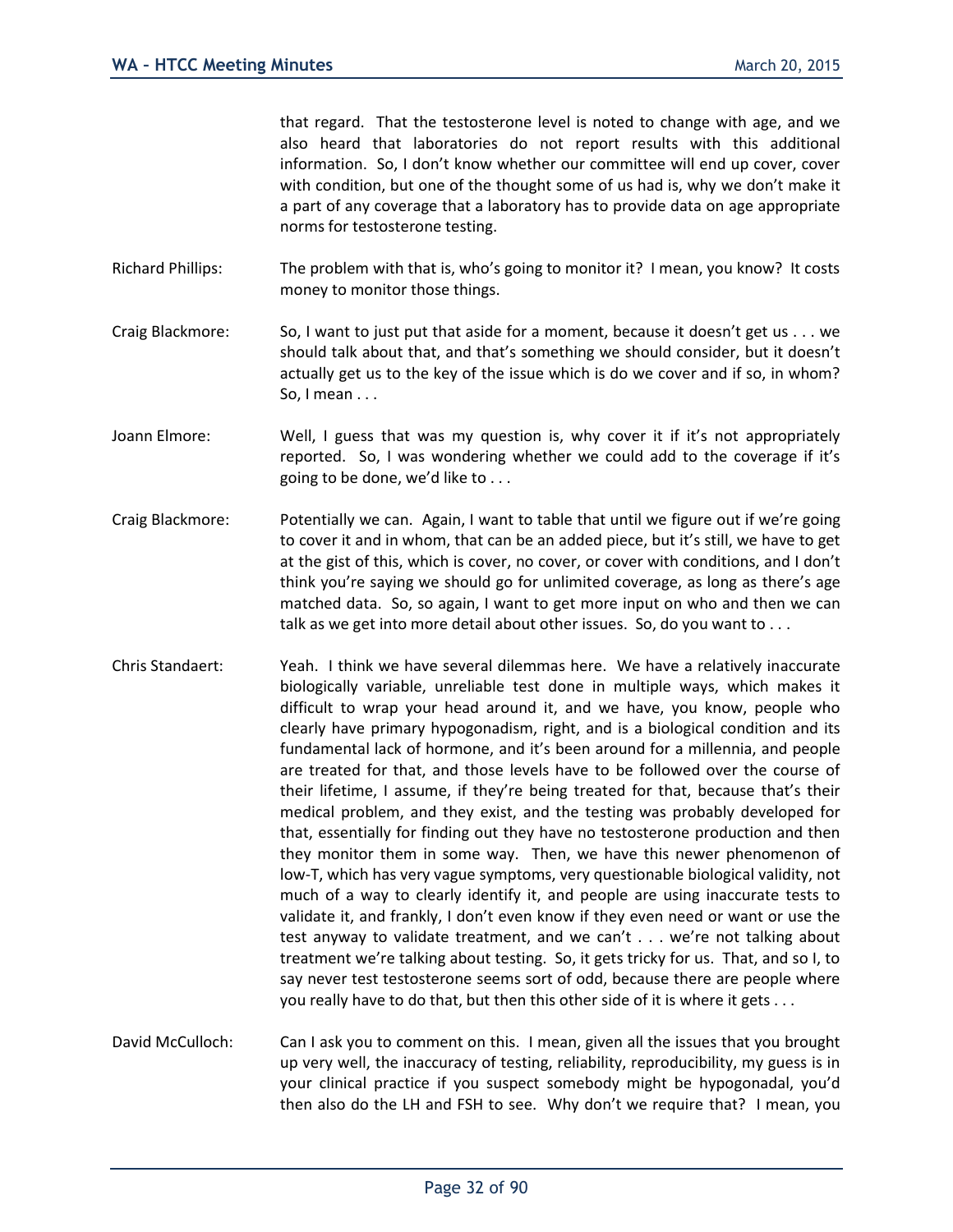that regard. That the testosterone level is noted to change with age, and we also heard that laboratories do not report results with this additional information. So, I don't know whether our committee will end up cover, cover with condition, but one of the thought some of us had is, why we don't make it a part of any coverage that a laboratory has to provide data on age appropriate norms for testosterone testing.

- Richard Phillips: The problem with that is, who's going to monitor it? I mean, you know? It costs money to monitor those things.
- Craig Blackmore: So, I want to just put that aside for a moment, because it doesn't get us . . . we should talk about that, and that's something we should consider, but it doesn't actually get us to the key of the issue which is do we cover and if so, in whom? So, I mean . . .
- Joann Elmore: Well, I guess that was my question is, why cover it if it's not appropriately reported. So, I was wondering whether we could add to the coverage if it's going to be done, we'd like to . . .
- Craig Blackmore: Potentially we can. Again, I want to table that until we figure out if we're going to cover it and in whom, that can be an added piece, but it's still, we have to get at the gist of this, which is cover, no cover, or cover with conditions, and I don't think you're saying we should go for unlimited coverage, as long as there's age matched data. So, so again, I want to get more input on who and then we can talk as we get into more detail about other issues. So, do you want to . . .
- Chris Standaert: Yeah. I think we have several dilemmas here. We have a relatively inaccurate biologically variable, unreliable test done in multiple ways, which makes it difficult to wrap your head around it, and we have, you know, people who clearly have primary hypogonadism, right, and is a biological condition and its fundamental lack of hormone, and it's been around for a millennia, and people are treated for that, and those levels have to be followed over the course of their lifetime, I assume, if they're being treated for that, because that's their medical problem, and they exist, and the testing was probably developed for that, essentially for finding out they have no testosterone production and then they monitor them in some way. Then, we have this newer phenomenon of low-T, which has very vague symptoms, very questionable biological validity, not much of a way to clearly identify it, and people are using inaccurate tests to validate it, and frankly, I don't even know if they even need or want or use the test anyway to validate treatment, and we can't . . . we're not talking about treatment we're talking about testing. So, it gets tricky for us. That, and so I, to say never test testosterone seems sort of odd, because there are people where you really have to do that, but then this other side of it is where it gets . . .
- David McCulloch: Can I ask you to comment on this. I mean, given all the issues that you brought up very well, the inaccuracy of testing, reliability, reproducibility, my guess is in your clinical practice if you suspect somebody might be hypogonadal, you'd then also do the LH and FSH to see. Why don't we require that? I mean, you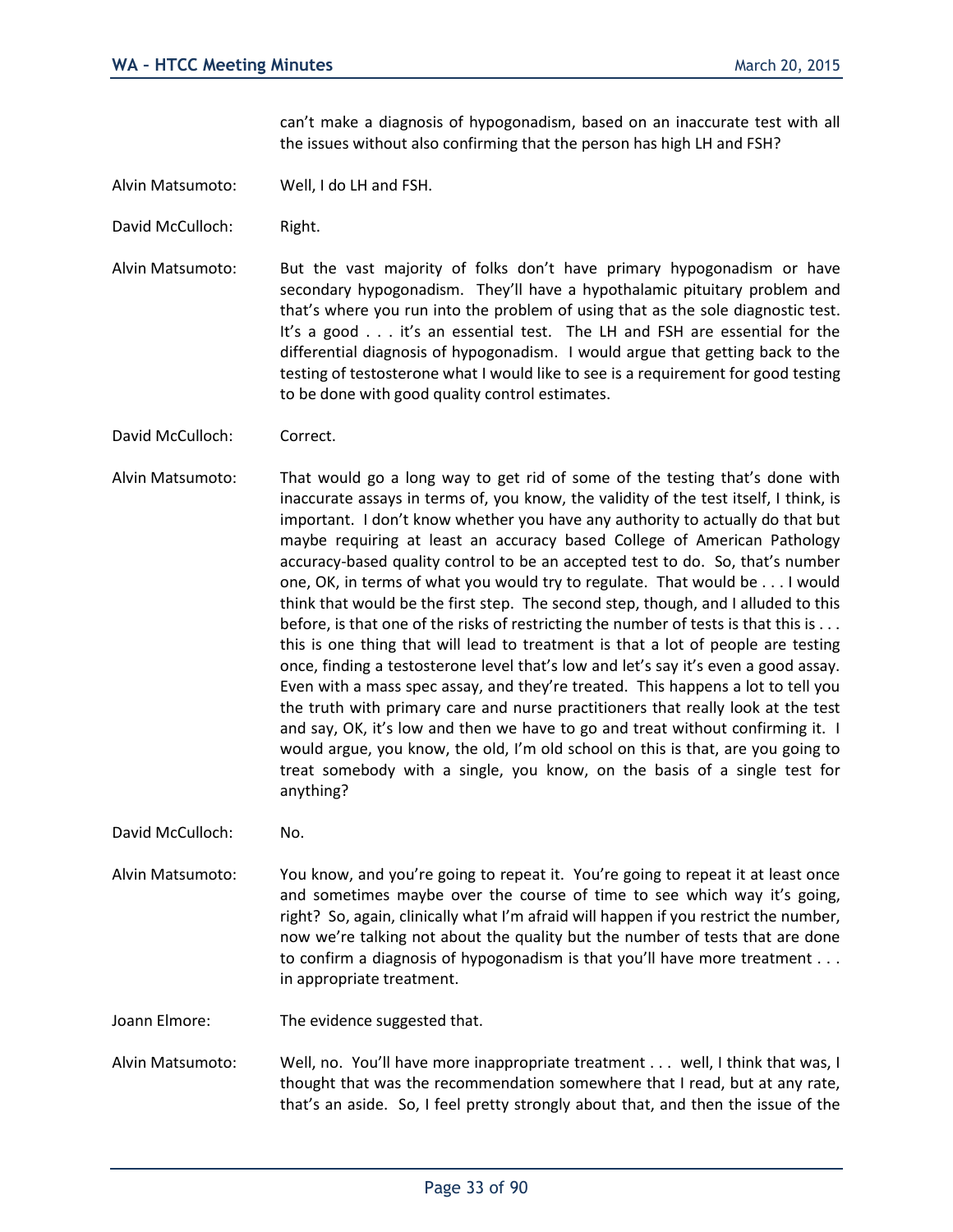can't make a diagnosis of hypogonadism, based on an inaccurate test with all the issues without also confirming that the person has high LH and FSH?

- Alvin Matsumoto: Well, I do LH and FSH.
- David McCulloch: Right.
- Alvin Matsumoto: But the vast majority of folks don't have primary hypogonadism or have secondary hypogonadism. They'll have a hypothalamic pituitary problem and that's where you run into the problem of using that as the sole diagnostic test. It's a good . . . it's an essential test. The LH and FSH are essential for the differential diagnosis of hypogonadism. I would argue that getting back to the testing of testosterone what I would like to see is a requirement for good testing to be done with good quality control estimates.
- David McCulloch: Correct.
- Alvin Matsumoto: That would go a long way to get rid of some of the testing that's done with inaccurate assays in terms of, you know, the validity of the test itself, I think, is important. I don't know whether you have any authority to actually do that but maybe requiring at least an accuracy based College of American Pathology accuracy-based quality control to be an accepted test to do. So, that's number one, OK, in terms of what you would try to regulate. That would be . . . I would think that would be the first step. The second step, though, and I alluded to this before, is that one of the risks of restricting the number of tests is that this is . . . this is one thing that will lead to treatment is that a lot of people are testing once, finding a testosterone level that's low and let's say it's even a good assay. Even with a mass spec assay, and they're treated. This happens a lot to tell you the truth with primary care and nurse practitioners that really look at the test and say, OK, it's low and then we have to go and treat without confirming it. I would argue, you know, the old, I'm old school on this is that, are you going to treat somebody with a single, you know, on the basis of a single test for anything?
- David McCulloch: No.
- Alvin Matsumoto: You know, and you're going to repeat it. You're going to repeat it at least once and sometimes maybe over the course of time to see which way it's going, right? So, again, clinically what I'm afraid will happen if you restrict the number, now we're talking not about the quality but the number of tests that are done to confirm a diagnosis of hypogonadism is that you'll have more treatment . . . in appropriate treatment.

Joann Elmore: The evidence suggested that.

Alvin Matsumoto: Well, no. You'll have more inappropriate treatment . . . well, I think that was, I thought that was the recommendation somewhere that I read, but at any rate, that's an aside. So, I feel pretty strongly about that, and then the issue of the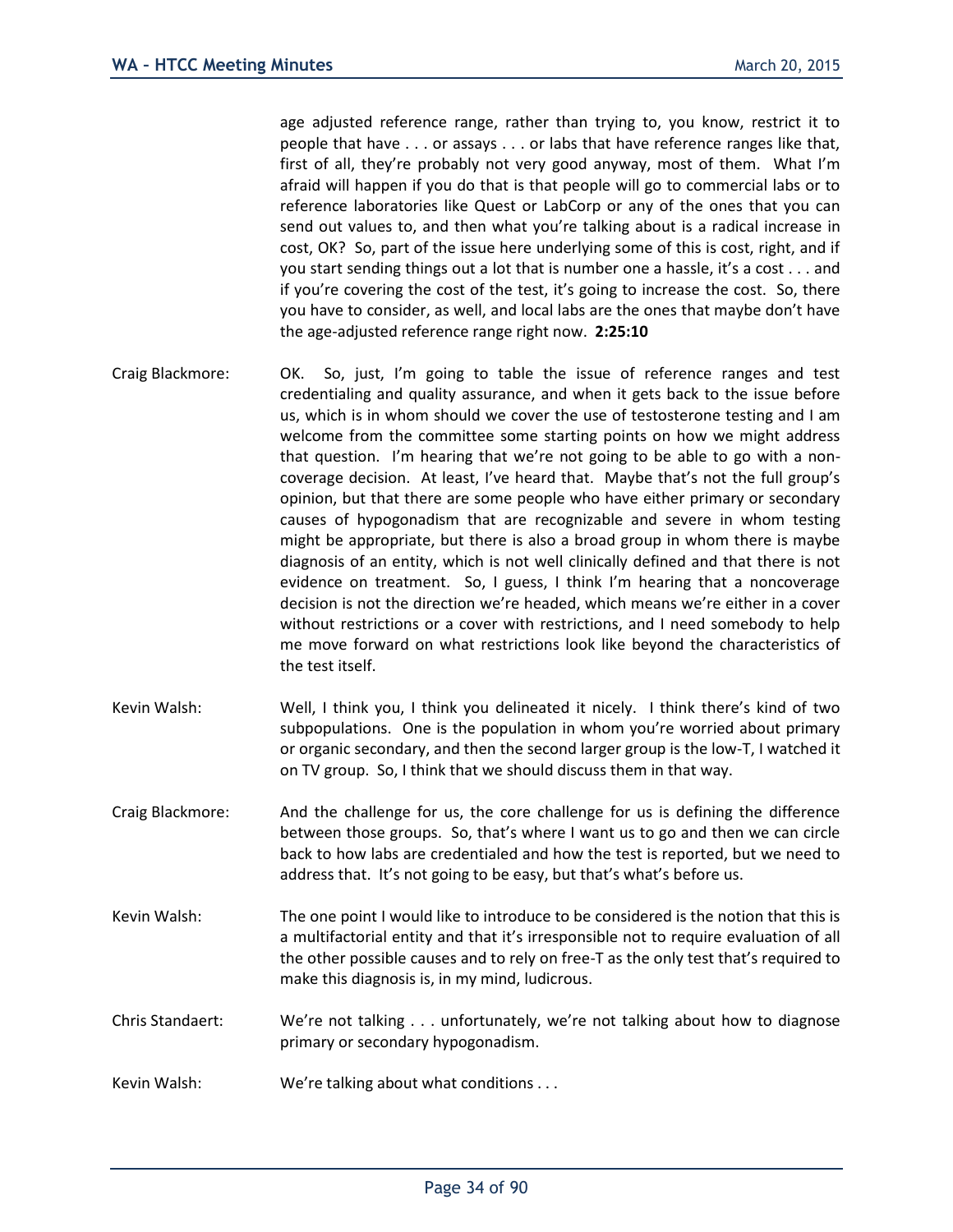age adjusted reference range, rather than trying to, you know, restrict it to people that have . . . or assays . . . or labs that have reference ranges like that, first of all, they're probably not very good anyway, most of them. What I'm afraid will happen if you do that is that people will go to commercial labs or to reference laboratories like Quest or LabCorp or any of the ones that you can send out values to, and then what you're talking about is a radical increase in cost, OK? So, part of the issue here underlying some of this is cost, right, and if you start sending things out a lot that is number one a hassle, it's a cost . . . and if you're covering the cost of the test, it's going to increase the cost. So, there you have to consider, as well, and local labs are the ones that maybe don't have the age-adjusted reference range right now. **2:25:10**

- Craig Blackmore: OK. So, just, I'm going to table the issue of reference ranges and test credentialing and quality assurance, and when it gets back to the issue before us, which is in whom should we cover the use of testosterone testing and I am welcome from the committee some starting points on how we might address that question. I'm hearing that we're not going to be able to go with a noncoverage decision. At least, I've heard that. Maybe that's not the full group's opinion, but that there are some people who have either primary or secondary causes of hypogonadism that are recognizable and severe in whom testing might be appropriate, but there is also a broad group in whom there is maybe diagnosis of an entity, which is not well clinically defined and that there is not evidence on treatment. So, I guess, I think I'm hearing that a noncoverage decision is not the direction we're headed, which means we're either in a cover without restrictions or a cover with restrictions, and I need somebody to help me move forward on what restrictions look like beyond the characteristics of the test itself.
- Kevin Walsh: Well, I think you, I think you delineated it nicely. I think there's kind of two subpopulations. One is the population in whom you're worried about primary or organic secondary, and then the second larger group is the low-T, I watched it on TV group. So, I think that we should discuss them in that way.
- Craig Blackmore: And the challenge for us, the core challenge for us is defining the difference between those groups. So, that's where I want us to go and then we can circle back to how labs are credentialed and how the test is reported, but we need to address that. It's not going to be easy, but that's what's before us.
- Kevin Walsh: The one point I would like to introduce to be considered is the notion that this is a multifactorial entity and that it's irresponsible not to require evaluation of all the other possible causes and to rely on free-T as the only test that's required to make this diagnosis is, in my mind, ludicrous.
- Chris Standaert: We're not talking . . . unfortunately, we're not talking about how to diagnose primary or secondary hypogonadism.
- Kevin Walsh: We're talking about what conditions . . .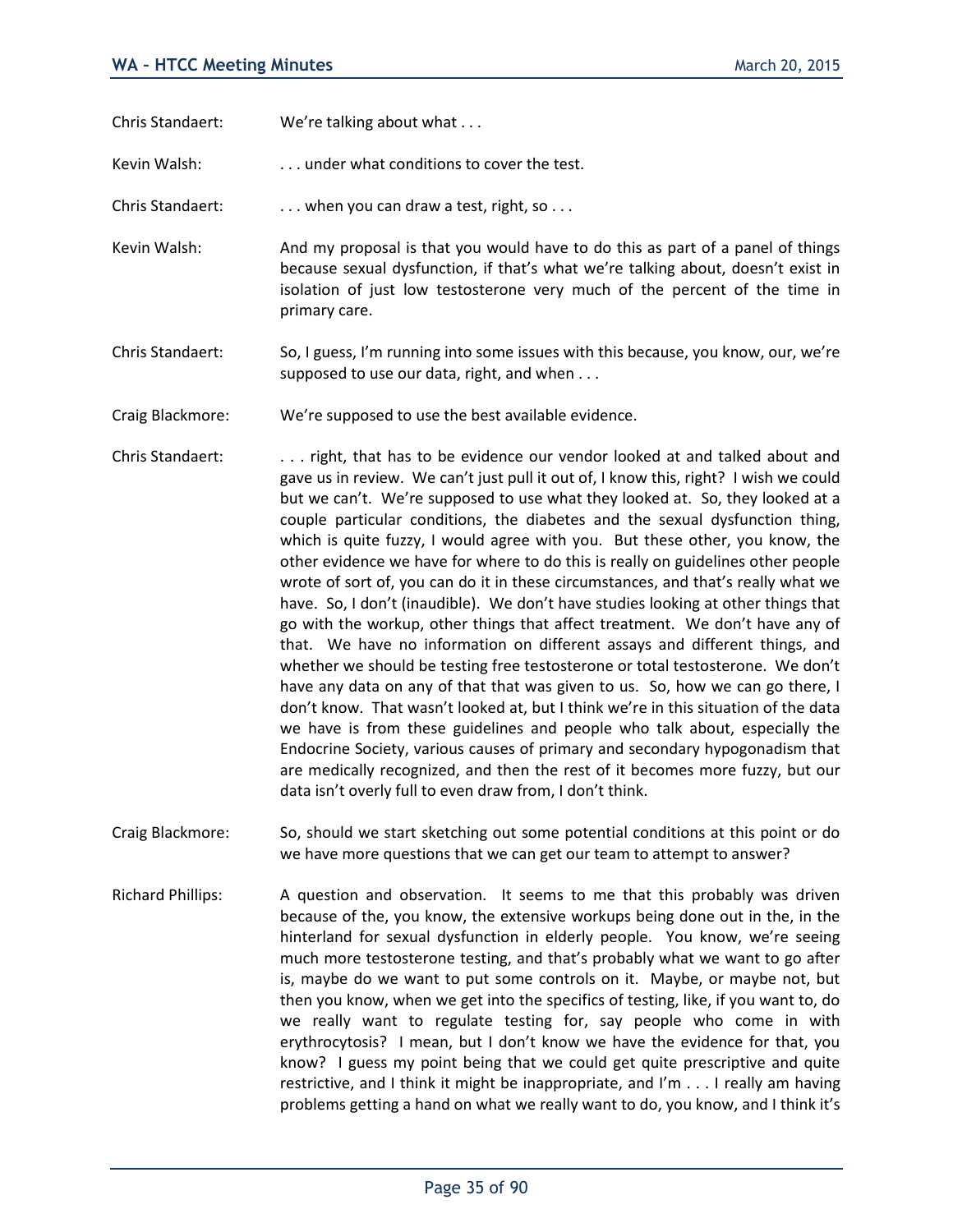Chris Standaert: We're talking about what . . .

Kevin Walsh:  $\ldots$  ... under what conditions to cover the test.

Chris Standaert: . . . . . . . when you can draw a test, right, so . . .

- Kevin Walsh: And my proposal is that you would have to do this as part of a panel of things because sexual dysfunction, if that's what we're talking about, doesn't exist in isolation of just low testosterone very much of the percent of the time in primary care.
- Chris Standaert: So, I guess, I'm running into some issues with this because, you know, our, we're supposed to use our data, right, and when . . .
- Craig Blackmore: We're supposed to use the best available evidence.
- Chris Standaert: . . . right, that has to be evidence our vendor looked at and talked about and gave us in review. We can't just pull it out of, I know this, right? I wish we could but we can't. We're supposed to use what they looked at. So, they looked at a couple particular conditions, the diabetes and the sexual dysfunction thing, which is quite fuzzy, I would agree with you. But these other, you know, the other evidence we have for where to do this is really on guidelines other people wrote of sort of, you can do it in these circumstances, and that's really what we have. So, I don't (inaudible). We don't have studies looking at other things that go with the workup, other things that affect treatment. We don't have any of that. We have no information on different assays and different things, and whether we should be testing free testosterone or total testosterone. We don't have any data on any of that that was given to us. So, how we can go there, I don't know. That wasn't looked at, but I think we're in this situation of the data we have is from these guidelines and people who talk about, especially the Endocrine Society, various causes of primary and secondary hypogonadism that are medically recognized, and then the rest of it becomes more fuzzy, but our data isn't overly full to even draw from, I don't think.
- Craig Blackmore: So, should we start sketching out some potential conditions at this point or do we have more questions that we can get our team to attempt to answer?
- Richard Phillips: A question and observation. It seems to me that this probably was driven because of the, you know, the extensive workups being done out in the, in the hinterland for sexual dysfunction in elderly people. You know, we're seeing much more testosterone testing, and that's probably what we want to go after is, maybe do we want to put some controls on it. Maybe, or maybe not, but then you know, when we get into the specifics of testing, like, if you want to, do we really want to regulate testing for, say people who come in with erythrocytosis? I mean, but I don't know we have the evidence for that, you know? I guess my point being that we could get quite prescriptive and quite restrictive, and I think it might be inappropriate, and I'm . . . I really am having problems getting a hand on what we really want to do, you know, and I think it's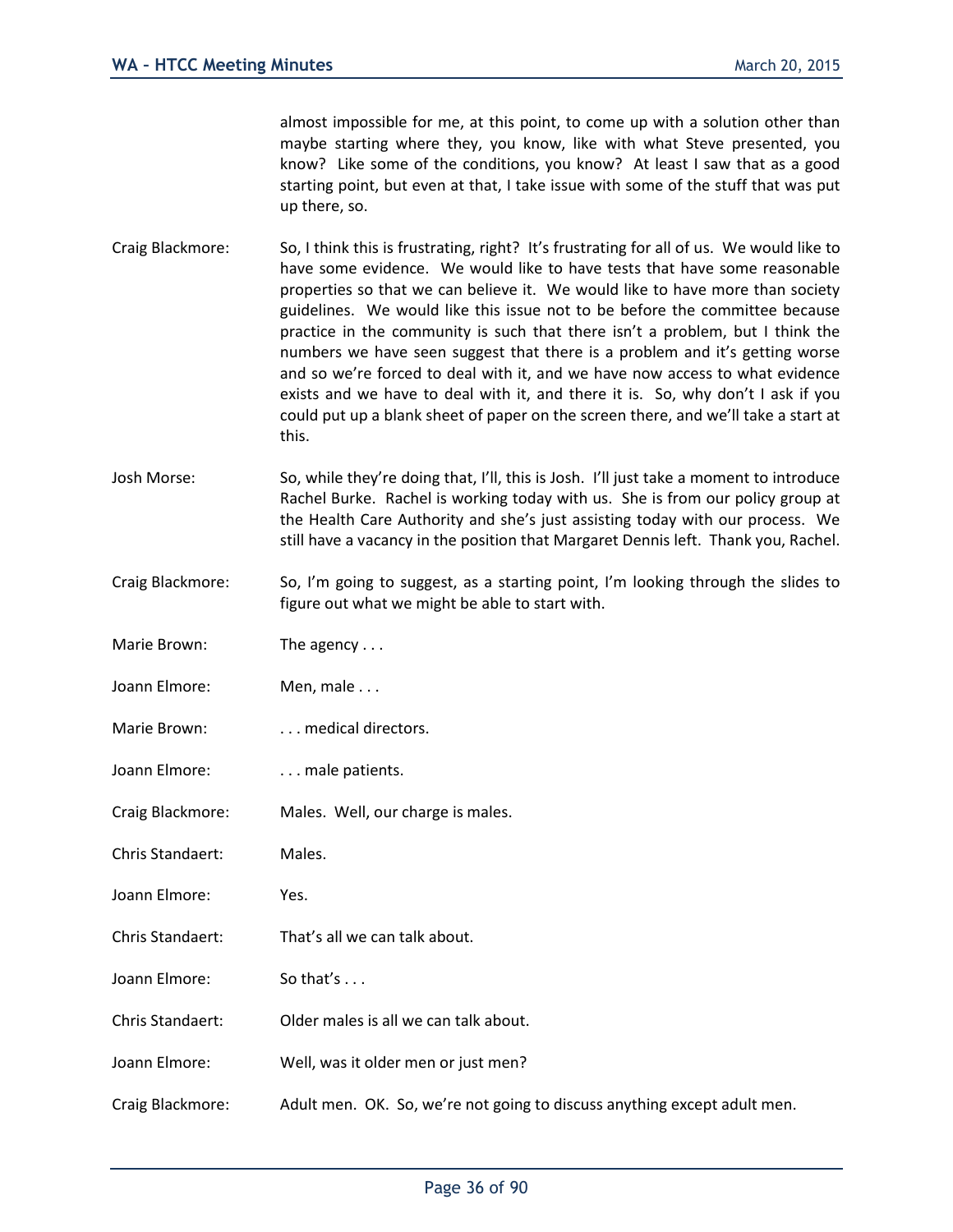almost impossible for me, at this point, to come up with a solution other than maybe starting where they, you know, like with what Steve presented, you know? Like some of the conditions, you know? At least I saw that as a good starting point, but even at that, I take issue with some of the stuff that was put up there, so.

- Craig Blackmore: So, I think this is frustrating, right? It's frustrating for all of us. We would like to have some evidence. We would like to have tests that have some reasonable properties so that we can believe it. We would like to have more than society guidelines. We would like this issue not to be before the committee because practice in the community is such that there isn't a problem, but I think the numbers we have seen suggest that there is a problem and it's getting worse and so we're forced to deal with it, and we have now access to what evidence exists and we have to deal with it, and there it is. So, why don't I ask if you could put up a blank sheet of paper on the screen there, and we'll take a start at this.
- Josh Morse: So, while they're doing that, I'll, this is Josh. I'll just take a moment to introduce Rachel Burke. Rachel is working today with us. She is from our policy group at the Health Care Authority and she's just assisting today with our process. We still have a vacancy in the position that Margaret Dennis left. Thank you, Rachel.
- Craig Blackmore: So, I'm going to suggest, as a starting point, I'm looking through the slides to figure out what we might be able to start with.
- Marie Brown: The agency ...
- Joann Elmore: Men, male . . .
- Marie Brown: ... medical directors.
- Joann Elmore: ... male patients.
- Craig Blackmore: Males. Well, our charge is males.
- Chris Standaert: Males.
- Joann Elmore: Yes.
- Chris Standaert: That's all we can talk about.
- Joann Elmore: So that's . . .
- Chris Standaert: Older males is all we can talk about.
- Joann Elmore: Well, was it older men or just men?
- Craig Blackmore: Adult men. OK. So, we're not going to discuss anything except adult men.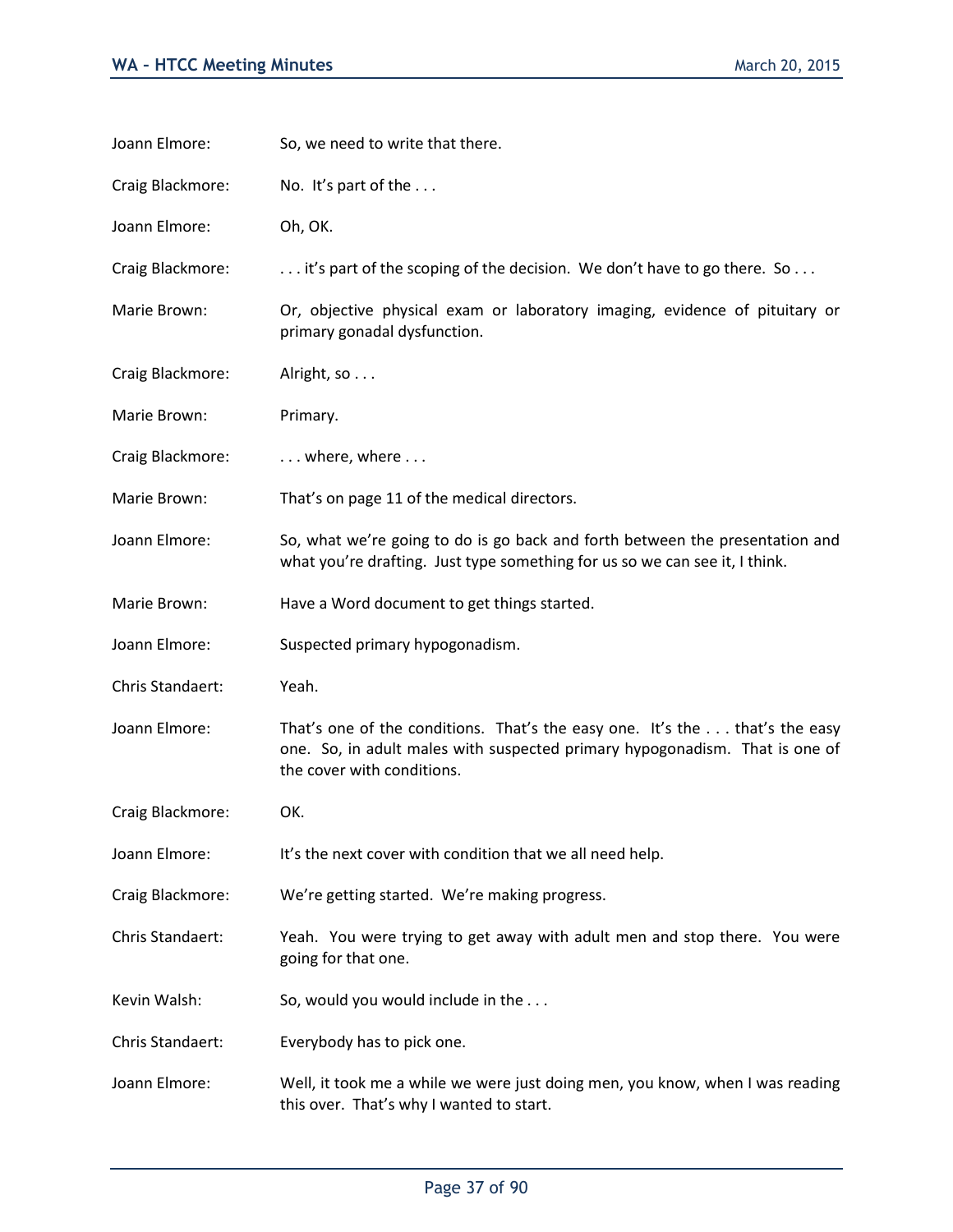| Joann Elmore:    | So, we need to write that there.                                                                                                                                                                 |
|------------------|--------------------------------------------------------------------------------------------------------------------------------------------------------------------------------------------------|
| Craig Blackmore: | No. It's part of the                                                                                                                                                                             |
| Joann Elmore:    | Oh, OK.                                                                                                                                                                                          |
| Craig Blackmore: | it's part of the scoping of the decision. We don't have to go there. So                                                                                                                          |
| Marie Brown:     | Or, objective physical exam or laboratory imaging, evidence of pituitary or<br>primary gonadal dysfunction.                                                                                      |
| Craig Blackmore: | Alright, so                                                                                                                                                                                      |
| Marie Brown:     | Primary.                                                                                                                                                                                         |
| Craig Blackmore: | $\dots$ where, where $\dots$                                                                                                                                                                     |
| Marie Brown:     | That's on page 11 of the medical directors.                                                                                                                                                      |
| Joann Elmore:    | So, what we're going to do is go back and forth between the presentation and<br>what you're drafting. Just type something for us so we can see it, I think.                                      |
| Marie Brown:     | Have a Word document to get things started.                                                                                                                                                      |
| Joann Elmore:    | Suspected primary hypogonadism.                                                                                                                                                                  |
| Chris Standaert: | Yeah.                                                                                                                                                                                            |
| Joann Elmore:    | That's one of the conditions. That's the easy one. It's the $\dots$ that's the easy<br>one. So, in adult males with suspected primary hypogonadism. That is one of<br>the cover with conditions. |
| Craig Blackmore: | OK.                                                                                                                                                                                              |
| Joann Elmore:    | It's the next cover with condition that we all need help.                                                                                                                                        |
| Craig Blackmore: | We're getting started. We're making progress.                                                                                                                                                    |
| Chris Standaert: | Yeah. You were trying to get away with adult men and stop there. You were<br>going for that one.                                                                                                 |
| Kevin Walsh:     | So, would you would include in the                                                                                                                                                               |
| Chris Standaert: | Everybody has to pick one.                                                                                                                                                                       |
| Joann Elmore:    | Well, it took me a while we were just doing men, you know, when I was reading<br>this over. That's why I wanted to start.                                                                        |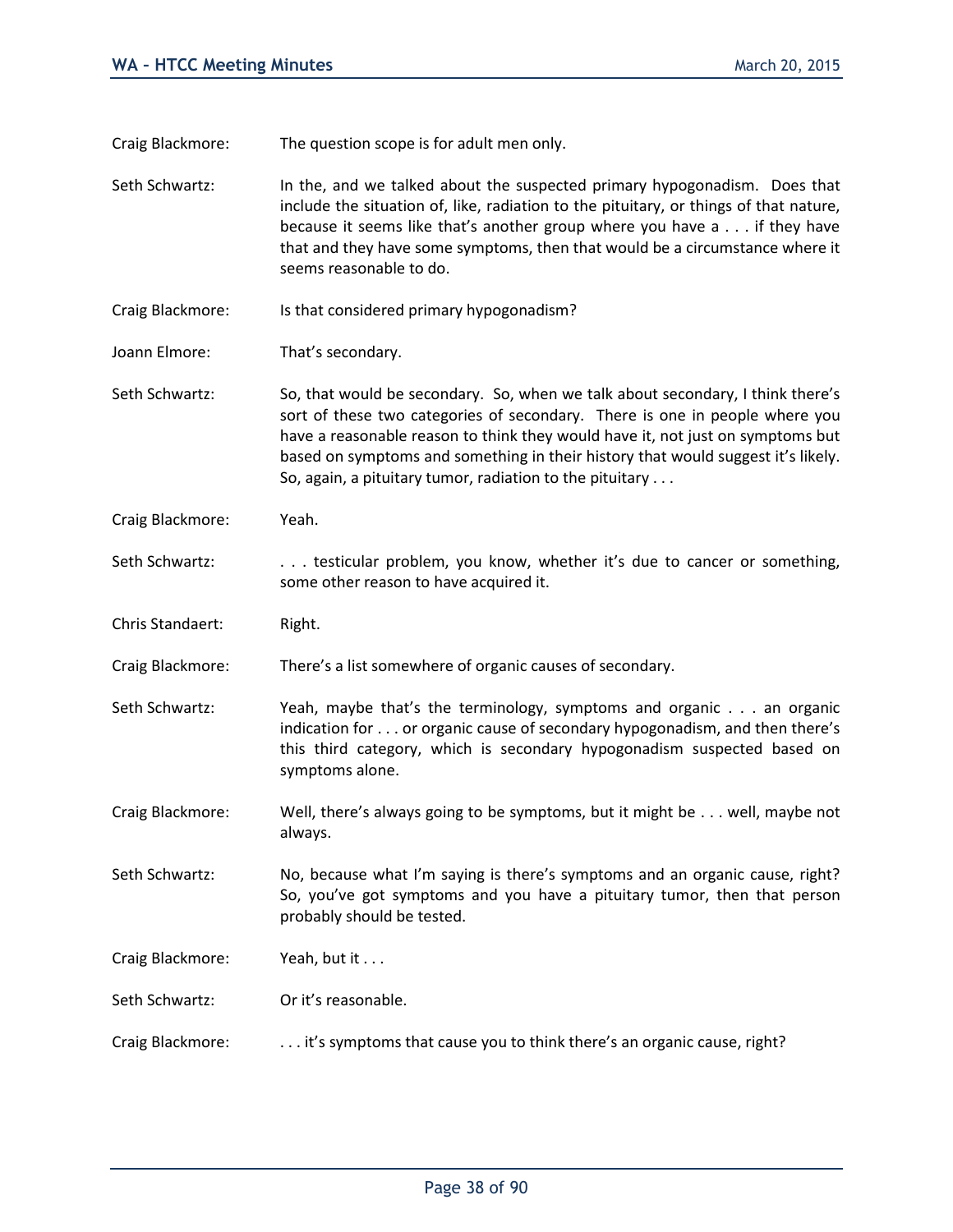Craig Blackmore: The question scope is for adult men only.

Seth Schwartz: In the, and we talked about the suspected primary hypogonadism. Does that include the situation of, like, radiation to the pituitary, or things of that nature, because it seems like that's another group where you have a . . . if they have that and they have some symptoms, then that would be a circumstance where it seems reasonable to do.

- Craig Blackmore: Is that considered primary hypogonadism?
- Joann Elmore: That's secondary.

Seth Schwartz: So, that would be secondary. So, when we talk about secondary, I think there's sort of these two categories of secondary. There is one in people where you have a reasonable reason to think they would have it, not just on symptoms but based on symptoms and something in their history that would suggest it's likely. So, again, a pituitary tumor, radiation to the pituitary . . .

- Craig Blackmore: Yeah.
- Seth Schwartz: . . . . testicular problem, you know, whether it's due to cancer or something, some other reason to have acquired it.
- Chris Standaert: Right.
- Craig Blackmore: There's a list somewhere of organic causes of secondary.
- Seth Schwartz: Yeah, maybe that's the terminology, symptoms and organic . . . an organic indication for . . . or organic cause of secondary hypogonadism, and then there's this third category, which is secondary hypogonadism suspected based on symptoms alone.

Craig Blackmore: Well, there's always going to be symptoms, but it might be . . . well, maybe not always.

Seth Schwartz: No, because what I'm saying is there's symptoms and an organic cause, right? So, you've got symptoms and you have a pituitary tumor, then that person probably should be tested.

Craig Blackmore: Yeah, but it . . .

Seth Schwartz: Or it's reasonable.

Craig Blackmore: ...it's symptoms that cause you to think there's an organic cause, right?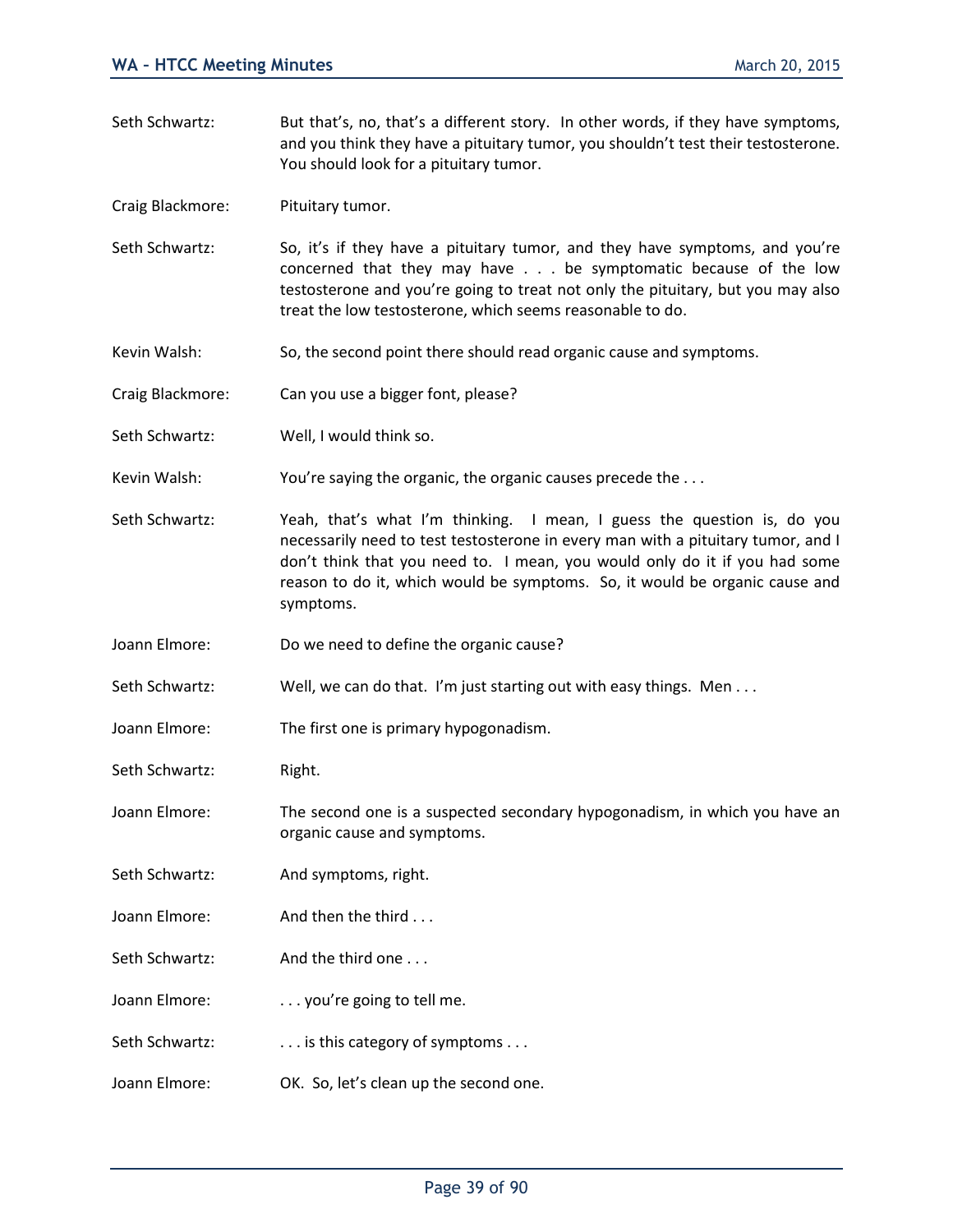Seth Schwartz: But that's, no, that's a different story. In other words, if they have symptoms, and you think they have a pituitary tumor, you shouldn't test their testosterone. You should look for a pituitary tumor.

Craig Blackmore: Pituitary tumor.

- Seth Schwartz: So, it's if they have a pituitary tumor, and they have symptoms, and you're concerned that they may have . . . be symptomatic because of the low testosterone and you're going to treat not only the pituitary, but you may also treat the low testosterone, which seems reasonable to do.
- Kevin Walsh: So, the second point there should read organic cause and symptoms.
- Craig Blackmore: Can you use a bigger font, please?
- Seth Schwartz: Well, I would think so.
- Kevin Walsh: You're saying the organic, the organic causes precede the . . .
- Seth Schwartz: Yeah, that's what I'm thinking. I mean, I guess the question is, do you necessarily need to test testosterone in every man with a pituitary tumor, and I don't think that you need to. I mean, you would only do it if you had some reason to do it, which would be symptoms. So, it would be organic cause and symptoms.
- Joann Elmore: Do we need to define the organic cause?
- Seth Schwartz: Well, we can do that. I'm just starting out with easy things. Men . . .
- Joann Elmore: The first one is primary hypogonadism.
- Seth Schwartz: Right.
- Joann Elmore: The second one is a suspected secondary hypogonadism, in which you have an organic cause and symptoms.
- Seth Schwartz: And symptoms, right.
- Joann Elmore: And then the third . . .
- Seth Schwartz: And the third one . . .
- Joann Elmore: ... you're going to tell me.
- Seth Schwartz: . . . . . . is this category of symptoms . . .
- Joann Elmore: OK. So, let's clean up the second one.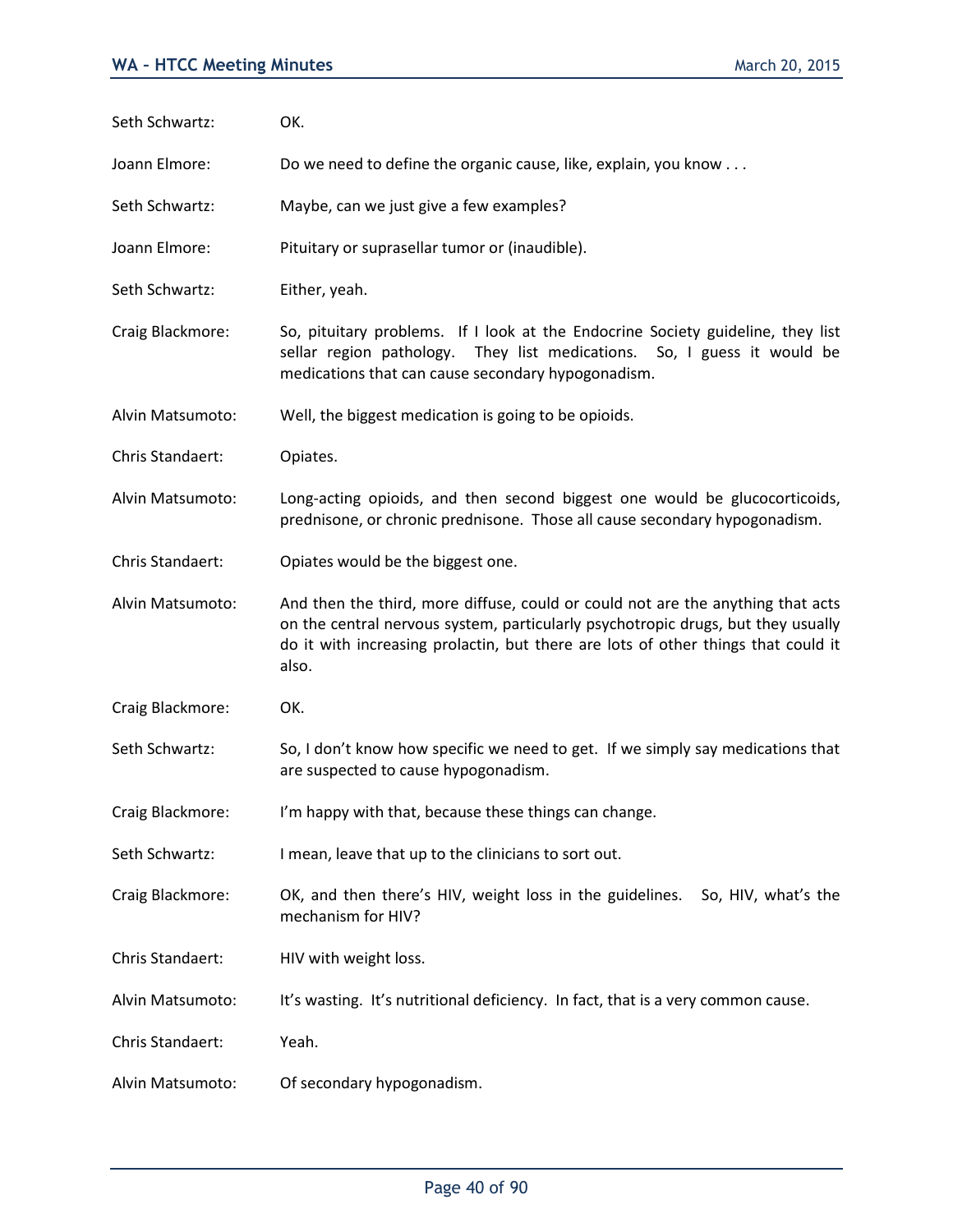| Seth Schwartz:   | OK.                                                                                                                                                                                                                                                               |
|------------------|-------------------------------------------------------------------------------------------------------------------------------------------------------------------------------------------------------------------------------------------------------------------|
| Joann Elmore:    | Do we need to define the organic cause, like, explain, you know                                                                                                                                                                                                   |
| Seth Schwartz:   | Maybe, can we just give a few examples?                                                                                                                                                                                                                           |
| Joann Elmore:    | Pituitary or suprasellar tumor or (inaudible).                                                                                                                                                                                                                    |
| Seth Schwartz:   | Either, yeah.                                                                                                                                                                                                                                                     |
| Craig Blackmore: | So, pituitary problems. If I look at the Endocrine Society guideline, they list<br>sellar region pathology. They list medications.<br>So, I guess it would be<br>medications that can cause secondary hypogonadism.                                               |
| Alvin Matsumoto: | Well, the biggest medication is going to be opioids.                                                                                                                                                                                                              |
| Chris Standaert: | Opiates.                                                                                                                                                                                                                                                          |
| Alvin Matsumoto: | Long-acting opioids, and then second biggest one would be glucocorticoids,<br>prednisone, or chronic prednisone. Those all cause secondary hypogonadism.                                                                                                          |
| Chris Standaert: | Opiates would be the biggest one.                                                                                                                                                                                                                                 |
| Alvin Matsumoto: | And then the third, more diffuse, could or could not are the anything that acts<br>on the central nervous system, particularly psychotropic drugs, but they usually<br>do it with increasing prolactin, but there are lots of other things that could it<br>also. |
| Craig Blackmore: | OK.                                                                                                                                                                                                                                                               |
| Seth Schwartz:   | So, I don't know how specific we need to get. If we simply say medications that<br>are suspected to cause hypogonadism.                                                                                                                                           |
| Craig Blackmore: | I'm happy with that, because these things can change.                                                                                                                                                                                                             |
| Seth Schwartz:   | I mean, leave that up to the clinicians to sort out.                                                                                                                                                                                                              |
| Craig Blackmore: | OK, and then there's HIV, weight loss in the guidelines.<br>So, HIV, what's the<br>mechanism for HIV?                                                                                                                                                             |
| Chris Standaert: | HIV with weight loss.                                                                                                                                                                                                                                             |
| Alvin Matsumoto: | It's wasting. It's nutritional deficiency. In fact, that is a very common cause.                                                                                                                                                                                  |
| Chris Standaert: | Yeah.                                                                                                                                                                                                                                                             |
| Alvin Matsumoto: | Of secondary hypogonadism.                                                                                                                                                                                                                                        |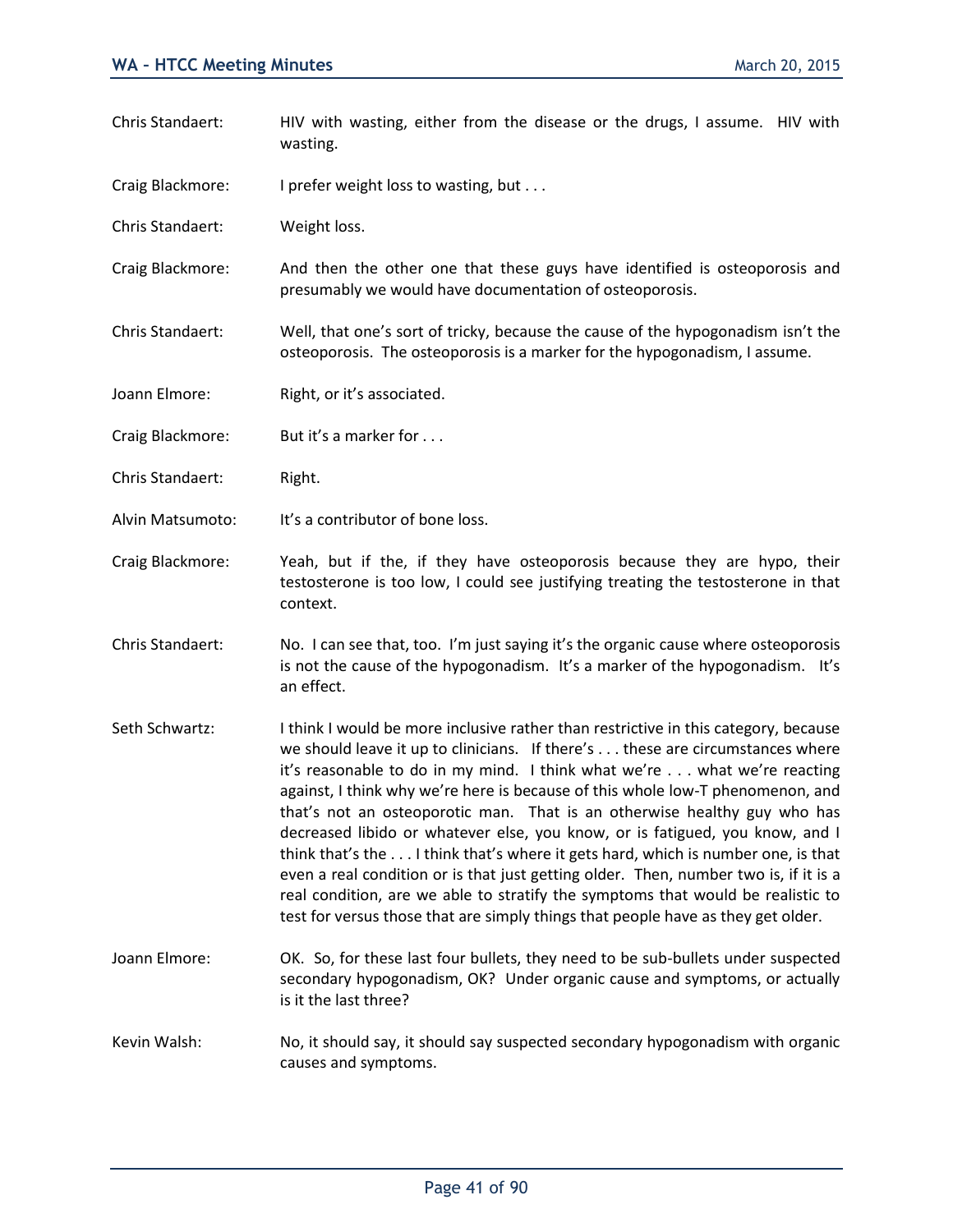- Chris Standaert: HIV with wasting, either from the disease or the drugs, I assume. HIV with wasting.
- Craig Blackmore: I prefer weight loss to wasting, but . . .
- Chris Standaert: Weight loss.
- Craig Blackmore: And then the other one that these guys have identified is osteoporosis and presumably we would have documentation of osteoporosis.
- Chris Standaert: Well, that one's sort of tricky, because the cause of the hypogonadism isn't the osteoporosis. The osteoporosis is a marker for the hypogonadism, I assume.
- Joann Elmore: Right, or it's associated.
- Craig Blackmore: But it's a marker for . . .
- Chris Standaert: Right.
- Alvin Matsumoto: It's a contributor of bone loss.
- Craig Blackmore: Yeah, but if the, if they have osteoporosis because they are hypo, their testosterone is too low, I could see justifying treating the testosterone in that context.
- Chris Standaert: No. I can see that, too. I'm just saying it's the organic cause where osteoporosis is not the cause of the hypogonadism. It's a marker of the hypogonadism. It's an effect.
- Seth Schwartz: I think I would be more inclusive rather than restrictive in this category, because we should leave it up to clinicians. If there's . . . these are circumstances where it's reasonable to do in my mind. I think what we're . . . what we're reacting against, I think why we're here is because of this whole low-T phenomenon, and that's not an osteoporotic man. That is an otherwise healthy guy who has decreased libido or whatever else, you know, or is fatigued, you know, and I think that's the . . . I think that's where it gets hard, which is number one, is that even a real condition or is that just getting older. Then, number two is, if it is a real condition, are we able to stratify the symptoms that would be realistic to test for versus those that are simply things that people have as they get older.
- Joann Elmore: OK. So, for these last four bullets, they need to be sub-bullets under suspected secondary hypogonadism, OK? Under organic cause and symptoms, or actually is it the last three?
- Kevin Walsh: No, it should say, it should say suspected secondary hypogonadism with organic causes and symptoms.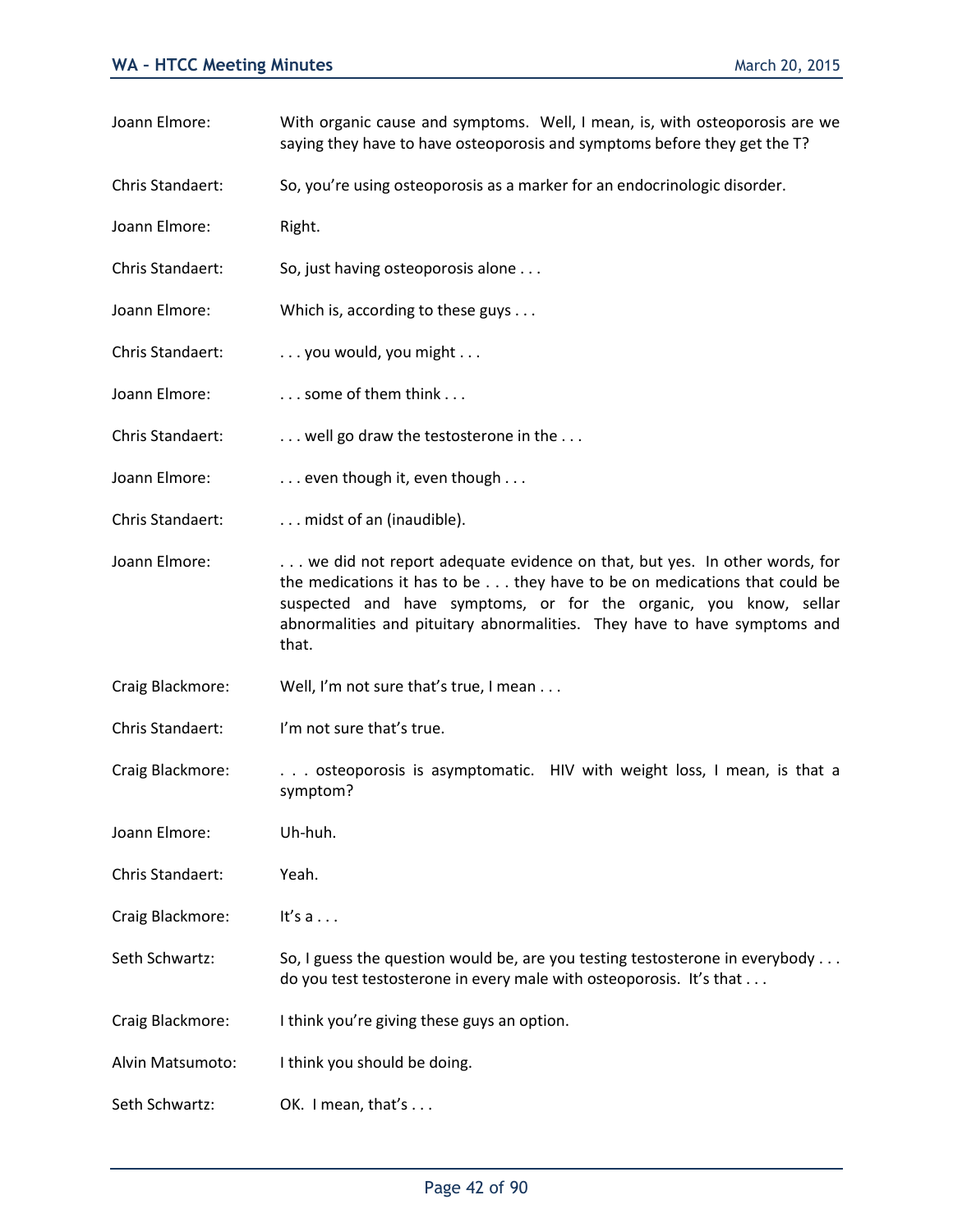- Joann Elmore: With organic cause and symptoms. Well, I mean, is, with osteoporosis are we saying they have to have osteoporosis and symptoms before they get the T? Chris Standaert: So, you're using osteoporosis as a marker for an endocrinologic disorder. Joann Elmore: Right.
- Chris Standaert: So, just having osteoporosis alone . . .
- Joann Elmore: Which is, according to these guys . . .
- Chris Standaert: . . . . . . you would, you might . . .
- Joann Elmore:  $\ldots$  some of them think ...
- Chris Standaert: . . . . . . . . well go draw the testosterone in the . . .
- Joann Elmore: ... even though it, even though ...
- Chris Standaert: . . . . . . . midst of an (inaudible).
- Joann Elmore: . . . . we did not report adequate evidence on that, but yes. In other words, for the medications it has to be . . . they have to be on medications that could be suspected and have symptoms, or for the organic, you know, sellar abnormalities and pituitary abnormalities. They have to have symptoms and that.
- Craig Blackmore: Well, I'm not sure that's true, I mean . . .
- Chris Standaert: I'm not sure that's true.
- Craig Blackmore: . . . . osteoporosis is asymptomatic. HIV with weight loss, I mean, is that a symptom?
- Joann Elmore: Uh-huh.
- Chris Standaert: Yeah.
- Craig Blackmore: It's a . . .
- Seth Schwartz: So, I guess the question would be, are you testing testosterone in everybody . . . do you test testosterone in every male with osteoporosis. It's that . . .
- Craig Blackmore: I think you're giving these guys an option.
- Alvin Matsumoto: I think you should be doing.
- Seth Schwartz: OK. I mean, that's . . .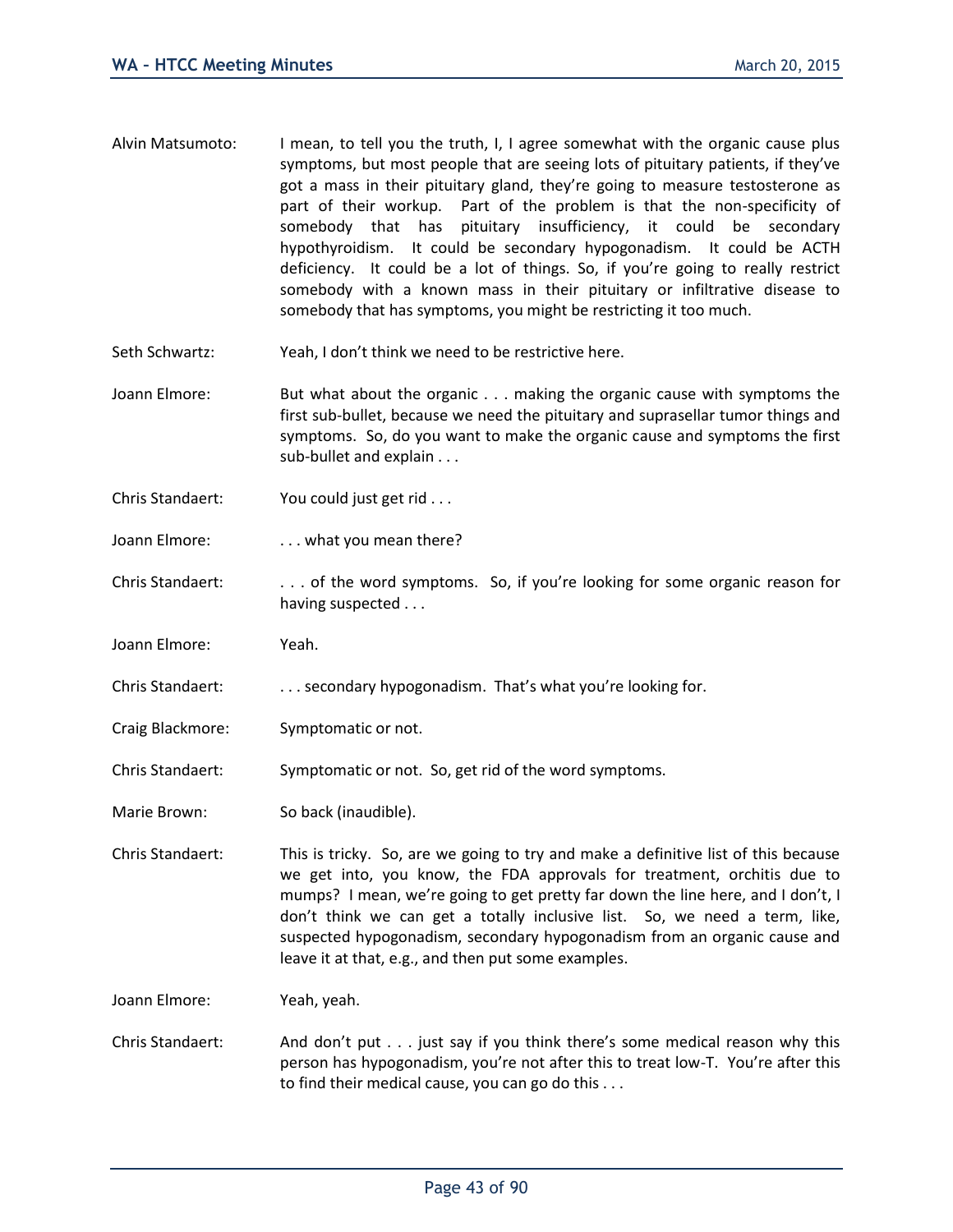- Alvin Matsumoto: I mean, to tell you the truth, I, I agree somewhat with the organic cause plus symptoms, but most people that are seeing lots of pituitary patients, if they've got a mass in their pituitary gland, they're going to measure testosterone as part of their workup. Part of the problem is that the non-specificity of somebody that has pituitary insufficiency, it could be secondary hypothyroidism. It could be secondary hypogonadism. It could be ACTH deficiency. It could be a lot of things. So, if you're going to really restrict somebody with a known mass in their pituitary or infiltrative disease to somebody that has symptoms, you might be restricting it too much.
- Seth Schwartz: Yeah, I don't think we need to be restrictive here.
- Joann Elmore: But what about the organic . . . making the organic cause with symptoms the first sub-bullet, because we need the pituitary and suprasellar tumor things and symptoms. So, do you want to make the organic cause and symptoms the first sub-bullet and explain . . .
- Chris Standaert: You could just get rid . . .
- Joann Elmore: ... what you mean there?
- Chris Standaert: . . . of the word symptoms. So, if you're looking for some organic reason for having suspected . . .
- Joann Elmore: Yeah.
- Chris Standaert: . . . secondary hypogonadism. That's what you're looking for.
- Craig Blackmore: Symptomatic or not.
- Chris Standaert: Symptomatic or not. So, get rid of the word symptoms.
- Marie Brown: So back (inaudible).
- Chris Standaert: This is tricky. So, are we going to try and make a definitive list of this because we get into, you know, the FDA approvals for treatment, orchitis due to mumps? I mean, we're going to get pretty far down the line here, and I don't, I don't think we can get a totally inclusive list. So, we need a term, like, suspected hypogonadism, secondary hypogonadism from an organic cause and leave it at that, e.g., and then put some examples.

Joann Elmore: Yeah, yeah.

Chris Standaert: And don't put . . . just say if you think there's some medical reason why this person has hypogonadism, you're not after this to treat low-T. You're after this to find their medical cause, you can go do this . . .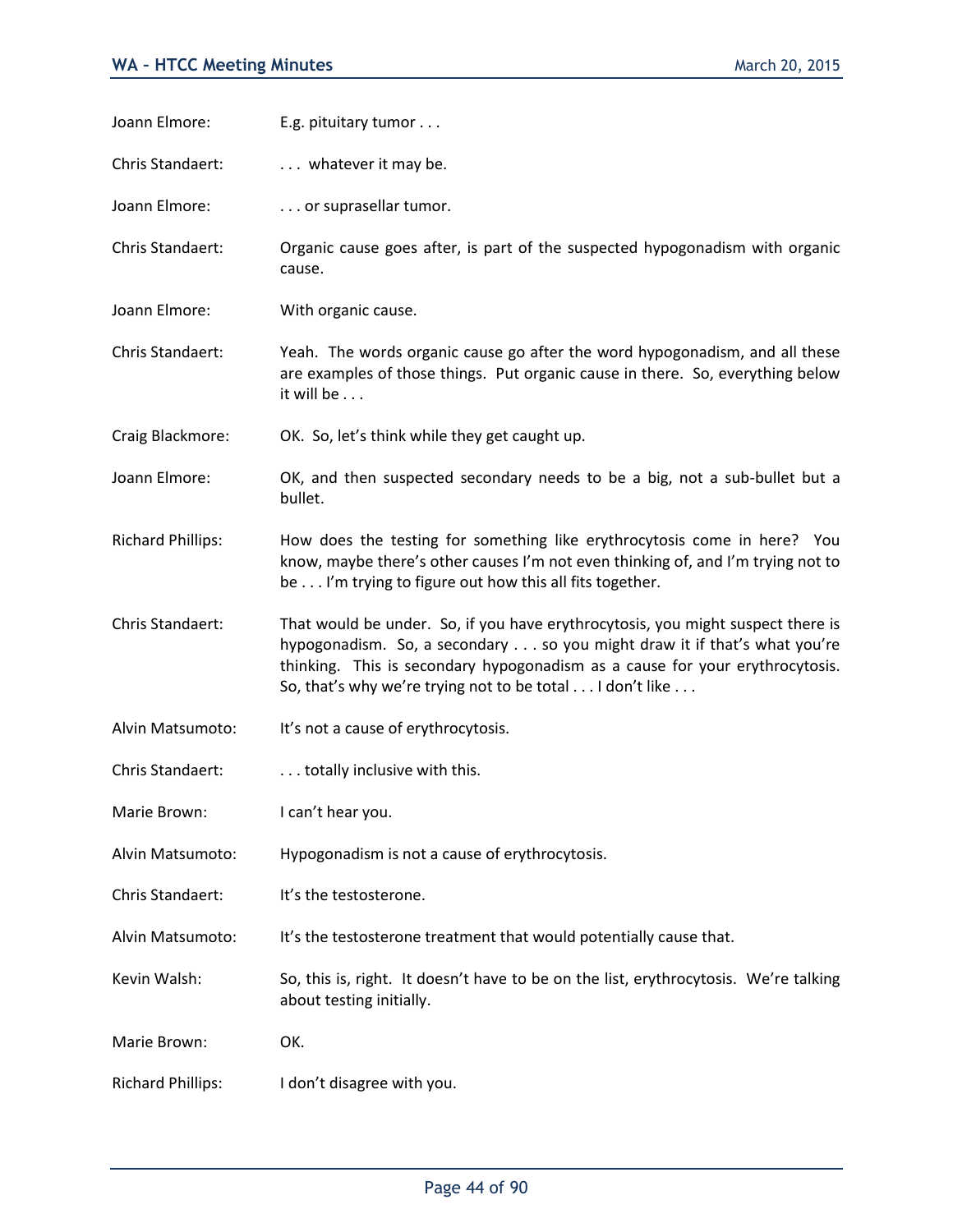| Joann Elmore:            | E.g. pituitary tumor                                                                                                                                                                                                                                                                                    |
|--------------------------|---------------------------------------------------------------------------------------------------------------------------------------------------------------------------------------------------------------------------------------------------------------------------------------------------------|
| Chris Standaert:         | whatever it may be.                                                                                                                                                                                                                                                                                     |
| Joann Elmore:            | or suprasellar tumor.                                                                                                                                                                                                                                                                                   |
| Chris Standaert:         | Organic cause goes after, is part of the suspected hypogonadism with organic<br>cause.                                                                                                                                                                                                                  |
| Joann Elmore:            | With organic cause.                                                                                                                                                                                                                                                                                     |
| Chris Standaert:         | Yeah. The words organic cause go after the word hypogonadism, and all these<br>are examples of those things. Put organic cause in there. So, everything below<br>it will be                                                                                                                             |
| Craig Blackmore:         | OK. So, let's think while they get caught up.                                                                                                                                                                                                                                                           |
| Joann Elmore:            | OK, and then suspected secondary needs to be a big, not a sub-bullet but a<br>bullet.                                                                                                                                                                                                                   |
| <b>Richard Phillips:</b> | How does the testing for something like erythrocytosis come in here? You<br>know, maybe there's other causes I'm not even thinking of, and I'm trying not to<br>be I'm trying to figure out how this all fits together.                                                                                 |
| Chris Standaert:         | That would be under. So, if you have erythrocytosis, you might suspect there is<br>hypogonadism. So, a secondary so you might draw it if that's what you're<br>thinking. This is secondary hypogonadism as a cause for your erythrocytosis.<br>So, that's why we're trying not to be total I don't like |
| Alvin Matsumoto:         | It's not a cause of erythrocytosis.                                                                                                                                                                                                                                                                     |
| Chris Standaert:         | totally inclusive with this.                                                                                                                                                                                                                                                                            |
| Marie Brown:             | I can't hear you.                                                                                                                                                                                                                                                                                       |
| Alvin Matsumoto:         | Hypogonadism is not a cause of erythrocytosis.                                                                                                                                                                                                                                                          |
| Chris Standaert:         | It's the testosterone.                                                                                                                                                                                                                                                                                  |
| Alvin Matsumoto:         | It's the testosterone treatment that would potentially cause that.                                                                                                                                                                                                                                      |
| Kevin Walsh:             | So, this is, right. It doesn't have to be on the list, erythrocytosis. We're talking<br>about testing initially.                                                                                                                                                                                        |
| Marie Brown:             | OK.                                                                                                                                                                                                                                                                                                     |
| <b>Richard Phillips:</b> | I don't disagree with you.                                                                                                                                                                                                                                                                              |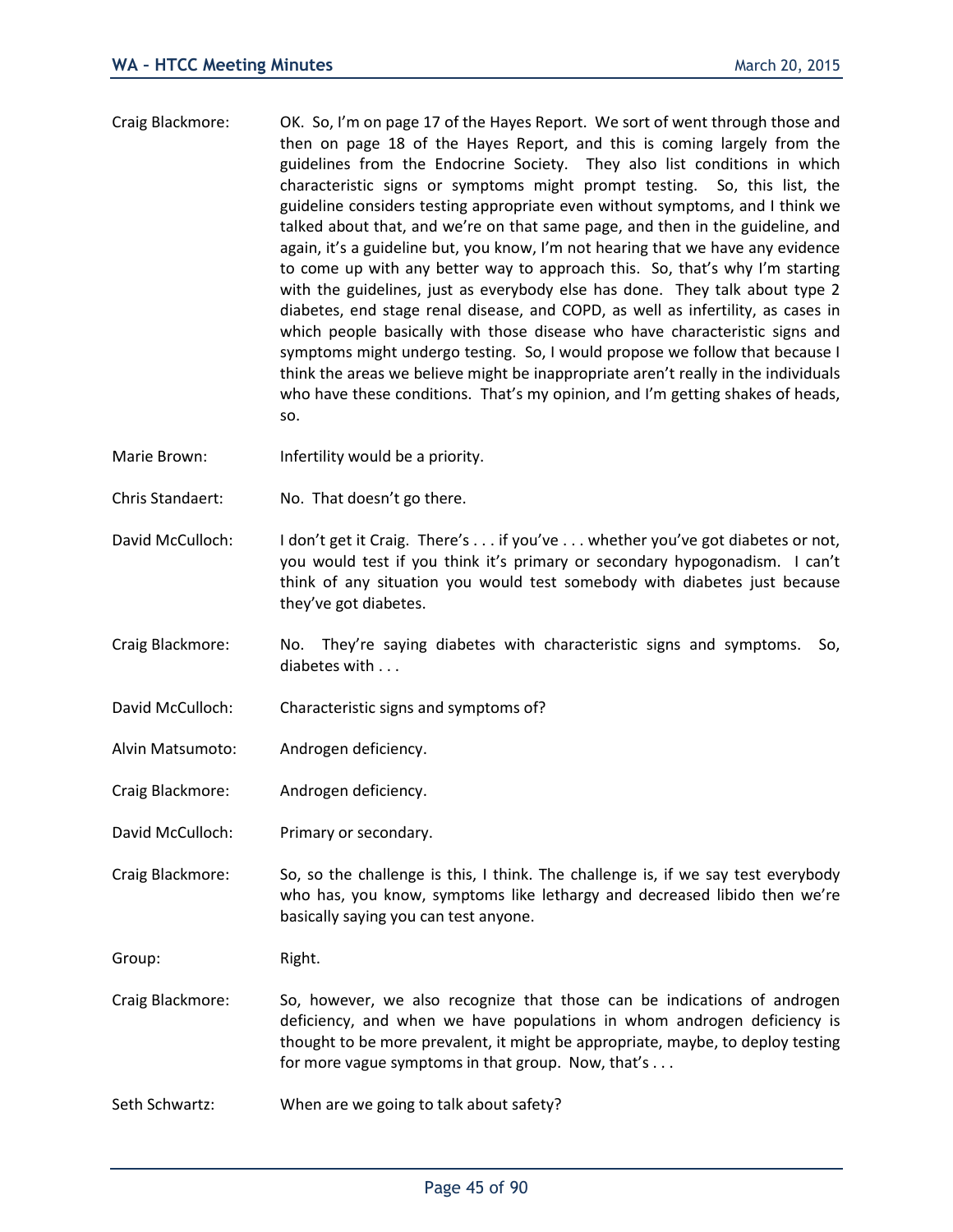- Craig Blackmore: OK. So, I'm on page 17 of the Hayes Report. We sort of went through those and then on page 18 of the Hayes Report, and this is coming largely from the guidelines from the Endocrine Society. They also list conditions in which characteristic signs or symptoms might prompt testing. So, this list, the guideline considers testing appropriate even without symptoms, and I think we talked about that, and we're on that same page, and then in the guideline, and again, it's a guideline but, you know, I'm not hearing that we have any evidence to come up with any better way to approach this. So, that's why I'm starting with the guidelines, just as everybody else has done. They talk about type 2 diabetes, end stage renal disease, and COPD, as well as infertility, as cases in which people basically with those disease who have characteristic signs and symptoms might undergo testing. So, I would propose we follow that because I think the areas we believe might be inappropriate aren't really in the individuals who have these conditions. That's my opinion, and I'm getting shakes of heads, so.
- Marie Brown: Infertility would be a priority.
- Chris Standaert: No. That doesn't go there.
- David McCulloch: I don't get it Craig. There's . . . if you've . . . whether you've got diabetes or not, you would test if you think it's primary or secondary hypogonadism. I can't think of any situation you would test somebody with diabetes just because they've got diabetes.
- Craig Blackmore: No. They're saying diabetes with characteristic signs and symptoms. So, diabetes with . . .
- David McCulloch: Characteristic signs and symptoms of?
- Alvin Matsumoto: Androgen deficiency.
- Craig Blackmore: Androgen deficiency.
- David McCulloch: Primary or secondary.
- Craig Blackmore: So, so the challenge is this, I think. The challenge is, if we say test everybody who has, you know, symptoms like lethargy and decreased libido then we're basically saying you can test anyone.

Group: Right.

- Craig Blackmore: So, however, we also recognize that those can be indications of androgen deficiency, and when we have populations in whom androgen deficiency is thought to be more prevalent, it might be appropriate, maybe, to deploy testing for more vague symptoms in that group. Now, that's ...
- Seth Schwartz: When are we going to talk about safety?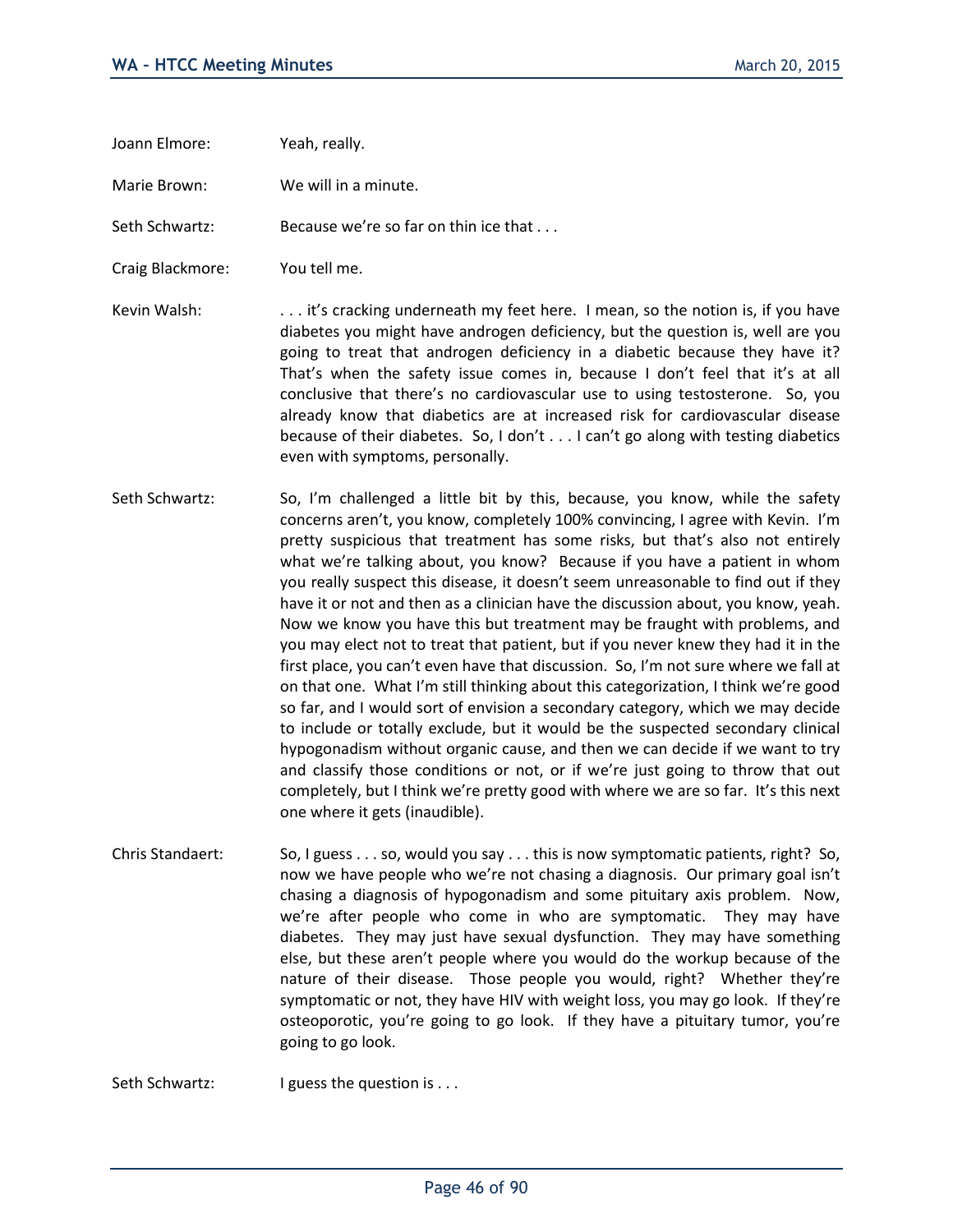| Joann Elmore: | Yeah, really. |
|---------------|---------------|
|---------------|---------------|

Marie Brown: We will in a minute.

Seth Schwartz: Because we're so far on thin ice that . . .

Craig Blackmore: You tell me.

- Kevin Walsh: . . . . it's cracking underneath my feet here. I mean, so the notion is, if you have diabetes you might have androgen deficiency, but the question is, well are you going to treat that androgen deficiency in a diabetic because they have it? That's when the safety issue comes in, because I don't feel that it's at all conclusive that there's no cardiovascular use to using testosterone. So, you already know that diabetics are at increased risk for cardiovascular disease because of their diabetes. So, I don't . . . I can't go along with testing diabetics even with symptoms, personally.
- Seth Schwartz: So, I'm challenged a little bit by this, because, you know, while the safety concerns aren't, you know, completely 100% convincing, I agree with Kevin. I'm pretty suspicious that treatment has some risks, but that's also not entirely what we're talking about, you know? Because if you have a patient in whom you really suspect this disease, it doesn't seem unreasonable to find out if they have it or not and then as a clinician have the discussion about, you know, yeah. Now we know you have this but treatment may be fraught with problems, and you may elect not to treat that patient, but if you never knew they had it in the first place, you can't even have that discussion. So, I'm not sure where we fall at on that one. What I'm still thinking about this categorization, I think we're good so far, and I would sort of envision a secondary category, which we may decide to include or totally exclude, but it would be the suspected secondary clinical hypogonadism without organic cause, and then we can decide if we want to try and classify those conditions or not, or if we're just going to throw that out completely, but I think we're pretty good with where we are so far. It's this next one where it gets (inaudible).
- Chris Standaert: So, I guess . . . so, would you say . . . this is now symptomatic patients, right? So, now we have people who we're not chasing a diagnosis. Our primary goal isn't chasing a diagnosis of hypogonadism and some pituitary axis problem. Now, we're after people who come in who are symptomatic. They may have diabetes. They may just have sexual dysfunction. They may have something else, but these aren't people where you would do the workup because of the nature of their disease. Those people you would, right? Whether they're symptomatic or not, they have HIV with weight loss, you may go look. If they're osteoporotic, you're going to go look. If they have a pituitary tumor, you're going to go look.

Seth Schwartz: I guess the question is . . .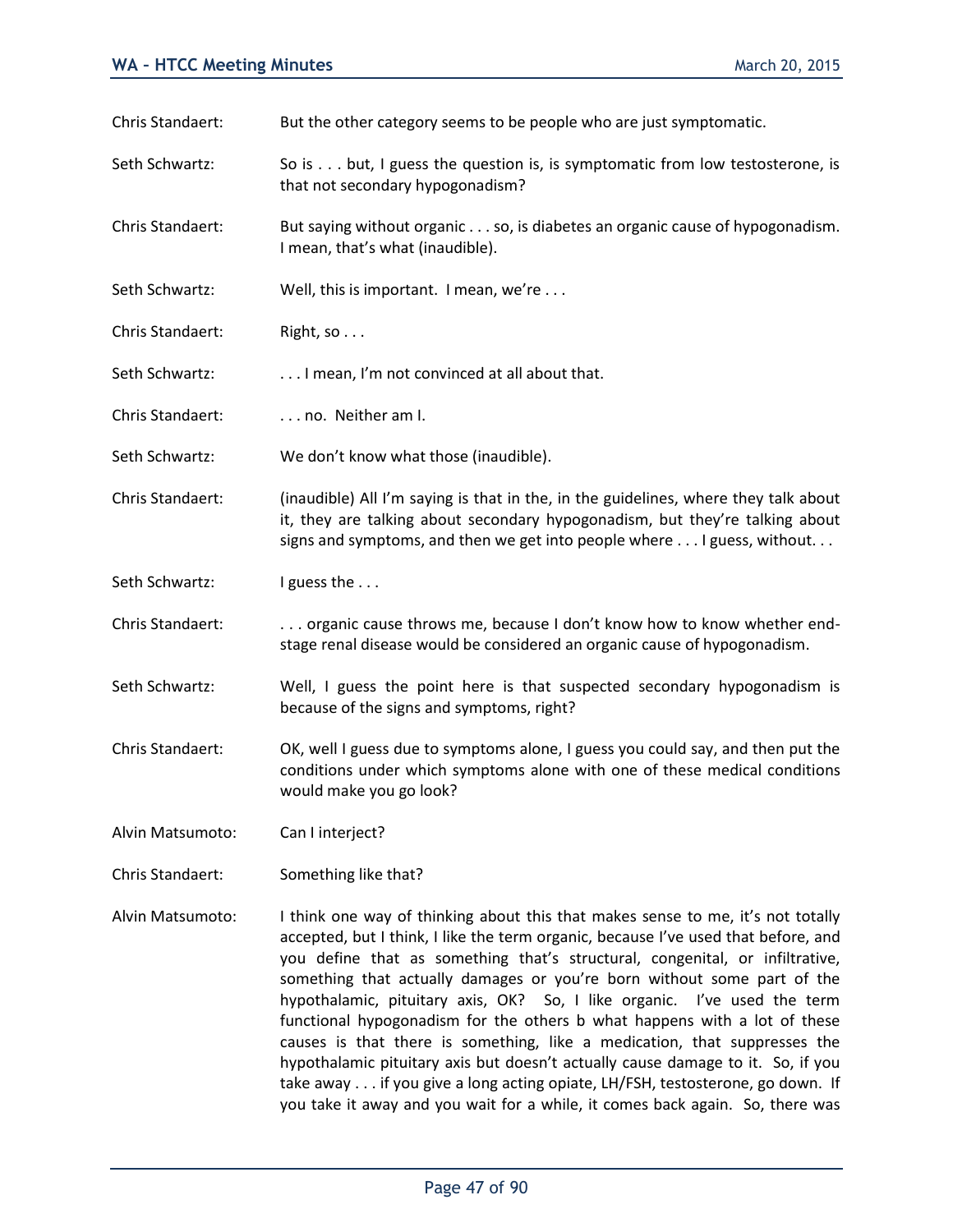Chris Standaert: But the other category seems to be people who are just symptomatic.

- Seth Schwartz: So is . . . but, I guess the question is, is symptomatic from low testosterone, is that not secondary hypogonadism?
- Chris Standaert: But saying without organic . . . so, is diabetes an organic cause of hypogonadism. I mean, that's what (inaudible).
- Seth Schwartz: Well, this is important. I mean, we're ...
- Chris Standaert: Right, so...
- Seth Schwartz: . . . I mean, I'm not convinced at all about that.
- Chris Standaert: . . . no. Neither am I.
- Seth Schwartz: We don't know what those (inaudible).
- Chris Standaert: (inaudible) All I'm saying is that in the, in the guidelines, where they talk about it, they are talking about secondary hypogonadism, but they're talking about signs and symptoms, and then we get into people where . . . I guess, without. . .
- Seth Schwartz: I guess the ...
- Chris Standaert: . . . . . organic cause throws me, because I don't know how to know whether endstage renal disease would be considered an organic cause of hypogonadism.
- Seth Schwartz: Well, I guess the point here is that suspected secondary hypogonadism is because of the signs and symptoms, right?
- Chris Standaert: OK, well I guess due to symptoms alone, I guess you could say, and then put the conditions under which symptoms alone with one of these medical conditions would make you go look?
- Alvin Matsumoto: Can I interject?
- Chris Standaert: Something like that?
- Alvin Matsumoto: I think one way of thinking about this that makes sense to me, it's not totally accepted, but I think, I like the term organic, because I've used that before, and you define that as something that's structural, congenital, or infiltrative, something that actually damages or you're born without some part of the hypothalamic, pituitary axis, OK? So, I like organic. I've used the term functional hypogonadism for the others b what happens with a lot of these causes is that there is something, like a medication, that suppresses the hypothalamic pituitary axis but doesn't actually cause damage to it. So, if you take away . . . if you give a long acting opiate, LH/FSH, testosterone, go down. If you take it away and you wait for a while, it comes back again. So, there was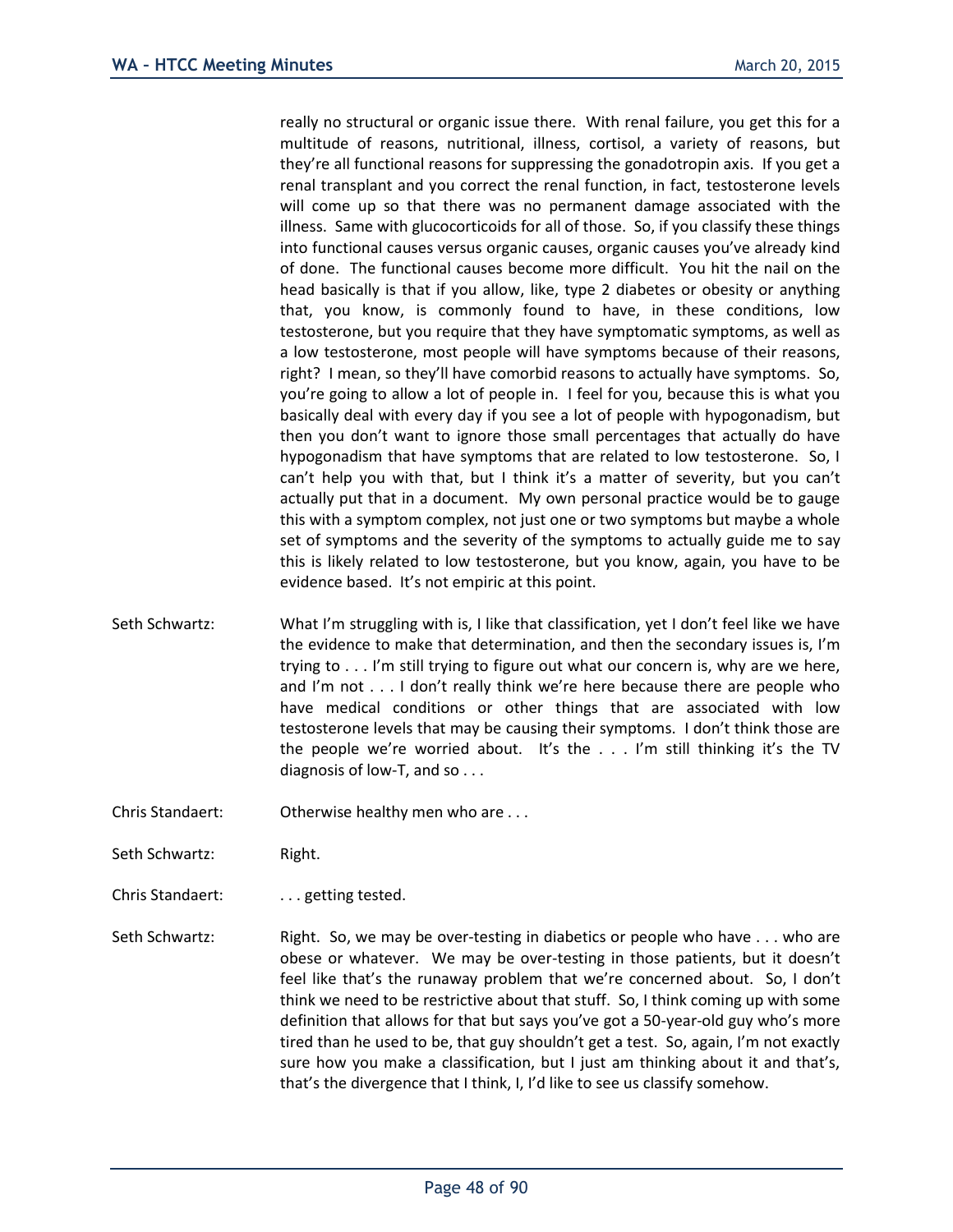really no structural or organic issue there. With renal failure, you get this for a multitude of reasons, nutritional, illness, cortisol, a variety of reasons, but they're all functional reasons for suppressing the gonadotropin axis. If you get a renal transplant and you correct the renal function, in fact, testosterone levels will come up so that there was no permanent damage associated with the illness. Same with glucocorticoids for all of those. So, if you classify these things into functional causes versus organic causes, organic causes you've already kind of done. The functional causes become more difficult. You hit the nail on the head basically is that if you allow, like, type 2 diabetes or obesity or anything that, you know, is commonly found to have, in these conditions, low testosterone, but you require that they have symptomatic symptoms, as well as a low testosterone, most people will have symptoms because of their reasons, right? I mean, so they'll have comorbid reasons to actually have symptoms. So, you're going to allow a lot of people in. I feel for you, because this is what you basically deal with every day if you see a lot of people with hypogonadism, but then you don't want to ignore those small percentages that actually do have hypogonadism that have symptoms that are related to low testosterone. So, I can't help you with that, but I think it's a matter of severity, but you can't actually put that in a document. My own personal practice would be to gauge this with a symptom complex, not just one or two symptoms but maybe a whole set of symptoms and the severity of the symptoms to actually guide me to say this is likely related to low testosterone, but you know, again, you have to be evidence based. It's not empiric at this point.

- Seth Schwartz: What I'm struggling with is, I like that classification, yet I don't feel like we have the evidence to make that determination, and then the secondary issues is, I'm trying to . . . I'm still trying to figure out what our concern is, why are we here, and I'm not . . . I don't really think we're here because there are people who have medical conditions or other things that are associated with low testosterone levels that may be causing their symptoms. I don't think those are the people we're worried about. It's the . . . I'm still thinking it's the TV diagnosis of low-T, and so . . .
- Chris Standaert: Otherwise healthy men who are . . .
- Seth Schwartz: Right.
- Chris Standaert: . . . getting tested.
- Seth Schwartz: Right. So, we may be over-testing in diabetics or people who have . . . who are obese or whatever. We may be over-testing in those patients, but it doesn't feel like that's the runaway problem that we're concerned about. So, I don't think we need to be restrictive about that stuff. So, I think coming up with some definition that allows for that but says you've got a 50-year-old guy who's more tired than he used to be, that guy shouldn't get a test. So, again, I'm not exactly sure how you make a classification, but I just am thinking about it and that's, that's the divergence that I think, I, I'd like to see us classify somehow.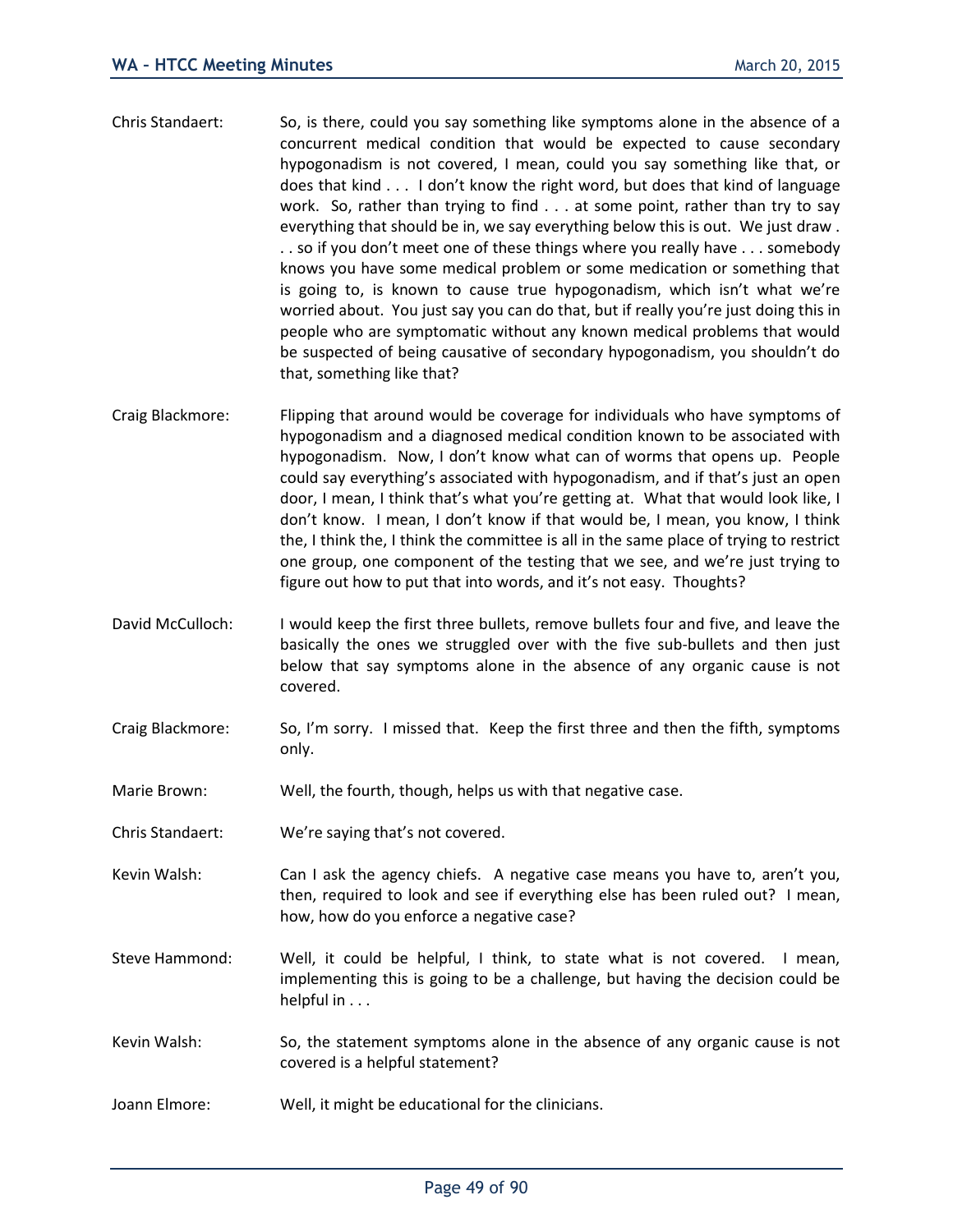- Chris Standaert: So, is there, could you say something like symptoms alone in the absence of a concurrent medical condition that would be expected to cause secondary hypogonadism is not covered, I mean, could you say something like that, or does that kind . . . I don't know the right word, but does that kind of language work. So, rather than trying to find . . . at some point, rather than try to say everything that should be in, we say everything below this is out. We just draw . . . so if you don't meet one of these things where you really have . . . somebody knows you have some medical problem or some medication or something that is going to, is known to cause true hypogonadism, which isn't what we're worried about. You just say you can do that, but if really you're just doing this in people who are symptomatic without any known medical problems that would be suspected of being causative of secondary hypogonadism, you shouldn't do that, something like that?
- Craig Blackmore: Flipping that around would be coverage for individuals who have symptoms of hypogonadism and a diagnosed medical condition known to be associated with hypogonadism. Now, I don't know what can of worms that opens up. People could say everything's associated with hypogonadism, and if that's just an open door, I mean, I think that's what you're getting at. What that would look like, I don't know. I mean, I don't know if that would be, I mean, you know, I think the, I think the, I think the committee is all in the same place of trying to restrict one group, one component of the testing that we see, and we're just trying to figure out how to put that into words, and it's not easy. Thoughts?
- David McCulloch: I would keep the first three bullets, remove bullets four and five, and leave the basically the ones we struggled over with the five sub-bullets and then just below that say symptoms alone in the absence of any organic cause is not covered.
- Craig Blackmore: So, I'm sorry. I missed that. Keep the first three and then the fifth, symptoms only.
- Marie Brown: Well, the fourth, though, helps us with that negative case.
- Chris Standaert: We're saying that's not covered.
- Kevin Walsh: Can I ask the agency chiefs. A negative case means you have to, aren't you, then, required to look and see if everything else has been ruled out? I mean, how, how do you enforce a negative case?
- Steve Hammond: Well, it could be helpful, I think, to state what is not covered. I mean, implementing this is going to be a challenge, but having the decision could be helpful in . . .
- Kevin Walsh: So, the statement symptoms alone in the absence of any organic cause is not covered is a helpful statement?
- Joann Elmore: Well, it might be educational for the clinicians.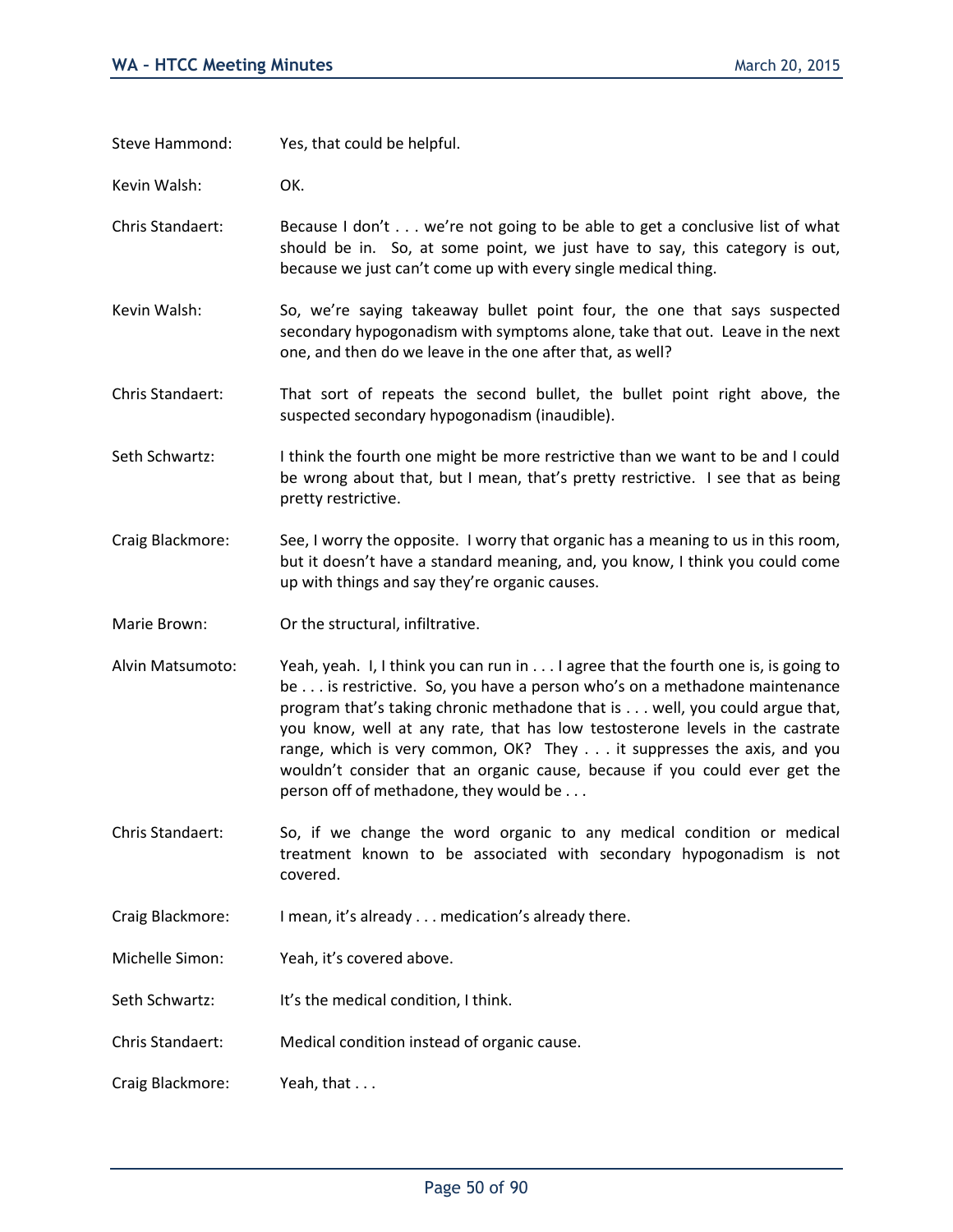Steve Hammond: Yes, that could be helpful.

Kevin Walsh: OK.

Chris Standaert: Because I don't . . . we're not going to be able to get a conclusive list of what should be in. So, at some point, we just have to say, this category is out, because we just can't come up with every single medical thing.

- Kevin Walsh: So, we're saying takeaway bullet point four, the one that says suspected secondary hypogonadism with symptoms alone, take that out. Leave in the next one, and then do we leave in the one after that, as well?
- Chris Standaert: That sort of repeats the second bullet, the bullet point right above, the suspected secondary hypogonadism (inaudible).
- Seth Schwartz: I think the fourth one might be more restrictive than we want to be and I could be wrong about that, but I mean, that's pretty restrictive. I see that as being pretty restrictive.
- Craig Blackmore: See, I worry the opposite. I worry that organic has a meaning to us in this room, but it doesn't have a standard meaning, and, you know, I think you could come up with things and say they're organic causes.
- Marie Brown: Or the structural, infiltrative.
- Alvin Matsumoto: Yeah, yeah. I, I think you can run in . . . I agree that the fourth one is, is going to be . . . is restrictive. So, you have a person who's on a methadone maintenance program that's taking chronic methadone that is . . . well, you could argue that, you know, well at any rate, that has low testosterone levels in the castrate range, which is very common, OK? They . . . it suppresses the axis, and you wouldn't consider that an organic cause, because if you could ever get the person off of methadone, they would be . . .
- Chris Standaert: So, if we change the word organic to any medical condition or medical treatment known to be associated with secondary hypogonadism is not covered.
- Craig Blackmore: I mean, it's already . . . medication's already there.
- Michelle Simon: Yeah, it's covered above.
- Seth Schwartz: It's the medical condition, I think.
- Chris Standaert: Medical condition instead of organic cause.
- Craig Blackmore: Yeah, that ...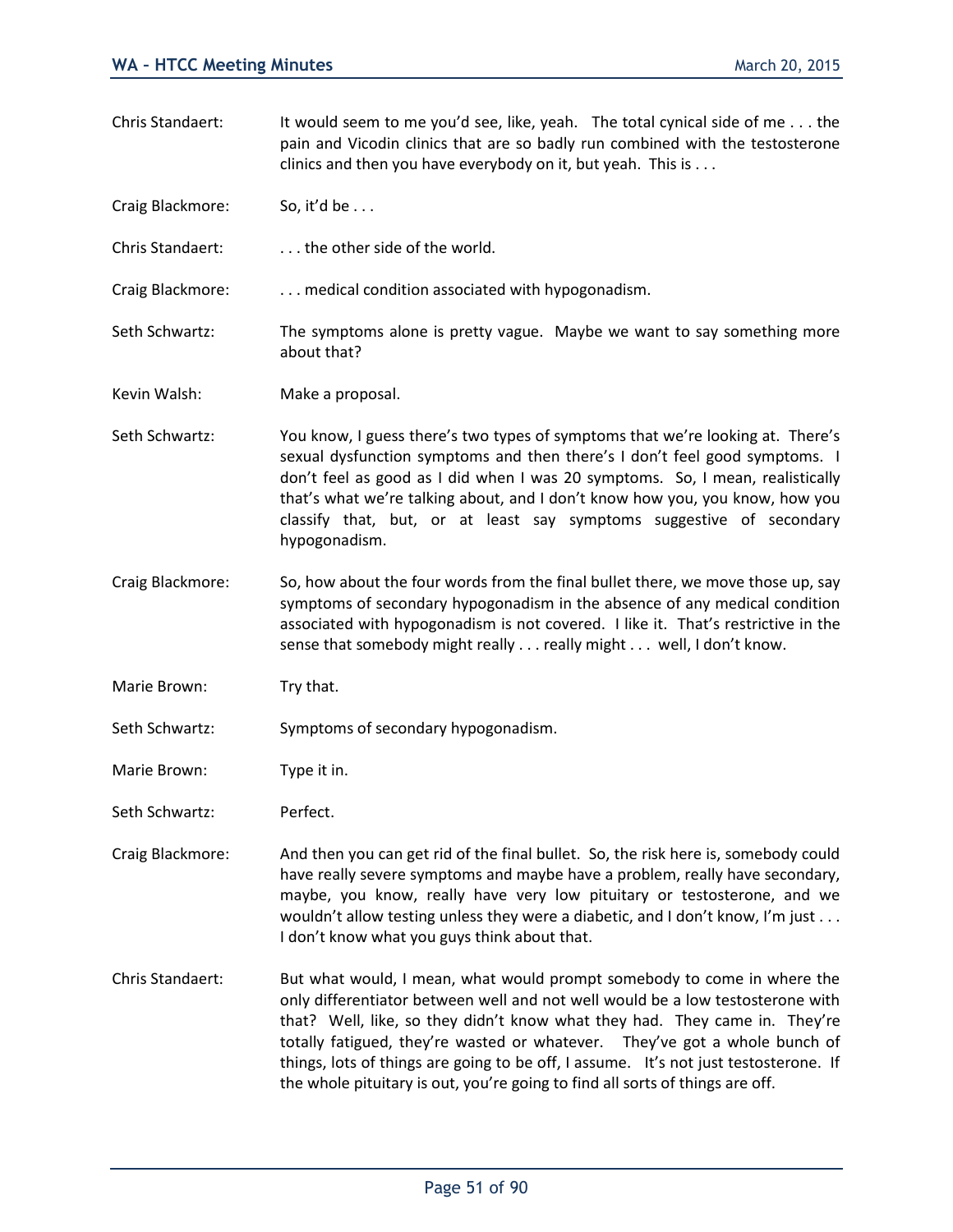- Chris Standaert: It would seem to me you'd see, like, yeah. The total cynical side of me  $\dots$  the pain and Vicodin clinics that are so badly run combined with the testosterone clinics and then you have everybody on it, but yeah. This is . . .
- Craig Blackmore: So, it'd be . . .
- Chris Standaert: . . . . . the other side of the world.

Craig Blackmore: . . . . . . medical condition associated with hypogonadism.

- Seth Schwartz: The symptoms alone is pretty vague. Maybe we want to say something more about that?
- Kevin Walsh: Make a proposal.
- Seth Schwartz: You know, I guess there's two types of symptoms that we're looking at. There's sexual dysfunction symptoms and then there's I don't feel good symptoms. I don't feel as good as I did when I was 20 symptoms. So, I mean, realistically that's what we're talking about, and I don't know how you, you know, how you classify that, but, or at least say symptoms suggestive of secondary hypogonadism.
- Craig Blackmore: So, how about the four words from the final bullet there, we move those up, say symptoms of secondary hypogonadism in the absence of any medical condition associated with hypogonadism is not covered. I like it. That's restrictive in the sense that somebody might really . . . really might . . . well, I don't know.
- Marie Brown: Try that.
- Seth Schwartz: Symptoms of secondary hypogonadism.
- Marie Brown: Type it in.
- Seth Schwartz: Perfect.
- Craig Blackmore: And then you can get rid of the final bullet. So, the risk here is, somebody could have really severe symptoms and maybe have a problem, really have secondary, maybe, you know, really have very low pituitary or testosterone, and we wouldn't allow testing unless they were a diabetic, and I don't know, I'm just . . . I don't know what you guys think about that.
- Chris Standaert: But what would, I mean, what would prompt somebody to come in where the only differentiator between well and not well would be a low testosterone with that? Well, like, so they didn't know what they had. They came in. They're totally fatigued, they're wasted or whatever. They've got a whole bunch of things, lots of things are going to be off, I assume. It's not just testosterone. If the whole pituitary is out, you're going to find all sorts of things are off.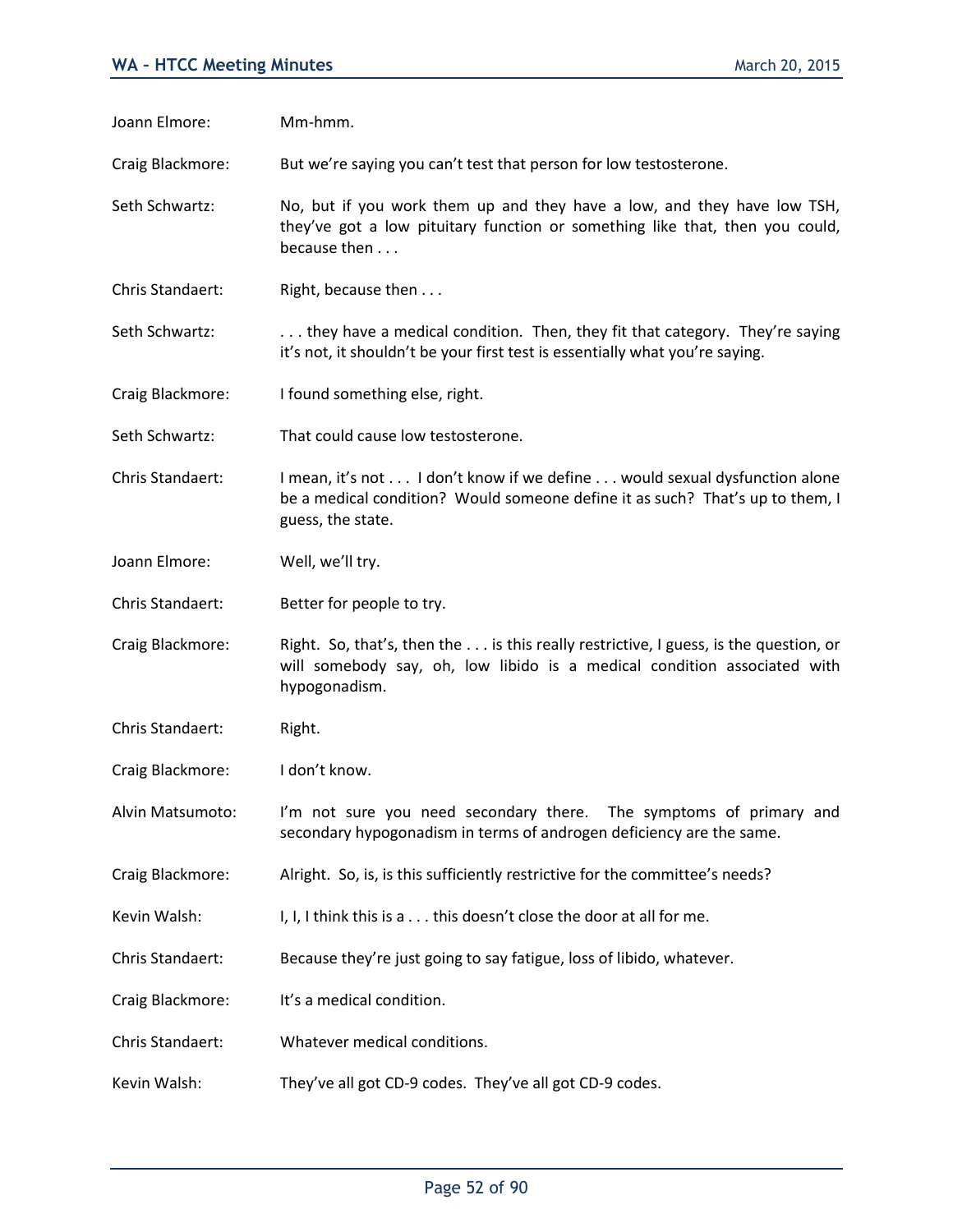| Joann Elmore:    | Mm-hmm.                                                                                                                                                                           |
|------------------|-----------------------------------------------------------------------------------------------------------------------------------------------------------------------------------|
| Craig Blackmore: | But we're saying you can't test that person for low testosterone.                                                                                                                 |
| Seth Schwartz:   | No, but if you work them up and they have a low, and they have low TSH,<br>they've got a low pituitary function or something like that, then you could,<br>because then           |
| Chris Standaert: | Right, because then                                                                                                                                                               |
| Seth Schwartz:   | they have a medical condition. Then, they fit that category. They're saying<br>it's not, it shouldn't be your first test is essentially what you're saying.                       |
| Craig Blackmore: | I found something else, right.                                                                                                                                                    |
| Seth Schwartz:   | That could cause low testosterone.                                                                                                                                                |
| Chris Standaert: | I mean, it's not I don't know if we define would sexual dysfunction alone<br>be a medical condition? Would someone define it as such? That's up to them, I<br>guess, the state.   |
| Joann Elmore:    | Well, we'll try.                                                                                                                                                                  |
| Chris Standaert: | Better for people to try.                                                                                                                                                         |
| Craig Blackmore: | Right. So, that's, then the is this really restrictive, I guess, is the question, or<br>will somebody say, oh, low libido is a medical condition associated with<br>hypogonadism. |
| Chris Standaert: | Right.                                                                                                                                                                            |
| Craig Blackmore: | I don't know.                                                                                                                                                                     |
| Alvin Matsumoto: | I'm not sure you need secondary there. The symptoms of primary and<br>secondary hypogonadism in terms of androgen deficiency are the same.                                        |
| Craig Blackmore: | Alright. So, is, is this sufficiently restrictive for the committee's needs?                                                                                                      |
| Kevin Walsh:     | I, I, I think this is a this doesn't close the door at all for me.                                                                                                                |
| Chris Standaert: | Because they're just going to say fatigue, loss of libido, whatever.                                                                                                              |
| Craig Blackmore: | It's a medical condition.                                                                                                                                                         |
| Chris Standaert: | Whatever medical conditions.                                                                                                                                                      |
| Kevin Walsh:     | They've all got CD-9 codes. They've all got CD-9 codes.                                                                                                                           |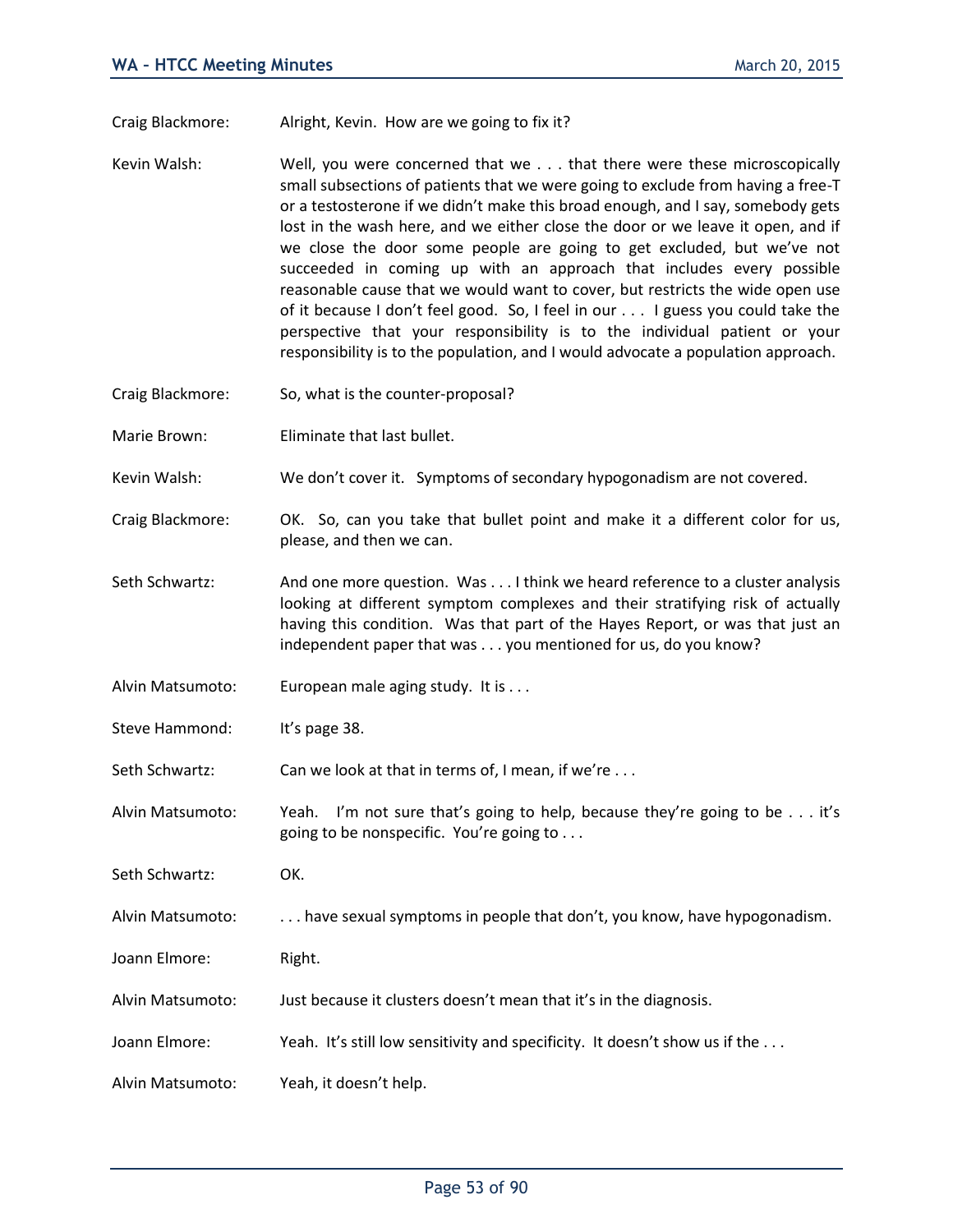Craig Blackmore: Alright, Kevin. How are we going to fix it?

- Kevin Walsh: Well, you were concerned that we . . . that there were these microscopically small subsections of patients that we were going to exclude from having a free-T or a testosterone if we didn't make this broad enough, and I say, somebody gets lost in the wash here, and we either close the door or we leave it open, and if we close the door some people are going to get excluded, but we've not succeeded in coming up with an approach that includes every possible reasonable cause that we would want to cover, but restricts the wide open use of it because I don't feel good. So, I feel in our . . . I guess you could take the perspective that your responsibility is to the individual patient or your responsibility is to the population, and I would advocate a population approach.
- Craig Blackmore: So, what is the counter-proposal?
- Marie Brown: Eliminate that last bullet.
- Kevin Walsh: We don't cover it. Symptoms of secondary hypogonadism are not covered.
- Craig Blackmore: OK. So, can you take that bullet point and make it a different color for us, please, and then we can.
- Seth Schwartz: And one more question. Was . . . I think we heard reference to a cluster analysis looking at different symptom complexes and their stratifying risk of actually having this condition. Was that part of the Hayes Report, or was that just an independent paper that was . . . you mentioned for us, do you know?
- Alvin Matsumoto: European male aging study. It is . . .
- Steve Hammond: It's page 38.
- Seth Schwartz: Can we look at that in terms of, I mean, if we're ...
- Alvin Matsumoto: Yeah. I'm not sure that's going to help, because they're going to be . . . it's going to be nonspecific. You're going to . . .
- Seth Schwartz: OK.
- Alvin Matsumoto: . . . have sexual symptoms in people that don't, you know, have hypogonadism.
- Joann Elmore: Right.
- Alvin Matsumoto: Just because it clusters doesn't mean that it's in the diagnosis.
- Joann Elmore: Yeah. It's still low sensitivity and specificity. It doesn't show us if the ...
- Alvin Matsumoto: Yeah, it doesn't help.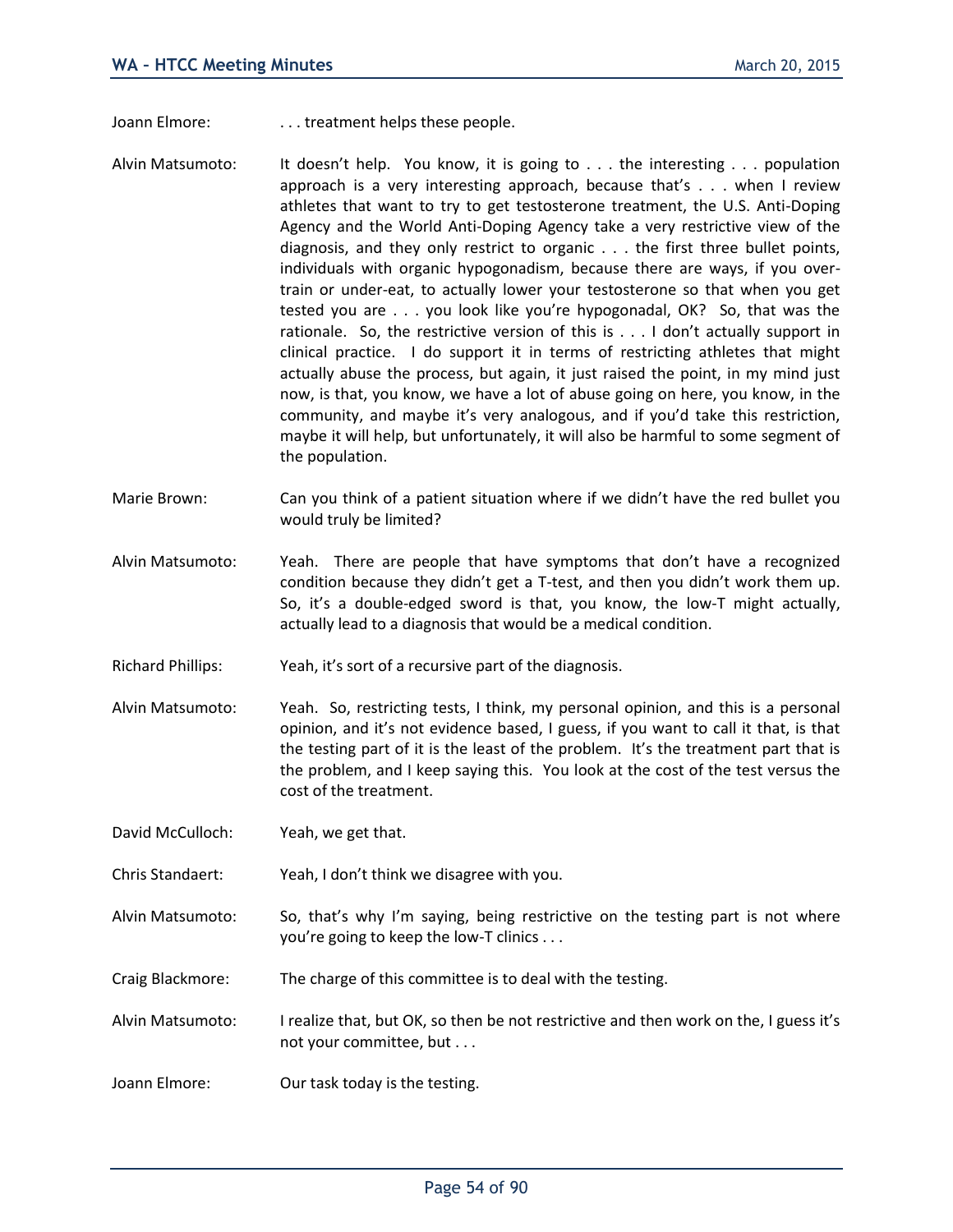- Joann Elmore: ... treatment helps these people.
- Alvin Matsumoto: It doesn't help. You know, it is going to . . . the interesting . . . population approach is a very interesting approach, because that's . . . when I review athletes that want to try to get testosterone treatment, the U.S. Anti-Doping Agency and the World Anti-Doping Agency take a very restrictive view of the diagnosis, and they only restrict to organic . . . the first three bullet points, individuals with organic hypogonadism, because there are ways, if you overtrain or under-eat, to actually lower your testosterone so that when you get tested you are . . . you look like you're hypogonadal, OK? So, that was the rationale. So, the restrictive version of this is  $\dots$  I don't actually support in clinical practice. I do support it in terms of restricting athletes that might actually abuse the process, but again, it just raised the point, in my mind just now, is that, you know, we have a lot of abuse going on here, you know, in the community, and maybe it's very analogous, and if you'd take this restriction, maybe it will help, but unfortunately, it will also be harmful to some segment of the population.
- Marie Brown: Can you think of a patient situation where if we didn't have the red bullet you would truly be limited?
- Alvin Matsumoto: Yeah. There are people that have symptoms that don't have a recognized condition because they didn't get a T-test, and then you didn't work them up. So, it's a double-edged sword is that, you know, the low-T might actually, actually lead to a diagnosis that would be a medical condition.
- Richard Phillips: Yeah, it's sort of a recursive part of the diagnosis.
- Alvin Matsumoto: Yeah. So, restricting tests, I think, my personal opinion, and this is a personal opinion, and it's not evidence based, I guess, if you want to call it that, is that the testing part of it is the least of the problem. It's the treatment part that is the problem, and I keep saying this. You look at the cost of the test versus the cost of the treatment.
- David McCulloch: Yeah, we get that.
- Chris Standaert: Yeah, I don't think we disagree with you.
- Alvin Matsumoto: So, that's why I'm saying, being restrictive on the testing part is not where you're going to keep the low-T clinics . . .
- Craig Blackmore: The charge of this committee is to deal with the testing.
- Alvin Matsumoto: I realize that, but OK, so then be not restrictive and then work on the, I guess it's not your committee, but . . .
- Joann Elmore: Our task today is the testing.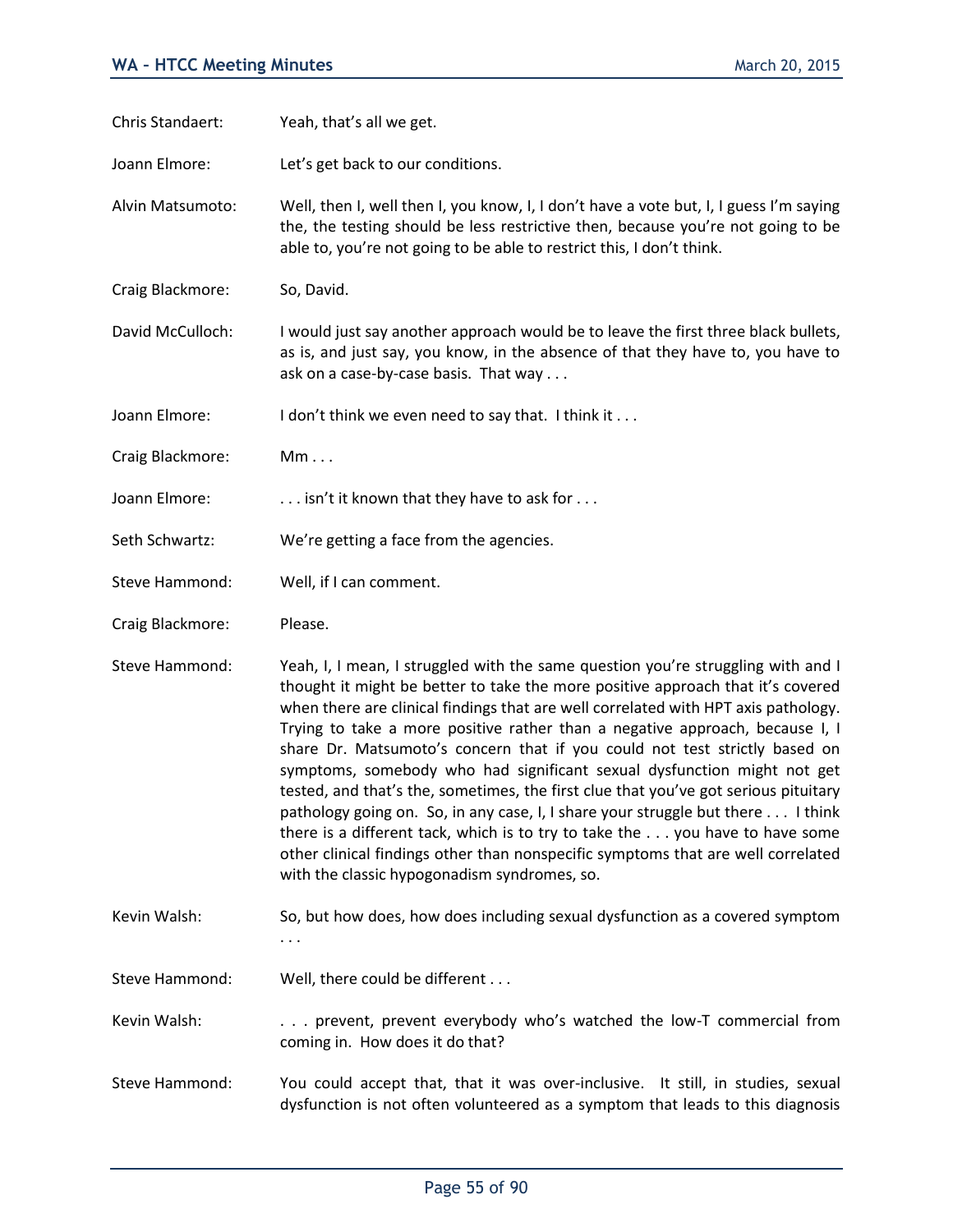| Chris Standaert:      | Yeah, that's all we get.                                                                                                                                                                                                                                                                                                                                                                                                                                                                                                                                                                                                                                                                                                                                                                                                                                                                                  |
|-----------------------|-----------------------------------------------------------------------------------------------------------------------------------------------------------------------------------------------------------------------------------------------------------------------------------------------------------------------------------------------------------------------------------------------------------------------------------------------------------------------------------------------------------------------------------------------------------------------------------------------------------------------------------------------------------------------------------------------------------------------------------------------------------------------------------------------------------------------------------------------------------------------------------------------------------|
| Joann Elmore:         | Let's get back to our conditions.                                                                                                                                                                                                                                                                                                                                                                                                                                                                                                                                                                                                                                                                                                                                                                                                                                                                         |
| Alvin Matsumoto:      | Well, then I, well then I, you know, I, I don't have a vote but, I, I guess I'm saying<br>the, the testing should be less restrictive then, because you're not going to be<br>able to, you're not going to be able to restrict this, I don't think.                                                                                                                                                                                                                                                                                                                                                                                                                                                                                                                                                                                                                                                       |
| Craig Blackmore:      | So, David.                                                                                                                                                                                                                                                                                                                                                                                                                                                                                                                                                                                                                                                                                                                                                                                                                                                                                                |
| David McCulloch:      | I would just say another approach would be to leave the first three black bullets,<br>as is, and just say, you know, in the absence of that they have to, you have to<br>ask on a case-by-case basis. That way                                                                                                                                                                                                                                                                                                                                                                                                                                                                                                                                                                                                                                                                                            |
| Joann Elmore:         | I don't think we even need to say that. I think it                                                                                                                                                                                                                                                                                                                                                                                                                                                                                                                                                                                                                                                                                                                                                                                                                                                        |
| Craig Blackmore:      | Mm                                                                                                                                                                                                                                                                                                                                                                                                                                                                                                                                                                                                                                                                                                                                                                                                                                                                                                        |
| Joann Elmore:         | isn't it known that they have to ask for                                                                                                                                                                                                                                                                                                                                                                                                                                                                                                                                                                                                                                                                                                                                                                                                                                                                  |
| Seth Schwartz:        | We're getting a face from the agencies.                                                                                                                                                                                                                                                                                                                                                                                                                                                                                                                                                                                                                                                                                                                                                                                                                                                                   |
| Steve Hammond:        | Well, if I can comment.                                                                                                                                                                                                                                                                                                                                                                                                                                                                                                                                                                                                                                                                                                                                                                                                                                                                                   |
| Craig Blackmore:      | Please.                                                                                                                                                                                                                                                                                                                                                                                                                                                                                                                                                                                                                                                                                                                                                                                                                                                                                                   |
| Steve Hammond:        | Yeah, I, I mean, I struggled with the same question you're struggling with and I<br>thought it might be better to take the more positive approach that it's covered<br>when there are clinical findings that are well correlated with HPT axis pathology.<br>Trying to take a more positive rather than a negative approach, because I, I<br>share Dr. Matsumoto's concern that if you could not test strictly based on<br>symptoms, somebody who had significant sexual dysfunction might not get<br>tested, and that's the, sometimes, the first clue that you've got serious pituitary<br>pathology going on. So, in any case, I, I share your struggle but there I think<br>there is a different tack, which is to try to take the $\ldots$ you have to have some<br>other clinical findings other than nonspecific symptoms that are well correlated<br>with the classic hypogonadism syndromes, so. |
| Kevin Walsh:          | So, but how does, how does including sexual dysfunction as a covered symptom                                                                                                                                                                                                                                                                                                                                                                                                                                                                                                                                                                                                                                                                                                                                                                                                                              |
| <b>Steve Hammond:</b> | Well, there could be different                                                                                                                                                                                                                                                                                                                                                                                                                                                                                                                                                                                                                                                                                                                                                                                                                                                                            |
| Kevin Walsh:          | prevent, prevent everybody who's watched the low-T commercial from<br>coming in. How does it do that?                                                                                                                                                                                                                                                                                                                                                                                                                                                                                                                                                                                                                                                                                                                                                                                                     |
| Steve Hammond:        | You could accept that, that it was over-inclusive. It still, in studies, sexual<br>dysfunction is not often volunteered as a symptom that leads to this diagnosis                                                                                                                                                                                                                                                                                                                                                                                                                                                                                                                                                                                                                                                                                                                                         |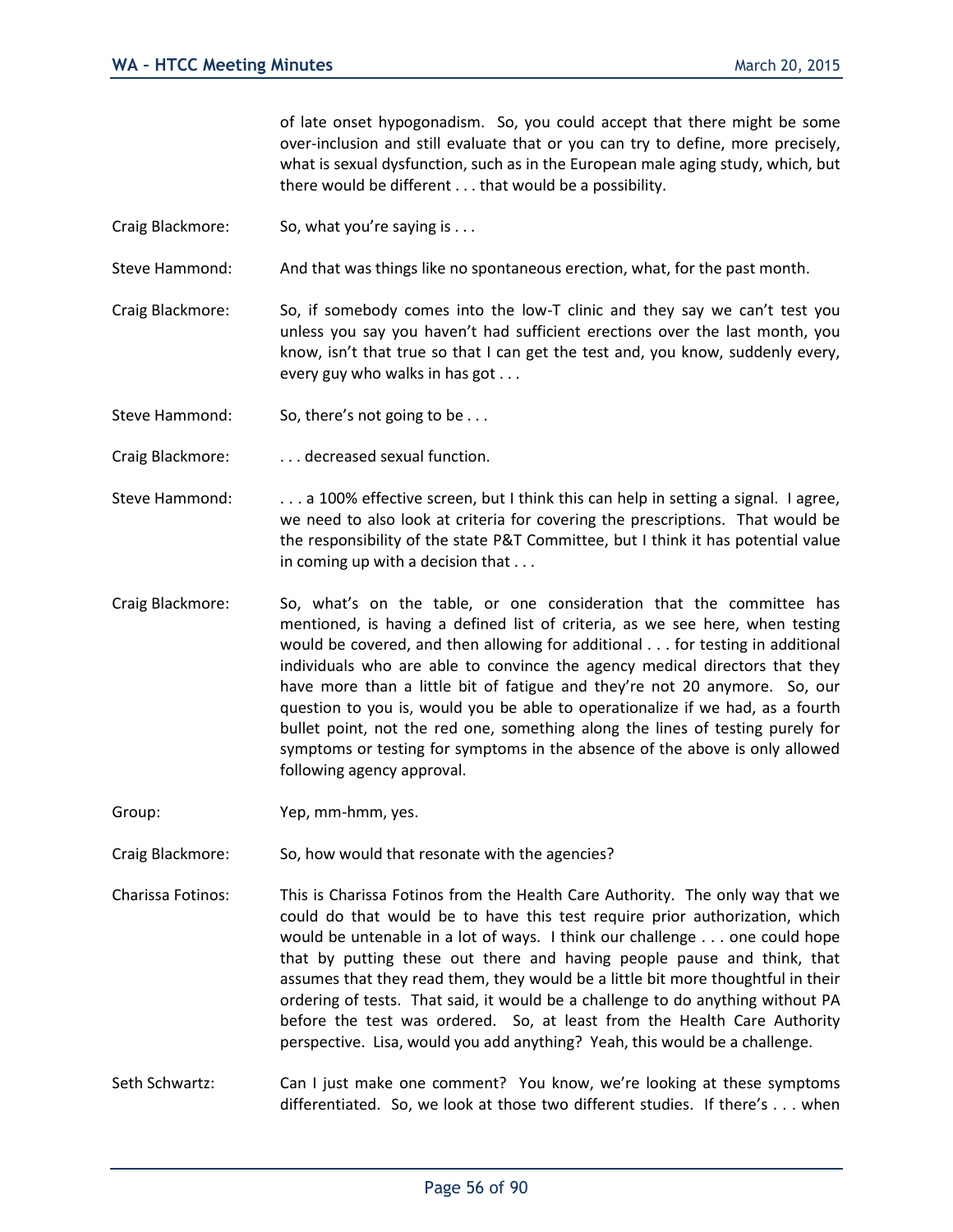of late onset hypogonadism. So, you could accept that there might be some over-inclusion and still evaluate that or you can try to define, more precisely, what is sexual dysfunction, such as in the European male aging study, which, but there would be different . . . that would be a possibility.

Craig Blackmore: So, what you're saying is . . .

Steve Hammond: And that was things like no spontaneous erection, what, for the past month.

Craig Blackmore: So, if somebody comes into the low-T clinic and they say we can't test you unless you say you haven't had sufficient erections over the last month, you know, isn't that true so that I can get the test and, you know, suddenly every, every guy who walks in has got . . .

Steve Hammond: So, there's not going to be . . .

Craig Blackmore: . . . decreased sexual function.

- Steve Hammond: . . . . a 100% effective screen, but I think this can help in setting a signal. I agree, we need to also look at criteria for covering the prescriptions. That would be the responsibility of the state P&T Committee, but I think it has potential value in coming up with a decision that . . .
- Craig Blackmore: So, what's on the table, or one consideration that the committee has mentioned, is having a defined list of criteria, as we see here, when testing would be covered, and then allowing for additional . . . for testing in additional individuals who are able to convince the agency medical directors that they have more than a little bit of fatigue and they're not 20 anymore. So, our question to you is, would you be able to operationalize if we had, as a fourth bullet point, not the red one, something along the lines of testing purely for symptoms or testing for symptoms in the absence of the above is only allowed following agency approval.

Group: Yep, mm-hmm, yes.

- Craig Blackmore: So, how would that resonate with the agencies?
- Charissa Fotinos: This is Charissa Fotinos from the Health Care Authority. The only way that we could do that would be to have this test require prior authorization, which would be untenable in a lot of ways. I think our challenge . . . one could hope that by putting these out there and having people pause and think, that assumes that they read them, they would be a little bit more thoughtful in their ordering of tests. That said, it would be a challenge to do anything without PA before the test was ordered. So, at least from the Health Care Authority perspective. Lisa, would you add anything? Yeah, this would be a challenge.
- Seth Schwartz: Can I just make one comment? You know, we're looking at these symptoms differentiated. So, we look at those two different studies. If there's . . . when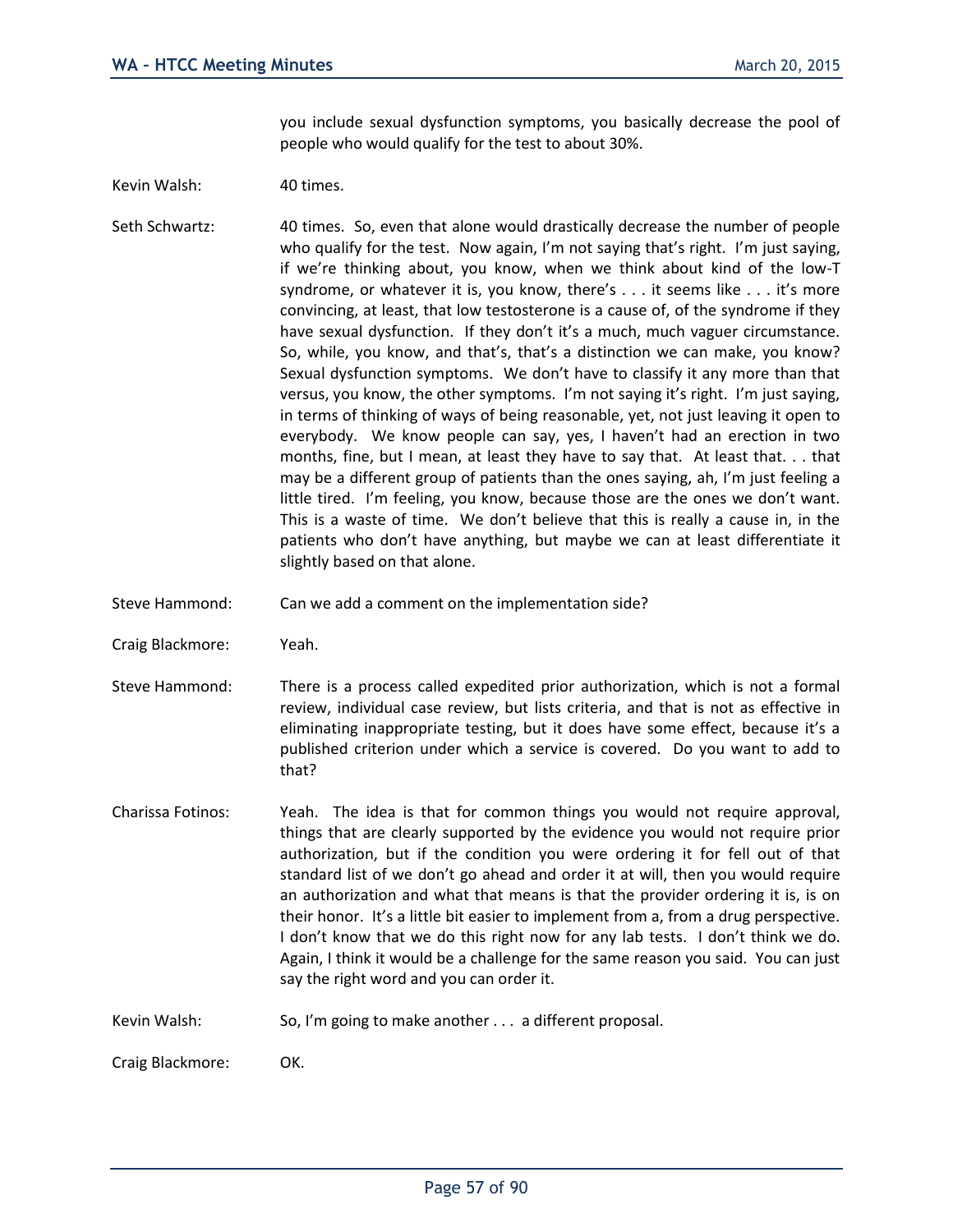you include sexual dysfunction symptoms, you basically decrease the pool of people who would qualify for the test to about 30%.

Kevin Walsh: 40 times.

Seth Schwartz: 40 times. So, even that alone would drastically decrease the number of people who qualify for the test. Now again, I'm not saying that's right. I'm just saying, if we're thinking about, you know, when we think about kind of the low-T syndrome, or whatever it is, you know, there's . . . it seems like . . . it's more convincing, at least, that low testosterone is a cause of, of the syndrome if they have sexual dysfunction. If they don't it's a much, much vaguer circumstance. So, while, you know, and that's, that's a distinction we can make, you know? Sexual dysfunction symptoms. We don't have to classify it any more than that versus, you know, the other symptoms. I'm not saying it's right. I'm just saying, in terms of thinking of ways of being reasonable, yet, not just leaving it open to everybody. We know people can say, yes, I haven't had an erection in two months, fine, but I mean, at least they have to say that. At least that. . . that may be a different group of patients than the ones saying, ah, I'm just feeling a little tired. I'm feeling, you know, because those are the ones we don't want. This is a waste of time. We don't believe that this is really a cause in, in the patients who don't have anything, but maybe we can at least differentiate it slightly based on that alone.

- Steve Hammond: Can we add a comment on the implementation side?
- Craig Blackmore: Yeah.
- Steve Hammond: There is a process called expedited prior authorization, which is not a formal review, individual case review, but lists criteria, and that is not as effective in eliminating inappropriate testing, but it does have some effect, because it's a published criterion under which a service is covered. Do you want to add to that?
- Charissa Fotinos: Yeah. The idea is that for common things you would not require approval, things that are clearly supported by the evidence you would not require prior authorization, but if the condition you were ordering it for fell out of that standard list of we don't go ahead and order it at will, then you would require an authorization and what that means is that the provider ordering it is, is on their honor. It's a little bit easier to implement from a, from a drug perspective. I don't know that we do this right now for any lab tests. I don't think we do. Again, I think it would be a challenge for the same reason you said. You can just say the right word and you can order it.
- Kevin Walsh: So, I'm going to make another . . . a different proposal.

Craig Blackmore: OK.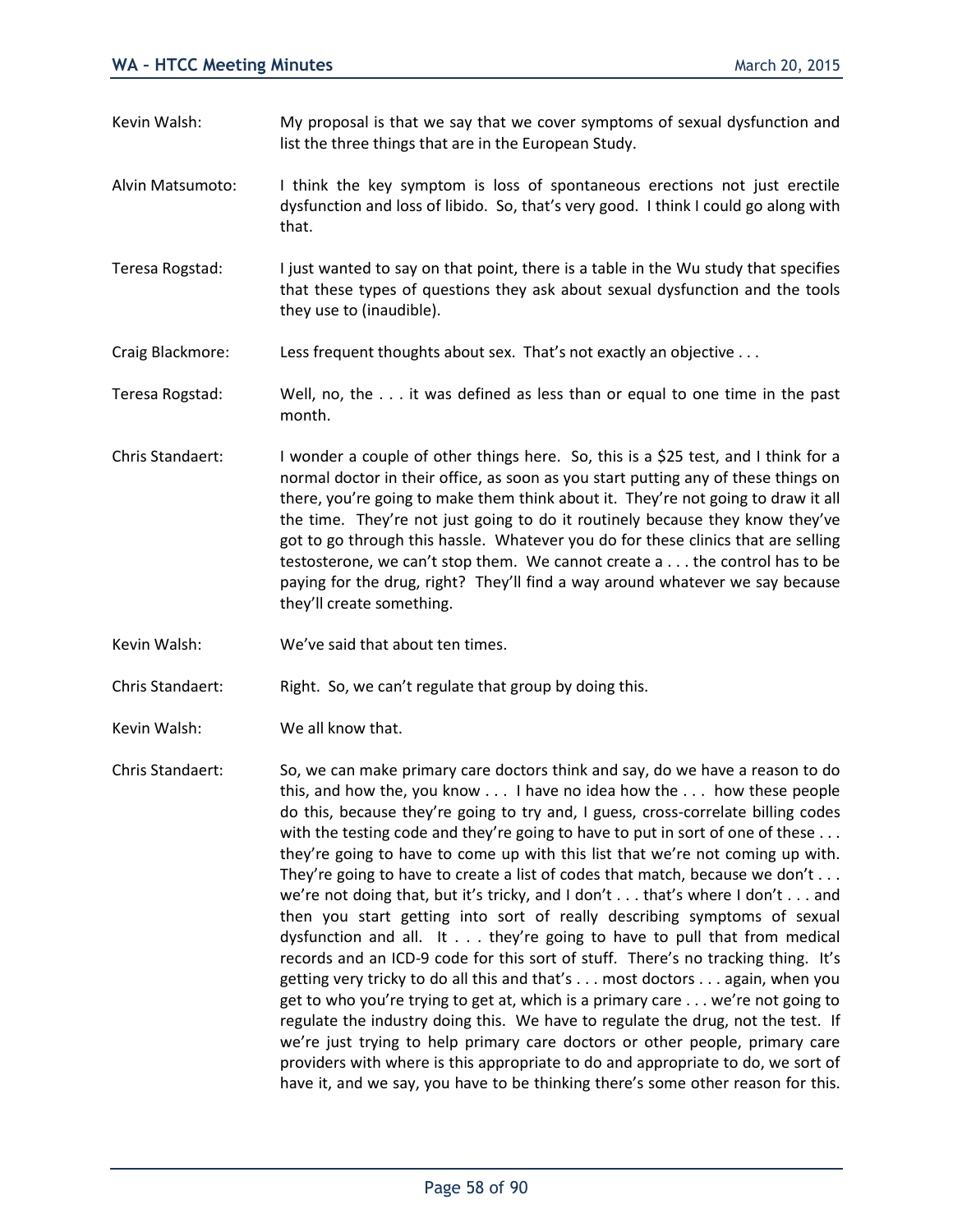- Kevin Walsh: My proposal is that we say that we cover symptoms of sexual dysfunction and list the three things that are in the European Study.
- Alvin Matsumoto: I think the key symptom is loss of spontaneous erections not just erectile dysfunction and loss of libido. So, that's very good. I think I could go along with that.
- Teresa Rogstad: I just wanted to say on that point, there is a table in the Wu study that specifies that these types of questions they ask about sexual dysfunction and the tools they use to (inaudible).
- Craig Blackmore: Less frequent thoughts about sex. That's not exactly an objective ...
- Teresa Rogstad: Well, no, the . . . it was defined as less than or equal to one time in the past month.
- Chris Standaert: I wonder a couple of other things here. So, this is a \$25 test, and I think for a normal doctor in their office, as soon as you start putting any of these things on there, you're going to make them think about it. They're not going to draw it all the time. They're not just going to do it routinely because they know they've got to go through this hassle. Whatever you do for these clinics that are selling testosterone, we can't stop them. We cannot create a . . . the control has to be paying for the drug, right? They'll find a way around whatever we say because they'll create something.
- Kevin Walsh: We've said that about ten times.
- Chris Standaert: Right. So, we can't regulate that group by doing this.
- Kevin Walsh: We all know that.
- Chris Standaert: So, we can make primary care doctors think and say, do we have a reason to do this, and how the, you know . . . I have no idea how the . . . how these people do this, because they're going to try and, I guess, cross-correlate billing codes with the testing code and they're going to have to put in sort of one of these ... they're going to have to come up with this list that we're not coming up with. They're going to have to create a list of codes that match, because we don't  $\dots$ we're not doing that, but it's tricky, and I don't . . . that's where I don't . . . and then you start getting into sort of really describing symptoms of sexual dysfunction and all. It . . . they're going to have to pull that from medical records and an ICD-9 code for this sort of stuff. There's no tracking thing. It's getting very tricky to do all this and that's . . . most doctors . . . again, when you get to who you're trying to get at, which is a primary care . . . we're not going to regulate the industry doing this. We have to regulate the drug, not the test. If we're just trying to help primary care doctors or other people, primary care providers with where is this appropriate to do and appropriate to do, we sort of have it, and we say, you have to be thinking there's some other reason for this.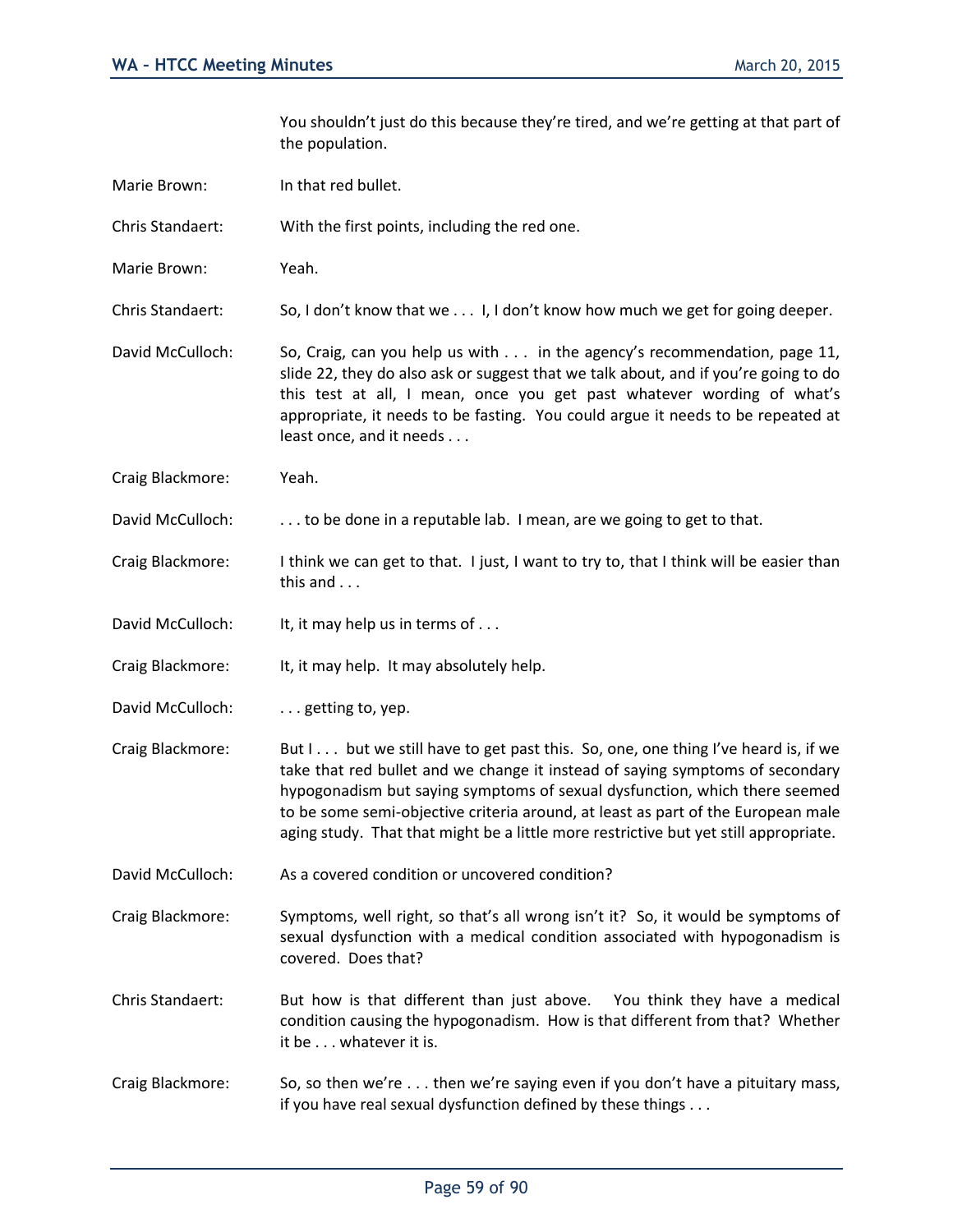You shouldn't just do this because they're tired, and we're getting at that part of the population.

Marie Brown: In that red bullet.

Chris Standaert: With the first points, including the red one.

Marie Brown: Yeah.

Chris Standaert: So, I don't know that we . . . I, I don't know how much we get for going deeper.

- David McCulloch: So, Craig, can you help us with . . . in the agency's recommendation, page 11, slide 22, they do also ask or suggest that we talk about, and if you're going to do this test at all, I mean, once you get past whatever wording of what's appropriate, it needs to be fasting. You could argue it needs to be repeated at least once, and it needs . . .
- Craig Blackmore: Yeah.

David McCulloch: . . . . to be done in a reputable lab. I mean, are we going to get to that.

- Craig Blackmore: I think we can get to that. I just, I want to try to, that I think will be easier than this and . . .
- David McCulloch: It, it may help us in terms of . . .
- Craig Blackmore: It, it may help. It may absolutely help.
- David McCulloch: . . . getting to, yep.
- Craig Blackmore: But I . . . but we still have to get past this. So, one, one thing I've heard is, if we take that red bullet and we change it instead of saying symptoms of secondary hypogonadism but saying symptoms of sexual dysfunction, which there seemed to be some semi-objective criteria around, at least as part of the European male aging study. That that might be a little more restrictive but yet still appropriate.
- David McCulloch: As a covered condition or uncovered condition?
- Craig Blackmore: Symptoms, well right, so that's all wrong isn't it? So, it would be symptoms of sexual dysfunction with a medical condition associated with hypogonadism is covered. Does that?
- Chris Standaert: But how is that different than just above. You think they have a medical condition causing the hypogonadism. How is that different from that? Whether it be . . . whatever it is.
- Craig Blackmore: So, so then we're . . . then we're saying even if you don't have a pituitary mass, if you have real sexual dysfunction defined by these things . . .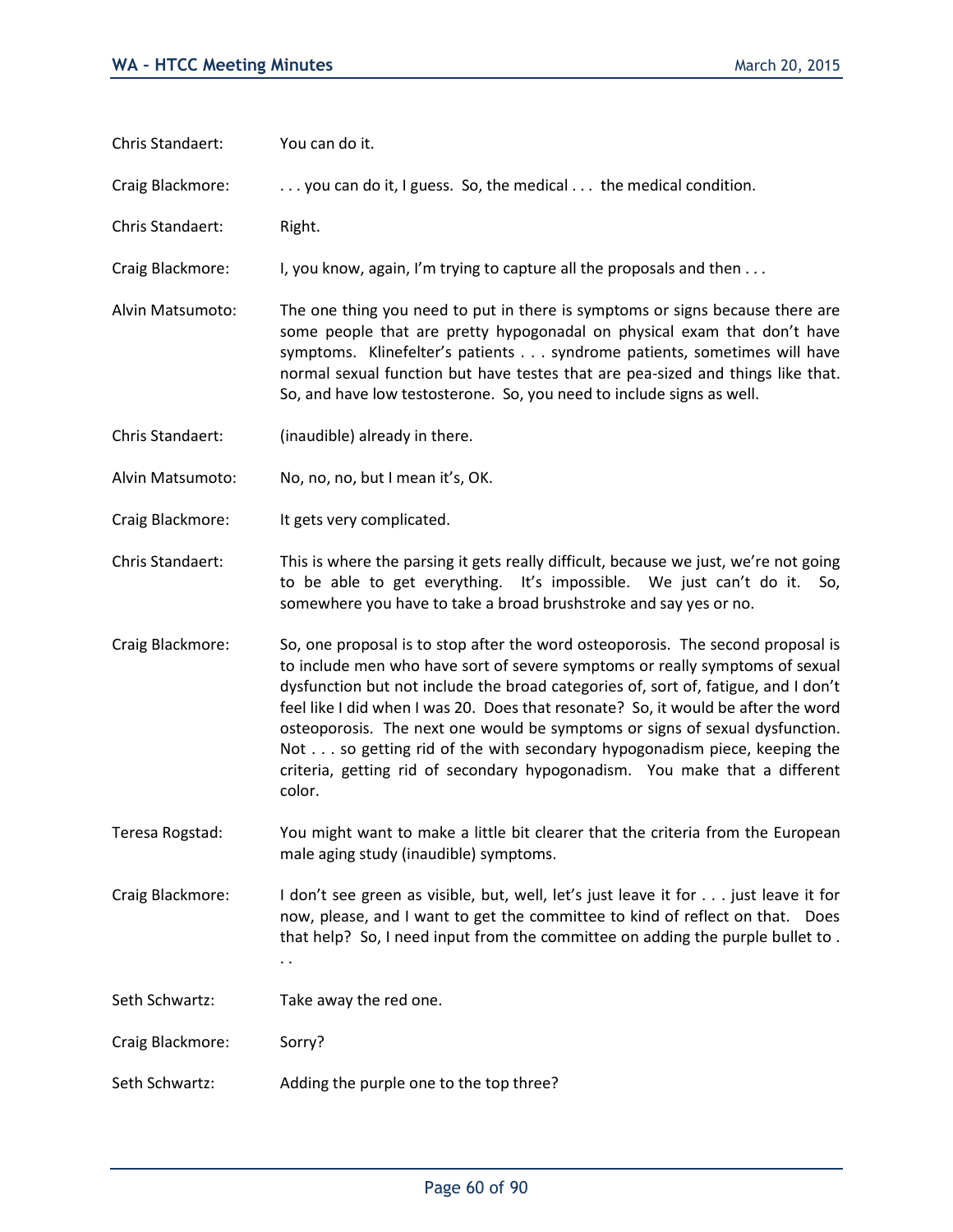| Chris Standaert: | You can do it.                                                                                                                                                                                                                                                                                                                                                                                                                                                                                                                                                                                 |
|------------------|------------------------------------------------------------------------------------------------------------------------------------------------------------------------------------------------------------------------------------------------------------------------------------------------------------------------------------------------------------------------------------------------------------------------------------------------------------------------------------------------------------------------------------------------------------------------------------------------|
| Craig Blackmore: | you can do it, I guess. So, the medical  the medical condition.                                                                                                                                                                                                                                                                                                                                                                                                                                                                                                                                |
| Chris Standaert: | Right.                                                                                                                                                                                                                                                                                                                                                                                                                                                                                                                                                                                         |
| Craig Blackmore: | I, you know, again, I'm trying to capture all the proposals and then                                                                                                                                                                                                                                                                                                                                                                                                                                                                                                                           |
| Alvin Matsumoto: | The one thing you need to put in there is symptoms or signs because there are<br>some people that are pretty hypogonadal on physical exam that don't have<br>symptoms. Klinefelter's patients syndrome patients, sometimes will have<br>normal sexual function but have testes that are pea-sized and things like that.<br>So, and have low testosterone. So, you need to include signs as well.                                                                                                                                                                                               |
| Chris Standaert: | (inaudible) already in there.                                                                                                                                                                                                                                                                                                                                                                                                                                                                                                                                                                  |
| Alvin Matsumoto: | No, no, no, but I mean it's, OK.                                                                                                                                                                                                                                                                                                                                                                                                                                                                                                                                                               |
| Craig Blackmore: | It gets very complicated.                                                                                                                                                                                                                                                                                                                                                                                                                                                                                                                                                                      |
| Chris Standaert: | This is where the parsing it gets really difficult, because we just, we're not going<br>to be able to get everything. It's impossible. We just can't do it.<br>So,<br>somewhere you have to take a broad brushstroke and say yes or no.                                                                                                                                                                                                                                                                                                                                                        |
| Craig Blackmore: | So, one proposal is to stop after the word osteoporosis. The second proposal is<br>to include men who have sort of severe symptoms or really symptoms of sexual<br>dysfunction but not include the broad categories of, sort of, fatigue, and I don't<br>feel like I did when I was 20. Does that resonate? So, it would be after the word<br>osteoporosis. The next one would be symptoms or signs of sexual dysfunction.<br>Not so getting rid of the with secondary hypogonadism piece, keeping the<br>criteria, getting rid of secondary hypogonadism. You make that a different<br>color. |
| Teresa Rogstad:  | You might want to make a little bit clearer that the criteria from the European<br>male aging study (inaudible) symptoms.                                                                                                                                                                                                                                                                                                                                                                                                                                                                      |
| Craig Blackmore: | I don't see green as visible, but, well, let's just leave it for just leave it for<br>now, please, and I want to get the committee to kind of reflect on that.<br>Does<br>that help? So, I need input from the committee on adding the purple bullet to.                                                                                                                                                                                                                                                                                                                                       |
| Seth Schwartz:   | Take away the red one.                                                                                                                                                                                                                                                                                                                                                                                                                                                                                                                                                                         |
| Craig Blackmore: | Sorry?                                                                                                                                                                                                                                                                                                                                                                                                                                                                                                                                                                                         |
| Seth Schwartz:   | Adding the purple one to the top three?                                                                                                                                                                                                                                                                                                                                                                                                                                                                                                                                                        |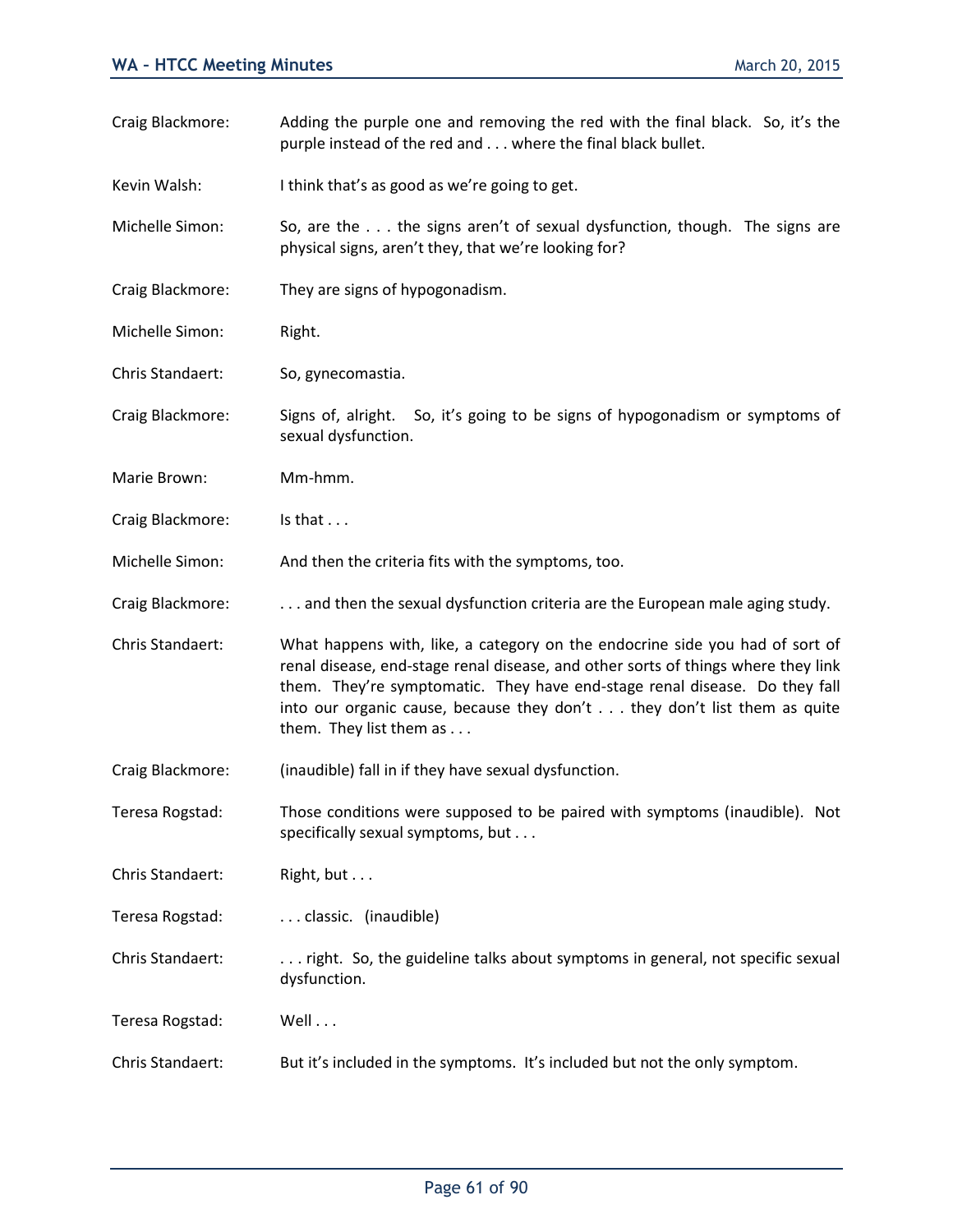| Craig Blackmore: | Adding the purple one and removing the red with the final black. So, it's the<br>purple instead of the red and where the final black bullet.                                                                                                                                                                                                           |
|------------------|--------------------------------------------------------------------------------------------------------------------------------------------------------------------------------------------------------------------------------------------------------------------------------------------------------------------------------------------------------|
| Kevin Walsh:     | I think that's as good as we're going to get.                                                                                                                                                                                                                                                                                                          |
| Michelle Simon:  | So, are the the signs aren't of sexual dysfunction, though. The signs are<br>physical signs, aren't they, that we're looking for?                                                                                                                                                                                                                      |
| Craig Blackmore: | They are signs of hypogonadism.                                                                                                                                                                                                                                                                                                                        |
| Michelle Simon:  | Right.                                                                                                                                                                                                                                                                                                                                                 |
| Chris Standaert: | So, gynecomastia.                                                                                                                                                                                                                                                                                                                                      |
| Craig Blackmore: | Signs of, alright. So, it's going to be signs of hypogonadism or symptoms of<br>sexual dysfunction.                                                                                                                                                                                                                                                    |
| Marie Brown:     | Mm-hmm.                                                                                                                                                                                                                                                                                                                                                |
| Craig Blackmore: | Is that $\dots$                                                                                                                                                                                                                                                                                                                                        |
| Michelle Simon:  | And then the criteria fits with the symptoms, too.                                                                                                                                                                                                                                                                                                     |
| Craig Blackmore: | and then the sexual dysfunction criteria are the European male aging study.                                                                                                                                                                                                                                                                            |
| Chris Standaert: | What happens with, like, a category on the endocrine side you had of sort of<br>renal disease, end-stage renal disease, and other sorts of things where they link<br>them. They're symptomatic. They have end-stage renal disease. Do they fall<br>into our organic cause, because they don't they don't list them as quite<br>them. They list them as |
| Craig Blackmore: | (inaudible) fall in if they have sexual dysfunction.                                                                                                                                                                                                                                                                                                   |
| Teresa Rogstad:  | Those conditions were supposed to be paired with symptoms (inaudible). Not<br>specifically sexual symptoms, but                                                                                                                                                                                                                                        |
| Chris Standaert: | Right, but                                                                                                                                                                                                                                                                                                                                             |
| Teresa Rogstad:  | classic. (inaudible)                                                                                                                                                                                                                                                                                                                                   |
| Chris Standaert: | right. So, the guideline talks about symptoms in general, not specific sexual<br>dysfunction.                                                                                                                                                                                                                                                          |
| Teresa Rogstad:  | Well                                                                                                                                                                                                                                                                                                                                                   |
| Chris Standaert: | But it's included in the symptoms. It's included but not the only symptom.                                                                                                                                                                                                                                                                             |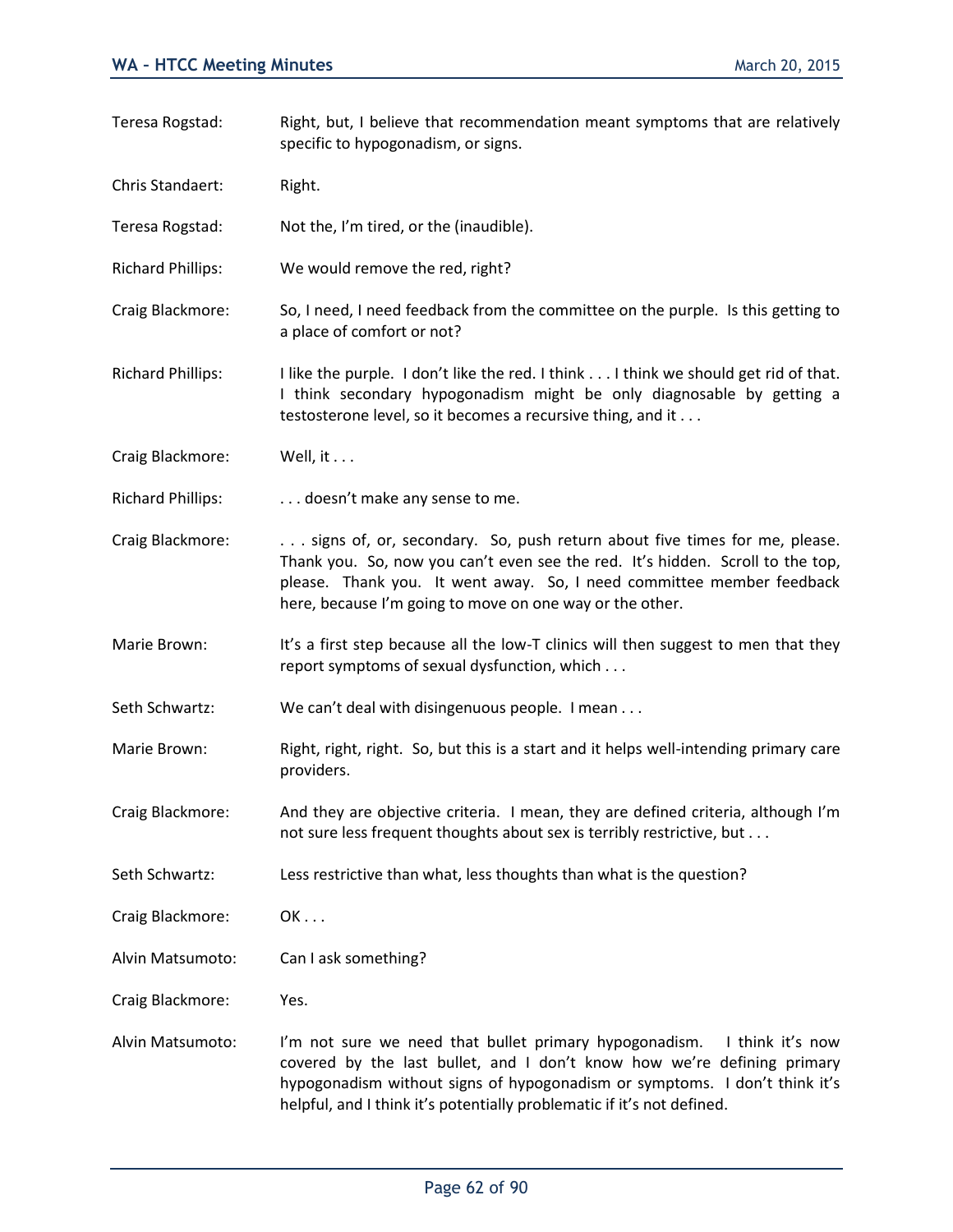Teresa Rogstad: Right, but, I believe that recommendation meant symptoms that are relatively specific to hypogonadism, or signs. Chris Standaert: Right. Teresa Rogstad: Not the, I'm tired, or the (inaudible). Richard Phillips: We would remove the red, right? Craig Blackmore: So, I need, I need feedback from the committee on the purple. Is this getting to a place of comfort or not? Richard Phillips: I like the purple. I don't like the red. I think . . . I think we should get rid of that. I think secondary hypogonadism might be only diagnosable by getting a testosterone level, so it becomes a recursive thing, and it . . . Craig Blackmore: Well, it ... Richard Phillips: . . . . . . doesn't make any sense to me. Craig Blackmore: . . . . signs of, or, secondary. So, push return about five times for me, please. Thank you. So, now you can't even see the red. It's hidden. Scroll to the top, please. Thank you. It went away. So, I need committee member feedback here, because I'm going to move on one way or the other. Marie Brown: It's a first step because all the low-T clinics will then suggest to men that they report symptoms of sexual dysfunction, which . . . Seth Schwartz: We can't deal with disingenuous people. I mean ... Marie Brown: Right, right, right. So, but this is a start and it helps well-intending primary care providers. Craig Blackmore: And they are objective criteria. I mean, they are defined criteria, although I'm not sure less frequent thoughts about sex is terribly restrictive, but . . . Seth Schwartz: Less restrictive than what, less thoughts than what is the question? Craig Blackmore: OK . . . Alvin Matsumoto: Can I ask something? Craig Blackmore: Yes. Alvin Matsumoto: I'm not sure we need that bullet primary hypogonadism. I think it's now covered by the last bullet, and I don't know how we're defining primary hypogonadism without signs of hypogonadism or symptoms. I don't think it's helpful, and I think it's potentially problematic if it's not defined.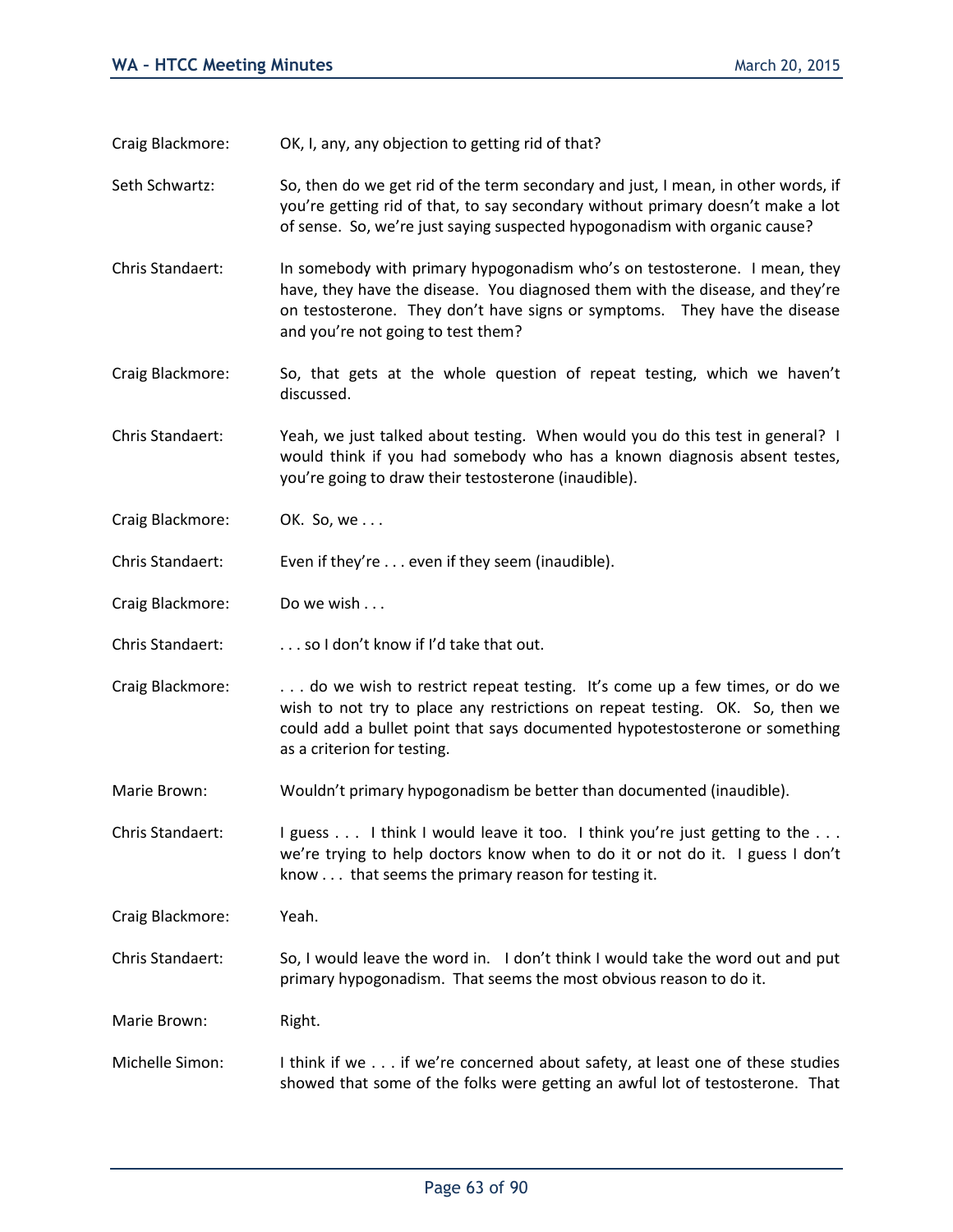Craig Blackmore: OK, I, any, any objection to getting rid of that?

- Seth Schwartz: So, then do we get rid of the term secondary and just, I mean, in other words, if you're getting rid of that, to say secondary without primary doesn't make a lot of sense. So, we're just saying suspected hypogonadism with organic cause?
- Chris Standaert: In somebody with primary hypogonadism who's on testosterone. I mean, they have, they have the disease. You diagnosed them with the disease, and they're on testosterone. They don't have signs or symptoms. They have the disease and you're not going to test them?
- Craig Blackmore: So, that gets at the whole question of repeat testing, which we haven't discussed.
- Chris Standaert: Yeah, we just talked about testing. When would you do this test in general? I would think if you had somebody who has a known diagnosis absent testes, you're going to draw their testosterone (inaudible).
- Craig Blackmore: OK. So, we ...

Chris Standaert: Even if they're . . . even if they seem (inaudible).

- Craig Blackmore: Do we wish . . .
- Chris Standaert: . . . so I don't know if I'd take that out.
- Craig Blackmore: . . . . do we wish to restrict repeat testing. It's come up a few times, or do we wish to not try to place any restrictions on repeat testing. OK. So, then we could add a bullet point that says documented hypotestosterone or something as a criterion for testing.
- Marie Brown: Wouldn't primary hypogonadism be better than documented (inaudible).
- Chris Standaert: I guess . . . I think I would leave it too. I think you're just getting to the . . . we're trying to help doctors know when to do it or not do it. I guess I don't know . . . that seems the primary reason for testing it.

Craig Blackmore: Yeah.

Chris Standaert: So, I would leave the word in. I don't think I would take the word out and put primary hypogonadism. That seems the most obvious reason to do it.

Marie Brown: Right.

Michelle Simon: I think if we . . . if we're concerned about safety, at least one of these studies showed that some of the folks were getting an awful lot of testosterone. That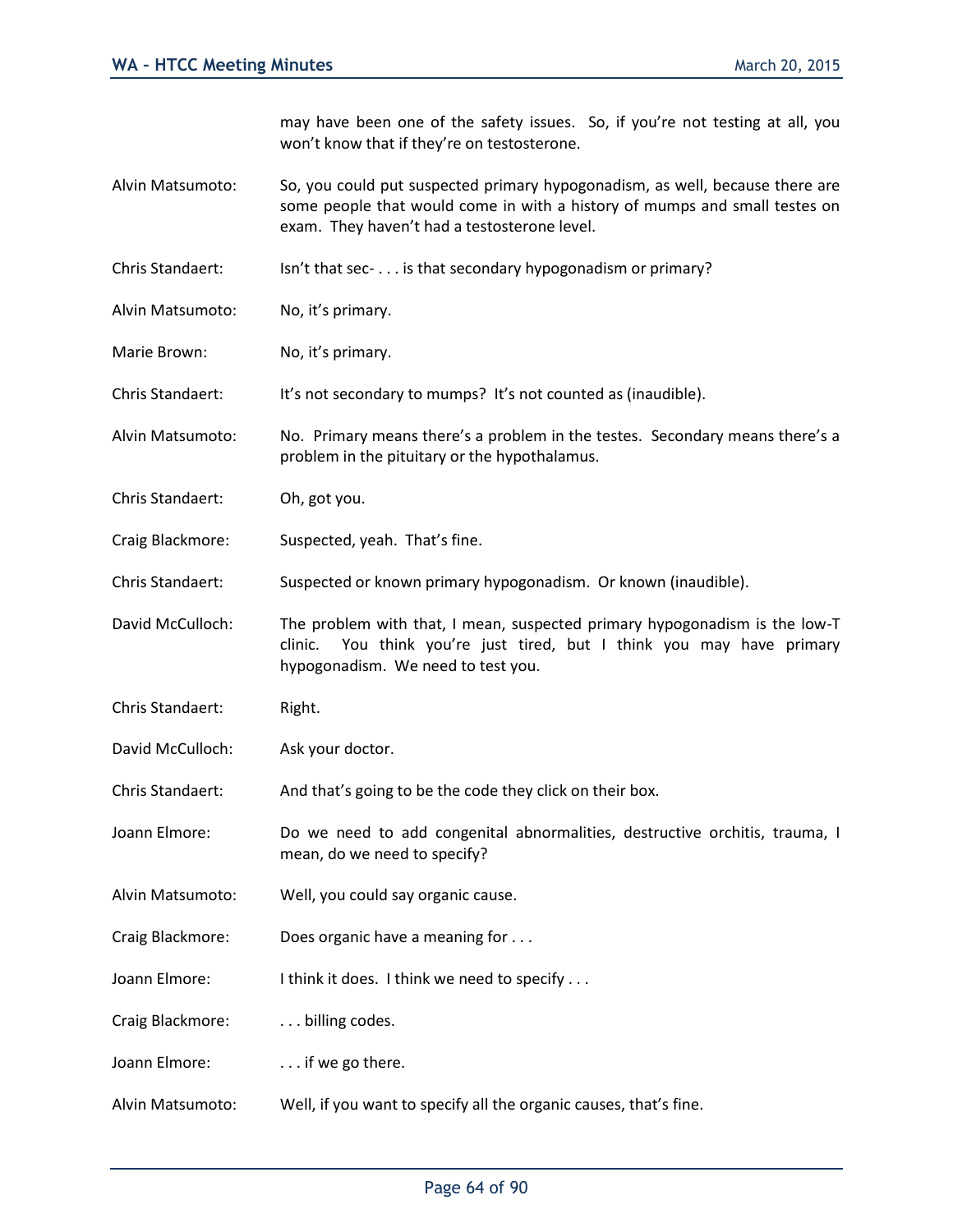may have been one of the safety issues. So, if you're not testing at all, you won't know that if they're on testosterone.

- Alvin Matsumoto: So, you could put suspected primary hypogonadism, as well, because there are some people that would come in with a history of mumps and small testes on exam. They haven't had a testosterone level.
- Chris Standaert: Isn't that sec- . . . is that secondary hypogonadism or primary?
- Alvin Matsumoto: No, it's primary.
- Marie Brown: No, it's primary.

Chris Standaert: It's not secondary to mumps? It's not counted as (inaudible).

- Alvin Matsumoto: No. Primary means there's a problem in the testes. Secondary means there's a problem in the pituitary or the hypothalamus.
- Chris Standaert: Oh, got you.
- Craig Blackmore: Suspected, yeah. That's fine.
- Chris Standaert: Suspected or known primary hypogonadism. Or known (inaudible).
- David McCulloch: The problem with that, I mean, suspected primary hypogonadism is the low-T clinic. You think you're just tired, but I think you may have primary hypogonadism. We need to test you.
- Chris Standaert: Right.
- David McCulloch: Ask your doctor.
- Chris Standaert: And that's going to be the code they click on their box.
- Joann Elmore: Do we need to add congenital abnormalities, destructive orchitis, trauma, I mean, do we need to specify?
- Alvin Matsumoto: Well, you could say organic cause.
- Craig Blackmore: Does organic have a meaning for . . .
- Joann Elmore: I think it does. I think we need to specify . . .
- Craig Blackmore: ... billing codes.
- Joann Elmore: . . . if we go there.
- Alvin Matsumoto: Well, if you want to specify all the organic causes, that's fine.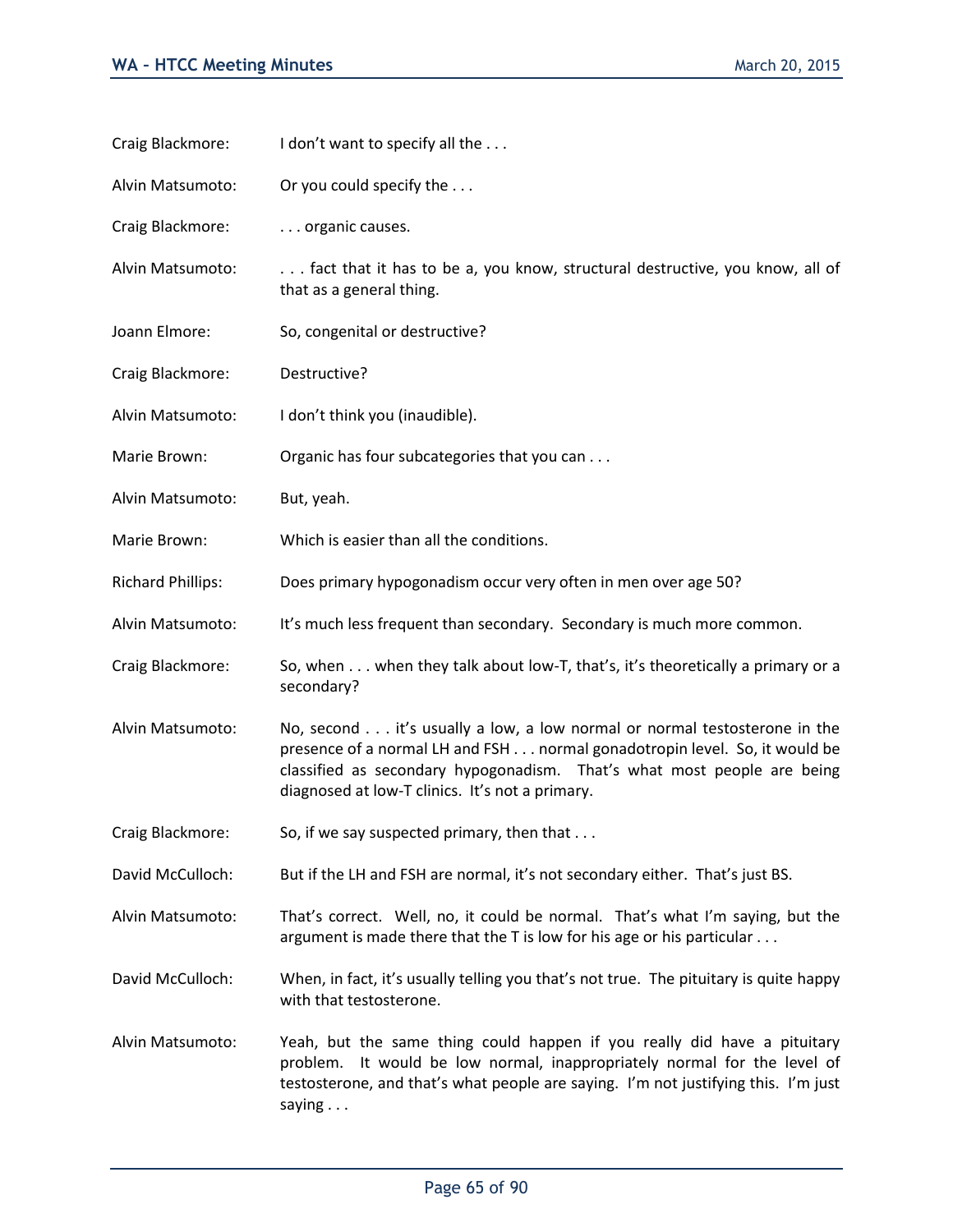| Craig Blackmore:         | I don't want to specify all the                                                                                                                                                                                                                                                       |
|--------------------------|---------------------------------------------------------------------------------------------------------------------------------------------------------------------------------------------------------------------------------------------------------------------------------------|
| Alvin Matsumoto:         | Or you could specify the                                                                                                                                                                                                                                                              |
| Craig Blackmore:         | organic causes.                                                                                                                                                                                                                                                                       |
| Alvin Matsumoto:         | fact that it has to be a, you know, structural destructive, you know, all of<br>that as a general thing.                                                                                                                                                                              |
| Joann Elmore:            | So, congenital or destructive?                                                                                                                                                                                                                                                        |
| Craig Blackmore:         | Destructive?                                                                                                                                                                                                                                                                          |
| Alvin Matsumoto:         | I don't think you (inaudible).                                                                                                                                                                                                                                                        |
| Marie Brown:             | Organic has four subcategories that you can                                                                                                                                                                                                                                           |
| Alvin Matsumoto:         | But, yeah.                                                                                                                                                                                                                                                                            |
| Marie Brown:             | Which is easier than all the conditions.                                                                                                                                                                                                                                              |
| <b>Richard Phillips:</b> | Does primary hypogonadism occur very often in men over age 50?                                                                                                                                                                                                                        |
| Alvin Matsumoto:         | It's much less frequent than secondary. Secondary is much more common.                                                                                                                                                                                                                |
| Craig Blackmore:         | So, when when they talk about low-T, that's, it's theoretically a primary or a<br>secondary?                                                                                                                                                                                          |
| Alvin Matsumoto:         | No, second it's usually a low, a low normal or normal testosterone in the<br>presence of a normal LH and FSH normal gonadotropin level. So, it would be<br>classified as secondary hypogonadism. That's what most people are being<br>diagnosed at low-T clinics. It's not a primary. |
| Craig Blackmore:         | So, if we say suspected primary, then that                                                                                                                                                                                                                                            |
| David McCulloch:         | But if the LH and FSH are normal, it's not secondary either. That's just BS.                                                                                                                                                                                                          |
| Alvin Matsumoto:         | That's correct. Well, no, it could be normal. That's what I'm saying, but the<br>argument is made there that the T is low for his age or his particular                                                                                                                               |
| David McCulloch:         | When, in fact, it's usually telling you that's not true. The pituitary is quite happy<br>with that testosterone.                                                                                                                                                                      |
| Alvin Matsumoto:         | Yeah, but the same thing could happen if you really did have a pituitary<br>problem. It would be low normal, inappropriately normal for the level of<br>testosterone, and that's what people are saying. I'm not justifying this. I'm just<br>saying $\ldots$                         |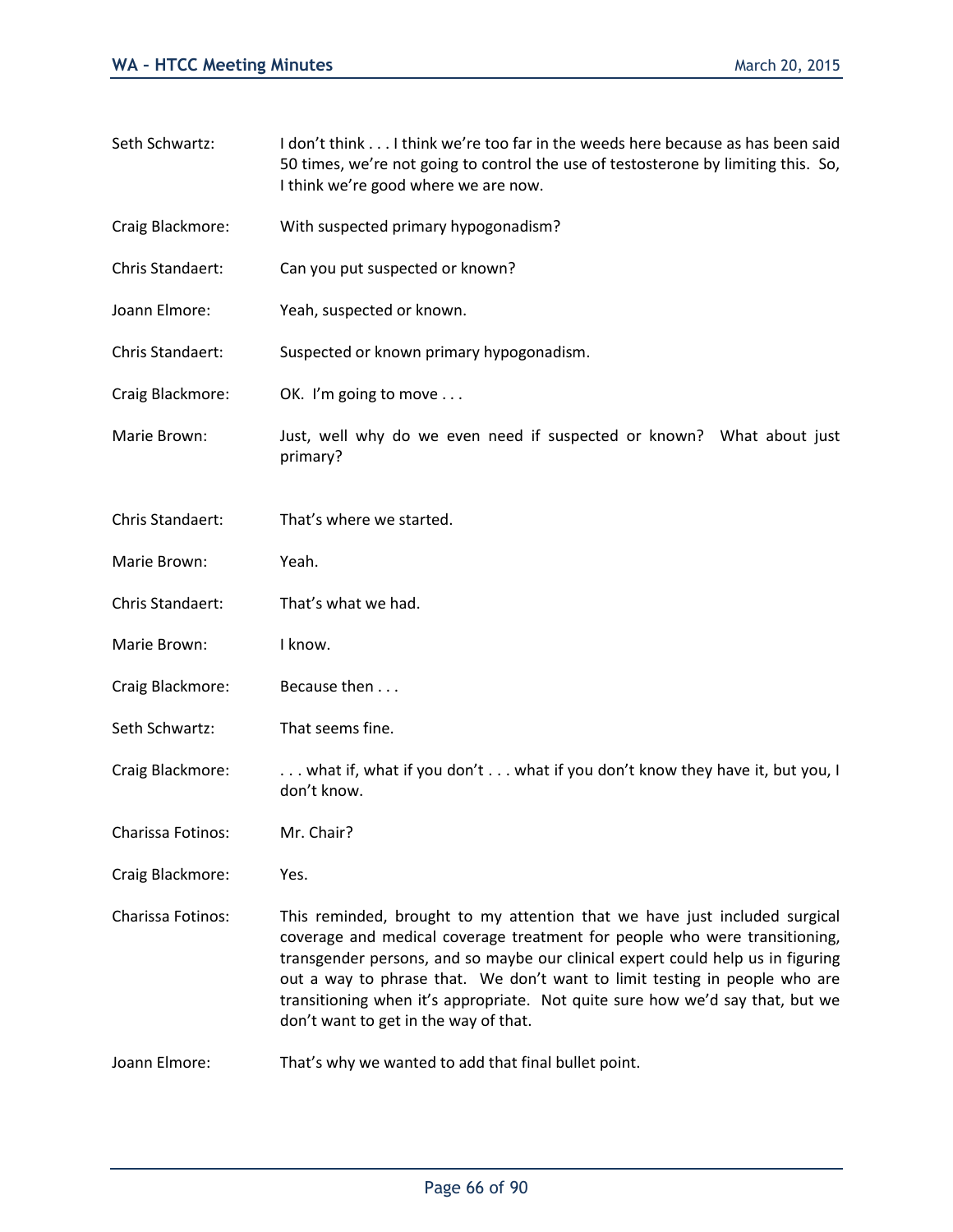| Seth Schwartz:    | I don't think I think we're too far in the weeds here because as has been said<br>50 times, we're not going to control the use of testosterone by limiting this. So,<br>I think we're good where we are now.                                                                                                                                                                                                                                        |
|-------------------|-----------------------------------------------------------------------------------------------------------------------------------------------------------------------------------------------------------------------------------------------------------------------------------------------------------------------------------------------------------------------------------------------------------------------------------------------------|
| Craig Blackmore:  | With suspected primary hypogonadism?                                                                                                                                                                                                                                                                                                                                                                                                                |
| Chris Standaert:  | Can you put suspected or known?                                                                                                                                                                                                                                                                                                                                                                                                                     |
| Joann Elmore:     | Yeah, suspected or known.                                                                                                                                                                                                                                                                                                                                                                                                                           |
| Chris Standaert:  | Suspected or known primary hypogonadism.                                                                                                                                                                                                                                                                                                                                                                                                            |
| Craig Blackmore:  | OK. I'm going to move                                                                                                                                                                                                                                                                                                                                                                                                                               |
| Marie Brown:      | Just, well why do we even need if suspected or known? What about just<br>primary?                                                                                                                                                                                                                                                                                                                                                                   |
| Chris Standaert:  | That's where we started.                                                                                                                                                                                                                                                                                                                                                                                                                            |
| Marie Brown:      | Yeah.                                                                                                                                                                                                                                                                                                                                                                                                                                               |
| Chris Standaert:  | That's what we had.                                                                                                                                                                                                                                                                                                                                                                                                                                 |
| Marie Brown:      | I know.                                                                                                                                                                                                                                                                                                                                                                                                                                             |
| Craig Blackmore:  | Because then                                                                                                                                                                                                                                                                                                                                                                                                                                        |
| Seth Schwartz:    | That seems fine.                                                                                                                                                                                                                                                                                                                                                                                                                                    |
| Craig Blackmore:  | what if, what if you don't  what if you don't know they have it, but you, I<br>don't know.                                                                                                                                                                                                                                                                                                                                                          |
| Charissa Fotinos: | Mr. Chair?                                                                                                                                                                                                                                                                                                                                                                                                                                          |
| Craig Blackmore:  | Yes.                                                                                                                                                                                                                                                                                                                                                                                                                                                |
| Charissa Fotinos: | This reminded, brought to my attention that we have just included surgical<br>coverage and medical coverage treatment for people who were transitioning,<br>transgender persons, and so maybe our clinical expert could help us in figuring<br>out a way to phrase that. We don't want to limit testing in people who are<br>transitioning when it's appropriate. Not quite sure how we'd say that, but we<br>don't want to get in the way of that. |
| Joann Elmore:     | That's why we wanted to add that final bullet point.                                                                                                                                                                                                                                                                                                                                                                                                |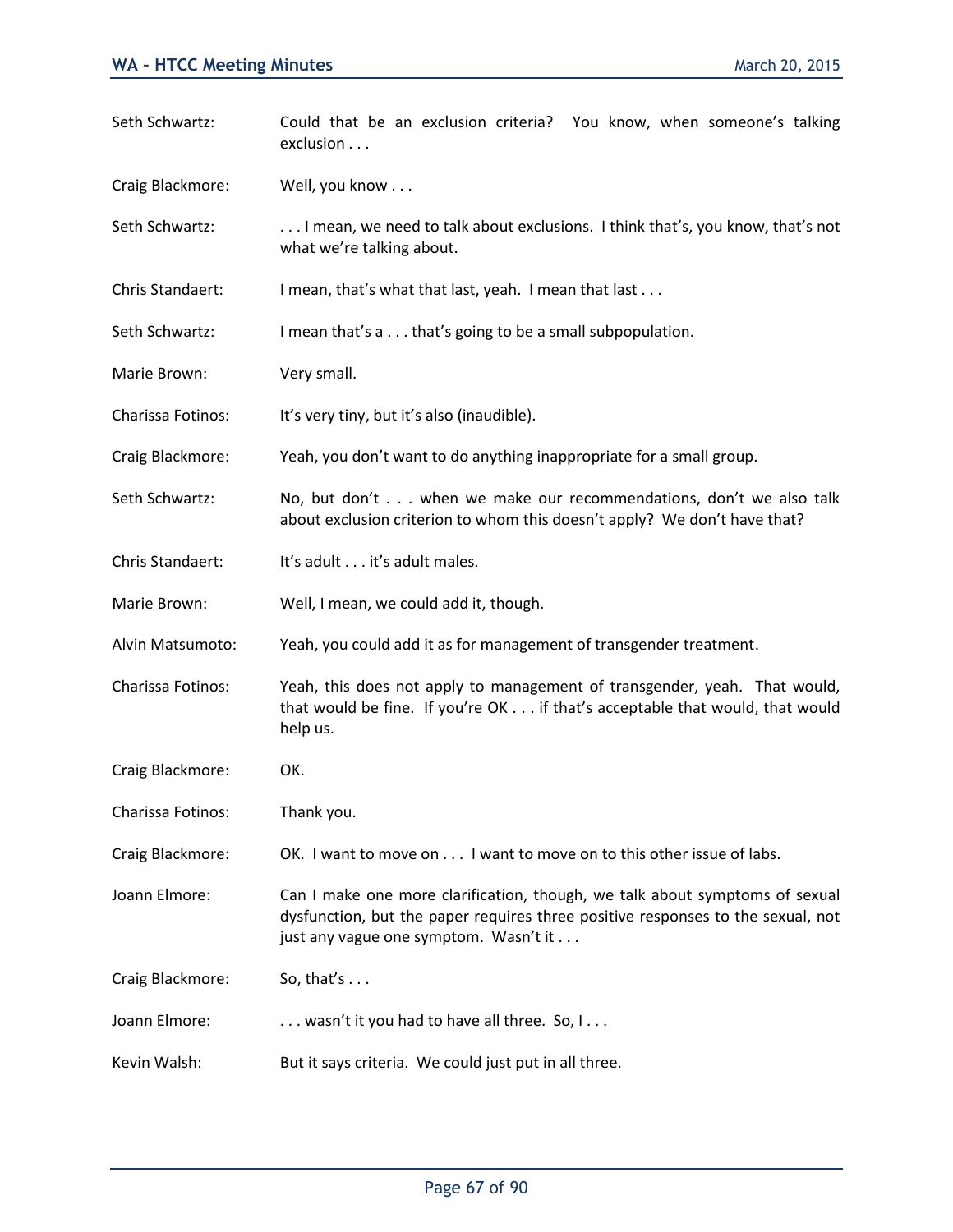| Seth Schwartz:    | Could that be an exclusion criteria? You know, when someone's talking<br>exclusion                                                                                                                      |
|-------------------|---------------------------------------------------------------------------------------------------------------------------------------------------------------------------------------------------------|
| Craig Blackmore:  | Well, you know                                                                                                                                                                                          |
| Seth Schwartz:    | I mean, we need to talk about exclusions. I think that's, you know, that's not<br>what we're talking about.                                                                                             |
| Chris Standaert:  | I mean, that's what that last, yeah. I mean that last                                                                                                                                                   |
| Seth Schwartz:    | I mean that's a that's going to be a small subpopulation.                                                                                                                                               |
| Marie Brown:      | Very small.                                                                                                                                                                                             |
| Charissa Fotinos: | It's very tiny, but it's also (inaudible).                                                                                                                                                              |
| Craig Blackmore:  | Yeah, you don't want to do anything inappropriate for a small group.                                                                                                                                    |
| Seth Schwartz:    | No, but don't when we make our recommendations, don't we also talk<br>about exclusion criterion to whom this doesn't apply? We don't have that?                                                         |
| Chris Standaert:  | It's adult it's adult males.                                                                                                                                                                            |
| Marie Brown:      | Well, I mean, we could add it, though.                                                                                                                                                                  |
| Alvin Matsumoto:  | Yeah, you could add it as for management of transgender treatment.                                                                                                                                      |
| Charissa Fotinos: | Yeah, this does not apply to management of transgender, yeah. That would,<br>that would be fine. If you're OK if that's acceptable that would, that would<br>help us.                                   |
| Craig Blackmore:  | OK.                                                                                                                                                                                                     |
| Charissa Fotinos: | Thank you.                                                                                                                                                                                              |
| Craig Blackmore:  | OK. I want to move on I want to move on to this other issue of labs.                                                                                                                                    |
| Joann Elmore:     | Can I make one more clarification, though, we talk about symptoms of sexual<br>dysfunction, but the paper requires three positive responses to the sexual, not<br>just any vague one symptom. Wasn't it |
| Craig Blackmore:  | So, that's $\dots$                                                                                                                                                                                      |
| Joann Elmore:     | wasn't it you had to have all three. So, I                                                                                                                                                              |
| Kevin Walsh:      | But it says criteria. We could just put in all three.                                                                                                                                                   |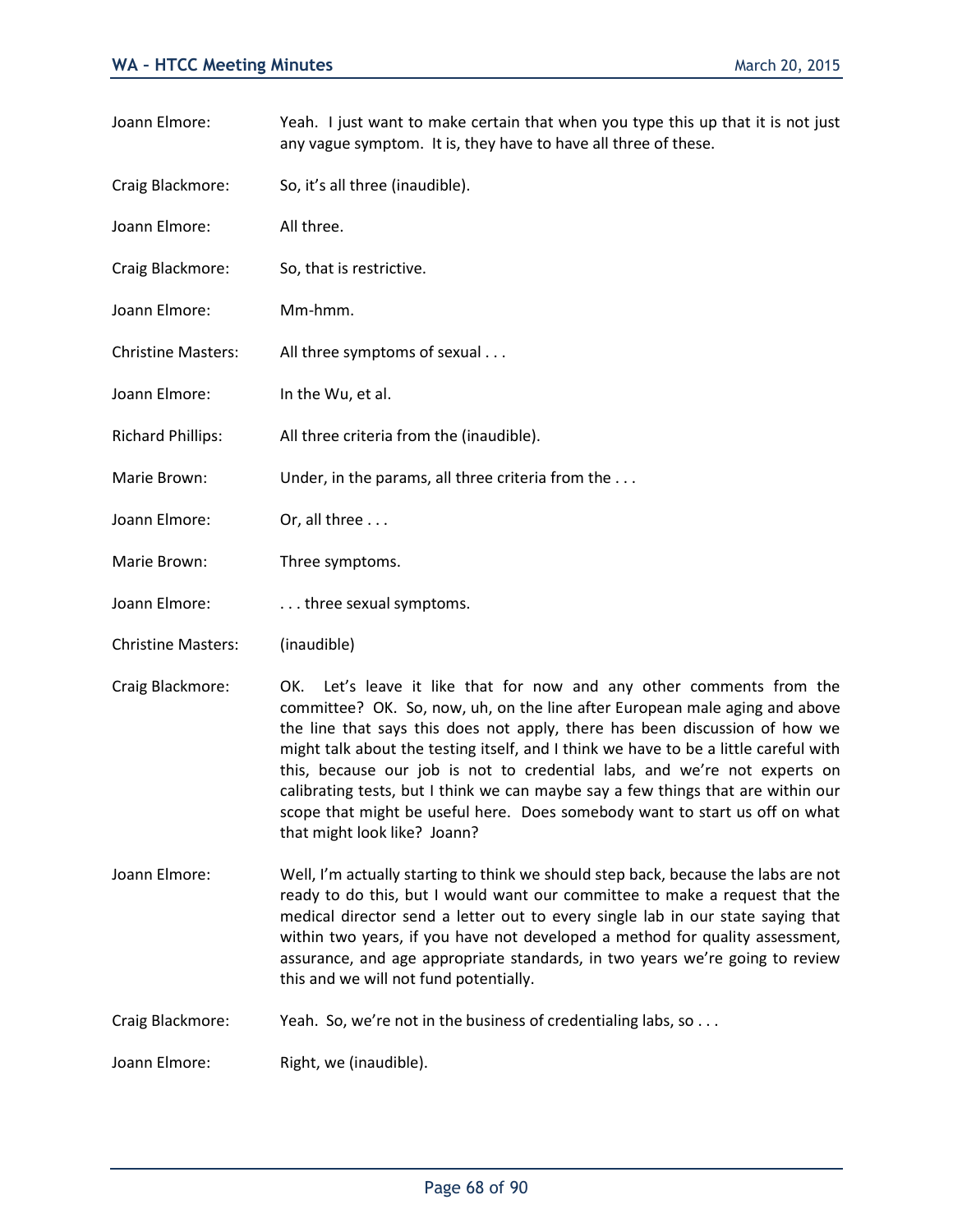| Joann Elmore:             | Yeah. I just want to make certain that when you type this up that it is not just<br>any vague symptom. It is, they have to have all three of these.                                                                                                                                                                                                                                                                                                                                                                                                                                                           |
|---------------------------|---------------------------------------------------------------------------------------------------------------------------------------------------------------------------------------------------------------------------------------------------------------------------------------------------------------------------------------------------------------------------------------------------------------------------------------------------------------------------------------------------------------------------------------------------------------------------------------------------------------|
| Craig Blackmore:          | So, it's all three (inaudible).                                                                                                                                                                                                                                                                                                                                                                                                                                                                                                                                                                               |
| Joann Elmore:             | All three.                                                                                                                                                                                                                                                                                                                                                                                                                                                                                                                                                                                                    |
| Craig Blackmore:          | So, that is restrictive.                                                                                                                                                                                                                                                                                                                                                                                                                                                                                                                                                                                      |
| Joann Elmore:             | Mm-hmm.                                                                                                                                                                                                                                                                                                                                                                                                                                                                                                                                                                                                       |
| <b>Christine Masters:</b> | All three symptoms of sexual                                                                                                                                                                                                                                                                                                                                                                                                                                                                                                                                                                                  |
| Joann Elmore:             | In the Wu, et al.                                                                                                                                                                                                                                                                                                                                                                                                                                                                                                                                                                                             |
| <b>Richard Phillips:</b>  | All three criteria from the (inaudible).                                                                                                                                                                                                                                                                                                                                                                                                                                                                                                                                                                      |
| Marie Brown:              | Under, in the params, all three criteria from the                                                                                                                                                                                                                                                                                                                                                                                                                                                                                                                                                             |
| Joann Elmore:             | Or, all three                                                                                                                                                                                                                                                                                                                                                                                                                                                                                                                                                                                                 |
| Marie Brown:              | Three symptoms.                                                                                                                                                                                                                                                                                                                                                                                                                                                                                                                                                                                               |
| Joann Elmore:             | three sexual symptoms.                                                                                                                                                                                                                                                                                                                                                                                                                                                                                                                                                                                        |
| <b>Christine Masters:</b> | (inaudible)                                                                                                                                                                                                                                                                                                                                                                                                                                                                                                                                                                                                   |
| Craig Blackmore:          | Let's leave it like that for now and any other comments from the<br>OK.<br>committee? OK. So, now, uh, on the line after European male aging and above<br>the line that says this does not apply, there has been discussion of how we<br>might talk about the testing itself, and I think we have to be a little careful with<br>this, because our job is not to credential labs, and we're not experts on<br>calibrating tests, but I think we can maybe say a few things that are within our<br>scope that might be useful here. Does somebody want to start us off on what<br>that might look like? Joann? |
| Joann Elmore:             | Well, I'm actually starting to think we should step back, because the labs are not<br>ready to do this, but I would want our committee to make a request that the<br>medical director send a letter out to every single lab in our state saying that<br>within two years, if you have not developed a method for quality assessment,<br>assurance, and age appropriate standards, in two years we're going to review<br>this and we will not fund potentially.                                                                                                                                                |
| Craig Blackmore:          | Yeah. So, we're not in the business of credentialing labs, so                                                                                                                                                                                                                                                                                                                                                                                                                                                                                                                                                 |
| Joann Elmore:             | Right, we (inaudible).                                                                                                                                                                                                                                                                                                                                                                                                                                                                                                                                                                                        |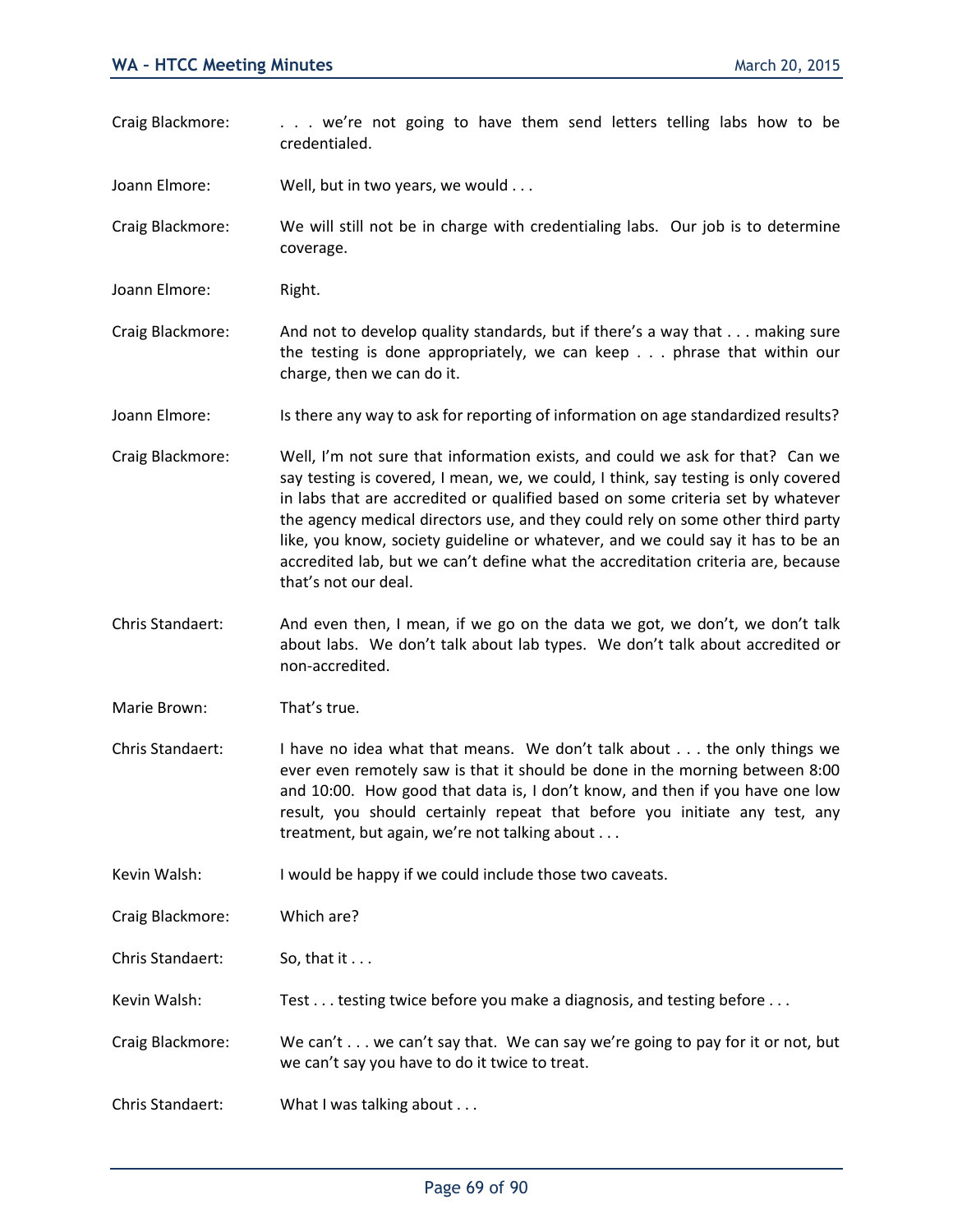- Craig Blackmore: . . . . we're not going to have them send letters telling labs how to be credentialed.
- Joann Elmore: Well, but in two years, we would . . .

Craig Blackmore: We will still not be in charge with credentialing labs. Our job is to determine coverage.

- Joann Elmore: Right.
- Craig Blackmore: And not to develop quality standards, but if there's a way that . . . making sure the testing is done appropriately, we can keep . . . phrase that within our charge, then we can do it.
- Joann Elmore: Is there any way to ask for reporting of information on age standardized results?
- Craig Blackmore: Well, I'm not sure that information exists, and could we ask for that? Can we say testing is covered, I mean, we, we could, I think, say testing is only covered in labs that are accredited or qualified based on some criteria set by whatever the agency medical directors use, and they could rely on some other third party like, you know, society guideline or whatever, and we could say it has to be an accredited lab, but we can't define what the accreditation criteria are, because that's not our deal.
- Chris Standaert: And even then, I mean, if we go on the data we got, we don't, we don't talk about labs. We don't talk about lab types. We don't talk about accredited or non-accredited.
- Marie Brown: That's true.
- Chris Standaert: I have no idea what that means. We don't talk about . . . the only things we ever even remotely saw is that it should be done in the morning between 8:00 and 10:00. How good that data is, I don't know, and then if you have one low result, you should certainly repeat that before you initiate any test, any treatment, but again, we're not talking about . . .

Kevin Walsh: I would be happy if we could include those two caveats.

- Craig Blackmore: Which are?
- Chris Standaert: So, that it . . .
- Kevin Walsh: Test . . . testing twice before you make a diagnosis, and testing before . . .
- Craig Blackmore: We can't . . . we can't say that. We can say we're going to pay for it or not, but we can't say you have to do it twice to treat.
- Chris Standaert: What I was talking about . . .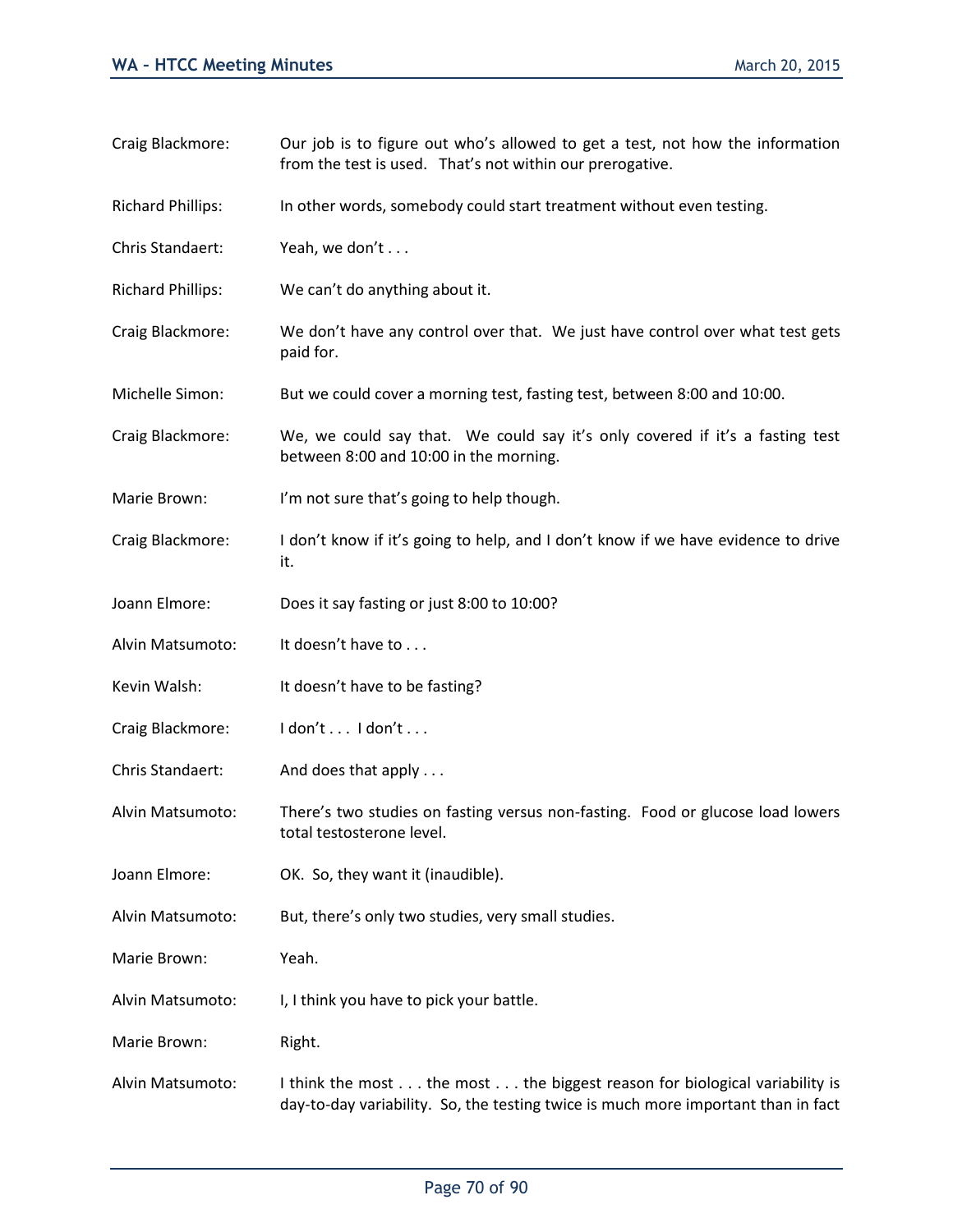from the test is used. That's not within our prerogative. Richard Phillips: In other words, somebody could start treatment without even testing. Chris Standaert: Yeah, we don't . . . Richard Phillips: We can't do anything about it. Craig Blackmore: We don't have any control over that. We just have control over what test gets paid for. Michelle Simon: But we could cover a morning test, fasting test, between 8:00 and 10:00. Craig Blackmore: We, we could say that. We could say it's only covered if it's a fasting test between 8:00 and 10:00 in the morning. Marie Brown: I'm not sure that's going to help though. Craig Blackmore: I don't know if it's going to help, and I don't know if we have evidence to drive it. Joann Elmore: Does it say fasting or just 8:00 to 10:00? Alvin Matsumoto: It doesn't have to ... Kevin Walsh: It doesn't have to be fasting? Craig Blackmore: Idon't . . . I don't . . . Chris Standaert: And does that apply . . . Alvin Matsumoto: There's two studies on fasting versus non-fasting. Food or glucose load lowers total testosterone level. Joann Elmore: OK. So, they want it (inaudible). Alvin Matsumoto: But, there's only two studies, very small studies. Marie Brown: Yeah. Alvin Matsumoto: I, I think you have to pick your battle. Marie Brown: Right. Alvin Matsumoto: I think the most  $\dots$  the most  $\dots$  the biggest reason for biological variability is day-to-day variability. So, the testing twice is much more important than in fact

Craig Blackmore: Our job is to figure out who's allowed to get a test, not how the information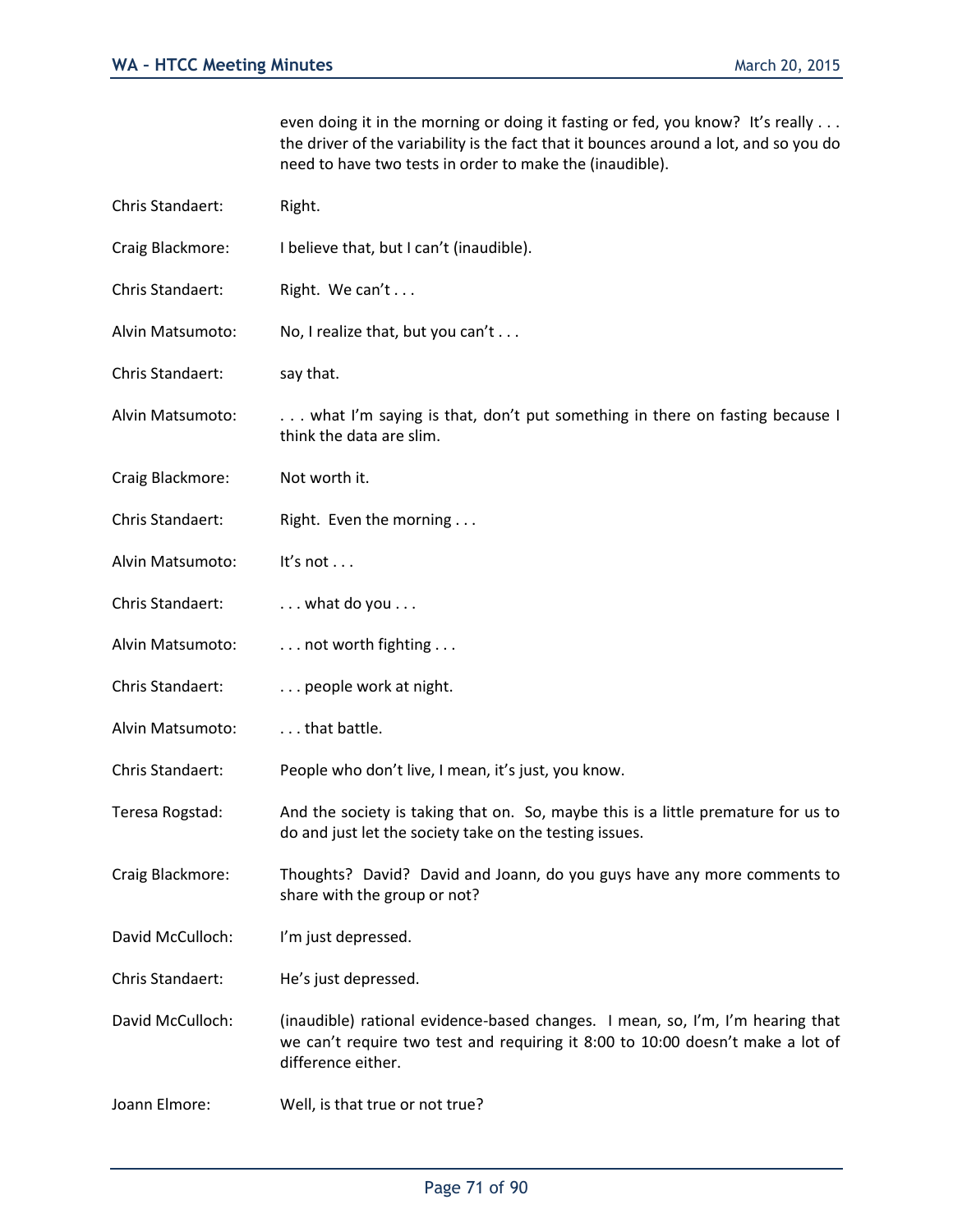even doing it in the morning or doing it fasting or fed, you know? It's really . . . the driver of the variability is the fact that it bounces around a lot, and so you do need to have two tests in order to make the (inaudible).

Chris Standaert: Right.

Craig Blackmore: I believe that, but I can't (inaudible).

- Chris Standaert: Right. We can't . . .
- Alvin Matsumoto: No, I realize that, but you can't . . .

Chris Standaert: say that.

- Alvin Matsumoto: . . . . what I'm saying is that, don't put something in there on fasting because I think the data are slim.
- Craig Blackmore: Not worth it.
- Chris Standaert: Right. Even the morning ...
- Alvin Matsumoto: It's not ...
- Chris Standaert: . . . . . . what do you . . .
- Alvin Matsumoto: . . . . not worth fighting . . .
- Chris Standaert: . . . . . . . people work at night.
- Alvin Matsumoto: ... that battle.
- Chris Standaert: People who don't live, I mean, it's just, you know.
- Teresa Rogstad: And the society is taking that on. So, maybe this is a little premature for us to do and just let the society take on the testing issues.
- Craig Blackmore: Thoughts? David? David and Joann, do you guys have any more comments to share with the group or not?
- David McCulloch: I'm just depressed.
- Chris Standaert: He's just depressed.
- David McCulloch: (inaudible) rational evidence-based changes. I mean, so, I'm, I'm hearing that we can't require two test and requiring it 8:00 to 10:00 doesn't make a lot of difference either.
- Joann Elmore: Well, is that true or not true?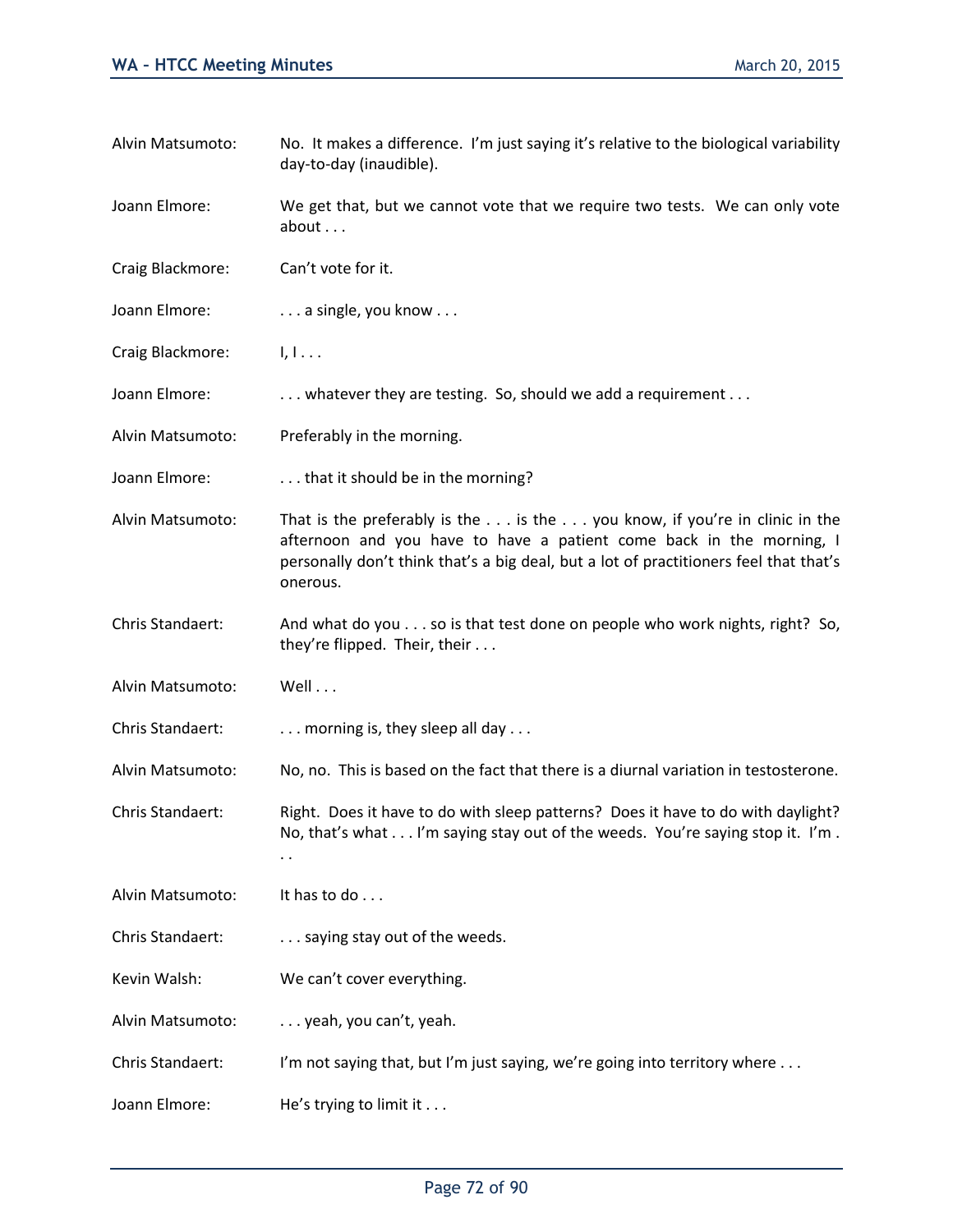| Alvin Matsumoto: | No. It makes a difference. I'm just saying it's relative to the biological variability<br>day-to-day (inaudible).                                                                                                                                                      |
|------------------|------------------------------------------------------------------------------------------------------------------------------------------------------------------------------------------------------------------------------------------------------------------------|
| Joann Elmore:    | We get that, but we cannot vote that we require two tests. We can only vote<br>about                                                                                                                                                                                   |
| Craig Blackmore: | Can't vote for it.                                                                                                                                                                                                                                                     |
| Joann Elmore:    | a single, you know                                                                                                                                                                                                                                                     |
| Craig Blackmore: | 1, 1                                                                                                                                                                                                                                                                   |
| Joann Elmore:    | whatever they are testing. So, should we add a requirement                                                                                                                                                                                                             |
| Alvin Matsumoto: | Preferably in the morning.                                                                                                                                                                                                                                             |
| Joann Elmore:    | that it should be in the morning?                                                                                                                                                                                                                                      |
| Alvin Matsumoto: | That is the preferably is the $\dots$ is the $\dots$ you know, if you're in clinic in the<br>afternoon and you have to have a patient come back in the morning, I<br>personally don't think that's a big deal, but a lot of practitioners feel that that's<br>onerous. |
| Chris Standaert: | And what do you so is that test done on people who work nights, right? So,<br>they're flipped. Their, their                                                                                                                                                            |
| Alvin Matsumoto: | Well                                                                                                                                                                                                                                                                   |
| Chris Standaert: | morning is, they sleep all day                                                                                                                                                                                                                                         |
| Alvin Matsumoto: | No, no. This is based on the fact that there is a diurnal variation in testosterone.                                                                                                                                                                                   |
| Chris Standaert: | Right. Does it have to do with sleep patterns? Does it have to do with daylight?<br>No, that's what I'm saying stay out of the weeds. You're saying stop it. I'm.                                                                                                      |
| Alvin Matsumoto: | It has to do                                                                                                                                                                                                                                                           |
| Chris Standaert: | saying stay out of the weeds.                                                                                                                                                                                                                                          |
| Kevin Walsh:     | We can't cover everything.                                                                                                                                                                                                                                             |
| Alvin Matsumoto: | yeah, you can't, yeah.                                                                                                                                                                                                                                                 |
| Chris Standaert: | I'm not saying that, but I'm just saying, we're going into territory where                                                                                                                                                                                             |
| Joann Elmore:    | He's trying to limit it                                                                                                                                                                                                                                                |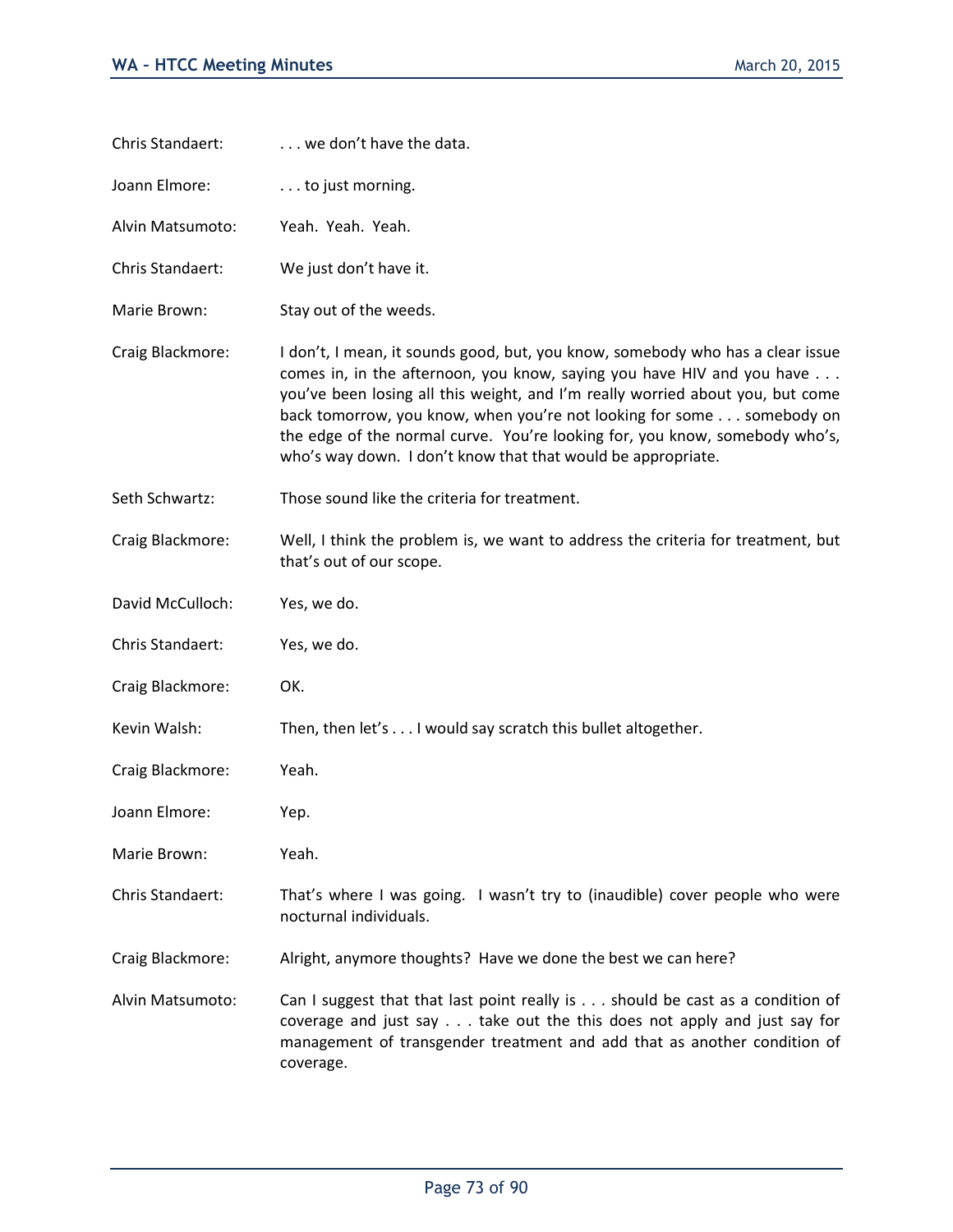| Chris Standaert: | we don't have the data.                                                                                                                                                                                                                                                                                                                                                                                                                                            |
|------------------|--------------------------------------------------------------------------------------------------------------------------------------------------------------------------------------------------------------------------------------------------------------------------------------------------------------------------------------------------------------------------------------------------------------------------------------------------------------------|
| Joann Elmore:    | to just morning.                                                                                                                                                                                                                                                                                                                                                                                                                                                   |
| Alvin Matsumoto: | Yeah. Yeah. Yeah.                                                                                                                                                                                                                                                                                                                                                                                                                                                  |
| Chris Standaert: | We just don't have it.                                                                                                                                                                                                                                                                                                                                                                                                                                             |
| Marie Brown:     | Stay out of the weeds.                                                                                                                                                                                                                                                                                                                                                                                                                                             |
| Craig Blackmore: | I don't, I mean, it sounds good, but, you know, somebody who has a clear issue<br>comes in, in the afternoon, you know, saying you have HIV and you have<br>you've been losing all this weight, and I'm really worried about you, but come<br>back tomorrow, you know, when you're not looking for some somebody on<br>the edge of the normal curve. You're looking for, you know, somebody who's,<br>who's way down. I don't know that that would be appropriate. |
| Seth Schwartz:   | Those sound like the criteria for treatment.                                                                                                                                                                                                                                                                                                                                                                                                                       |
| Craig Blackmore: | Well, I think the problem is, we want to address the criteria for treatment, but<br>that's out of our scope.                                                                                                                                                                                                                                                                                                                                                       |
| David McCulloch: | Yes, we do.                                                                                                                                                                                                                                                                                                                                                                                                                                                        |
| Chris Standaert: | Yes, we do.                                                                                                                                                                                                                                                                                                                                                                                                                                                        |
| Craig Blackmore: | OK.                                                                                                                                                                                                                                                                                                                                                                                                                                                                |
| Kevin Walsh:     | Then, then let's I would say scratch this bullet altogether.                                                                                                                                                                                                                                                                                                                                                                                                       |
| Craig Blackmore: | Yeah.                                                                                                                                                                                                                                                                                                                                                                                                                                                              |
| Joann Elmore:    | Yep.                                                                                                                                                                                                                                                                                                                                                                                                                                                               |
| Marie Brown:     | Yeah.                                                                                                                                                                                                                                                                                                                                                                                                                                                              |
| Chris Standaert: | That's where I was going. I wasn't try to (inaudible) cover people who were<br>nocturnal individuals.                                                                                                                                                                                                                                                                                                                                                              |
| Craig Blackmore: | Alright, anymore thoughts? Have we done the best we can here?                                                                                                                                                                                                                                                                                                                                                                                                      |
| Alvin Matsumoto: | Can I suggest that that last point really is should be cast as a condition of<br>coverage and just say take out the this does not apply and just say for<br>management of transgender treatment and add that as another condition of<br>coverage.                                                                                                                                                                                                                  |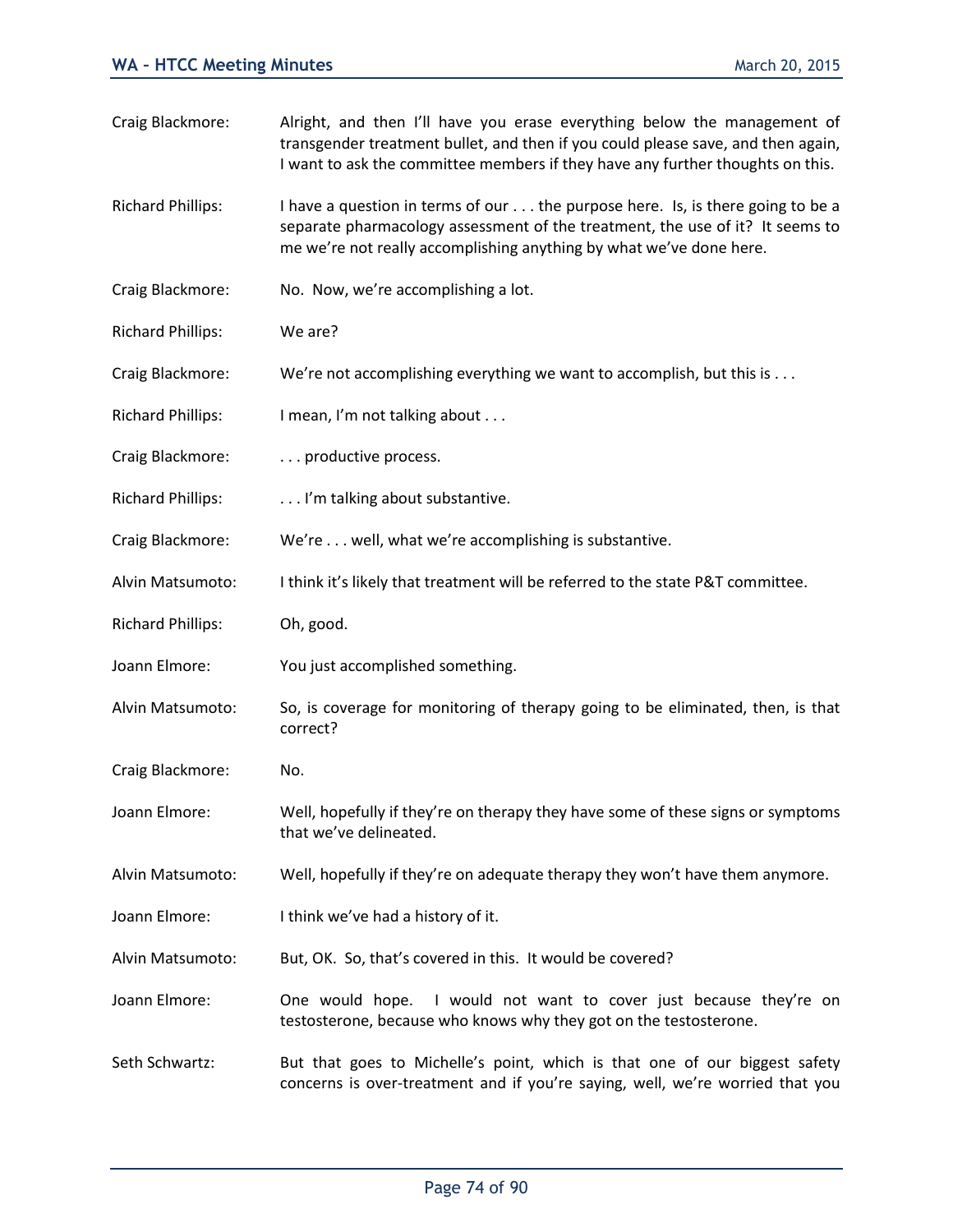Craig Blackmore: Alright, and then I'll have you erase everything below the management of transgender treatment bullet, and then if you could please save, and then again, I want to ask the committee members if they have any further thoughts on this. Richard Phillips: I have a question in terms of our . . . the purpose here. Is, is there going to be a separate pharmacology assessment of the treatment, the use of it? It seems to me we're not really accomplishing anything by what we've done here. Craig Blackmore: No. Now, we're accomplishing a lot. Richard Phillips: We are? Craig Blackmore: We're not accomplishing everything we want to accomplish, but this is . . . Richard Phillips: I mean, I'm not talking about . . . Craig Blackmore: . . . . . . productive process. Richard Phillips: . . . . . . . I'm talking about substantive. Craig Blackmore: We're . . . well, what we're accomplishing is substantive. Alvin Matsumoto: I think it's likely that treatment will be referred to the state P&T committee. Richard Phillips: Oh, good. Joann Elmore: You just accomplished something. Alvin Matsumoto: So, is coverage for monitoring of therapy going to be eliminated, then, is that correct? Craig Blackmore: No. Joann Elmore: Well, hopefully if they're on therapy they have some of these signs or symptoms that we've delineated. Alvin Matsumoto: Well, hopefully if they're on adequate therapy they won't have them anymore. Joann Elmore: I think we've had a history of it. Alvin Matsumoto: But, OK. So, that's covered in this. It would be covered? Joann Elmore: One would hope. I would not want to cover just because they're on testosterone, because who knows why they got on the testosterone. Seth Schwartz: But that goes to Michelle's point, which is that one of our biggest safety concerns is over-treatment and if you're saying, well, we're worried that you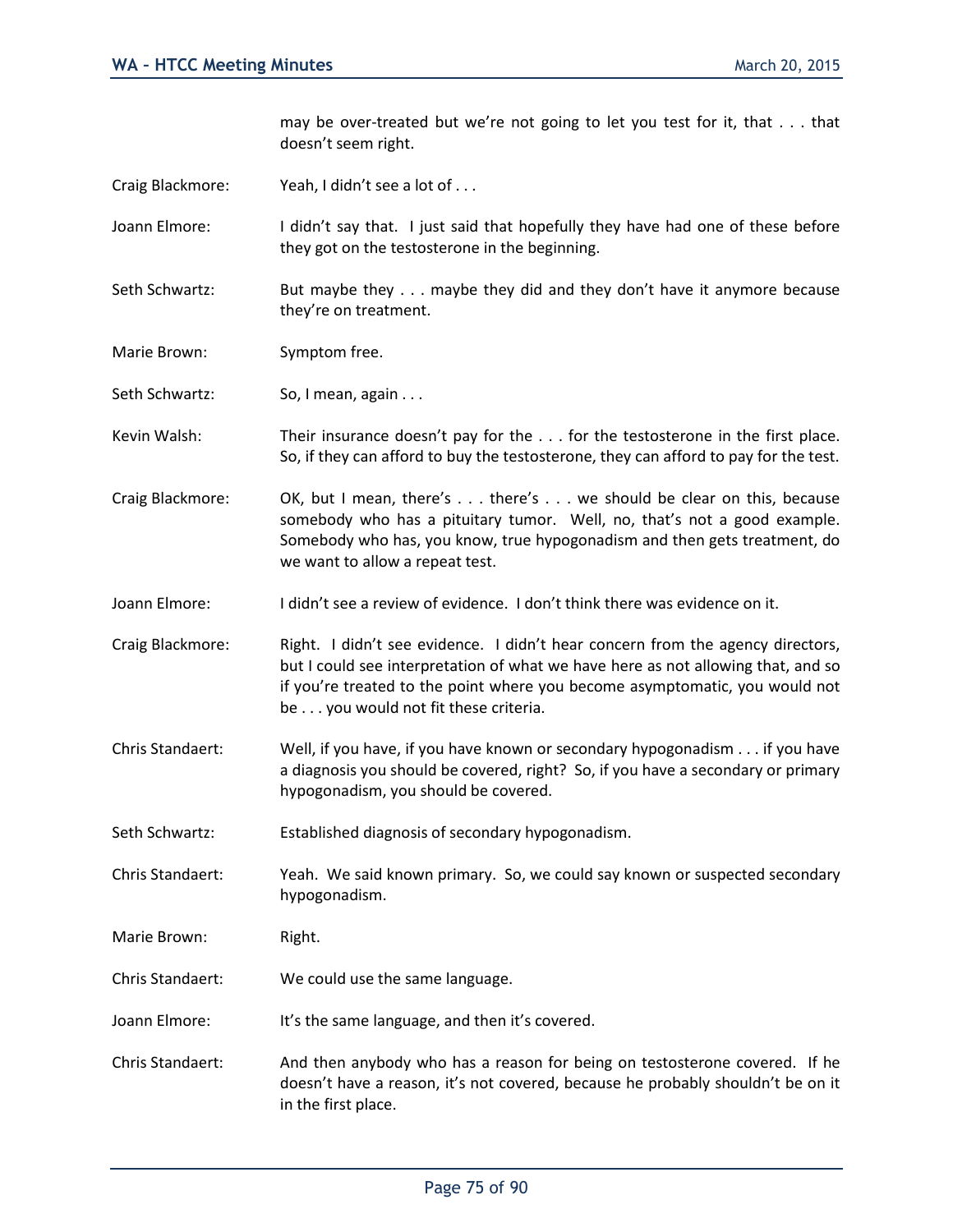may be over-treated but we're not going to let you test for it, that . . . that doesn't seem right.

Craig Blackmore: Yeah, I didn't see a lot of . . .

Joann Elmore: I didn't say that. I just said that hopefully they have had one of these before they got on the testosterone in the beginning.

Seth Schwartz: But maybe they . . . maybe they did and they don't have it anymore because they're on treatment.

Marie Brown: Symptom free.

Seth Schwartz: So, I mean, again . . .

Kevin Walsh: Their insurance doesn't pay for the . . . for the testosterone in the first place. So, if they can afford to buy the testosterone, they can afford to pay for the test.

Craig Blackmore: OK, but I mean, there's . . . there's . . . we should be clear on this, because somebody who has a pituitary tumor. Well, no, that's not a good example. Somebody who has, you know, true hypogonadism and then gets treatment, do we want to allow a repeat test.

Joann Elmore: I didn't see a review of evidence. I don't think there was evidence on it.

Craig Blackmore: Right. I didn't see evidence. I didn't hear concern from the agency directors, but I could see interpretation of what we have here as not allowing that, and so if you're treated to the point where you become asymptomatic, you would not be . . . you would not fit these criteria.

Chris Standaert: Well, if you have, if you have known or secondary hypogonadism . . . if you have a diagnosis you should be covered, right? So, if you have a secondary or primary hypogonadism, you should be covered.

Seth Schwartz: Established diagnosis of secondary hypogonadism.

Chris Standaert: Yeah. We said known primary. So, we could say known or suspected secondary hypogonadism.

Marie Brown: Right.

Chris Standaert: We could use the same language.

Joann Elmore: It's the same language, and then it's covered.

Chris Standaert: And then anybody who has a reason for being on testosterone covered. If he doesn't have a reason, it's not covered, because he probably shouldn't be on it in the first place.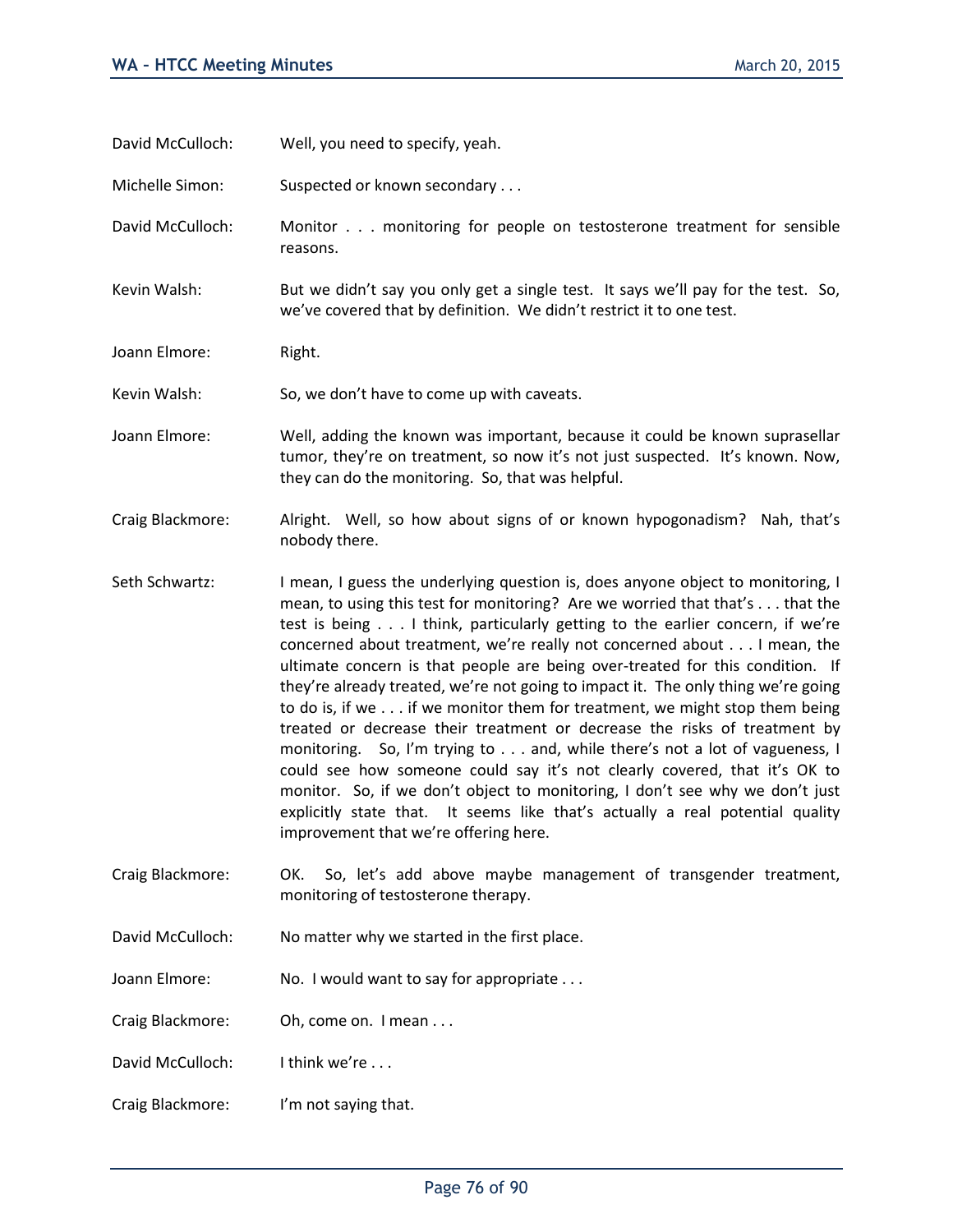David McCulloch: Well, you need to specify, yeah.

Michelle Simon: Suspected or known secondary . . .

David McCulloch: Monitor . . . monitoring for people on testosterone treatment for sensible reasons.

Kevin Walsh: But we didn't say you only get a single test. It says we'll pay for the test. So, we've covered that by definition. We didn't restrict it to one test.

Joann Elmore: Right.

Kevin Walsh: So, we don't have to come up with caveats.

Joann Elmore: Well, adding the known was important, because it could be known suprasellar tumor, they're on treatment, so now it's not just suspected. It's known. Now, they can do the monitoring. So, that was helpful.

Craig Blackmore: Alright. Well, so how about signs of or known hypogonadism? Nah, that's nobody there.

Seth Schwartz: I mean, I guess the underlying question is, does anyone object to monitoring, I mean, to using this test for monitoring? Are we worried that that's . . . that the test is being . . . I think, particularly getting to the earlier concern, if we're concerned about treatment, we're really not concerned about . . . I mean, the ultimate concern is that people are being over-treated for this condition. If they're already treated, we're not going to impact it. The only thing we're going to do is, if we . . . if we monitor them for treatment, we might stop them being treated or decrease their treatment or decrease the risks of treatment by monitoring. So, I'm trying to . . . and, while there's not a lot of vagueness, I could see how someone could say it's not clearly covered, that it's OK to monitor. So, if we don't object to monitoring, I don't see why we don't just explicitly state that. It seems like that's actually a real potential quality improvement that we're offering here.

Craig Blackmore: OK. So, let's add above maybe management of transgender treatment, monitoring of testosterone therapy.

David McCulloch: No matter why we started in the first place.

Joann Elmore: No. I would want to say for appropriate ...

Craig Blackmore: Oh, come on. I mean . . .

David McCulloch: I think we're ...

Craig Blackmore: I'm not saying that.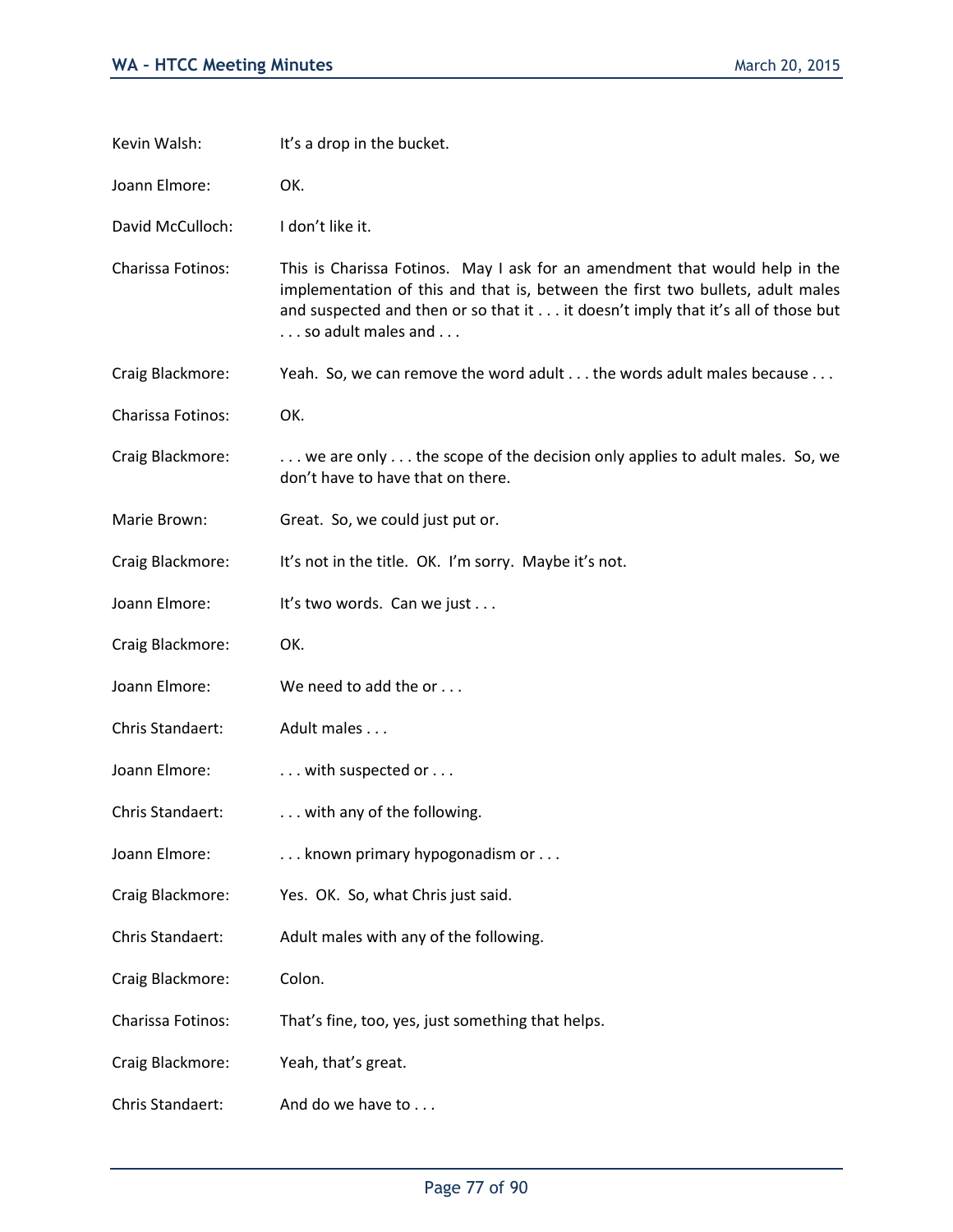| Kevin Walsh:             | It's a drop in the bucket.                                                                                                                                                                                                                                              |
|--------------------------|-------------------------------------------------------------------------------------------------------------------------------------------------------------------------------------------------------------------------------------------------------------------------|
| Joann Elmore:            | OK.                                                                                                                                                                                                                                                                     |
| David McCulloch:         | I don't like it.                                                                                                                                                                                                                                                        |
| Charissa Fotinos:        | This is Charissa Fotinos. May I ask for an amendment that would help in the<br>implementation of this and that is, between the first two bullets, adult males<br>and suspected and then or so that it it doesn't imply that it's all of those but<br>so adult males and |
| Craig Blackmore:         | Yeah. So, we can remove the word adult the words adult males because                                                                                                                                                                                                    |
| <b>Charissa Fotinos:</b> | OK.                                                                                                                                                                                                                                                                     |
| Craig Blackmore:         | we are only  the scope of the decision only applies to adult males. So, we<br>don't have to have that on there.                                                                                                                                                         |
| Marie Brown:             | Great. So, we could just put or.                                                                                                                                                                                                                                        |
| Craig Blackmore:         | It's not in the title. OK. I'm sorry. Maybe it's not.                                                                                                                                                                                                                   |
| Joann Elmore:            | It's two words. Can we just                                                                                                                                                                                                                                             |
| Craig Blackmore:         | OK.                                                                                                                                                                                                                                                                     |
| Joann Elmore:            | We need to add the or                                                                                                                                                                                                                                                   |
| Chris Standaert:         | Adult males                                                                                                                                                                                                                                                             |
| Joann Elmore:            | with suspected or                                                                                                                                                                                                                                                       |
| Chris Standaert:         | with any of the following.                                                                                                                                                                                                                                              |
| Joann Elmore:            | known primary hypogonadism or                                                                                                                                                                                                                                           |
| Craig Blackmore:         | Yes. OK. So, what Chris just said.                                                                                                                                                                                                                                      |
| Chris Standaert:         | Adult males with any of the following.                                                                                                                                                                                                                                  |
| Craig Blackmore:         | Colon.                                                                                                                                                                                                                                                                  |
| <b>Charissa Fotinos:</b> | That's fine, too, yes, just something that helps.                                                                                                                                                                                                                       |
| Craig Blackmore:         | Yeah, that's great.                                                                                                                                                                                                                                                     |
| Chris Standaert:         | And do we have to                                                                                                                                                                                                                                                       |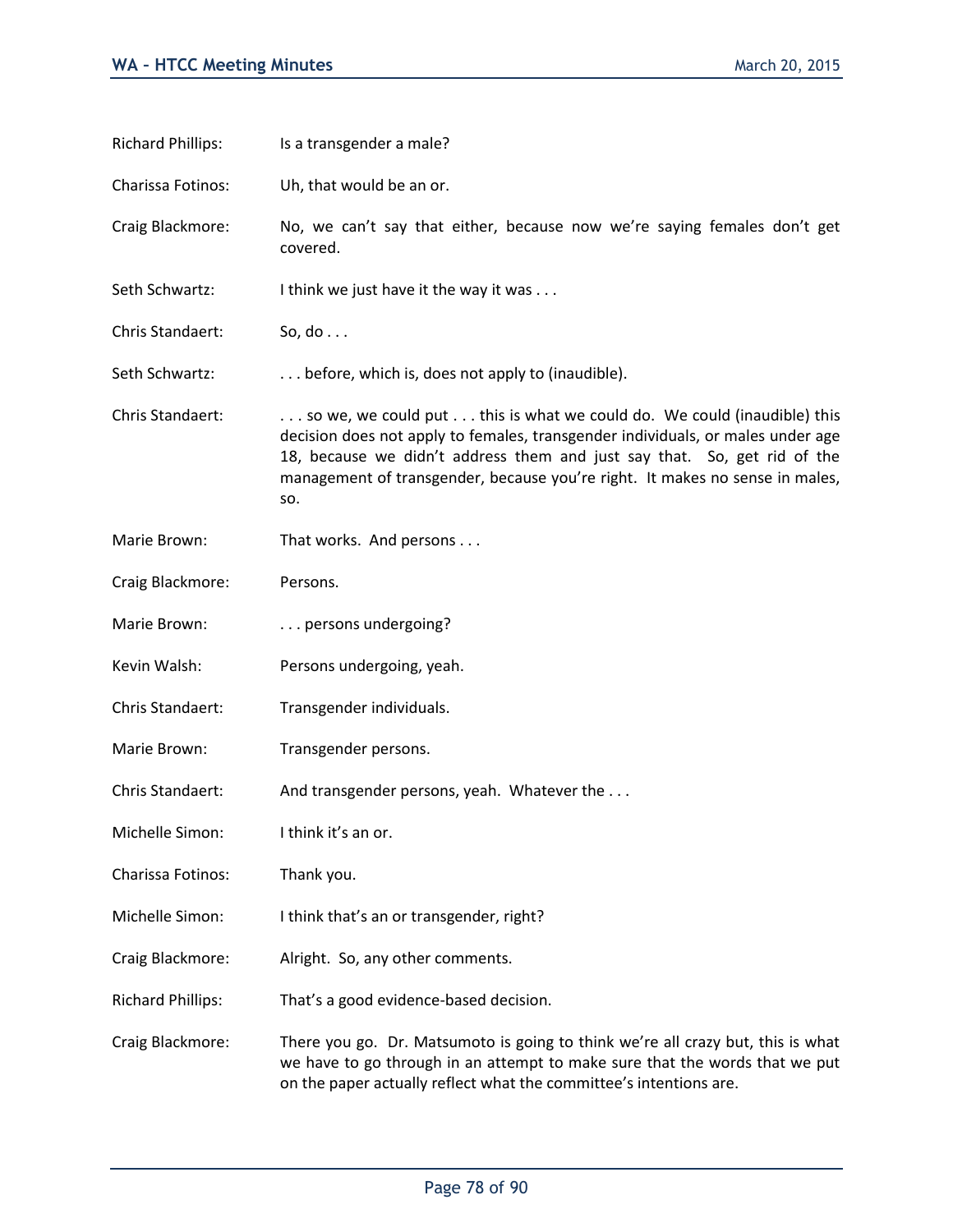| <b>Richard Phillips:</b> | Is a transgender a male?                                                                                                                                                                                                                                                                                                       |
|--------------------------|--------------------------------------------------------------------------------------------------------------------------------------------------------------------------------------------------------------------------------------------------------------------------------------------------------------------------------|
| Charissa Fotinos:        | Uh, that would be an or.                                                                                                                                                                                                                                                                                                       |
| Craig Blackmore:         | No, we can't say that either, because now we're saying females don't get<br>covered.                                                                                                                                                                                                                                           |
| Seth Schwartz:           | I think we just have it the way it was                                                                                                                                                                                                                                                                                         |
| Chris Standaert:         | So, do $\ldots$                                                                                                                                                                                                                                                                                                                |
| Seth Schwartz:           | before, which is, does not apply to (inaudible).                                                                                                                                                                                                                                                                               |
| Chris Standaert:         | so we, we could put  this is what we could do. We could (inaudible) this<br>decision does not apply to females, transgender individuals, or males under age<br>18, because we didn't address them and just say that. So, get rid of the<br>management of transgender, because you're right. It makes no sense in males,<br>SO. |
| Marie Brown:             | That works. And persons                                                                                                                                                                                                                                                                                                        |
| Craig Blackmore:         | Persons.                                                                                                                                                                                                                                                                                                                       |
| Marie Brown:             | persons undergoing?                                                                                                                                                                                                                                                                                                            |
| Kevin Walsh:             | Persons undergoing, yeah.                                                                                                                                                                                                                                                                                                      |
| Chris Standaert:         | Transgender individuals.                                                                                                                                                                                                                                                                                                       |
| Marie Brown:             | Transgender persons.                                                                                                                                                                                                                                                                                                           |
| Chris Standaert:         | And transgender persons, yeah. Whatever the                                                                                                                                                                                                                                                                                    |
| Michelle Simon:          | I think it's an or.                                                                                                                                                                                                                                                                                                            |
| Charissa Fotinos:        | Thank you.                                                                                                                                                                                                                                                                                                                     |
| Michelle Simon:          | I think that's an or transgender, right?                                                                                                                                                                                                                                                                                       |
| Craig Blackmore:         | Alright. So, any other comments.                                                                                                                                                                                                                                                                                               |
| <b>Richard Phillips:</b> | That's a good evidence-based decision.                                                                                                                                                                                                                                                                                         |
| Craig Blackmore:         | There you go. Dr. Matsumoto is going to think we're all crazy but, this is what<br>we have to go through in an attempt to make sure that the words that we put<br>on the paper actually reflect what the committee's intentions are.                                                                                           |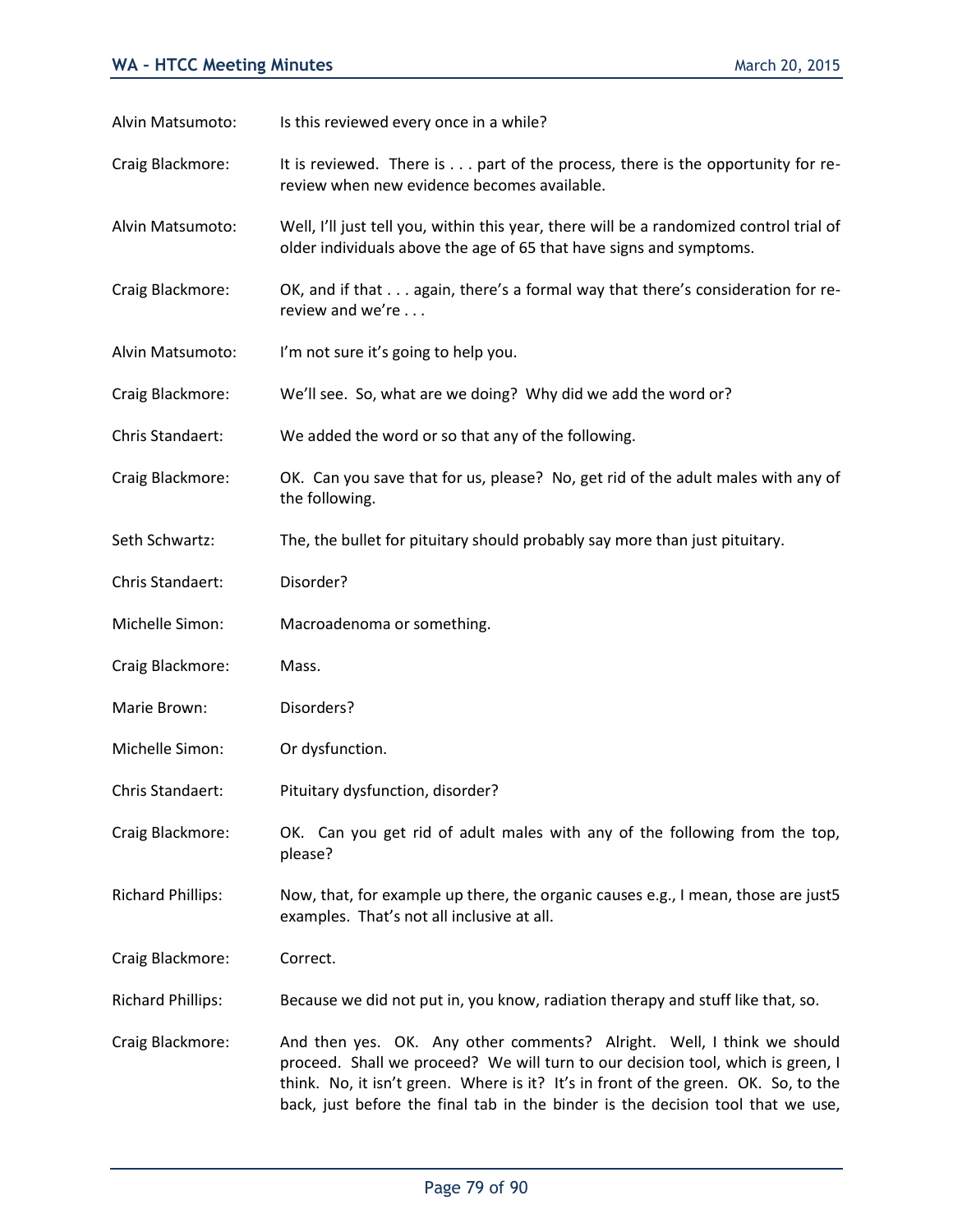Alvin Matsumoto: Is this reviewed every once in a while?

- Craig Blackmore: It is reviewed. There is . . . part of the process, there is the opportunity for rereview when new evidence becomes available.
- Alvin Matsumoto: Well, I'll just tell you, within this year, there will be a randomized control trial of older individuals above the age of 65 that have signs and symptoms.
- Craig Blackmore: OK, and if that . . . again, there's a formal way that there's consideration for rereview and we're . . .
- Alvin Matsumoto: I'm not sure it's going to help you.
- Craig Blackmore: We'll see. So, what are we doing? Why did we add the word or?
- Chris Standaert: We added the word or so that any of the following.
- Craig Blackmore: OK. Can you save that for us, please? No, get rid of the adult males with any of the following.
- Seth Schwartz: The, the bullet for pituitary should probably say more than just pituitary.
- Chris Standaert: Disorder?
- Michelle Simon: Macroadenoma or something.
- Craig Blackmore: Mass.
- Marie Brown: Disorders?
- Michelle Simon: Or dysfunction.
- Chris Standaert: Pituitary dysfunction, disorder?
- Craig Blackmore: OK. Can you get rid of adult males with any of the following from the top, please?
- Richard Phillips: Now, that, for example up there, the organic causes e.g., I mean, those are just 5 examples. That's not all inclusive at all.
- Craig Blackmore: Correct.
- Richard Phillips: Because we did not put in, you know, radiation therapy and stuff like that, so.
- Craig Blackmore: And then yes. OK. Any other comments? Alright. Well, I think we should proceed. Shall we proceed? We will turn to our decision tool, which is green, I think. No, it isn't green. Where is it? It's in front of the green. OK. So, to the back, just before the final tab in the binder is the decision tool that we use,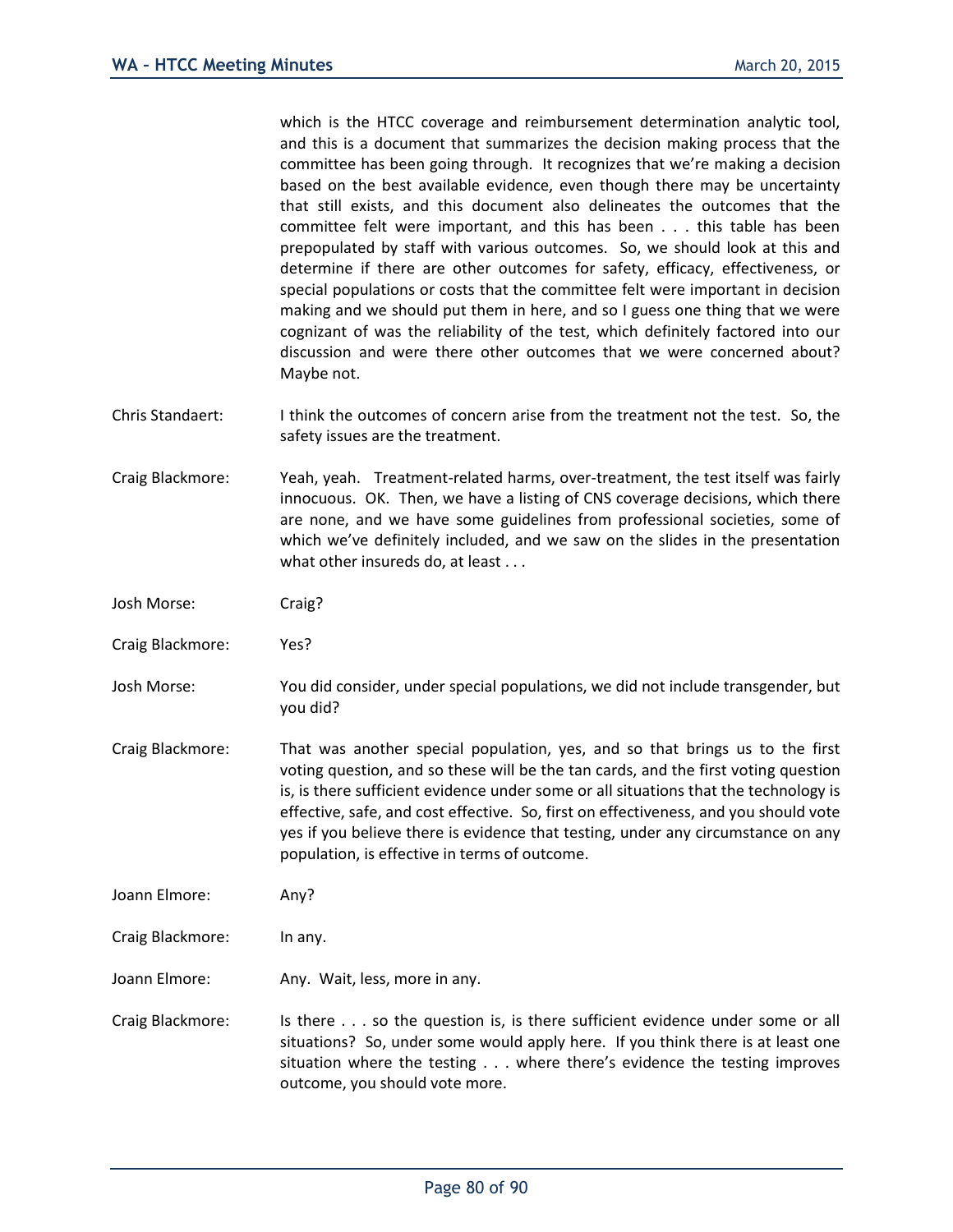which is the HTCC coverage and reimbursement determination analytic tool, and this is a document that summarizes the decision making process that the committee has been going through. It recognizes that we're making a decision based on the best available evidence, even though there may be uncertainty that still exists, and this document also delineates the outcomes that the committee felt were important, and this has been . . . this table has been prepopulated by staff with various outcomes. So, we should look at this and determine if there are other outcomes for safety, efficacy, effectiveness, or special populations or costs that the committee felt were important in decision making and we should put them in here, and so I guess one thing that we were cognizant of was the reliability of the test, which definitely factored into our discussion and were there other outcomes that we were concerned about? Maybe not.

- Chris Standaert: I think the outcomes of concern arise from the treatment not the test. So, the safety issues are the treatment.
- Craig Blackmore: Yeah, yeah. Treatment-related harms, over-treatment, the test itself was fairly innocuous. OK. Then, we have a listing of CNS coverage decisions, which there are none, and we have some guidelines from professional societies, some of which we've definitely included, and we saw on the slides in the presentation what other insureds do, at least . . .
- Josh Morse: Craig?
- Craig Blackmore: Yes?
- Josh Morse: You did consider, under special populations, we did not include transgender, but you did?
- Craig Blackmore: That was another special population, yes, and so that brings us to the first voting question, and so these will be the tan cards, and the first voting question is, is there sufficient evidence under some or all situations that the technology is effective, safe, and cost effective. So, first on effectiveness, and you should vote yes if you believe there is evidence that testing, under any circumstance on any population, is effective in terms of outcome.
- Joann Elmore: Any?
- Craig Blackmore: In any.
- Joann Elmore: Any. Wait, less, more in any.
- Craig Blackmore: Is there . . . so the question is, is there sufficient evidence under some or all situations? So, under some would apply here. If you think there is at least one situation where the testing . . . where there's evidence the testing improves outcome, you should vote more.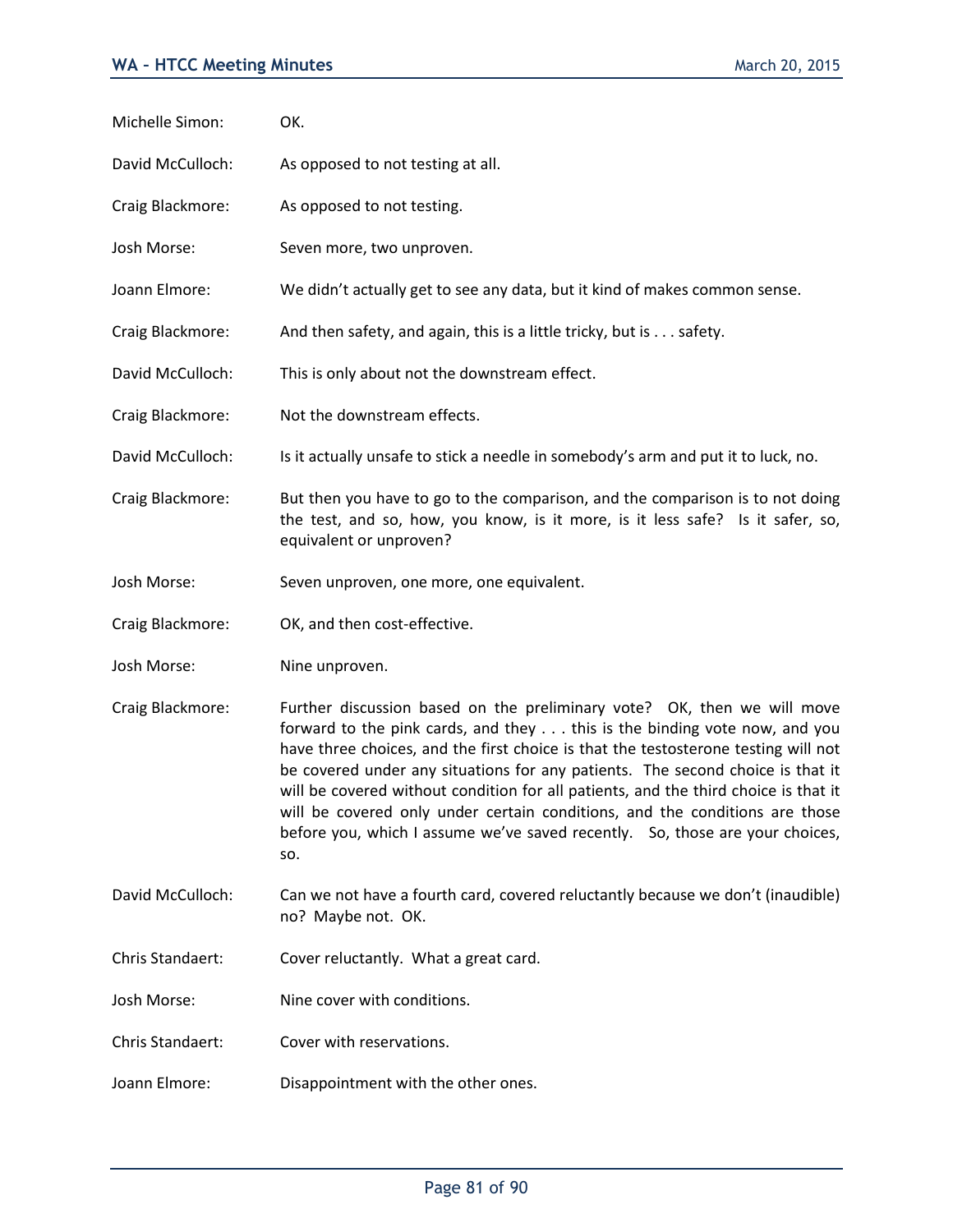| Michelle Simon:  | OK.                                                                                                                                                                                                                                                                                                                                                                                                                                                                                                                                                                                       |
|------------------|-------------------------------------------------------------------------------------------------------------------------------------------------------------------------------------------------------------------------------------------------------------------------------------------------------------------------------------------------------------------------------------------------------------------------------------------------------------------------------------------------------------------------------------------------------------------------------------------|
| David McCulloch: | As opposed to not testing at all.                                                                                                                                                                                                                                                                                                                                                                                                                                                                                                                                                         |
| Craig Blackmore: | As opposed to not testing.                                                                                                                                                                                                                                                                                                                                                                                                                                                                                                                                                                |
| Josh Morse:      | Seven more, two unproven.                                                                                                                                                                                                                                                                                                                                                                                                                                                                                                                                                                 |
| Joann Elmore:    | We didn't actually get to see any data, but it kind of makes common sense.                                                                                                                                                                                                                                                                                                                                                                                                                                                                                                                |
| Craig Blackmore: | And then safety, and again, this is a little tricky, but is safety.                                                                                                                                                                                                                                                                                                                                                                                                                                                                                                                       |
| David McCulloch: | This is only about not the downstream effect.                                                                                                                                                                                                                                                                                                                                                                                                                                                                                                                                             |
| Craig Blackmore: | Not the downstream effects.                                                                                                                                                                                                                                                                                                                                                                                                                                                                                                                                                               |
| David McCulloch: | Is it actually unsafe to stick a needle in somebody's arm and put it to luck, no.                                                                                                                                                                                                                                                                                                                                                                                                                                                                                                         |
| Craig Blackmore: | But then you have to go to the comparison, and the comparison is to not doing<br>the test, and so, how, you know, is it more, is it less safe? Is it safer, so,<br>equivalent or unproven?                                                                                                                                                                                                                                                                                                                                                                                                |
| Josh Morse:      | Seven unproven, one more, one equivalent.                                                                                                                                                                                                                                                                                                                                                                                                                                                                                                                                                 |
| Craig Blackmore: | OK, and then cost-effective.                                                                                                                                                                                                                                                                                                                                                                                                                                                                                                                                                              |
| Josh Morse:      | Nine unproven.                                                                                                                                                                                                                                                                                                                                                                                                                                                                                                                                                                            |
| Craig Blackmore: | Further discussion based on the preliminary vote? OK, then we will move<br>forward to the pink cards, and they this is the binding vote now, and you<br>have three choices, and the first choice is that the testosterone testing will not<br>be covered under any situations for any patients. The second choice is that it<br>will be covered without condition for all patients, and the third choice is that it<br>will be covered only under certain conditions, and the conditions are those<br>before you, which I assume we've saved recently. So, those are your choices,<br>SO. |
| David McCulloch: | Can we not have a fourth card, covered reluctantly because we don't (inaudible)<br>no? Maybe not. OK.                                                                                                                                                                                                                                                                                                                                                                                                                                                                                     |
| Chris Standaert: | Cover reluctantly. What a great card.                                                                                                                                                                                                                                                                                                                                                                                                                                                                                                                                                     |
|                  |                                                                                                                                                                                                                                                                                                                                                                                                                                                                                                                                                                                           |
| Josh Morse:      | Nine cover with conditions.                                                                                                                                                                                                                                                                                                                                                                                                                                                                                                                                                               |
| Chris Standaert: | Cover with reservations.                                                                                                                                                                                                                                                                                                                                                                                                                                                                                                                                                                  |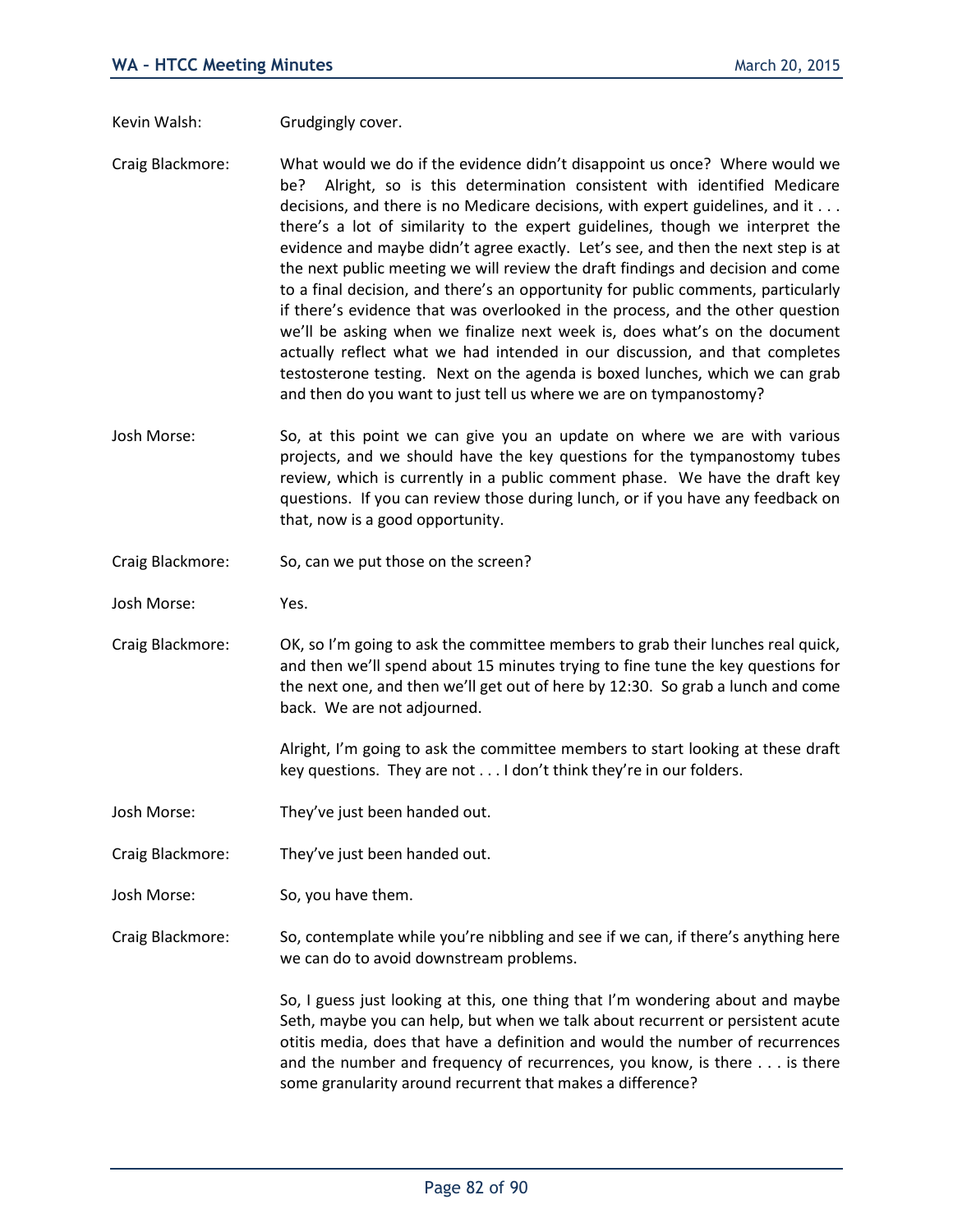Kevin Walsh: Grudgingly cover.

- Craig Blackmore: What would we do if the evidence didn't disappoint us once? Where would we be? Alright, so is this determination consistent with identified Medicare decisions, and there is no Medicare decisions, with expert guidelines, and it . . . there's a lot of similarity to the expert guidelines, though we interpret the evidence and maybe didn't agree exactly. Let's see, and then the next step is at the next public meeting we will review the draft findings and decision and come to a final decision, and there's an opportunity for public comments, particularly if there's evidence that was overlooked in the process, and the other question we'll be asking when we finalize next week is, does what's on the document actually reflect what we had intended in our discussion, and that completes testosterone testing. Next on the agenda is boxed lunches, which we can grab and then do you want to just tell us where we are on tympanostomy?
- Josh Morse: So, at this point we can give you an update on where we are with various projects, and we should have the key questions for the tympanostomy tubes review, which is currently in a public comment phase. We have the draft key questions. If you can review those during lunch, or if you have any feedback on that, now is a good opportunity.
- Craig Blackmore: So, can we put those on the screen?
- Josh Morse: Yes.
- Craig Blackmore: OK, so I'm going to ask the committee members to grab their lunches real quick, and then we'll spend about 15 minutes trying to fine tune the key questions for the next one, and then we'll get out of here by 12:30. So grab a lunch and come back. We are not adjourned.

Alright, I'm going to ask the committee members to start looking at these draft key questions. They are not . . . I don't think they're in our folders.

- Josh Morse: They've just been handed out.
- Craig Blackmore: They've just been handed out.
- Josh Morse: So, you have them.
- Craig Blackmore: So, contemplate while you're nibbling and see if we can, if there's anything here we can do to avoid downstream problems.

So, I guess just looking at this, one thing that I'm wondering about and maybe Seth, maybe you can help, but when we talk about recurrent or persistent acute otitis media, does that have a definition and would the number of recurrences and the number and frequency of recurrences, you know, is there . . . is there some granularity around recurrent that makes a difference?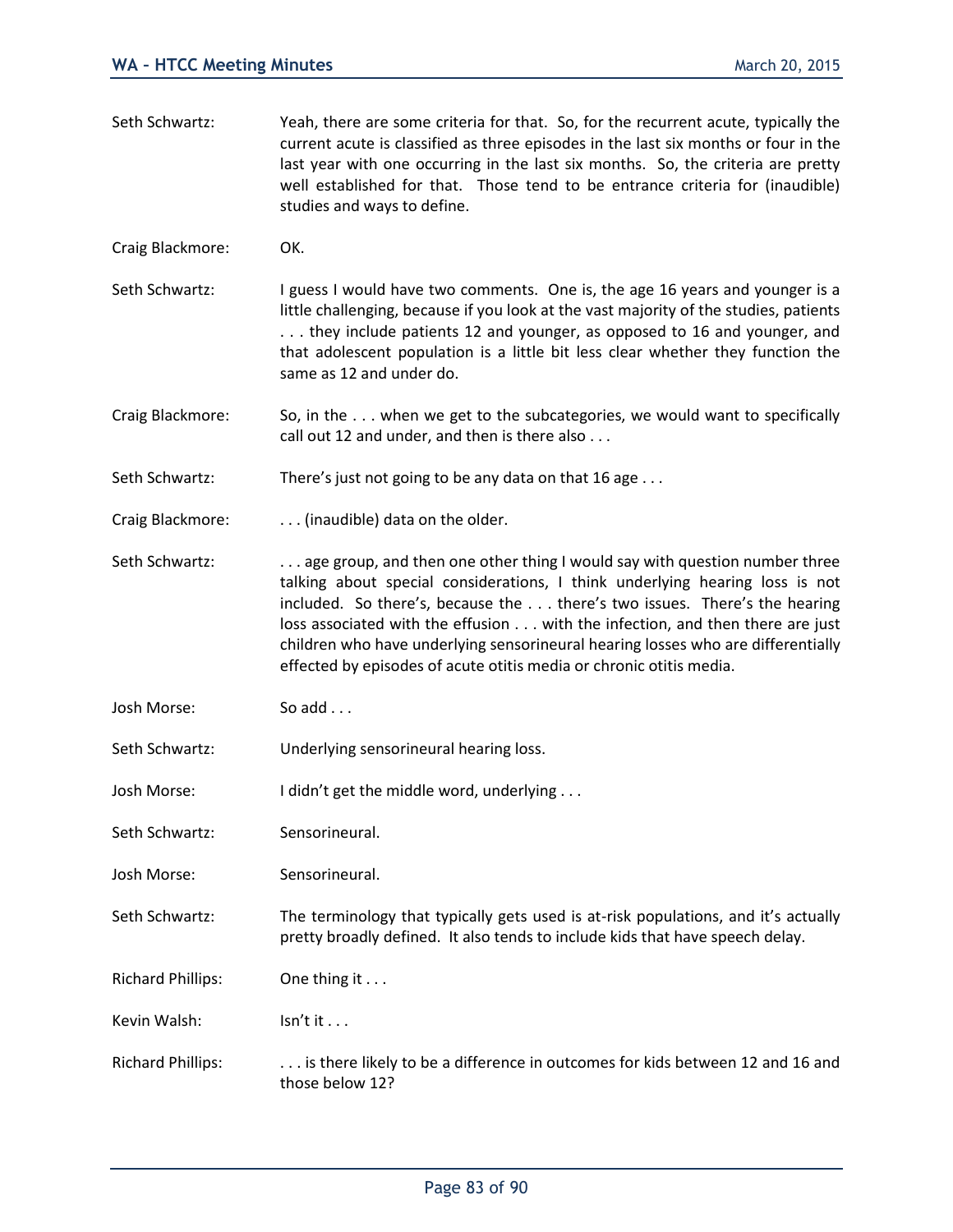| Seth Schwartz:           | Yeah, there are some criteria for that. So, for the recurrent acute, typically the<br>current acute is classified as three episodes in the last six months or four in the<br>last year with one occurring in the last six months. So, the criteria are pretty<br>well established for that. Those tend to be entrance criteria for (inaudible)<br>studies and ways to define.                                                                                                       |
|--------------------------|-------------------------------------------------------------------------------------------------------------------------------------------------------------------------------------------------------------------------------------------------------------------------------------------------------------------------------------------------------------------------------------------------------------------------------------------------------------------------------------|
| Craig Blackmore:         | OK.                                                                                                                                                                                                                                                                                                                                                                                                                                                                                 |
| Seth Schwartz:           | I guess I would have two comments. One is, the age 16 years and younger is a<br>little challenging, because if you look at the vast majority of the studies, patients<br>they include patients 12 and younger, as opposed to 16 and younger, and<br>that adolescent population is a little bit less clear whether they function the<br>same as 12 and under do.                                                                                                                     |
| Craig Blackmore:         | So, in the when we get to the subcategories, we would want to specifically<br>call out 12 and under, and then is there also                                                                                                                                                                                                                                                                                                                                                         |
| Seth Schwartz:           | There's just not going to be any data on that 16 age                                                                                                                                                                                                                                                                                                                                                                                                                                |
| Craig Blackmore:         | (inaudible) data on the older.                                                                                                                                                                                                                                                                                                                                                                                                                                                      |
| Seth Schwartz:           | age group, and then one other thing I would say with question number three<br>talking about special considerations, I think underlying hearing loss is not<br>included. So there's, because the there's two issues. There's the hearing<br>loss associated with the effusion with the infection, and then there are just<br>children who have underlying sensorineural hearing losses who are differentially<br>effected by episodes of acute otitis media or chronic otitis media. |
| Josh Morse:              | So $add$                                                                                                                                                                                                                                                                                                                                                                                                                                                                            |
| Seth Schwartz:           | Underlying sensorineural hearing loss.                                                                                                                                                                                                                                                                                                                                                                                                                                              |
| Josh Morse:              | I didn't get the middle word, underlying                                                                                                                                                                                                                                                                                                                                                                                                                                            |
| Seth Schwartz:           | Sensorineural.                                                                                                                                                                                                                                                                                                                                                                                                                                                                      |
| Josh Morse:              | Sensorineural.                                                                                                                                                                                                                                                                                                                                                                                                                                                                      |
| Seth Schwartz:           | The terminology that typically gets used is at-risk populations, and it's actually<br>pretty broadly defined. It also tends to include kids that have speech delay.                                                                                                                                                                                                                                                                                                                 |
| <b>Richard Phillips:</b> | One thing it $\dots$                                                                                                                                                                                                                                                                                                                                                                                                                                                                |
| Kevin Walsh:             | $\text{Isn't it} \dots$                                                                                                                                                                                                                                                                                                                                                                                                                                                             |
| <b>Richard Phillips:</b> | is there likely to be a difference in outcomes for kids between 12 and 16 and<br>those below 12?                                                                                                                                                                                                                                                                                                                                                                                    |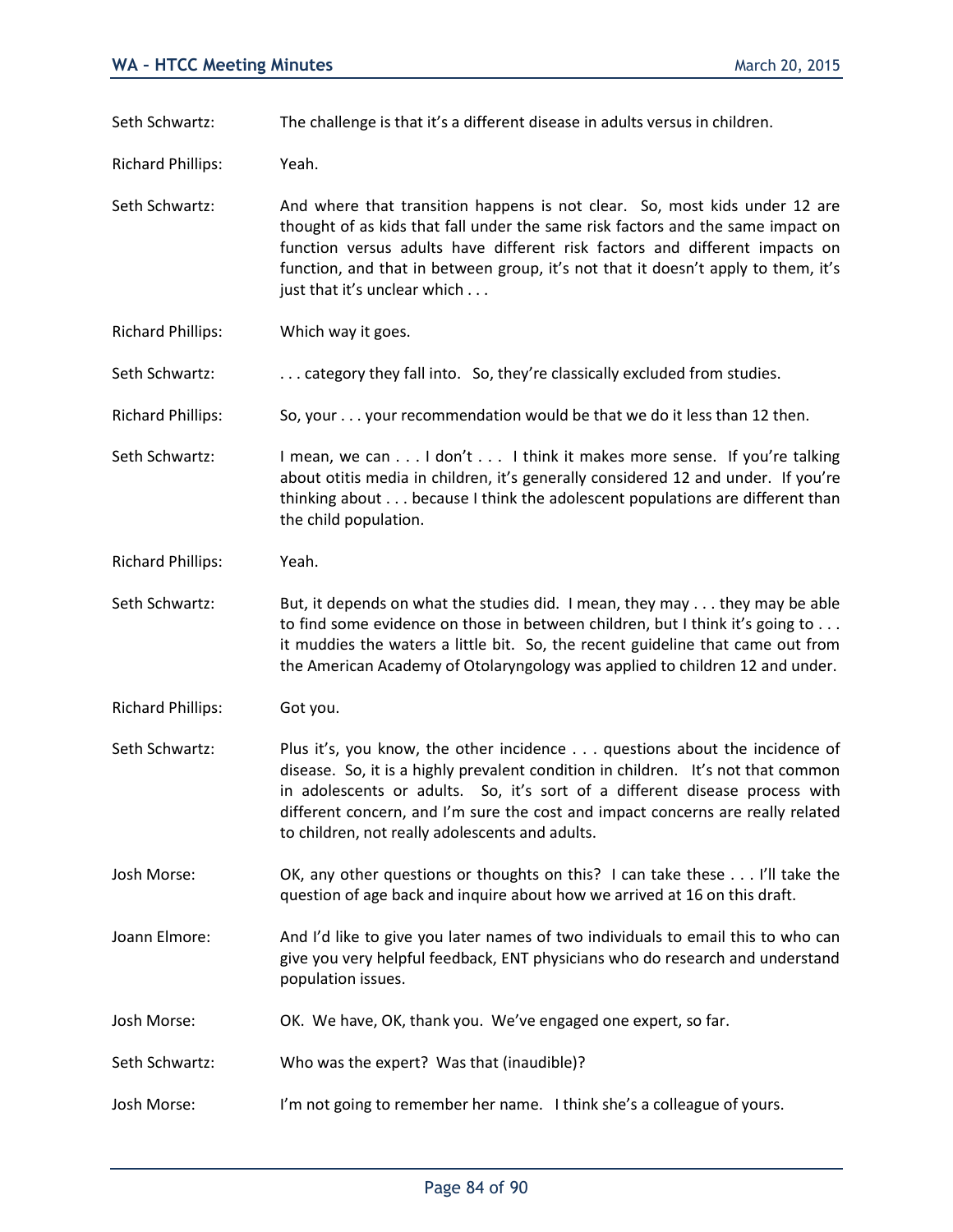Seth Schwartz: The challenge is that it's a different disease in adults versus in children.

Richard Phillips: Yeah.

Seth Schwartz: And where that transition happens is not clear. So, most kids under 12 are thought of as kids that fall under the same risk factors and the same impact on function versus adults have different risk factors and different impacts on function, and that in between group, it's not that it doesn't apply to them, it's just that it's unclear which . . .

Richard Phillips: Which way it goes.

Seth Schwartz: . . . . . category they fall into. So, they're classically excluded from studies.

Richard Phillips: So, your . . . your recommendation would be that we do it less than 12 then.

Seth Schwartz: I mean, we can . . . I don't . . . I think it makes more sense. If you're talking about otitis media in children, it's generally considered 12 and under. If you're thinking about . . . because I think the adolescent populations are different than the child population.

Richard Phillips: Yeah.

Seth Schwartz: But, it depends on what the studies did. I mean, they may . . . they may be able to find some evidence on those in between children, but I think it's going to . . . it muddies the waters a little bit. So, the recent guideline that came out from the American Academy of Otolaryngology was applied to children 12 and under.

Richard Phillips: Got you.

Seth Schwartz: Plus it's, you know, the other incidence . . . questions about the incidence of disease. So, it is a highly prevalent condition in children. It's not that common in adolescents or adults. So, it's sort of a different disease process with different concern, and I'm sure the cost and impact concerns are really related to children, not really adolescents and adults.

Josh Morse: OK, any other questions or thoughts on this? I can take these . . . I'll take the question of age back and inquire about how we arrived at 16 on this draft.

Joann Elmore: And I'd like to give you later names of two individuals to email this to who can give you very helpful feedback, ENT physicians who do research and understand population issues.

Josh Morse: OK. We have, OK, thank you. We've engaged one expert, so far.

Seth Schwartz: Who was the expert? Was that (inaudible)?

Josh Morse: I'm not going to remember her name. I think she's a colleague of yours.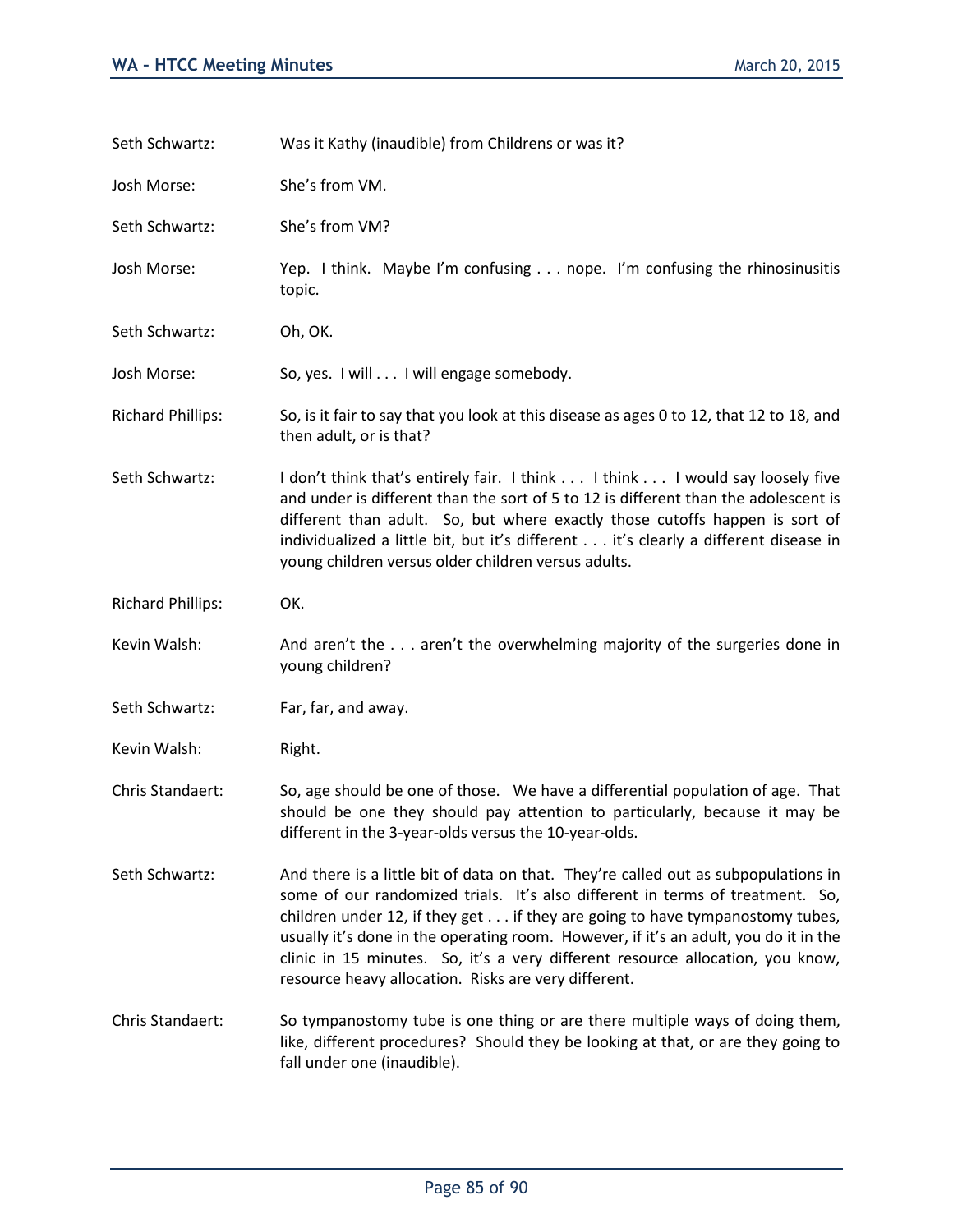| Seth Schwartz:           | Was it Kathy (inaudible) from Childrens or was it?                                                                                                                                                                                                                                                                                                                                                                                                                                    |
|--------------------------|---------------------------------------------------------------------------------------------------------------------------------------------------------------------------------------------------------------------------------------------------------------------------------------------------------------------------------------------------------------------------------------------------------------------------------------------------------------------------------------|
| Josh Morse:              | She's from VM.                                                                                                                                                                                                                                                                                                                                                                                                                                                                        |
| Seth Schwartz:           | She's from VM?                                                                                                                                                                                                                                                                                                                                                                                                                                                                        |
| Josh Morse:              | Yep. I think. Maybe I'm confusing nope. I'm confusing the rhinosinusitis<br>topic.                                                                                                                                                                                                                                                                                                                                                                                                    |
| Seth Schwartz:           | Oh, OK.                                                                                                                                                                                                                                                                                                                                                                                                                                                                               |
| Josh Morse:              | So, yes. I will I will engage somebody.                                                                                                                                                                                                                                                                                                                                                                                                                                               |
| <b>Richard Phillips:</b> | So, is it fair to say that you look at this disease as ages 0 to 12, that 12 to 18, and<br>then adult, or is that?                                                                                                                                                                                                                                                                                                                                                                    |
| Seth Schwartz:           | I don't think that's entirely fair. I think I think I would say loosely five<br>and under is different than the sort of 5 to 12 is different than the adolescent is<br>different than adult. So, but where exactly those cutoffs happen is sort of<br>individualized a little bit, but it's different it's clearly a different disease in<br>young children versus older children versus adults.                                                                                      |
| <b>Richard Phillips:</b> | OK.                                                                                                                                                                                                                                                                                                                                                                                                                                                                                   |
| Kevin Walsh:             | And aren't the aren't the overwhelming majority of the surgeries done in<br>young children?                                                                                                                                                                                                                                                                                                                                                                                           |
| Seth Schwartz:           | Far, far, and away.                                                                                                                                                                                                                                                                                                                                                                                                                                                                   |
| Kevin Walsh:             | Right.                                                                                                                                                                                                                                                                                                                                                                                                                                                                                |
| Chris Standaert:         | So, age should be one of those. We have a differential population of age. That<br>should be one they should pay attention to particularly, because it may be<br>different in the 3-year-olds versus the 10-year-olds.                                                                                                                                                                                                                                                                 |
| Seth Schwartz:           | And there is a little bit of data on that. They're called out as subpopulations in<br>some of our randomized trials. It's also different in terms of treatment. So,<br>children under 12, if they get if they are going to have tympanostomy tubes,<br>usually it's done in the operating room. However, if it's an adult, you do it in the<br>clinic in 15 minutes. So, it's a very different resource allocation, you know,<br>resource heavy allocation. Risks are very different. |
| Chris Standaert:         | So tympanostomy tube is one thing or are there multiple ways of doing them,<br>like, different procedures? Should they be looking at that, or are they going to<br>fall under one (inaudible).                                                                                                                                                                                                                                                                                        |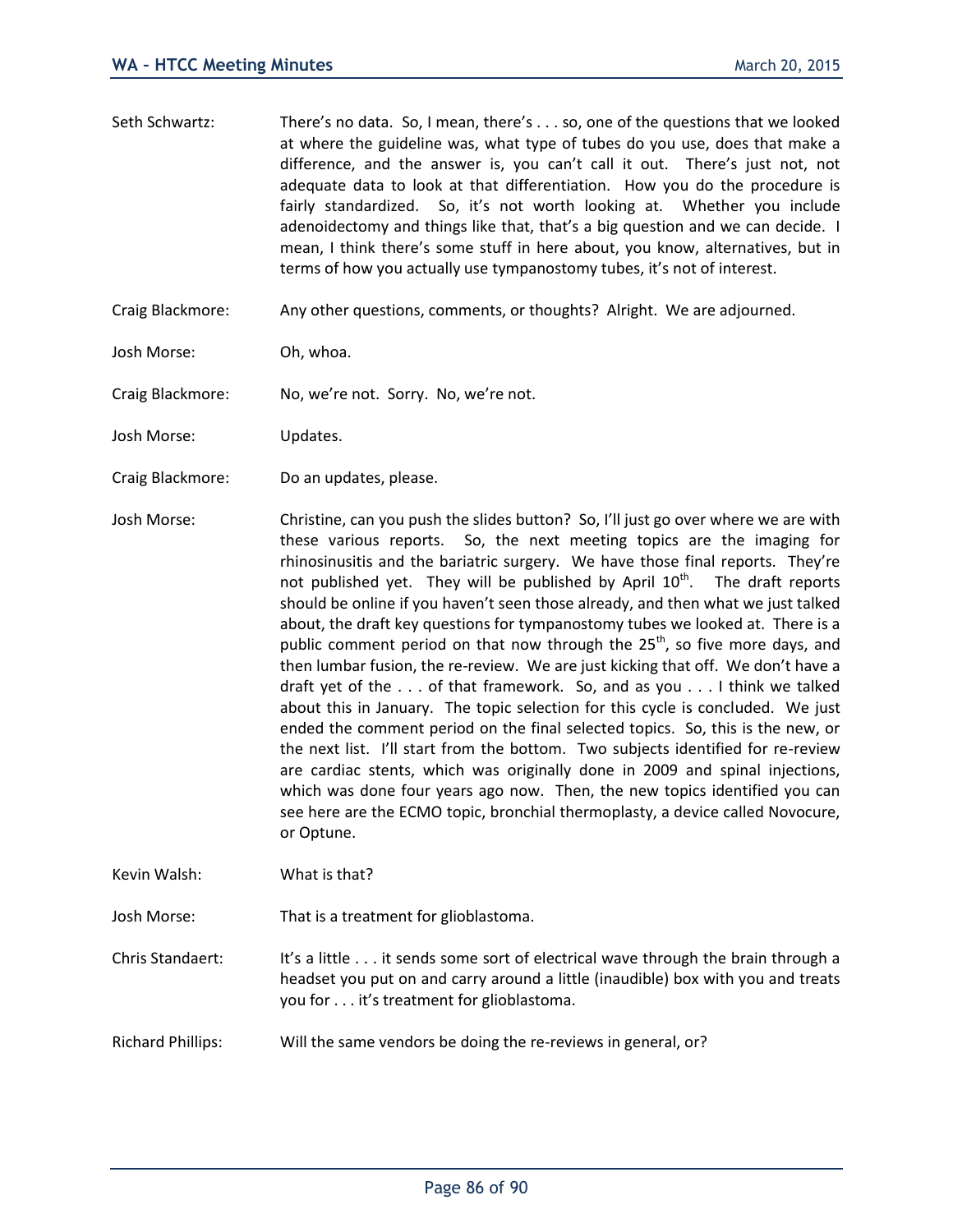- Seth Schwartz: There's no data. So, I mean, there's . . . so, one of the questions that we looked at where the guideline was, what type of tubes do you use, does that make a difference, and the answer is, you can't call it out. There's just not, not adequate data to look at that differentiation. How you do the procedure is fairly standardized. So, it's not worth looking at. Whether you include adenoidectomy and things like that, that's a big question and we can decide. I mean, I think there's some stuff in here about, you know, alternatives, but in terms of how you actually use tympanostomy tubes, it's not of interest.
- Craig Blackmore: Any other questions, comments, or thoughts? Alright. We are adjourned.
- Josh Morse: Oh, whoa.
- Craig Blackmore: No, we're not. Sorry. No, we're not.
- Josh Morse: Updates.
- Craig Blackmore: Do an updates, please.
- Josh Morse: Christine, can you push the slides button? So, I'll just go over where we are with these various reports. So, the next meeting topics are the imaging for rhinosinusitis and the bariatric surgery. We have those final reports. They're not published yet. They will be published by April  $10^{th}$ . The draft reports should be online if you haven't seen those already, and then what we just talked about, the draft key questions for tympanostomy tubes we looked at. There is a public comment period on that now through the  $25<sup>th</sup>$ , so five more days, and then lumbar fusion, the re-review. We are just kicking that off. We don't have a draft yet of the . . . of that framework. So, and as you . . . I think we talked about this in January. The topic selection for this cycle is concluded. We just ended the comment period on the final selected topics. So, this is the new, or the next list. I'll start from the bottom. Two subjects identified for re-review are cardiac stents, which was originally done in 2009 and spinal injections, which was done four years ago now. Then, the new topics identified you can see here are the ECMO topic, bronchial thermoplasty, a device called Novocure, or Optune.
- Kevin Walsh: What is that?
- Josh Morse: That is a treatment for glioblastoma.

Chris Standaert: It's a little . . . it sends some sort of electrical wave through the brain through a headset you put on and carry around a little (inaudible) box with you and treats you for . . . it's treatment for glioblastoma.

Richard Phillips: Will the same vendors be doing the re-reviews in general, or?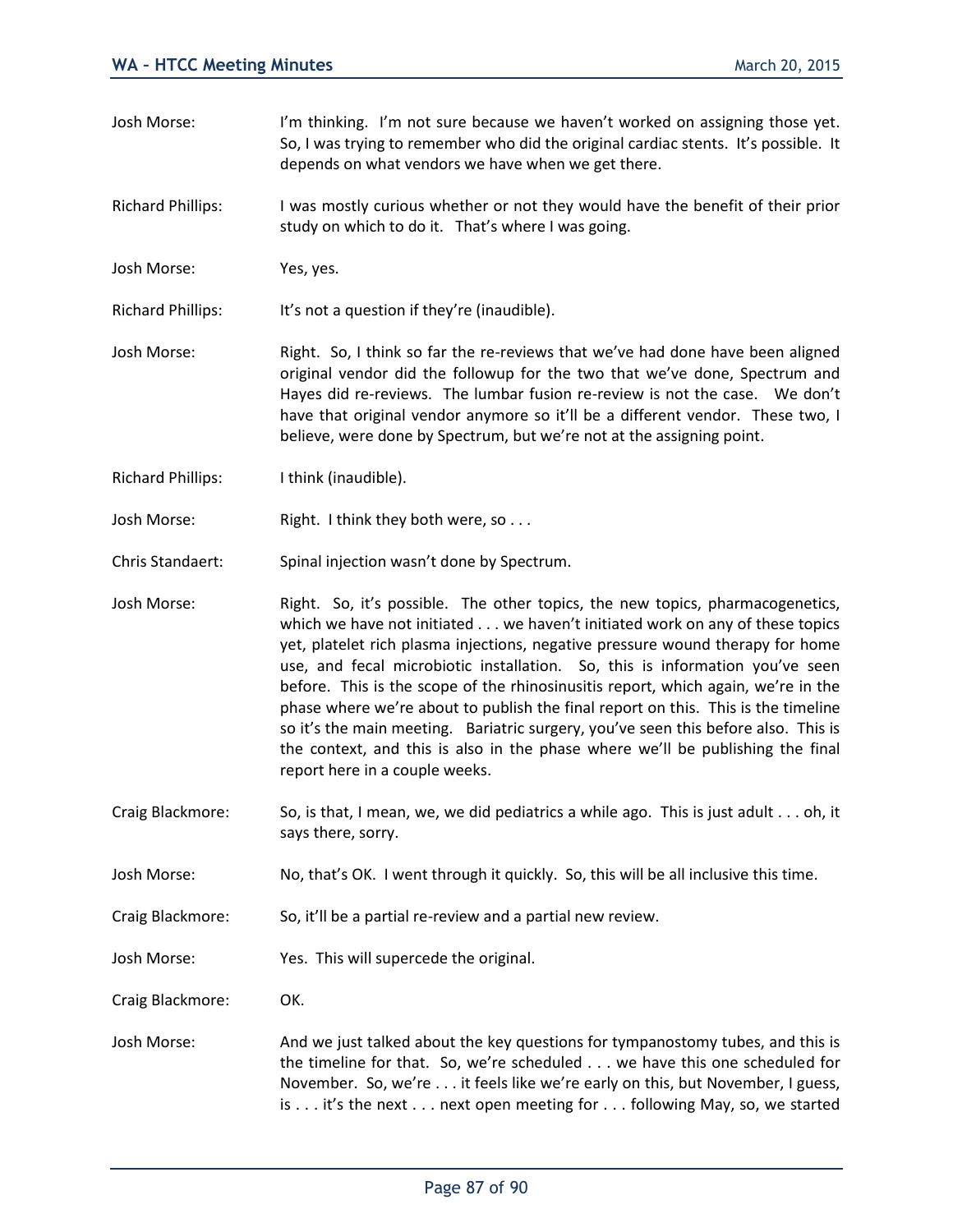- Josh Morse: I'm thinking. I'm not sure because we haven't worked on assigning those yet. So, I was trying to remember who did the original cardiac stents. It's possible. It depends on what vendors we have when we get there.
- Richard Phillips: I was mostly curious whether or not they would have the benefit of their prior study on which to do it. That's where I was going.
- Josh Morse: Yes, yes.
- Richard Phillips: It's not a question if they're (inaudible).
- Josh Morse: Right. So, I think so far the re-reviews that we've had done have been aligned original vendor did the followup for the two that we've done, Spectrum and Hayes did re-reviews. The lumbar fusion re-review is not the case. We don't have that original vendor anymore so it'll be a different vendor. These two, I believe, were done by Spectrum, but we're not at the assigning point.
- Richard Phillips: I think (inaudible).
- Josh Morse: Right. I think they both were, so...
- Chris Standaert: Spinal injection wasn't done by Spectrum.
- Josh Morse: Right. So, it's possible. The other topics, the new topics, pharmacogenetics, which we have not initiated . . . we haven't initiated work on any of these topics yet, platelet rich plasma injections, negative pressure wound therapy for home use, and fecal microbiotic installation. So, this is information you've seen before. This is the scope of the rhinosinusitis report, which again, we're in the phase where we're about to publish the final report on this. This is the timeline so it's the main meeting. Bariatric surgery, you've seen this before also. This is the context, and this is also in the phase where we'll be publishing the final report here in a couple weeks.
- Craig Blackmore: So, is that, I mean, we, we did pediatrics a while ago. This is just adult . . . oh, it says there, sorry.
- Josh Morse: No, that's OK. I went through it quickly. So, this will be all inclusive this time.
- Craig Blackmore: So, it'll be a partial re-review and a partial new review.
- Josh Morse: Yes. This will supercede the original.
- Craig Blackmore: OK.
- Josh Morse: And we just talked about the key questions for tympanostomy tubes, and this is the timeline for that. So, we're scheduled . . . we have this one scheduled for November. So, we're . . . it feels like we're early on this, but November, I guess, is . . . it's the next . . . next open meeting for . . . following May, so, we started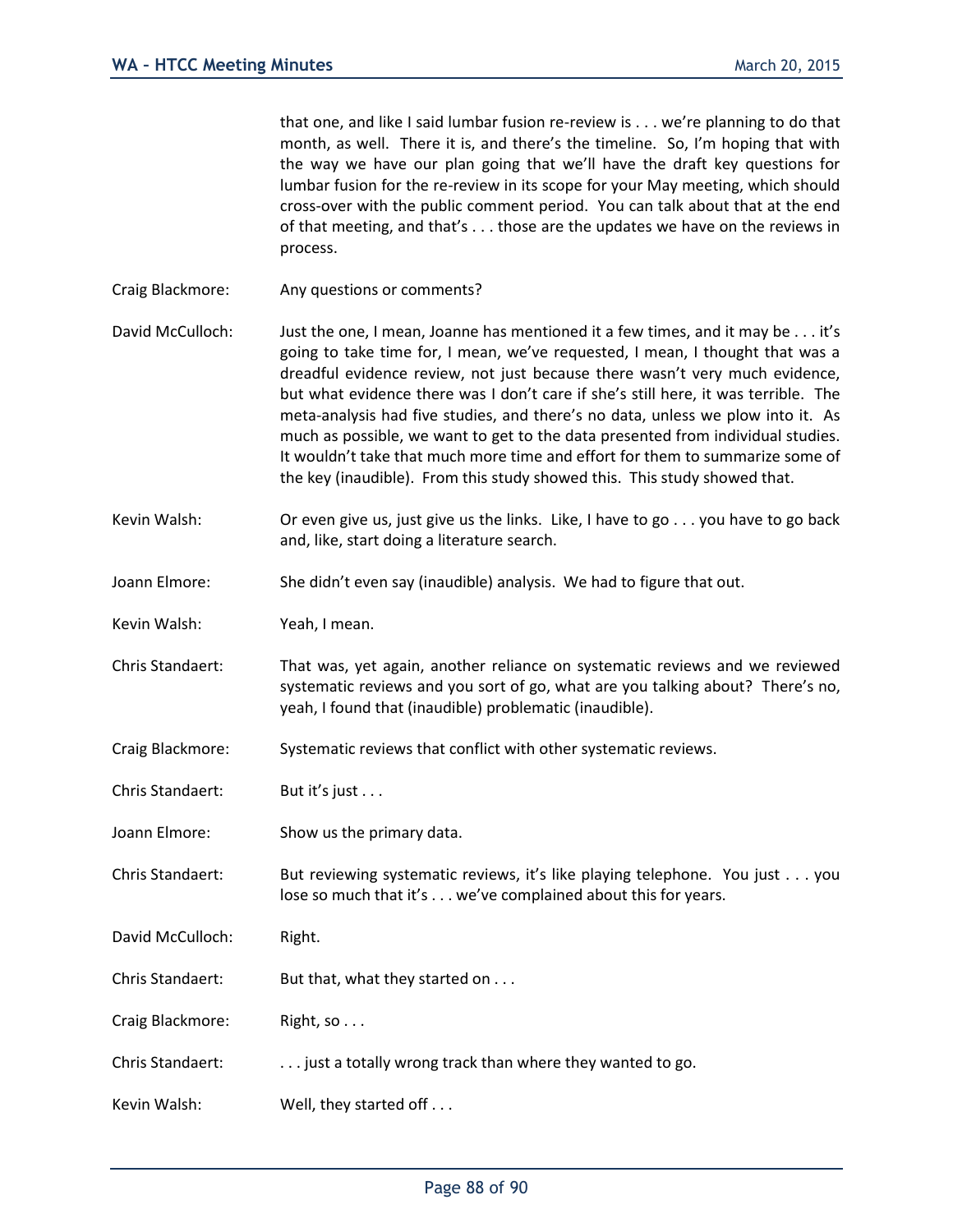that one, and like I said lumbar fusion re-review is . . . we're planning to do that month, as well. There it is, and there's the timeline. So, I'm hoping that with the way we have our plan going that we'll have the draft key questions for lumbar fusion for the re-review in its scope for your May meeting, which should cross-over with the public comment period. You can talk about that at the end of that meeting, and that's . . . those are the updates we have on the reviews in process.

- Craig Blackmore: Any questions or comments?
- David McCulloch: Just the one, I mean, Joanne has mentioned it a few times, and it may be . . . it's going to take time for, I mean, we've requested, I mean, I thought that was a dreadful evidence review, not just because there wasn't very much evidence, but what evidence there was I don't care if she's still here, it was terrible. The meta-analysis had five studies, and there's no data, unless we plow into it. As much as possible, we want to get to the data presented from individual studies. It wouldn't take that much more time and effort for them to summarize some of the key (inaudible). From this study showed this. This study showed that.
- Kevin Walsh: Or even give us, just give us the links. Like, I have to go . . . you have to go back and, like, start doing a literature search.
- Joann Elmore: She didn't even say (inaudible) analysis. We had to figure that out.
- Kevin Walsh: Yeah, I mean.
- Chris Standaert: That was, yet again, another reliance on systematic reviews and we reviewed systematic reviews and you sort of go, what are you talking about? There's no, yeah, I found that (inaudible) problematic (inaudible).
- Craig Blackmore: Systematic reviews that conflict with other systematic reviews.
- Chris Standaert: But it's just . . .
- Joann Elmore: Show us the primary data.
- Chris Standaert: But reviewing systematic reviews, it's like playing telephone. You just . . . you lose so much that it's . . . we've complained about this for years.
- David McCulloch: Right.
- Chris Standaert: But that, what they started on . . .
- Craig Blackmore: Right, so...
- Chris Standaert: . . . . . . just a totally wrong track than where they wanted to go.
- Kevin Walsh: Well, they started off . . .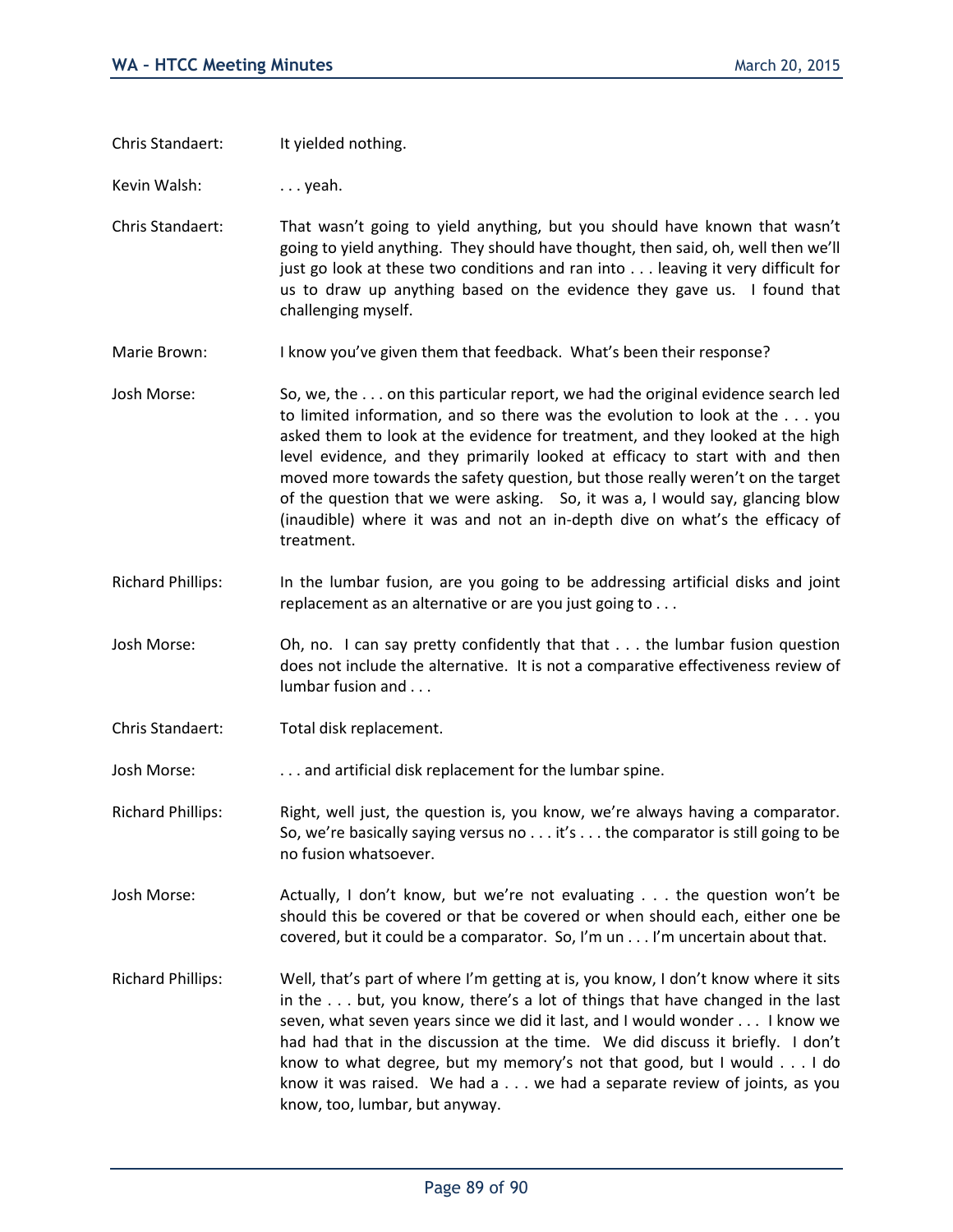Chris Standaert: It yielded nothing.

Kevin Walsh: ... yeah.

Chris Standaert: That wasn't going to yield anything, but you should have known that wasn't going to yield anything. They should have thought, then said, oh, well then we'll just go look at these two conditions and ran into . . . leaving it very difficult for us to draw up anything based on the evidence they gave us. I found that challenging myself.

Marie Brown: I know you've given them that feedback. What's been their response?

- Josh Morse: So, we, the . . . on this particular report, we had the original evidence search led to limited information, and so there was the evolution to look at the . . . you asked them to look at the evidence for treatment, and they looked at the high level evidence, and they primarily looked at efficacy to start with and then moved more towards the safety question, but those really weren't on the target of the question that we were asking. So, it was a, I would say, glancing blow (inaudible) where it was and not an in-depth dive on what's the efficacy of treatment.
- Richard Phillips: In the lumbar fusion, are you going to be addressing artificial disks and joint replacement as an alternative or are you just going to . . .
- Josh Morse: Oh, no. I can say pretty confidently that that . . . the lumbar fusion question does not include the alternative. It is not a comparative effectiveness review of lumbar fusion and . . .
- Chris Standaert: Total disk replacement.

Josh Morse: . . . and artificial disk replacement for the lumbar spine.

Richard Phillips: Right, well just, the question is, you know, we're always having a comparator. So, we're basically saying versus no . . . it's . . . the comparator is still going to be no fusion whatsoever.

Josh Morse: Actually, I don't know, but we're not evaluating . . . the question won't be should this be covered or that be covered or when should each, either one be covered, but it could be a comparator. So, I'm un . . . I'm uncertain about that.

Richard Phillips: Well, that's part of where I'm getting at is, you know, I don't know where it sits in the . . . but, you know, there's a lot of things that have changed in the last seven, what seven years since we did it last, and I would wonder . . . I know we had had that in the discussion at the time. We did discuss it briefly. I don't know to what degree, but my memory's not that good, but I would . . . I do know it was raised. We had a . . . we had a separate review of joints, as you know, too, lumbar, but anyway.